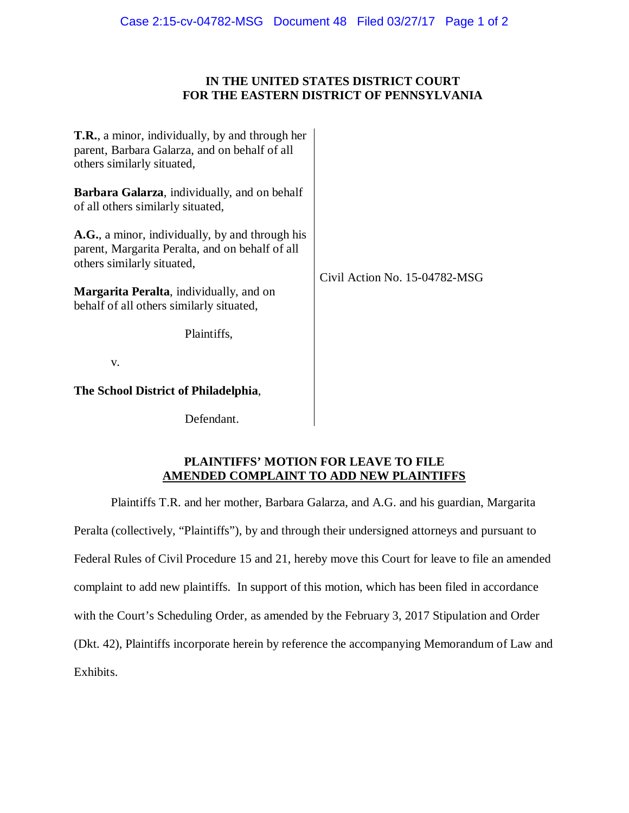# **IN THE UNITED STATES DISTRICT COURT FOR THE EASTERN DISTRICT OF PENNSYLVANIA**

| <b>T.R.</b> , a minor, individually, by and through her<br>parent, Barbara Galarza, and on behalf of all<br>others similarly situated, | Civil Action No. 15-04782-MSG |
|----------------------------------------------------------------------------------------------------------------------------------------|-------------------------------|
| <b>Barbara Galarza</b> , individually, and on behalf<br>of all others similarly situated,                                              |                               |
| A.G., a minor, individually, by and through his<br>parent, Margarita Peralta, and on behalf of all<br>others similarly situated,       |                               |
| <b>Margarita Peralta</b> , individually, and on<br>behalf of all others similarly situated,                                            |                               |
| Plaintiffs,                                                                                                                            |                               |
| V.                                                                                                                                     |                               |
| The School District of Philadelphia,                                                                                                   |                               |
| Defendant.                                                                                                                             |                               |

# **PLAINTIFFS' MOTION FOR LEAVE TO FILE AMENDED COMPLAINT TO ADD NEW PLAINTIFFS**

Plaintiffs T.R. and her mother, Barbara Galarza, and A.G. and his guardian, Margarita Peralta (collectively, "Plaintiffs"), by and through their undersigned attorneys and pursuant to Federal Rules of Civil Procedure 15 and 21, hereby move this Court for leave to file an amended complaint to add new plaintiffs. In support of this motion, which has been filed in accordance with the Court's Scheduling Order, as amended by the February 3, 2017 Stipulation and Order (Dkt. 42), Plaintiffs incorporate herein by reference the accompanying Memorandum of Law and Exhibits.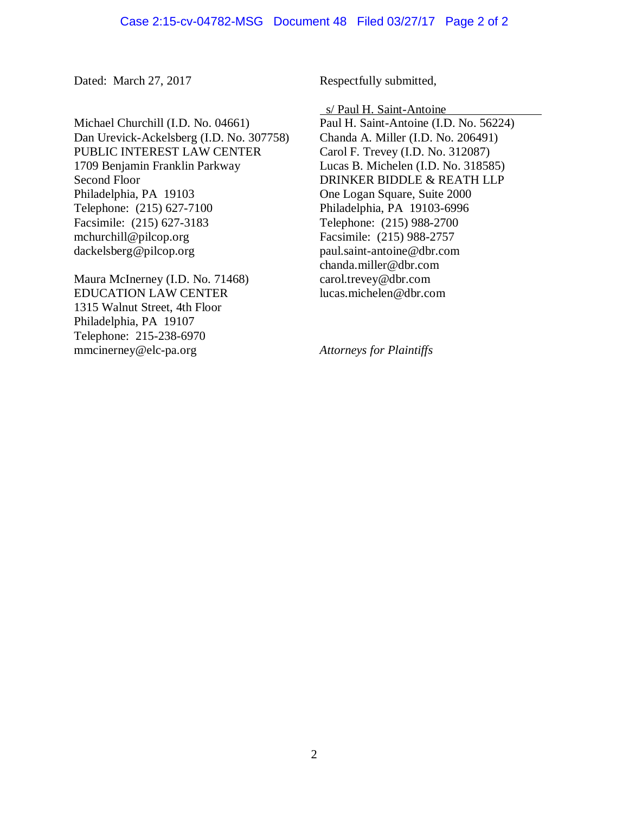Michael Churchill (I.D. No. 04661) Dan Urevick-Ackelsberg (I.D. No. 307758) PUBLIC INTEREST LAW CENTER 1709 Benjamin Franklin Parkway Second Floor Philadelphia, PA 19103 Telephone: (215) 627-7100 Facsimile: (215) 627-3183 mchurchill@pilcop.org dackelsberg@pilcop.org

Maura McInerney (I.D. No. 71468) EDUCATION LAW CENTER 1315 Walnut Street, 4th Floor Philadelphia, PA 19107 Telephone: 215-238-6970 mmcinerney@elc-pa.org

Dated: March 27, 2017 Respectfully submitted,

s/ Paul H. Saint-Antoine

Paul H. Saint-Antoine (I.D. No. 56224) Chanda A. Miller (I.D. No. 206491) Carol F. Trevey (I.D. No. 312087) Lucas B. Michelen (I.D. No. 318585) DRINKER BIDDLE & REATH LLP One Logan Square, Suite 2000 Philadelphia, PA 19103-6996 Telephone: (215) 988-2700 Facsimile: (215) 988-2757 paul.saint-antoine@dbr.com chanda.miller@dbr.com carol.trevey@dbr.com lucas.michelen@dbr.com

*Attorneys for Plaintiffs*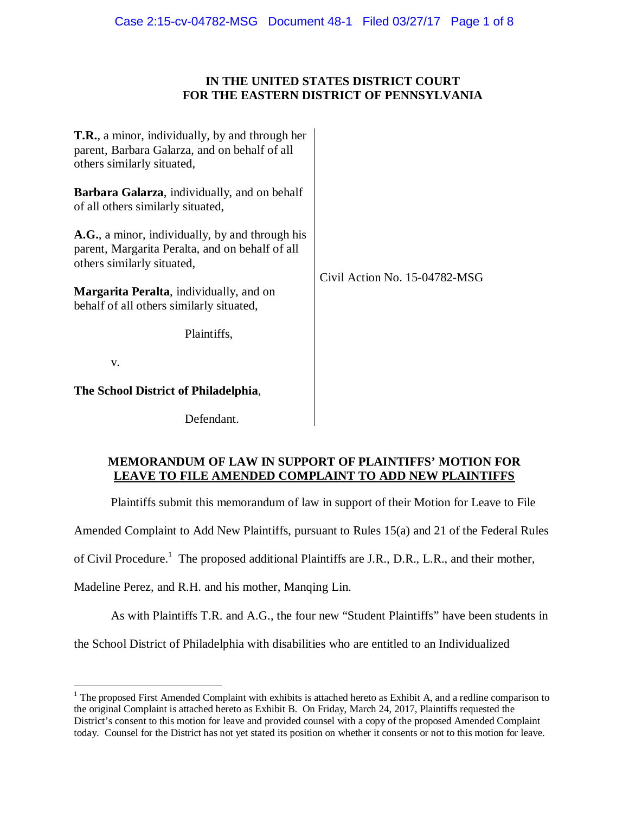# **IN THE UNITED STATES DISTRICT COURT FOR THE EASTERN DISTRICT OF PENNSYLVANIA**

| <b>T.R.</b> , a minor, individually, by and through her<br>parent, Barbara Galarza, and on behalf of all<br>others similarly situated, | Civil Action No. 15-04782-MSG |
|----------------------------------------------------------------------------------------------------------------------------------------|-------------------------------|
| <b>Barbara Galarza</b> , individually, and on behalf<br>of all others similarly situated,                                              |                               |
| A.G., a minor, individually, by and through his<br>parent, Margarita Peralta, and on behalf of all<br>others similarly situated,       |                               |
| <b>Margarita Peralta</b> , individually, and on<br>behalf of all others similarly situated,                                            |                               |
| Plaintiffs,                                                                                                                            |                               |
| V.                                                                                                                                     |                               |
| The School District of Philadelphia,                                                                                                   |                               |
| Defendant.                                                                                                                             |                               |

# **MEMORANDUM OF LAW IN SUPPORT OF PLAINTIFFS' MOTION FOR LEAVE TO FILE AMENDED COMPLAINT TO ADD NEW PLAINTIFFS**

Plaintiffs submit this memorandum of law in support of their Motion for Leave to File

Amended Complaint to Add New Plaintiffs, pursuant to Rules 15(a) and 21 of the Federal Rules

of Civil Procedure.<sup>1</sup> The proposed additional Plaintiffs are J.R., D.R., L.R., and their mother,

Madeline Perez, and R.H. and his mother, Manqing Lin.

As with Plaintiffs T.R. and A.G., the four new "Student Plaintiffs" have been students in

the School District of Philadelphia with disabilities who are entitled to an Individualized

<sup>&</sup>lt;sup>1</sup> The proposed First Amended Complaint with exhibits is attached hereto as Exhibit A, and a redline comparison to the original Complaint is attached hereto as Exhibit B. On Friday, March 24, 2017, Plaintiffs requested the District's consent to this motion for leave and provided counsel with a copy of the proposed Amended Complaint today. Counsel for the District has not yet stated its position on whether it consents or not to this motion for leave.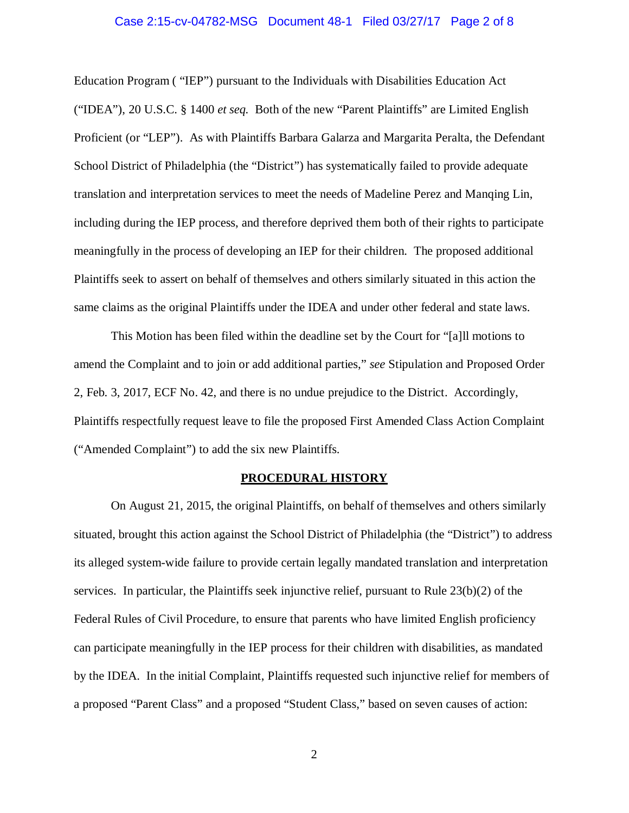# Case 2:15-cv-04782-MSG Document 48-1 Filed 03/27/17 Page 2 of 8

Education Program ( "IEP") pursuant to the Individuals with Disabilities Education Act ("IDEA"), 20 U.S.C. § 1400 *et seq.* Both of the new "Parent Plaintiffs" are Limited English Proficient (or "LEP"). As with Plaintiffs Barbara Galarza and Margarita Peralta, the Defendant School District of Philadelphia (the "District") has systematically failed to provide adequate translation and interpretation services to meet the needs of Madeline Perez and Manqing Lin, including during the IEP process, and therefore deprived them both of their rights to participate meaningfully in the process of developing an IEP for their children. The proposed additional Plaintiffs seek to assert on behalf of themselves and others similarly situated in this action the same claims as the original Plaintiffs under the IDEA and under other federal and state laws.

This Motion has been filed within the deadline set by the Court for "[a]ll motions to amend the Complaint and to join or add additional parties," *see* Stipulation and Proposed Order 2, Feb. 3, 2017, ECF No. 42, and there is no undue prejudice to the District. Accordingly, Plaintiffs respectfully request leave to file the proposed First Amended Class Action Complaint ("Amended Complaint") to add the six new Plaintiffs.

## **PROCEDURAL HISTORY**

On August 21, 2015, the original Plaintiffs, on behalf of themselves and others similarly situated, brought this action against the School District of Philadelphia (the "District") to address its alleged system-wide failure to provide certain legally mandated translation and interpretation services. In particular, the Plaintiffs seek injunctive relief, pursuant to Rule 23(b)(2) of the Federal Rules of Civil Procedure, to ensure that parents who have limited English proficiency can participate meaningfully in the IEP process for their children with disabilities, as mandated by the IDEA. In the initial Complaint, Plaintiffs requested such injunctive relief for members of a proposed "Parent Class" and a proposed "Student Class," based on seven causes of action: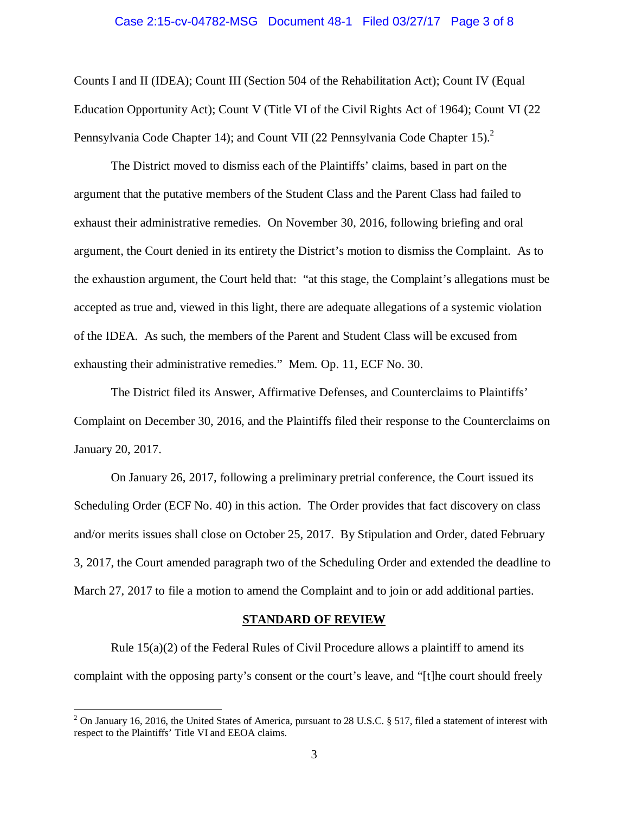# Case 2:15-cv-04782-MSG Document 48-1 Filed 03/27/17 Page 3 of 8

Counts I and II (IDEA); Count III (Section 504 of the Rehabilitation Act); Count IV (Equal Education Opportunity Act); Count V (Title VI of the Civil Rights Act of 1964); Count VI (22 Pennsylvania Code Chapter 14); and Count VII (22 Pennsylvania Code Chapter 15).<sup>2</sup>

The District moved to dismiss each of the Plaintiffs' claims, based in part on the argument that the putative members of the Student Class and the Parent Class had failed to exhaust their administrative remedies. On November 30, 2016, following briefing and oral argument, the Court denied in its entirety the District's motion to dismiss the Complaint. As to the exhaustion argument, the Court held that: "at this stage, the Complaint's allegations must be accepted as true and, viewed in this light, there are adequate allegations of a systemic violation of the IDEA. As such, the members of the Parent and Student Class will be excused from exhausting their administrative remedies." Mem. Op. 11, ECF No. 30.

The District filed its Answer, Affirmative Defenses, and Counterclaims to Plaintiffs' Complaint on December 30, 2016, and the Plaintiffs filed their response to the Counterclaims on January 20, 2017.

On January 26, 2017, following a preliminary pretrial conference, the Court issued its Scheduling Order (ECF No. 40) in this action. The Order provides that fact discovery on class and/or merits issues shall close on October 25, 2017. By Stipulation and Order, dated February 3, 2017, the Court amended paragraph two of the Scheduling Order and extended the deadline to March 27, 2017 to file a motion to amend the Complaint and to join or add additional parties.

#### **STANDARD OF REVIEW**

Rule  $15(a)(2)$  of the Federal Rules of Civil Procedure allows a plaintiff to amend its complaint with the opposing party's consent or the court's leave, and "[t]he court should freely

<u>.</u>

<sup>&</sup>lt;sup>2</sup> On January 16, 2016, the United States of America, pursuant to 28 U.S.C. § 517, filed a statement of interest with respect to the Plaintiffs' Title VI and EEOA claims.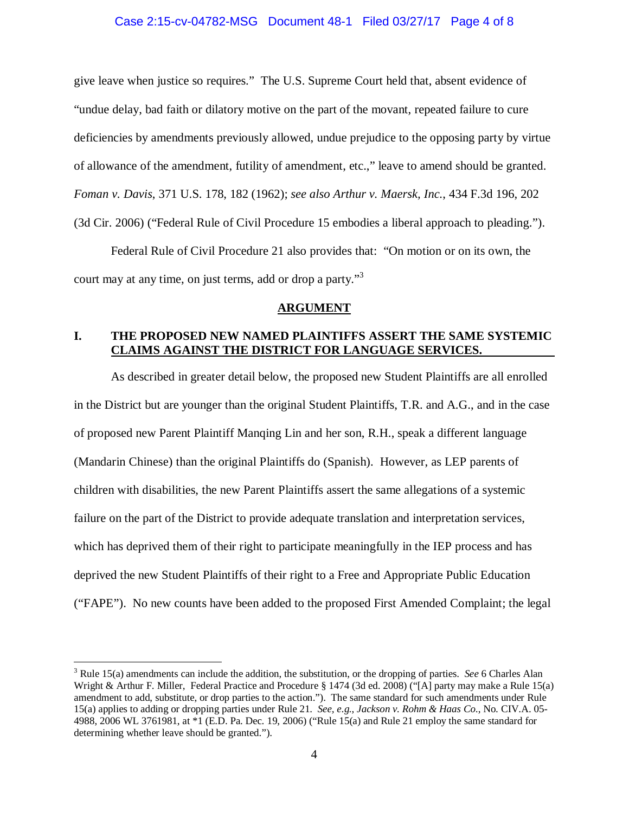## Case 2:15-cv-04782-MSG Document 48-1 Filed 03/27/17 Page 4 of 8

give leave when justice so requires." The U.S. Supreme Court held that, absent evidence of "undue delay, bad faith or dilatory motive on the part of the movant, repeated failure to cure deficiencies by amendments previously allowed, undue prejudice to the opposing party by virtue of allowance of the amendment, futility of amendment, etc.," leave to amend should be granted. *Foman v. Davis*, 371 U.S. 178, 182 (1962); *see also Arthur v. Maersk, Inc.*, 434 F.3d 196, 202 (3d Cir. 2006) ("Federal Rule of Civil Procedure 15 embodies a liberal approach to pleading.").

Federal Rule of Civil Procedure 21 also provides that: "On motion or on its own, the court may at any time, on just terms, add or drop a party."<sup>3</sup>

## **ARGUMENT**

# **I. THE PROPOSED NEW NAMED PLAINTIFFS ASSERT THE SAME SYSTEMIC CLAIMS AGAINST THE DISTRICT FOR LANGUAGE SERVICES.**

As described in greater detail below, the proposed new Student Plaintiffs are all enrolled in the District but are younger than the original Student Plaintiffs, T.R. and A.G., and in the case of proposed new Parent Plaintiff Manqing Lin and her son, R.H., speak a different language (Mandarin Chinese) than the original Plaintiffs do (Spanish). However, as LEP parents of children with disabilities, the new Parent Plaintiffs assert the same allegations of a systemic failure on the part of the District to provide adequate translation and interpretation services, which has deprived them of their right to participate meaningfully in the IEP process and has deprived the new Student Plaintiffs of their right to a Free and Appropriate Public Education ("FAPE"). No new counts have been added to the proposed First Amended Complaint; the legal

-

<sup>3</sup> Rule 15(a) amendments can include the addition, the substitution, or the dropping of parties. *See* 6 Charles Alan Wright & Arthur F. Miller, Federal Practice and Procedure § 1474 (3d ed. 2008) ("[A] party may make a Rule 15(a) amendment to add, substitute, or drop parties to the action."). The same standard for such amendments under Rule 15(a) applies to adding or dropping parties under Rule 21. *See, e.g.*, *Jackson v. Rohm & Haas Co.*, No. CIV.A. 05- 4988, 2006 WL 3761981, at \*1 (E.D. Pa. Dec. 19, 2006) ("Rule 15(a) and Rule 21 employ the same standard for determining whether leave should be granted.").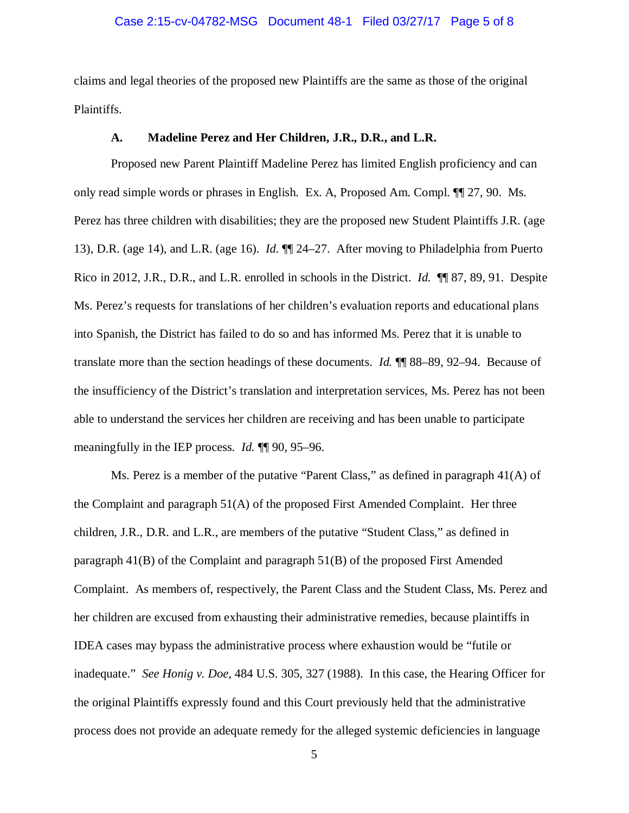## Case 2:15-cv-04782-MSG Document 48-1 Filed 03/27/17 Page 5 of 8

claims and legal theories of the proposed new Plaintiffs are the same as those of the original Plaintiffs.

## **A. Madeline Perez and Her Children, J.R., D.R., and L.R.**

Proposed new Parent Plaintiff Madeline Perez has limited English proficiency and can only read simple words or phrases in English. Ex. A, Proposed Am. Compl. ¶¶ 27, 90. Ms. Perez has three children with disabilities; they are the proposed new Student Plaintiffs J.R. (age 13), D.R. (age 14), and L.R. (age 16). *Id.* ¶¶ 24–27. After moving to Philadelphia from Puerto Rico in 2012, J.R., D.R., and L.R. enrolled in schools in the District. *Id.* ¶¶ 87, 89, 91. Despite Ms. Perez's requests for translations of her children's evaluation reports and educational plans into Spanish, the District has failed to do so and has informed Ms. Perez that it is unable to translate more than the section headings of these documents. *Id.* ¶¶ 88–89, 92–94. Because of the insufficiency of the District's translation and interpretation services, Ms. Perez has not been able to understand the services her children are receiving and has been unable to participate meaningfully in the IEP process. *Id.* ¶¶ 90, 95–96.

Ms. Perez is a member of the putative "Parent Class," as defined in paragraph 41(A) of the Complaint and paragraph  $51(A)$  of the proposed First Amended Complaint. Her three children, J.R., D.R. and L.R., are members of the putative "Student Class," as defined in paragraph 41(B) of the Complaint and paragraph 51(B) of the proposed First Amended Complaint. As members of, respectively, the Parent Class and the Student Class, Ms. Perez and her children are excused from exhausting their administrative remedies, because plaintiffs in IDEA cases may bypass the administrative process where exhaustion would be "futile or inadequate." *See Honig v. Doe*, 484 U.S. 305, 327 (1988). In this case, the Hearing Officer for the original Plaintiffs expressly found and this Court previously held that the administrative process does not provide an adequate remedy for the alleged systemic deficiencies in language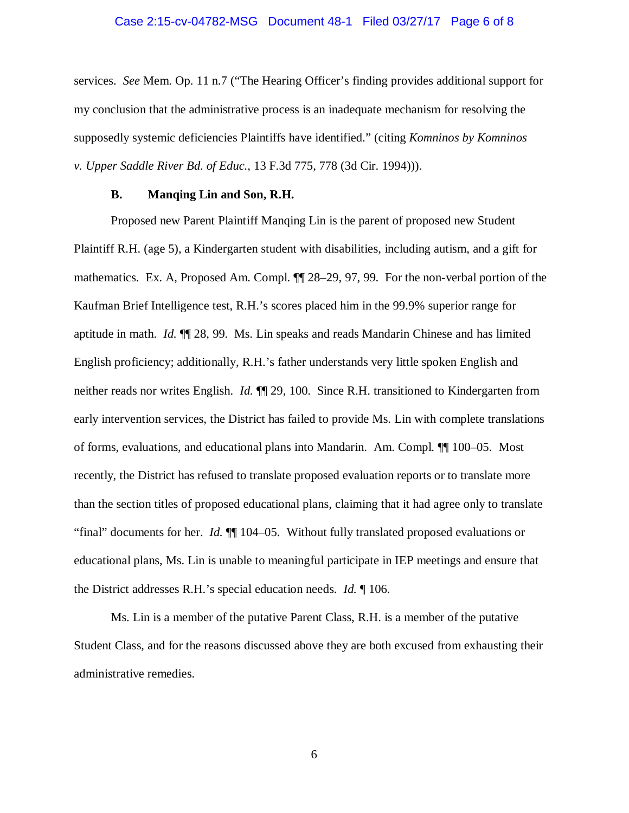## Case 2:15-cv-04782-MSG Document 48-1 Filed 03/27/17 Page 6 of 8

services. *See* Mem. Op. 11 n.7 ("The Hearing Officer's finding provides additional support for my conclusion that the administrative process is an inadequate mechanism for resolving the supposedly systemic deficiencies Plaintiffs have identified." (citing *Komninos by Komninos v. Upper Saddle River Bd. of Educ.*, 13 F.3d 775, 778 (3d Cir. 1994))).

#### **B. Manqing Lin and Son, R.H.**

Proposed new Parent Plaintiff Manqing Lin is the parent of proposed new Student Plaintiff R.H. (age 5), a Kindergarten student with disabilities, including autism, and a gift for mathematics. Ex. A, Proposed Am. Compl. ¶¶ 28–29, 97, 99. For the non-verbal portion of the Kaufman Brief Intelligence test, R.H.'s scores placed him in the 99.9% superior range for aptitude in math. *Id.* ¶¶ 28, 99. Ms. Lin speaks and reads Mandarin Chinese and has limited English proficiency; additionally, R.H.'s father understands very little spoken English and neither reads nor writes English. *Id.* ¶¶ 29, 100. Since R.H. transitioned to Kindergarten from early intervention services, the District has failed to provide Ms. Lin with complete translations of forms, evaluations, and educational plans into Mandarin. Am. Compl. ¶¶ 100–05. Most recently, the District has refused to translate proposed evaluation reports or to translate more than the section titles of proposed educational plans, claiming that it had agree only to translate "final" documents for her. *Id.* ¶¶ 104–05. Without fully translated proposed evaluations or educational plans, Ms. Lin is unable to meaningful participate in IEP meetings and ensure that the District addresses R.H.'s special education needs. *Id.* ¶ 106.

Ms. Lin is a member of the putative Parent Class, R.H. is a member of the putative Student Class, and for the reasons discussed above they are both excused from exhausting their administrative remedies.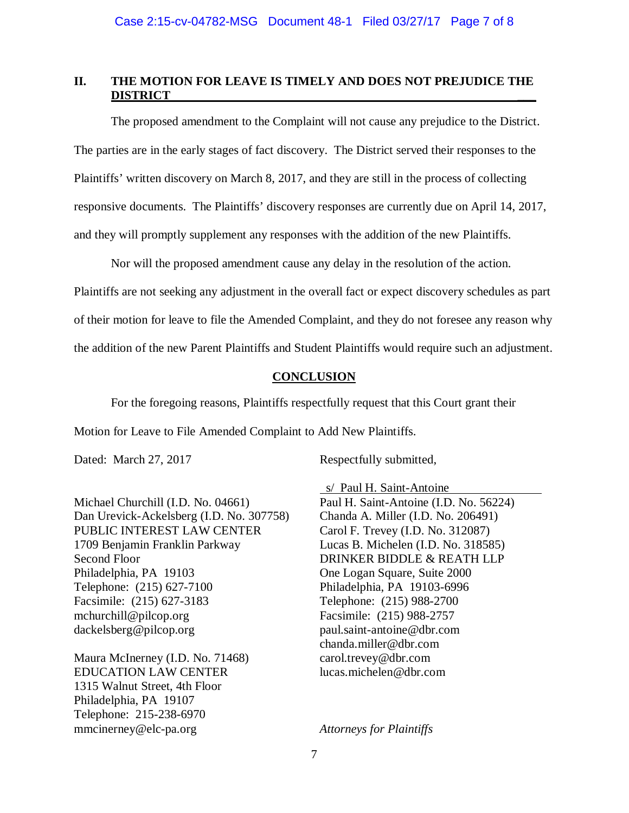# **II. THE MOTION FOR LEAVE IS TIMELY AND DOES NOT PREJUDICE THE DISTRICT \_\_\_**

The proposed amendment to the Complaint will not cause any prejudice to the District. The parties are in the early stages of fact discovery. The District served their responses to the Plaintiffs' written discovery on March 8, 2017, and they are still in the process of collecting responsive documents. The Plaintiffs' discovery responses are currently due on April 14, 2017, and they will promptly supplement any responses with the addition of the new Plaintiffs.

Nor will the proposed amendment cause any delay in the resolution of the action.

Plaintiffs are not seeking any adjustment in the overall fact or expect discovery schedules as part of their motion for leave to file the Amended Complaint, and they do not foresee any reason why the addition of the new Parent Plaintiffs and Student Plaintiffs would require such an adjustment.

## **CONCLUSION**

For the foregoing reasons, Plaintiffs respectfully request that this Court grant their

Motion for Leave to File Amended Complaint to Add New Plaintiffs.

Michael Churchill (I.D. No. 04661) Dan Urevick-Ackelsberg (I.D. No. 307758) PUBLIC INTEREST LAW CENTER 1709 Benjamin Franklin Parkway Second Floor Philadelphia, PA 19103 Telephone: (215) 627-7100 Facsimile: (215) 627-3183 mchurchill@pilcop.org dackelsberg@pilcop.org

Maura McInerney (I.D. No. 71468) EDUCATION LAW CENTER 1315 Walnut Street, 4th Floor Philadelphia, PA 19107 Telephone: 215-238-6970 mmcinerney@elc-pa.org

Dated: March 27, 2017 Respectfully submitted,

 s/ Paul H. Saint-Antoine Paul H. Saint-Antoine (I.D. No. 56224) Chanda A. Miller (I.D. No. 206491) Carol F. Trevey (I.D. No. 312087) Lucas B. Michelen (I.D. No. 318585) DRINKER BIDDLE & REATH LLP One Logan Square, Suite 2000 Philadelphia, PA 19103-6996 Telephone: (215) 988-2700 Facsimile: (215) 988-2757 paul.saint-antoine@dbr.com chanda.miller@dbr.com carol.trevey@dbr.com lucas.michelen@dbr.com

*Attorneys for Plaintiffs*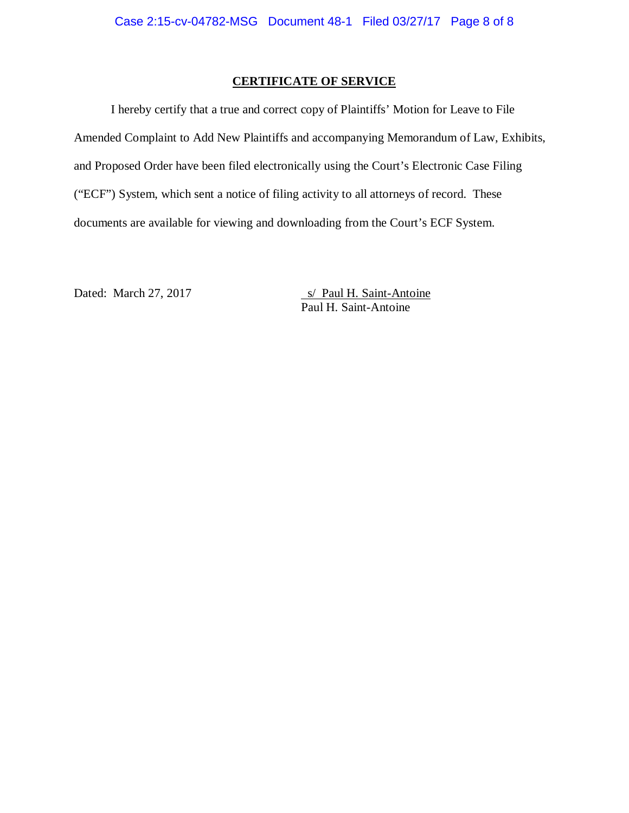# **CERTIFICATE OF SERVICE**

I hereby certify that a true and correct copy of Plaintiffs' Motion for Leave to File Amended Complaint to Add New Plaintiffs and accompanying Memorandum of Law, Exhibits, and Proposed Order have been filed electronically using the Court's Electronic Case Filing ("ECF") System, which sent a notice of filing activity to all attorneys of record. These documents are available for viewing and downloading from the Court's ECF System.

Dated: March 27, 2017 s/ Paul H. Saint-Antoine Paul H. Saint-Antoine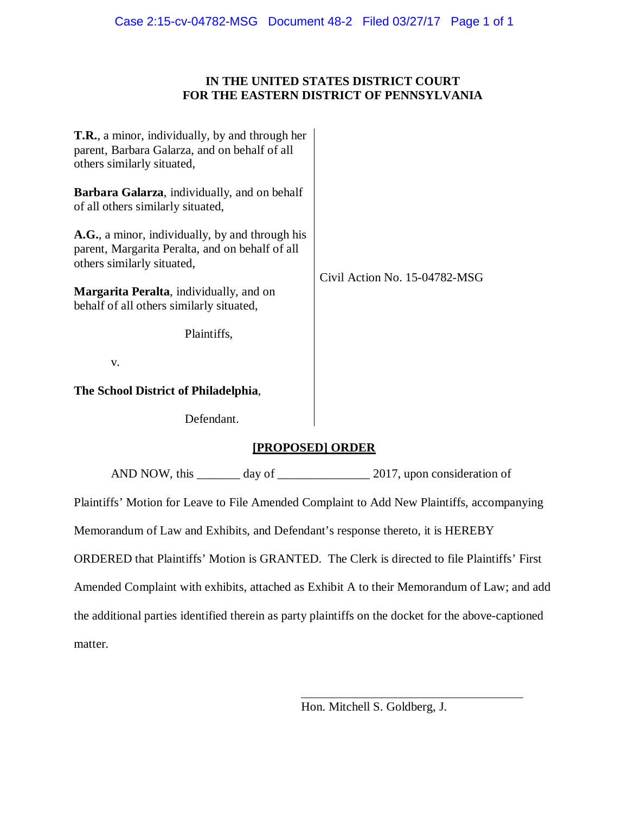# **IN THE UNITED STATES DISTRICT COURT FOR THE EASTERN DISTRICT OF PENNSYLVANIA**

| T.R., a minor, individually, by and through her<br>parent, Barbara Galarza, and on behalf of all<br>others similarly situated,   |                               |  |  |
|----------------------------------------------------------------------------------------------------------------------------------|-------------------------------|--|--|
| Barbara Galarza, individually, and on behalf<br>of all others similarly situated,                                                |                               |  |  |
| A.G., a minor, individually, by and through his<br>parent, Margarita Peralta, and on behalf of all<br>others similarly situated, |                               |  |  |
| Margarita Peralta, individually, and on<br>behalf of all others similarly situated,                                              | Civil Action No. 15-04782-MSG |  |  |
| Plaintiffs,                                                                                                                      |                               |  |  |
| V.                                                                                                                               |                               |  |  |
| The School District of Philadelphia,                                                                                             |                               |  |  |
| Defendant.                                                                                                                       |                               |  |  |
| [PROPOSED] ORDER                                                                                                                 |                               |  |  |
|                                                                                                                                  |                               |  |  |
| Plaintiffs' Motion for Leave to File Amended Complaint to Add New Plaintiffs, accompanying                                       |                               |  |  |
| Memorandum of Law and Exhibits, and Defendant's response thereto, it is HEREBY                                                   |                               |  |  |
| ORDERED that Plaintiffs' Motion is GRANTED. The Clerk is directed to file Plaintiffs' First                                      |                               |  |  |
| Amended Complaint with exhibits, attached as Exhibit A to their Memorandum of Law; and add                                       |                               |  |  |
| the additional parties identified therein as party plaintiffs on the docket for the above-captioned                              |                               |  |  |

matter.

 $\overline{a}$ Hon. Mitchell S. Goldberg, J.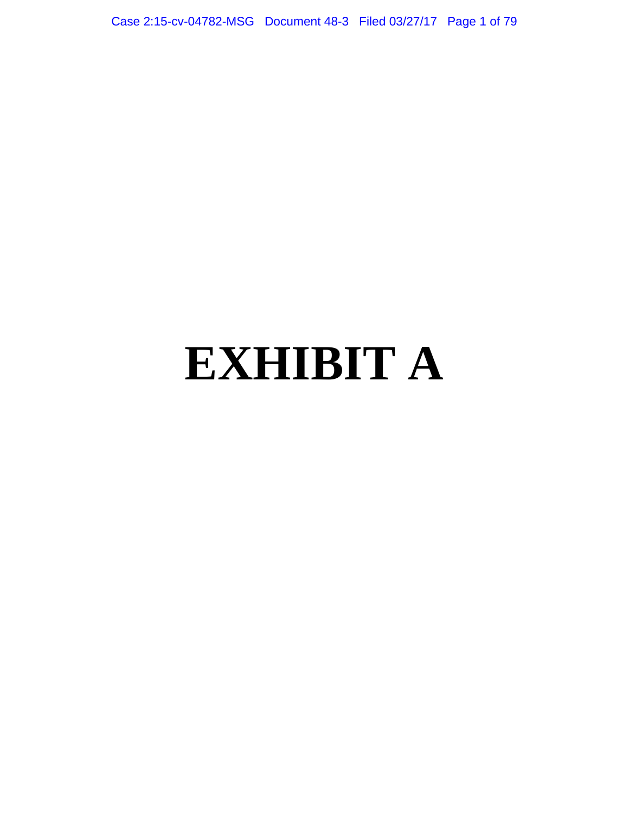Case 2:15-cv-04782-MSG Document 48-3 Filed 03/27/17 Page 1 of 79

# **EXHIBIT A**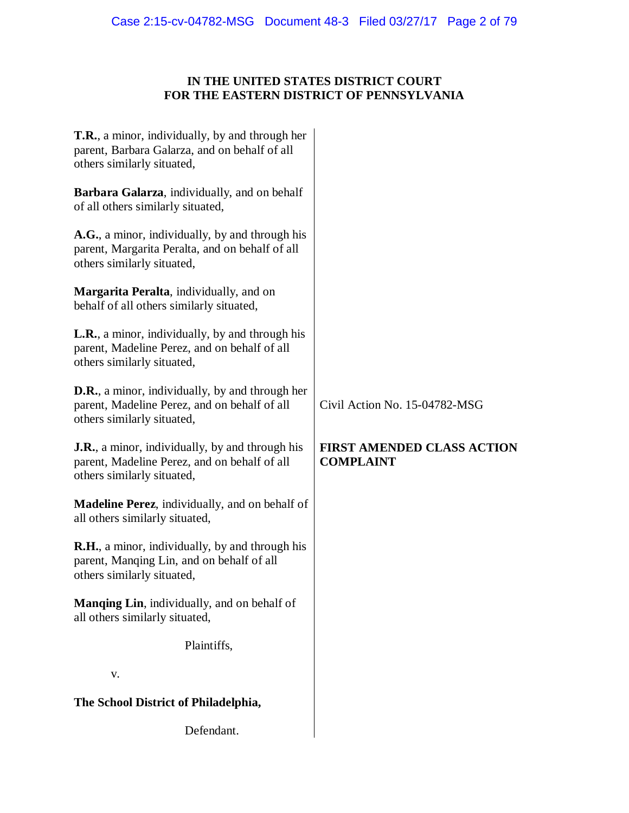# **IN THE UNITED STATES DISTRICT COURT FOR THE EASTERN DISTRICT OF PENNSYLVANIA**

| T.R., a minor, individually, by and through her<br>parent, Barbara Galarza, and on behalf of all<br>others similarly situated,        |                                                       |
|---------------------------------------------------------------------------------------------------------------------------------------|-------------------------------------------------------|
| Barbara Galarza, individually, and on behalf<br>of all others similarly situated,                                                     |                                                       |
| A.G., a minor, individually, by and through his<br>parent, Margarita Peralta, and on behalf of all<br>others similarly situated,      |                                                       |
| Margarita Peralta, individually, and on<br>behalf of all others similarly situated,                                                   |                                                       |
| <b>L.R.</b> , a minor, individually, by and through his<br>parent, Madeline Perez, and on behalf of all<br>others similarly situated, |                                                       |
| <b>D.R.</b> , a minor, individually, by and through her<br>parent, Madeline Perez, and on behalf of all<br>others similarly situated, | Civil Action No. 15-04782-MSG                         |
| <b>J.R.</b> , a minor, individually, by and through his<br>parent, Madeline Perez, and on behalf of all<br>others similarly situated, | <b>FIRST AMENDED CLASS ACTION</b><br><b>COMPLAINT</b> |
| <b>Madeline Perez</b> , individually, and on behalf of<br>all others similarly situated,                                              |                                                       |
| <b>R.H.</b> , a minor, individually, by and through his<br>parent, Manqing Lin, and on behalf of all<br>others similarly situated,    |                                                       |
| <b>Manqing Lin</b> , individually, and on behalf of<br>all others similarly situated,                                                 |                                                       |
| Plaintiffs,                                                                                                                           |                                                       |
| V.                                                                                                                                    |                                                       |
| The School District of Philadelphia,                                                                                                  |                                                       |
|                                                                                                                                       |                                                       |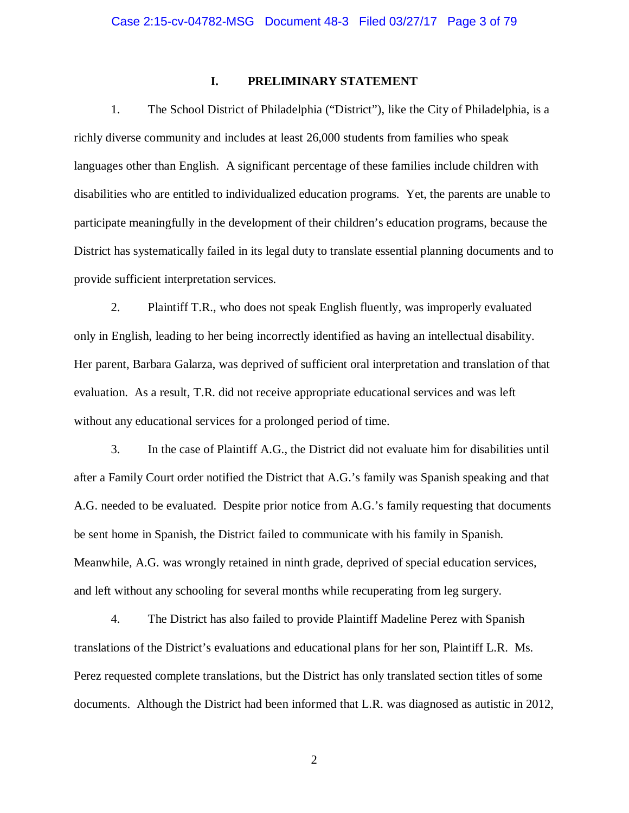# **I. PRELIMINARY STATEMENT**

1. The School District of Philadelphia ("District"), like the City of Philadelphia, is a richly diverse community and includes at least 26,000 students from families who speak languages other than English. A significant percentage of these families include children with disabilities who are entitled to individualized education programs. Yet, the parents are unable to participate meaningfully in the development of their children's education programs, because the District has systematically failed in its legal duty to translate essential planning documents and to provide sufficient interpretation services.

2. Plaintiff T.R., who does not speak English fluently, was improperly evaluated only in English, leading to her being incorrectly identified as having an intellectual disability. Her parent, Barbara Galarza, was deprived of sufficient oral interpretation and translation of that evaluation. As a result, T.R. did not receive appropriate educational services and was left without any educational services for a prolonged period of time.

3. In the case of Plaintiff A.G., the District did not evaluate him for disabilities until after a Family Court order notified the District that A.G.'s family was Spanish speaking and that A.G. needed to be evaluated. Despite prior notice from A.G.'s family requesting that documents be sent home in Spanish, the District failed to communicate with his family in Spanish. Meanwhile, A.G. was wrongly retained in ninth grade, deprived of special education services, and left without any schooling for several months while recuperating from leg surgery.

4. The District has also failed to provide Plaintiff Madeline Perez with Spanish translations of the District's evaluations and educational plans for her son, Plaintiff L.R. Ms. Perez requested complete translations, but the District has only translated section titles of some documents. Although the District had been informed that L.R. was diagnosed as autistic in 2012,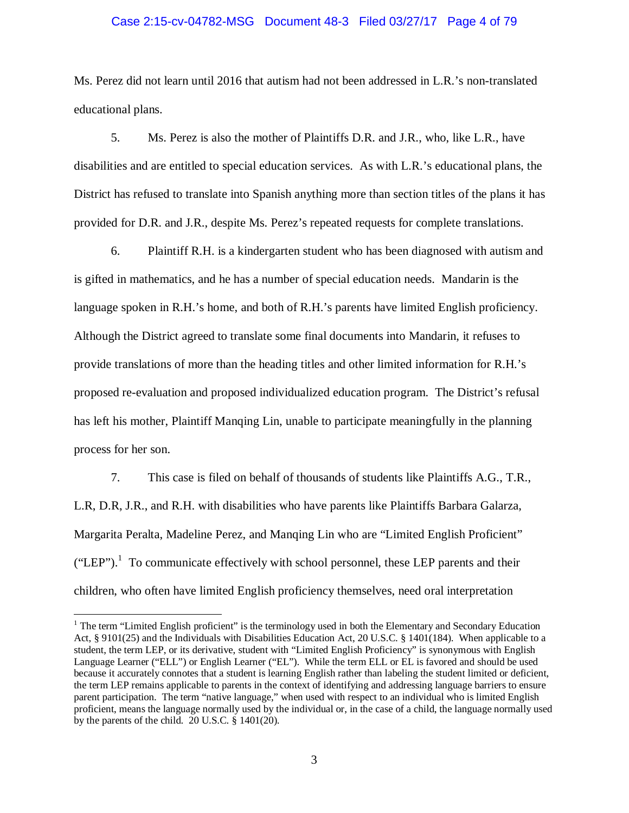## Case 2:15-cv-04782-MSG Document 48-3 Filed 03/27/17 Page 4 of 79

Ms. Perez did not learn until 2016 that autism had not been addressed in L.R.'s non-translated educational plans.

5. Ms. Perez is also the mother of Plaintiffs D.R. and J.R., who, like L.R., have disabilities and are entitled to special education services. As with L.R.'s educational plans, the District has refused to translate into Spanish anything more than section titles of the plans it has provided for D.R. and J.R., despite Ms. Perez's repeated requests for complete translations.

6. Plaintiff R.H. is a kindergarten student who has been diagnosed with autism and is gifted in mathematics, and he has a number of special education needs. Mandarin is the language spoken in R.H.'s home, and both of R.H.'s parents have limited English proficiency. Although the District agreed to translate some final documents into Mandarin, it refuses to provide translations of more than the heading titles and other limited information for R.H.'s proposed re-evaluation and proposed individualized education program. The District's refusal has left his mother, Plaintiff Manqing Lin, unable to participate meaningfully in the planning process for her son.

7. This case is filed on behalf of thousands of students like Plaintiffs A.G., T.R., L.R, D.R, J.R., and R.H. with disabilities who have parents like Plaintiffs Barbara Galarza, Margarita Peralta, Madeline Perez, and Manqing Lin who are "Limited English Proficient"  $("LEP").$ <sup>1</sup> To communicate effectively with school personnel, these LEP parents and their children, who often have limited English proficiency themselves, need oral interpretation

<u>.</u>

<sup>&</sup>lt;sup>1</sup> The term "Limited English proficient" is the terminology used in both the Elementary and Secondary Education Act, § 9101(25) and the Individuals with Disabilities Education Act, 20 U.S.C. § 1401(184). When applicable to a student, the term LEP, or its derivative, student with "Limited English Proficiency" is synonymous with English Language Learner ("ELL") or English Learner ("EL"). While the term ELL or EL is favored and should be used because it accurately connotes that a student is learning English rather than labeling the student limited or deficient, the term LEP remains applicable to parents in the context of identifying and addressing language barriers to ensure parent participation. The term "native language," when used with respect to an individual who is limited English proficient, means the language normally used by the individual or, in the case of a child, the language normally used by the parents of the child. 20 U.S.C. § 1401(20).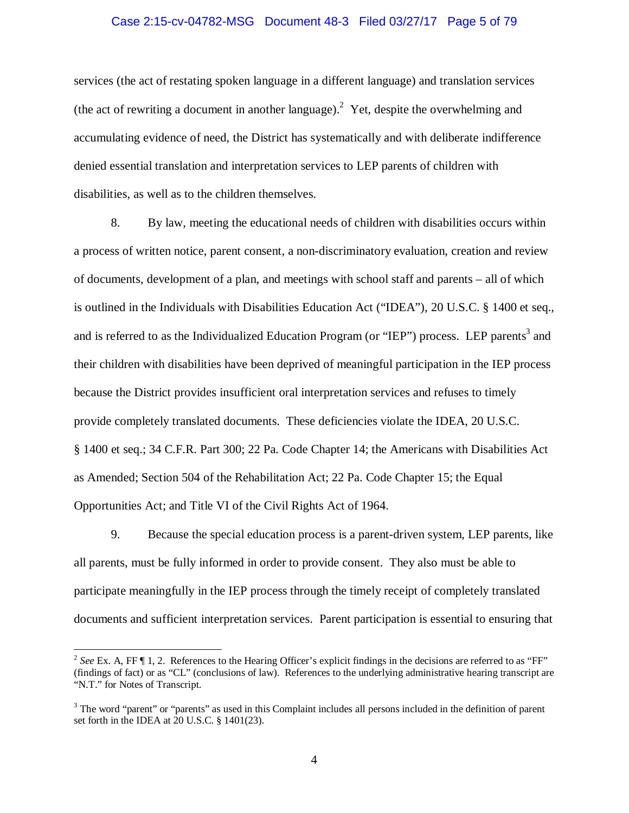## Case 2:15-cv-04782-MSG Document 48-3 Filed 03/27/17 Page 5 of 79

services (the act of restating spoken language in a different language) and translation services (the act of rewriting a document in another language).<sup>2</sup> Yet, despite the overwhelming and accumulating evidence of need, the District has systematically and with deliberate indifference denied essential translation and interpretation services to LEP parents of children with disabilities, as well as to the children themselves.

8. By law, meeting the educational needs of children with disabilities occurs within a process of written notice, parent consent, a non-discriminatory evaluation, creation and review of documents, development of a plan, and meetings with school staff and parents – all of which is outlined in the Individuals with Disabilities Education Act ("IDEA"), 20 U.S.C. § 1400 et seq., and is referred to as the Individualized Education Program (or "IEP") process. LEP parents<sup>3</sup> and their children with disabilities have been deprived of meaningful participation in the IEP process because the District provides insufficient oral interpretation services and refuses to timely provide completely translated documents. These deficiencies violate the IDEA, 20 U.S.C. § 1400 et seq.; 34 C.F.R. Part 300; 22 Pa. Code Chapter 14; the Americans with Disabilities Act as Amended; Section 504 of the Rehabilitation Act; 22 Pa. Code Chapter 15; the Equal Opportunities Act; and Title VI of the Civil Rights Act of 1964.

9. Because the special education process is a parent-driven system, LEP parents, like all parents, must be fully informed in order to provide consent. They also must be able to participate meaningfully in the IEP process through the timely receipt of completely translated documents and sufficient interpretation services. Parent participation is essential to ensuring that

<sup>&</sup>lt;sup>2</sup> See Ex. A, FF ¶ 1, 2. References to the Hearing Officer's explicit findings in the decisions are referred to as "FF" (findings of fact) or as "CL" (conclusions of law). References to the underlying administrative hearing transcript are "N.T." for Notes of Transcript.

 $3$  The word "parent" or "parents" as used in this Complaint includes all persons included in the definition of parent set forth in the IDEA at 20 U.S.C. § 1401(23).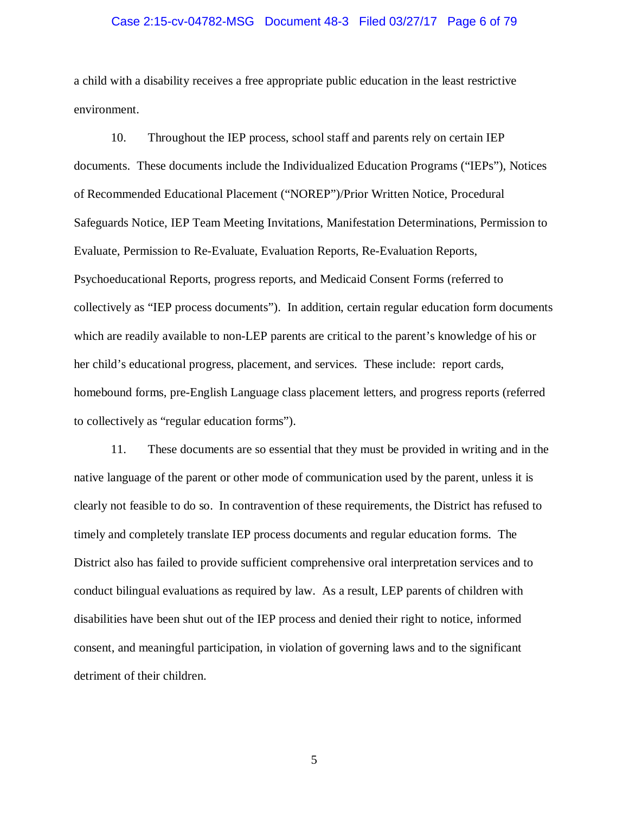#### Case 2:15-cv-04782-MSG Document 48-3 Filed 03/27/17 Page 6 of 79

a child with a disability receives a free appropriate public education in the least restrictive environment.

10. Throughout the IEP process, school staff and parents rely on certain IEP documents. These documents include the Individualized Education Programs ("IEPs"), Notices of Recommended Educational Placement ("NOREP")/Prior Written Notice, Procedural Safeguards Notice, IEP Team Meeting Invitations, Manifestation Determinations, Permission to Evaluate, Permission to Re-Evaluate, Evaluation Reports, Re-Evaluation Reports, Psychoeducational Reports, progress reports, and Medicaid Consent Forms (referred to collectively as "IEP process documents"). In addition, certain regular education form documents which are readily available to non-LEP parents are critical to the parent's knowledge of his or her child's educational progress, placement, and services. These include: report cards, homebound forms, pre-English Language class placement letters, and progress reports (referred to collectively as "regular education forms").

11. These documents are so essential that they must be provided in writing and in the native language of the parent or other mode of communication used by the parent, unless it is clearly not feasible to do so. In contravention of these requirements, the District has refused to timely and completely translate IEP process documents and regular education forms. The District also has failed to provide sufficient comprehensive oral interpretation services and to conduct bilingual evaluations as required by law. As a result, LEP parents of children with disabilities have been shut out of the IEP process and denied their right to notice, informed consent, and meaningful participation, in violation of governing laws and to the significant detriment of their children.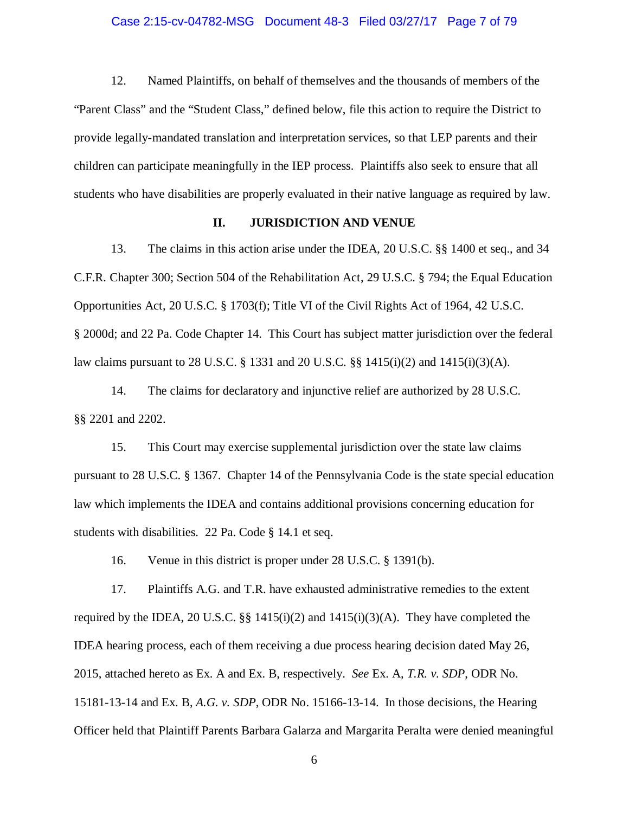## Case 2:15-cv-04782-MSG Document 48-3 Filed 03/27/17 Page 7 of 79

12. Named Plaintiffs, on behalf of themselves and the thousands of members of the "Parent Class" and the "Student Class," defined below, file this action to require the District to provide legally-mandated translation and interpretation services, so that LEP parents and their children can participate meaningfully in the IEP process. Plaintiffs also seek to ensure that all students who have disabilities are properly evaluated in their native language as required by law.

# **II. JURISDICTION AND VENUE**

13. The claims in this action arise under the IDEA, 20 U.S.C. §§ 1400 et seq., and 34 C.F.R. Chapter 300; Section 504 of the Rehabilitation Act, 29 U.S.C. § 794; the Equal Education Opportunities Act, 20 U.S.C. § 1703(f); Title VI of the Civil Rights Act of 1964, 42 U.S.C. § 2000d; and 22 Pa. Code Chapter 14. This Court has subject matter jurisdiction over the federal law claims pursuant to 28 U.S.C. § 1331 and 20 U.S.C. §  $[3]$  415(i)(2) and 1415(i)(3)(A).

14. The claims for declaratory and injunctive relief are authorized by 28 U.S.C. §§ 2201 and 2202.

15. This Court may exercise supplemental jurisdiction over the state law claims pursuant to 28 U.S.C. § 1367. Chapter 14 of the Pennsylvania Code is the state special education law which implements the IDEA and contains additional provisions concerning education for students with disabilities. 22 Pa. Code § 14.1 et seq.

16. Venue in this district is proper under 28 U.S.C. § 1391(b).

17. Plaintiffs A.G. and T.R. have exhausted administrative remedies to the extent required by the IDEA, 20 U.S.C.  $\S$  1415(i)(2) and 1415(i)(3)(A). They have completed the IDEA hearing process, each of them receiving a due process hearing decision dated May 26, 2015, attached hereto as Ex. A and Ex. B, respectively. *See* Ex. A, *T.R. v. SDP*, ODR No. 15181-13-14 and Ex. B, *A.G. v. SDP*, ODR No. 15166-13-14. In those decisions, the Hearing Officer held that Plaintiff Parents Barbara Galarza and Margarita Peralta were denied meaningful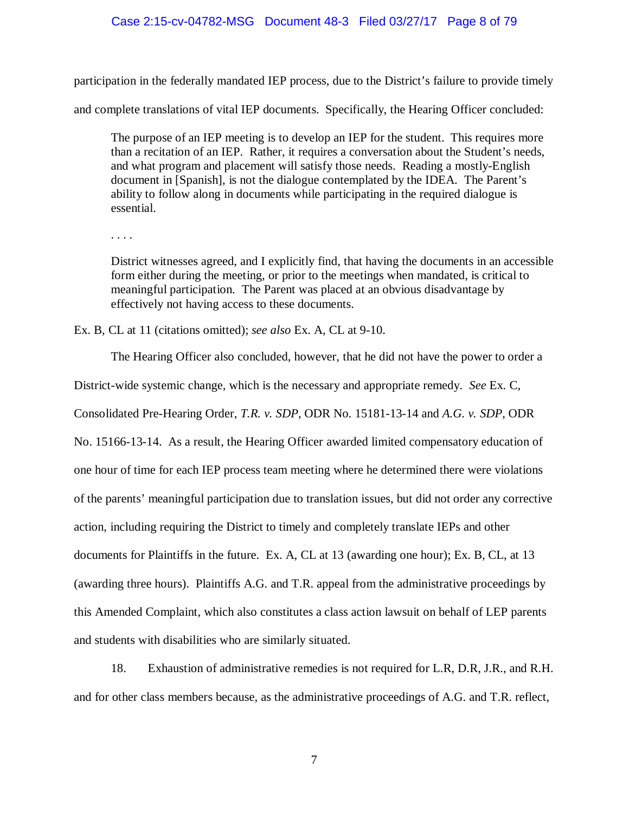## Case 2:15-cv-04782-MSG Document 48-3 Filed 03/27/17 Page 8 of 79

participation in the federally mandated IEP process, due to the District's failure to provide timely

and complete translations of vital IEP documents. Specifically, the Hearing Officer concluded:

The purpose of an IEP meeting is to develop an IEP for the student. This requires more than a recitation of an IEP. Rather, it requires a conversation about the Student's needs, and what program and placement will satisfy those needs. Reading a mostly-English document in [Spanish], is not the dialogue contemplated by the IDEA. The Parent's ability to follow along in documents while participating in the required dialogue is essential.

. . . .

District witnesses agreed, and I explicitly find, that having the documents in an accessible form either during the meeting, or prior to the meetings when mandated, is critical to meaningful participation. The Parent was placed at an obvious disadvantage by effectively not having access to these documents.

Ex. B, CL at 11 (citations omitted); *see also* Ex. A, CL at 9-10.

The Hearing Officer also concluded, however, that he did not have the power to order a

District-wide systemic change, which is the necessary and appropriate remedy. *See* Ex. C,

Consolidated Pre-Hearing Order, *T.R. v. SDP*, ODR No. 15181-13-14 and *A.G. v. SDP*, ODR

No. 15166-13-14. As a result, the Hearing Officer awarded limited compensatory education of one hour of time for each IEP process team meeting where he determined there were violations of the parents' meaningful participation due to translation issues, but did not order any corrective action, including requiring the District to timely and completely translate IEPs and other documents for Plaintiffs in the future. Ex. A, CL at 13 (awarding one hour); Ex. B, CL, at 13 (awarding three hours). Plaintiffs A.G. and T.R. appeal from the administrative proceedings by this Amended Complaint, which also constitutes a class action lawsuit on behalf of LEP parents and students with disabilities who are similarly situated.

18. Exhaustion of administrative remedies is not required for L.R, D.R, J.R., and R.H. and for other class members because, as the administrative proceedings of A.G. and T.R. reflect,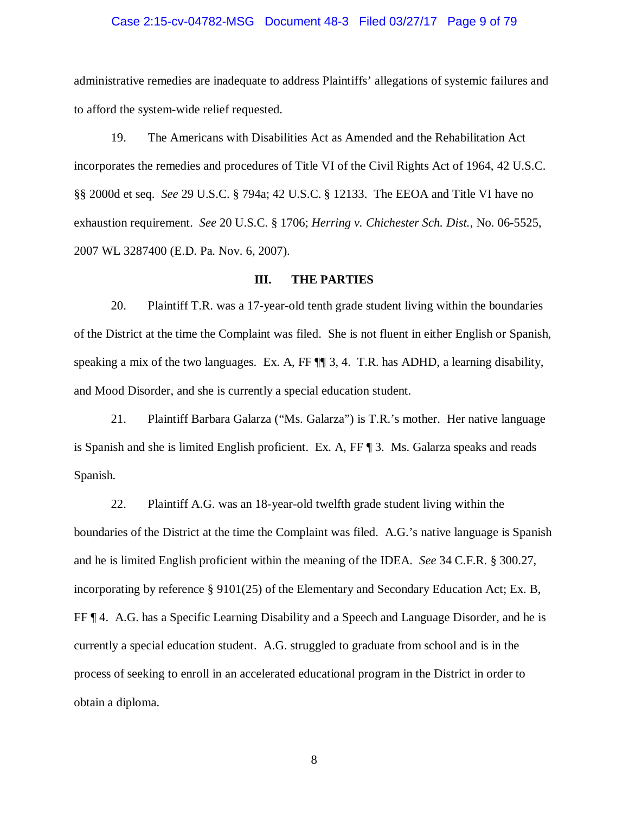## Case 2:15-cv-04782-MSG Document 48-3 Filed 03/27/17 Page 9 of 79

administrative remedies are inadequate to address Plaintiffs' allegations of systemic failures and to afford the system-wide relief requested.

19. The Americans with Disabilities Act as Amended and the Rehabilitation Act incorporates the remedies and procedures of Title VI of the Civil Rights Act of 1964, 42 U.S.C. §§ 2000d et seq. *See* 29 U.S.C. § 794a; 42 U.S.C. § 12133. The EEOA and Title VI have no exhaustion requirement. *See* 20 U.S.C. § 1706; *Herring v. Chichester Sch. Dist.*, No. 06-5525, 2007 WL 3287400 (E.D. Pa. Nov. 6, 2007).

## **III. THE PARTIES**

20. Plaintiff T.R. was a 17-year-old tenth grade student living within the boundaries of the District at the time the Complaint was filed. She is not fluent in either English or Spanish, speaking a mix of the two languages. Ex. A, FF  $\P$  3, 4. T.R. has ADHD, a learning disability, and Mood Disorder, and she is currently a special education student.

21. Plaintiff Barbara Galarza ("Ms. Galarza") is T.R.'s mother. Her native language is Spanish and she is limited English proficient. Ex. A, FF ¶ 3. Ms. Galarza speaks and reads Spanish.

22. Plaintiff A.G. was an 18-year-old twelfth grade student living within the boundaries of the District at the time the Complaint was filed. A.G.'s native language is Spanish and he is limited English proficient within the meaning of the IDEA. *See* 34 C.F.R. § 300.27, incorporating by reference § 9101(25) of the Elementary and Secondary Education Act; Ex. B, FF ¶ 4. A.G. has a Specific Learning Disability and a Speech and Language Disorder, and he is currently a special education student. A.G. struggled to graduate from school and is in the process of seeking to enroll in an accelerated educational program in the District in order to obtain a diploma.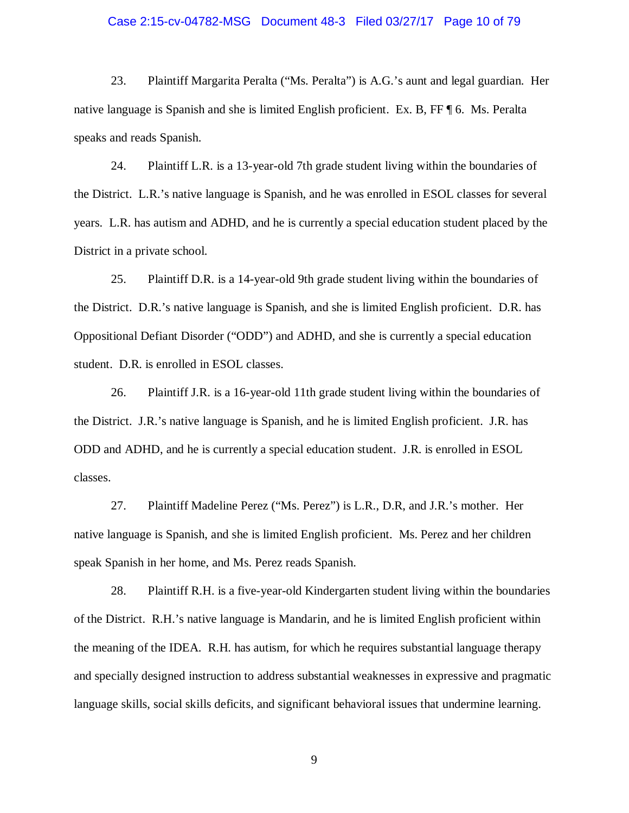# Case 2:15-cv-04782-MSG Document 48-3 Filed 03/27/17 Page 10 of 79

23. Plaintiff Margarita Peralta ("Ms. Peralta") is A.G.'s aunt and legal guardian. Her native language is Spanish and she is limited English proficient. Ex. B, FF ¶ 6. Ms. Peralta speaks and reads Spanish.

24. Plaintiff L.R. is a 13-year-old 7th grade student living within the boundaries of the District. L.R.'s native language is Spanish, and he was enrolled in ESOL classes for several years. L.R. has autism and ADHD, and he is currently a special education student placed by the District in a private school.

25. Plaintiff D.R. is a 14-year-old 9th grade student living within the boundaries of the District. D.R.'s native language is Spanish, and she is limited English proficient. D.R. has Oppositional Defiant Disorder ("ODD") and ADHD, and she is currently a special education student. D.R. is enrolled in ESOL classes.

26. Plaintiff J.R. is a 16-year-old 11th grade student living within the boundaries of the District. J.R.'s native language is Spanish, and he is limited English proficient. J.R. has ODD and ADHD, and he is currently a special education student. J.R. is enrolled in ESOL classes.

27. Plaintiff Madeline Perez ("Ms. Perez") is L.R., D.R, and J.R.'s mother. Her native language is Spanish, and she is limited English proficient. Ms. Perez and her children speak Spanish in her home, and Ms. Perez reads Spanish.

28. Plaintiff R.H. is a five-year-old Kindergarten student living within the boundaries of the District. R.H.'s native language is Mandarin, and he is limited English proficient within the meaning of the IDEA. R.H. has autism, for which he requires substantial language therapy and specially designed instruction to address substantial weaknesses in expressive and pragmatic language skills, social skills deficits, and significant behavioral issues that undermine learning.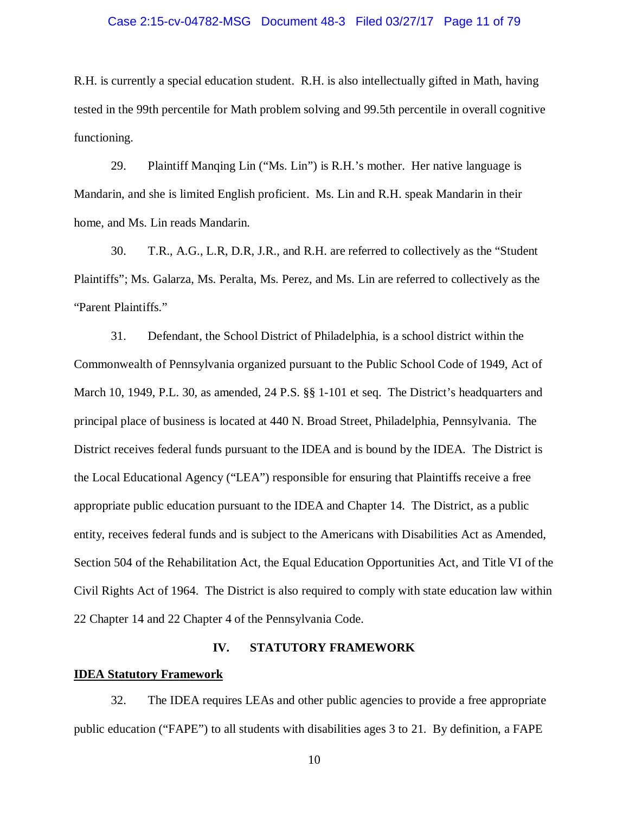# Case 2:15-cv-04782-MSG Document 48-3 Filed 03/27/17 Page 11 of 79

R.H. is currently a special education student. R.H. is also intellectually gifted in Math, having tested in the 99th percentile for Math problem solving and 99.5th percentile in overall cognitive functioning.

29. Plaintiff Manqing Lin ("Ms. Lin") is R.H.'s mother. Her native language is Mandarin, and she is limited English proficient. Ms. Lin and R.H. speak Mandarin in their home, and Ms. Lin reads Mandarin.

30. T.R., A.G., L.R, D.R, J.R., and R.H. are referred to collectively as the "Student Plaintiffs"; Ms. Galarza, Ms. Peralta, Ms. Perez, and Ms. Lin are referred to collectively as the "Parent Plaintiffs."

31. Defendant, the School District of Philadelphia, is a school district within the Commonwealth of Pennsylvania organized pursuant to the Public School Code of 1949, Act of March 10, 1949, P.L. 30, as amended, 24 P.S. §§ 1-101 et seq. The District's headquarters and principal place of business is located at 440 N. Broad Street, Philadelphia, Pennsylvania. The District receives federal funds pursuant to the IDEA and is bound by the IDEA. The District is the Local Educational Agency ("LEA") responsible for ensuring that Plaintiffs receive a free appropriate public education pursuant to the IDEA and Chapter 14. The District, as a public entity, receives federal funds and is subject to the Americans with Disabilities Act as Amended, Section 504 of the Rehabilitation Act, the Equal Education Opportunities Act, and Title VI of the Civil Rights Act of 1964. The District is also required to comply with state education law within 22 Chapter 14 and 22 Chapter 4 of the Pennsylvania Code.

#### **IV. STATUTORY FRAMEWORK**

# **IDEA Statutory Framework**

32. The IDEA requires LEAs and other public agencies to provide a free appropriate public education ("FAPE") to all students with disabilities ages 3 to 21. By definition, a FAPE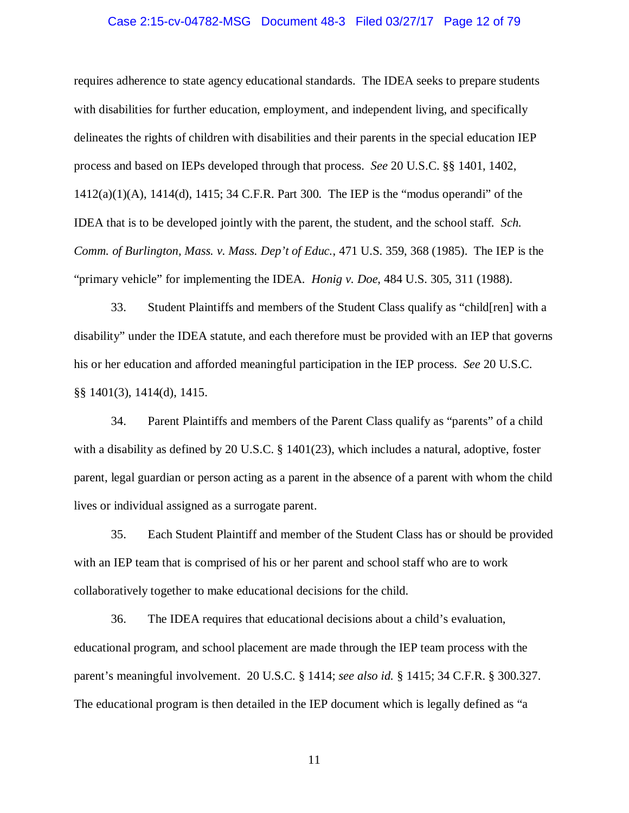#### Case 2:15-cv-04782-MSG Document 48-3 Filed 03/27/17 Page 12 of 79

requires adherence to state agency educational standards. The IDEA seeks to prepare students with disabilities for further education, employment, and independent living, and specifically delineates the rights of children with disabilities and their parents in the special education IEP process and based on IEPs developed through that process. *See* 20 U.S.C. §§ 1401, 1402, 1412(a)(1)(A), 1414(d), 1415; 34 C.F.R. Part 300. The IEP is the "modus operandi" of the IDEA that is to be developed jointly with the parent, the student, and the school staff. *Sch. Comm. of Burlington, Mass. v. Mass. Dep't of Educ.*, 471 U.S. 359, 368 (1985). The IEP is the "primary vehicle" for implementing the IDEA. *Honig v. Doe*, 484 U.S. 305, 311 (1988).

33. Student Plaintiffs and members of the Student Class qualify as "child[ren] with a disability" under the IDEA statute, and each therefore must be provided with an IEP that governs his or her education and afforded meaningful participation in the IEP process. *See* 20 U.S.C. §§ 1401(3), 1414(d), 1415.

34. Parent Plaintiffs and members of the Parent Class qualify as "parents" of a child with a disability as defined by 20 U.S.C. § 1401(23), which includes a natural, adoptive, foster parent, legal guardian or person acting as a parent in the absence of a parent with whom the child lives or individual assigned as a surrogate parent.

35. Each Student Plaintiff and member of the Student Class has or should be provided with an IEP team that is comprised of his or her parent and school staff who are to work collaboratively together to make educational decisions for the child.

36. The IDEA requires that educational decisions about a child's evaluation, educational program, and school placement are made through the IEP team process with the parent's meaningful involvement. 20 U.S.C. § 1414; *see also id.* § 1415; 34 C.F.R. § 300.327. The educational program is then detailed in the IEP document which is legally defined as "a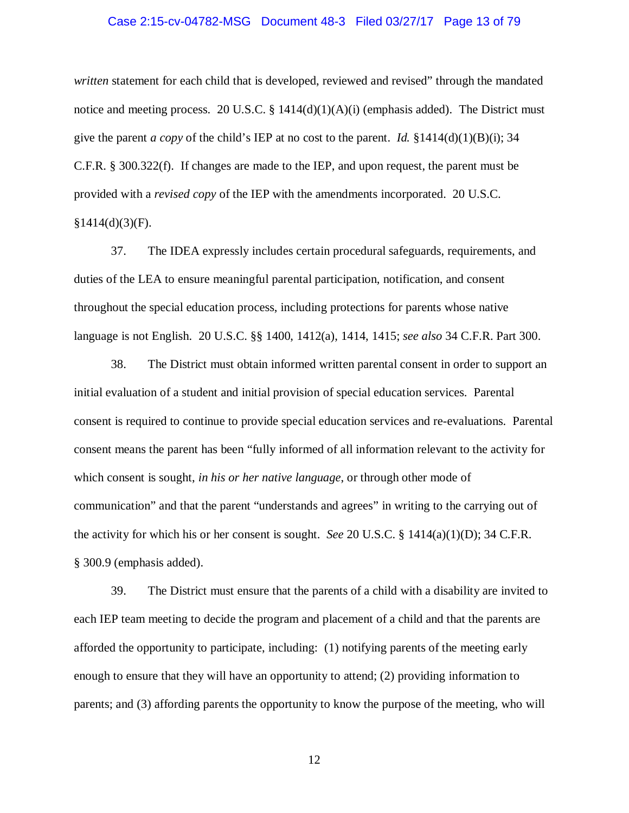# Case 2:15-cv-04782-MSG Document 48-3 Filed 03/27/17 Page 13 of 79

*written* statement for each child that is developed, reviewed and revised" through the mandated notice and meeting process. 20 U.S.C. § 1414(d)(1)(A)(i) (emphasis added). The District must give the parent *a copy* of the child's IEP at no cost to the parent. *Id.*  $\S 1414(d)(1)(B)(i)$ ; 34 C.F.R. § 300.322(f). If changes are made to the IEP, and upon request, the parent must be provided with a *revised copy* of the IEP with the amendments incorporated. 20 U.S.C.  $§1414(d)(3)(F).$ 

37. The IDEA expressly includes certain procedural safeguards, requirements, and duties of the LEA to ensure meaningful parental participation, notification, and consent throughout the special education process, including protections for parents whose native language is not English. 20 U.S.C. §§ 1400, 1412(a), 1414, 1415; *see also* 34 C.F.R. Part 300.

38. The District must obtain informed written parental consent in order to support an initial evaluation of a student and initial provision of special education services. Parental consent is required to continue to provide special education services and re-evaluations. Parental consent means the parent has been "fully informed of all information relevant to the activity for which consent is sought, *in his or her native language*, or through other mode of communication" and that the parent "understands and agrees" in writing to the carrying out of the activity for which his or her consent is sought. *See* 20 U.S.C. § 1414(a)(1)(D); 34 C.F.R. § 300.9 (emphasis added).

39. The District must ensure that the parents of a child with a disability are invited to each IEP team meeting to decide the program and placement of a child and that the parents are afforded the opportunity to participate, including: (1) notifying parents of the meeting early enough to ensure that they will have an opportunity to attend; (2) providing information to parents; and (3) affording parents the opportunity to know the purpose of the meeting, who will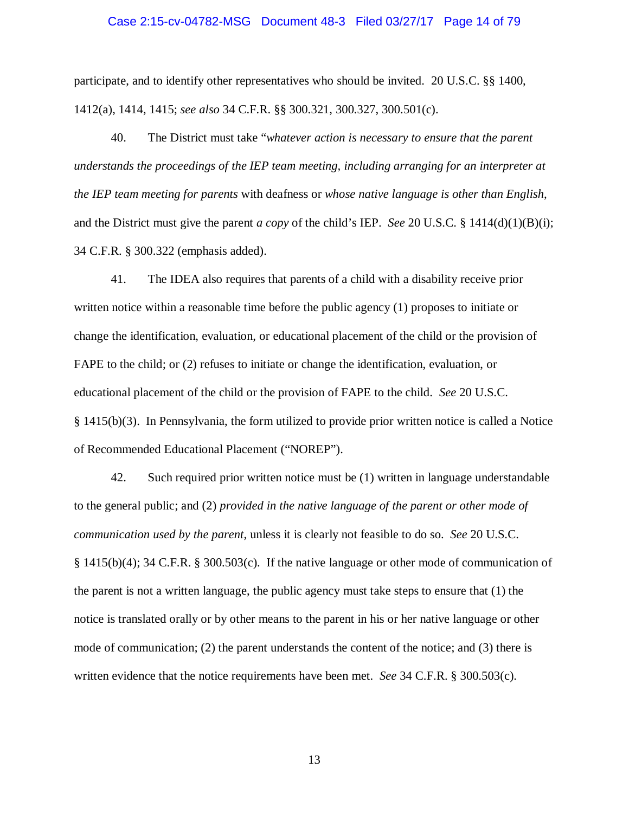#### Case 2:15-cv-04782-MSG Document 48-3 Filed 03/27/17 Page 14 of 79

participate, and to identify other representatives who should be invited. 20 U.S.C. §§ 1400, 1412(a), 1414, 1415; *see also* 34 C.F.R. §§ 300.321, 300.327, 300.501(c).

40. The District must take "*whatever action is necessary to ensure that the parent understands the proceedings of the IEP team meeting, including arranging for an interpreter at the IEP team meeting for parents* with deafness or *whose native language is other than English*, and the District must give the parent *a copy* of the child's IEP. *See* 20 U.S.C. § 1414(d)(1)(B)(i); 34 C.F.R. § 300.322 (emphasis added).

41. The IDEA also requires that parents of a child with a disability receive prior written notice within a reasonable time before the public agency (1) proposes to initiate or change the identification, evaluation, or educational placement of the child or the provision of FAPE to the child; or (2) refuses to initiate or change the identification, evaluation, or educational placement of the child or the provision of FAPE to the child. *See* 20 U.S.C. § 1415(b)(3). In Pennsylvania, the form utilized to provide prior written notice is called a Notice of Recommended Educational Placement ("NOREP").

42. Such required prior written notice must be (1) written in language understandable to the general public; and (2) *provided in the native language of the parent or other mode of communication used by the parent*, unless it is clearly not feasible to do so. *See* 20 U.S.C. § 1415(b)(4); 34 C.F.R. § 300.503(c). If the native language or other mode of communication of the parent is not a written language, the public agency must take steps to ensure that (1) the notice is translated orally or by other means to the parent in his or her native language or other mode of communication; (2) the parent understands the content of the notice; and (3) there is written evidence that the notice requirements have been met. *See* 34 C.F.R. § 300.503(c).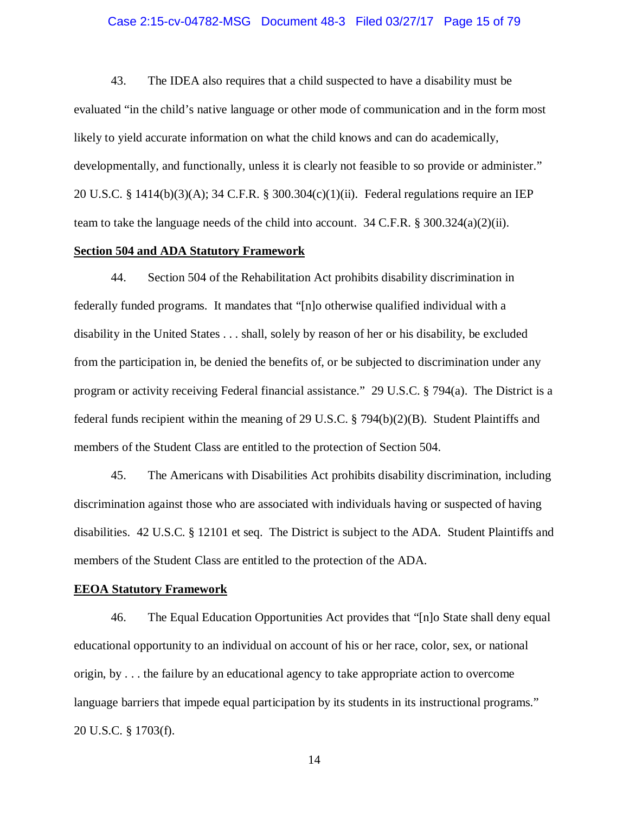## Case 2:15-cv-04782-MSG Document 48-3 Filed 03/27/17 Page 15 of 79

43. The IDEA also requires that a child suspected to have a disability must be evaluated "in the child's native language or other mode of communication and in the form most likely to yield accurate information on what the child knows and can do academically, developmentally, and functionally, unless it is clearly not feasible to so provide or administer." 20 U.S.C. § 1414(b)(3)(A); 34 C.F.R. § 300.304(c)(1)(ii). Federal regulations require an IEP team to take the language needs of the child into account. 34 C.F.R. § 300.324(a)(2)(ii).

# **Section 504 and ADA Statutory Framework**

44. Section 504 of the Rehabilitation Act prohibits disability discrimination in federally funded programs. It mandates that "[n]o otherwise qualified individual with a disability in the United States . . . shall, solely by reason of her or his disability, be excluded from the participation in, be denied the benefits of, or be subjected to discrimination under any program or activity receiving Federal financial assistance." 29 U.S.C. § 794(a). The District is a federal funds recipient within the meaning of 29 U.S.C. § 794(b)(2)(B). Student Plaintiffs and members of the Student Class are entitled to the protection of Section 504.

45. The Americans with Disabilities Act prohibits disability discrimination, including discrimination against those who are associated with individuals having or suspected of having disabilities. 42 U.S.C. § 12101 et seq. The District is subject to the ADA. Student Plaintiffs and members of the Student Class are entitled to the protection of the ADA.

## **EEOA Statutory Framework**

46. The Equal Education Opportunities Act provides that "[n]o State shall deny equal educational opportunity to an individual on account of his or her race, color, sex, or national origin, by . . . the failure by an educational agency to take appropriate action to overcome language barriers that impede equal participation by its students in its instructional programs." 20 U.S.C. § 1703(f).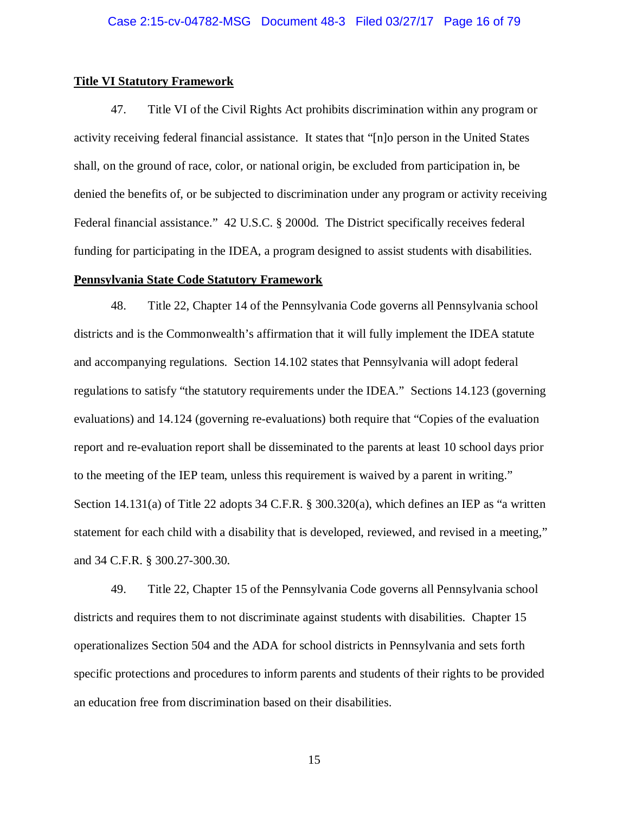## **Title VI Statutory Framework**

47. Title VI of the Civil Rights Act prohibits discrimination within any program or activity receiving federal financial assistance. It states that "[n]o person in the United States shall, on the ground of race, color, or national origin, be excluded from participation in, be denied the benefits of, or be subjected to discrimination under any program or activity receiving Federal financial assistance." 42 U.S.C. § 2000d. The District specifically receives federal funding for participating in the IDEA, a program designed to assist students with disabilities.

# **Pennsylvania State Code Statutory Framework**

48. Title 22, Chapter 14 of the Pennsylvania Code governs all Pennsylvania school districts and is the Commonwealth's affirmation that it will fully implement the IDEA statute and accompanying regulations. Section 14.102 states that Pennsylvania will adopt federal regulations to satisfy "the statutory requirements under the IDEA." Sections 14.123 (governing evaluations) and 14.124 (governing re-evaluations) both require that "Copies of the evaluation report and re-evaluation report shall be disseminated to the parents at least 10 school days prior to the meeting of the IEP team, unless this requirement is waived by a parent in writing." Section 14.131(a) of Title 22 adopts 34 C.F.R. § 300.320(a), which defines an IEP as "a written statement for each child with a disability that is developed, reviewed, and revised in a meeting," and 34 C.F.R. § 300.27-300.30.

49. Title 22, Chapter 15 of the Pennsylvania Code governs all Pennsylvania school districts and requires them to not discriminate against students with disabilities. Chapter 15 operationalizes Section 504 and the ADA for school districts in Pennsylvania and sets forth specific protections and procedures to inform parents and students of their rights to be provided an education free from discrimination based on their disabilities.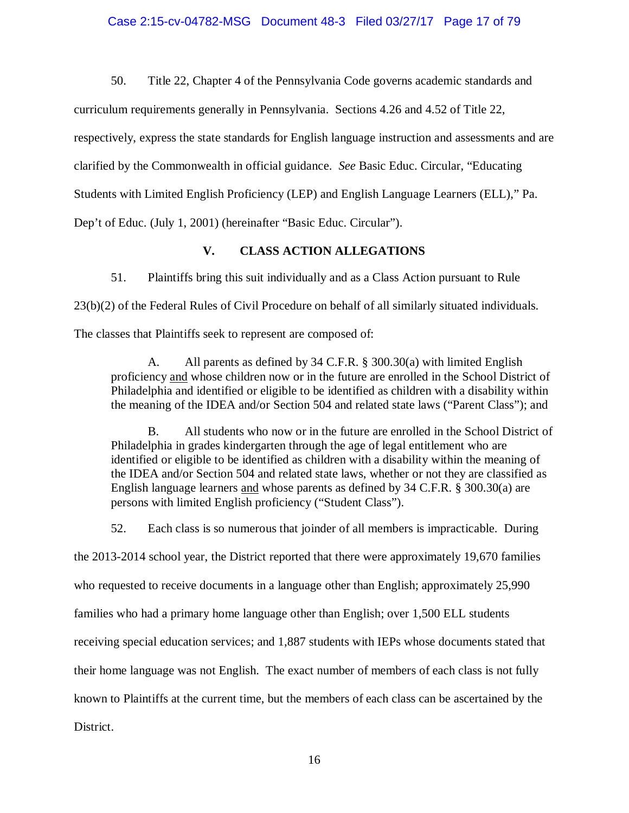50. Title 22, Chapter 4 of the Pennsylvania Code governs academic standards and

curriculum requirements generally in Pennsylvania. Sections 4.26 and 4.52 of Title 22,

respectively, express the state standards for English language instruction and assessments and are

clarified by the Commonwealth in official guidance. *See* Basic Educ. Circular, "Educating

Students with Limited English Proficiency (LEP) and English Language Learners (ELL)," Pa.

Dep't of Educ. (July 1, 2001) (hereinafter "Basic Educ. Circular").

# **V. CLASS ACTION ALLEGATIONS**

51. Plaintiffs bring this suit individually and as a Class Action pursuant to Rule

23(b)(2) of the Federal Rules of Civil Procedure on behalf of all similarly situated individuals.

The classes that Plaintiffs seek to represent are composed of:

A. All parents as defined by 34 C.F.R. § 300.30(a) with limited English proficiency and whose children now or in the future are enrolled in the School District of Philadelphia and identified or eligible to be identified as children with a disability within the meaning of the IDEA and/or Section 504 and related state laws ("Parent Class"); and

B. All students who now or in the future are enrolled in the School District of Philadelphia in grades kindergarten through the age of legal entitlement who are identified or eligible to be identified as children with a disability within the meaning of the IDEA and/or Section 504 and related state laws, whether or not they are classified as English language learners and whose parents as defined by 34 C.F.R. § 300.30(a) are persons with limited English proficiency ("Student Class").

52. Each class is so numerous that joinder of all members is impracticable. During the 2013-2014 school year, the District reported that there were approximately 19,670 families who requested to receive documents in a language other than English; approximately 25,990 families who had a primary home language other than English; over 1,500 ELL students receiving special education services; and 1,887 students with IEPs whose documents stated that their home language was not English. The exact number of members of each class is not fully known to Plaintiffs at the current time, but the members of each class can be ascertained by the

District.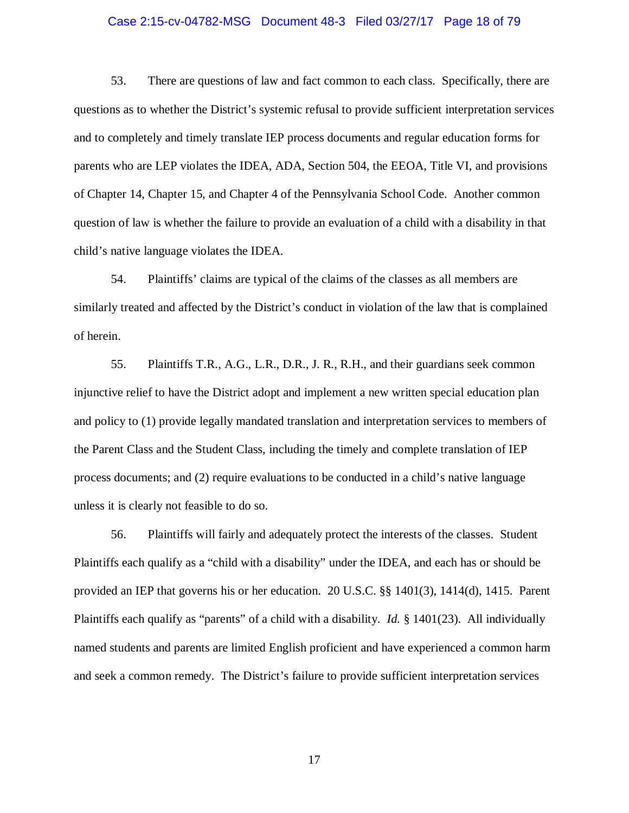#### Case 2:15-cv-04782-MSG Document 48-3 Filed 03/27/17 Page 18 of 79

53. There are questions of law and fact common to each class. Specifically, there are questions as to whether the District's systemic refusal to provide sufficient interpretation services and to completely and timely translate IEP process documents and regular education forms for parents who are LEP violates the IDEA, ADA, Section 504, the EEOA, Title VI, and provisions of Chapter 14, Chapter 15, and Chapter 4 of the Pennsylvania School Code. Another common question of law is whether the failure to provide an evaluation of a child with a disability in that child's native language violates the IDEA.

54. Plaintiffs' claims are typical of the claims of the classes as all members are similarly treated and affected by the District's conduct in violation of the law that is complained of herein.

55. Plaintiffs T.R., A.G., L.R., D.R., J. R., R.H., and their guardians seek common injunctive relief to have the District adopt and implement a new written special education plan and policy to (1) provide legally mandated translation and interpretation services to members of the Parent Class and the Student Class, including the timely and complete translation of IEP process documents; and (2) require evaluations to be conducted in a child's native language unless it is clearly not feasible to do so.

56. Plaintiffs will fairly and adequately protect the interests of the classes. Student Plaintiffs each qualify as a "child with a disability" under the IDEA, and each has or should be provided an IEP that governs his or her education. 20 U.S.C. §§ 1401(3), 1414(d), 1415. Parent Plaintiffs each qualify as "parents" of a child with a disability. *Id.* § 1401(23). All individually named students and parents are limited English proficient and have experienced a common harm and seek a common remedy. The District's failure to provide sufficient interpretation services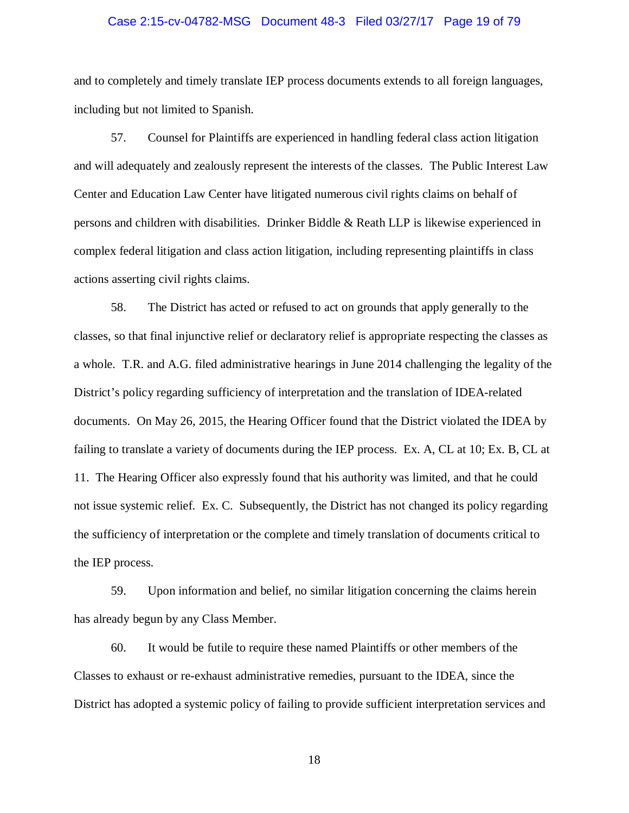# Case 2:15-cv-04782-MSG Document 48-3 Filed 03/27/17 Page 19 of 79

and to completely and timely translate IEP process documents extends to all foreign languages, including but not limited to Spanish.

57. Counsel for Plaintiffs are experienced in handling federal class action litigation and will adequately and zealously represent the interests of the classes. The Public Interest Law Center and Education Law Center have litigated numerous civil rights claims on behalf of persons and children with disabilities. Drinker Biddle & Reath LLP is likewise experienced in complex federal litigation and class action litigation, including representing plaintiffs in class actions asserting civil rights claims.

58. The District has acted or refused to act on grounds that apply generally to the classes, so that final injunctive relief or declaratory relief is appropriate respecting the classes as a whole. T.R. and A.G. filed administrative hearings in June 2014 challenging the legality of the District's policy regarding sufficiency of interpretation and the translation of IDEA-related documents. On May 26, 2015, the Hearing Officer found that the District violated the IDEA by failing to translate a variety of documents during the IEP process. Ex. A, CL at 10; Ex. B, CL at 11. The Hearing Officer also expressly found that his authority was limited, and that he could not issue systemic relief. Ex. C. Subsequently, the District has not changed its policy regarding the sufficiency of interpretation or the complete and timely translation of documents critical to the IEP process.

59. Upon information and belief, no similar litigation concerning the claims herein has already begun by any Class Member.

60. It would be futile to require these named Plaintiffs or other members of the Classes to exhaust or re-exhaust administrative remedies, pursuant to the IDEA, since the District has adopted a systemic policy of failing to provide sufficient interpretation services and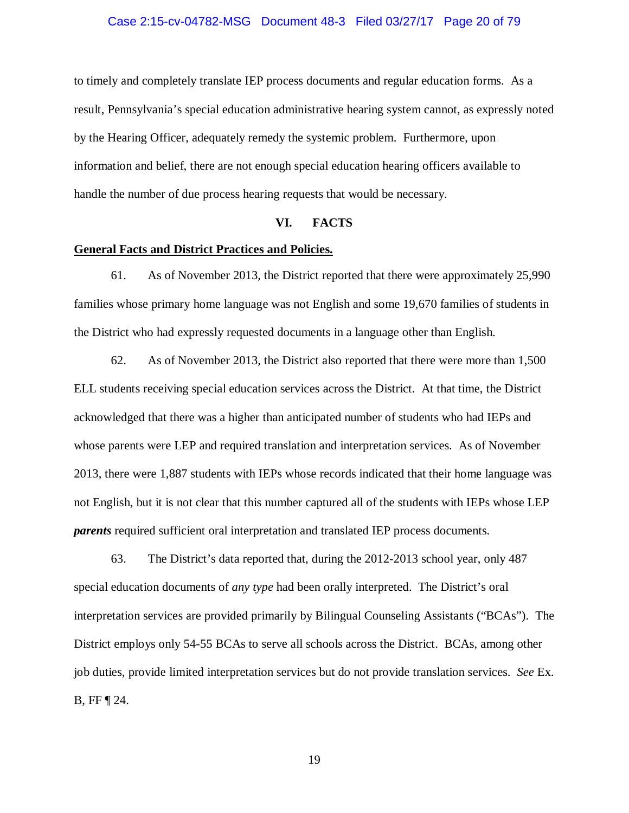## Case 2:15-cv-04782-MSG Document 48-3 Filed 03/27/17 Page 20 of 79

to timely and completely translate IEP process documents and regular education forms. As a result, Pennsylvania's special education administrative hearing system cannot, as expressly noted by the Hearing Officer, adequately remedy the systemic problem. Furthermore, upon information and belief, there are not enough special education hearing officers available to handle the number of due process hearing requests that would be necessary.

#### **VI. FACTS**

## **General Facts and District Practices and Policies.**

61. As of November 2013, the District reported that there were approximately 25,990 families whose primary home language was not English and some 19,670 families of students in the District who had expressly requested documents in a language other than English.

62. As of November 2013, the District also reported that there were more than 1,500 ELL students receiving special education services across the District. At that time, the District acknowledged that there was a higher than anticipated number of students who had IEPs and whose parents were LEP and required translation and interpretation services. As of November 2013, there were 1,887 students with IEPs whose records indicated that their home language was not English, but it is not clear that this number captured all of the students with IEPs whose LEP *parents* required sufficient oral interpretation and translated IEP process documents.

63. The District's data reported that, during the 2012-2013 school year, only 487 special education documents of *any type* had been orally interpreted. The District's oral interpretation services are provided primarily by Bilingual Counseling Assistants ("BCAs"). The District employs only 54-55 BCAs to serve all schools across the District. BCAs, among other job duties, provide limited interpretation services but do not provide translation services. *See* Ex. B, FF ¶ 24.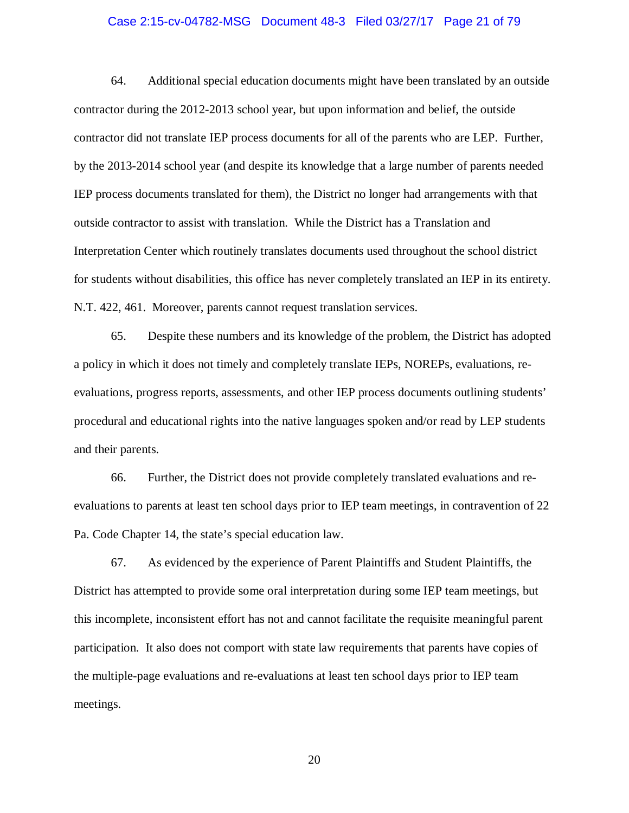#### Case 2:15-cv-04782-MSG Document 48-3 Filed 03/27/17 Page 21 of 79

64. Additional special education documents might have been translated by an outside contractor during the 2012-2013 school year, but upon information and belief, the outside contractor did not translate IEP process documents for all of the parents who are LEP. Further, by the 2013-2014 school year (and despite its knowledge that a large number of parents needed IEP process documents translated for them), the District no longer had arrangements with that outside contractor to assist with translation. While the District has a Translation and Interpretation Center which routinely translates documents used throughout the school district for students without disabilities, this office has never completely translated an IEP in its entirety. N.T. 422, 461. Moreover, parents cannot request translation services.

65. Despite these numbers and its knowledge of the problem, the District has adopted a policy in which it does not timely and completely translate IEPs, NOREPs, evaluations, reevaluations, progress reports, assessments, and other IEP process documents outlining students' procedural and educational rights into the native languages spoken and/or read by LEP students and their parents.

66. Further, the District does not provide completely translated evaluations and reevaluations to parents at least ten school days prior to IEP team meetings, in contravention of 22 Pa. Code Chapter 14, the state's special education law.

67. As evidenced by the experience of Parent Plaintiffs and Student Plaintiffs, the District has attempted to provide some oral interpretation during some IEP team meetings, but this incomplete, inconsistent effort has not and cannot facilitate the requisite meaningful parent participation. It also does not comport with state law requirements that parents have copies of the multiple-page evaluations and re-evaluations at least ten school days prior to IEP team meetings.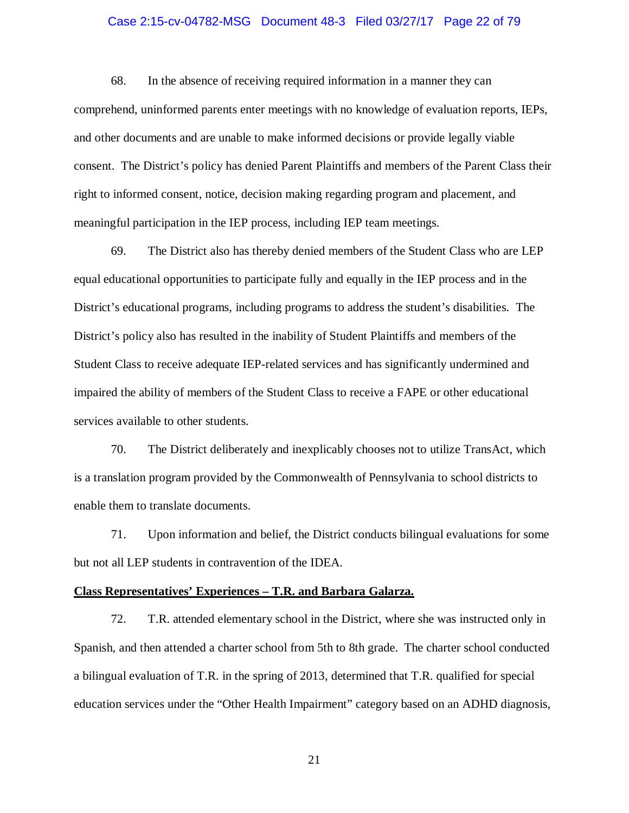#### Case 2:15-cv-04782-MSG Document 48-3 Filed 03/27/17 Page 22 of 79

68. In the absence of receiving required information in a manner they can comprehend, uninformed parents enter meetings with no knowledge of evaluation reports, IEPs, and other documents and are unable to make informed decisions or provide legally viable consent. The District's policy has denied Parent Plaintiffs and members of the Parent Class their right to informed consent, notice, decision making regarding program and placement, and meaningful participation in the IEP process, including IEP team meetings.

69. The District also has thereby denied members of the Student Class who are LEP equal educational opportunities to participate fully and equally in the IEP process and in the District's educational programs, including programs to address the student's disabilities. The District's policy also has resulted in the inability of Student Plaintiffs and members of the Student Class to receive adequate IEP-related services and has significantly undermined and impaired the ability of members of the Student Class to receive a FAPE or other educational services available to other students.

70. The District deliberately and inexplicably chooses not to utilize TransAct, which is a translation program provided by the Commonwealth of Pennsylvania to school districts to enable them to translate documents.

71. Upon information and belief, the District conducts bilingual evaluations for some but not all LEP students in contravention of the IDEA.

#### **Class Representatives' Experiences – T.R. and Barbara Galarza.**

72. T.R. attended elementary school in the District, where she was instructed only in Spanish, and then attended a charter school from 5th to 8th grade. The charter school conducted a bilingual evaluation of T.R. in the spring of 2013, determined that T.R. qualified for special education services under the "Other Health Impairment" category based on an ADHD diagnosis,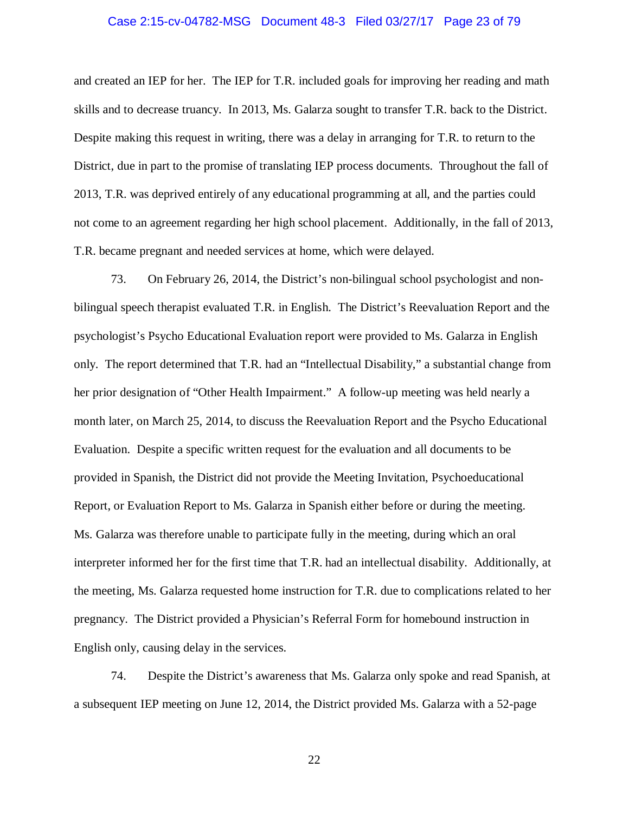# Case 2:15-cv-04782-MSG Document 48-3 Filed 03/27/17 Page 23 of 79

and created an IEP for her. The IEP for T.R. included goals for improving her reading and math skills and to decrease truancy. In 2013, Ms. Galarza sought to transfer T.R. back to the District. Despite making this request in writing, there was a delay in arranging for T.R. to return to the District, due in part to the promise of translating IEP process documents. Throughout the fall of 2013, T.R. was deprived entirely of any educational programming at all, and the parties could not come to an agreement regarding her high school placement. Additionally, in the fall of 2013, T.R. became pregnant and needed services at home, which were delayed.

73. On February 26, 2014, the District's non-bilingual school psychologist and nonbilingual speech therapist evaluated T.R. in English. The District's Reevaluation Report and the psychologist's Psycho Educational Evaluation report were provided to Ms. Galarza in English only. The report determined that T.R. had an "Intellectual Disability," a substantial change from her prior designation of "Other Health Impairment." A follow-up meeting was held nearly a month later, on March 25, 2014, to discuss the Reevaluation Report and the Psycho Educational Evaluation. Despite a specific written request for the evaluation and all documents to be provided in Spanish, the District did not provide the Meeting Invitation, Psychoeducational Report, or Evaluation Report to Ms. Galarza in Spanish either before or during the meeting. Ms. Galarza was therefore unable to participate fully in the meeting, during which an oral interpreter informed her for the first time that T.R. had an intellectual disability. Additionally, at the meeting, Ms. Galarza requested home instruction for T.R. due to complications related to her pregnancy. The District provided a Physician's Referral Form for homebound instruction in English only, causing delay in the services.

74. Despite the District's awareness that Ms. Galarza only spoke and read Spanish, at a subsequent IEP meeting on June 12, 2014, the District provided Ms. Galarza with a 52-page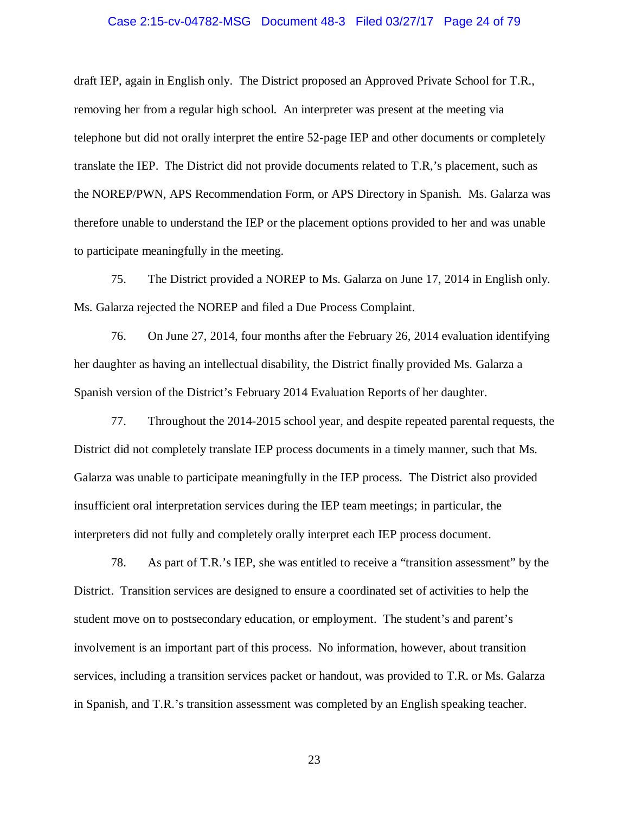## Case 2:15-cv-04782-MSG Document 48-3 Filed 03/27/17 Page 24 of 79

draft IEP, again in English only. The District proposed an Approved Private School for T.R., removing her from a regular high school. An interpreter was present at the meeting via telephone but did not orally interpret the entire 52-page IEP and other documents or completely translate the IEP. The District did not provide documents related to T.R,'s placement, such as the NOREP/PWN, APS Recommendation Form, or APS Directory in Spanish. Ms. Galarza was therefore unable to understand the IEP or the placement options provided to her and was unable to participate meaningfully in the meeting.

75. The District provided a NOREP to Ms. Galarza on June 17, 2014 in English only. Ms. Galarza rejected the NOREP and filed a Due Process Complaint.

76. On June 27, 2014, four months after the February 26, 2014 evaluation identifying her daughter as having an intellectual disability, the District finally provided Ms. Galarza a Spanish version of the District's February 2014 Evaluation Reports of her daughter.

77. Throughout the 2014-2015 school year, and despite repeated parental requests, the District did not completely translate IEP process documents in a timely manner, such that Ms. Galarza was unable to participate meaningfully in the IEP process. The District also provided insufficient oral interpretation services during the IEP team meetings; in particular, the interpreters did not fully and completely orally interpret each IEP process document.

78. As part of T.R.'s IEP, she was entitled to receive a "transition assessment" by the District. Transition services are designed to ensure a coordinated set of activities to help the student move on to postsecondary education, or employment. The student's and parent's involvement is an important part of this process. No information, however, about transition services, including a transition services packet or handout, was provided to T.R. or Ms. Galarza in Spanish, and T.R.'s transition assessment was completed by an English speaking teacher.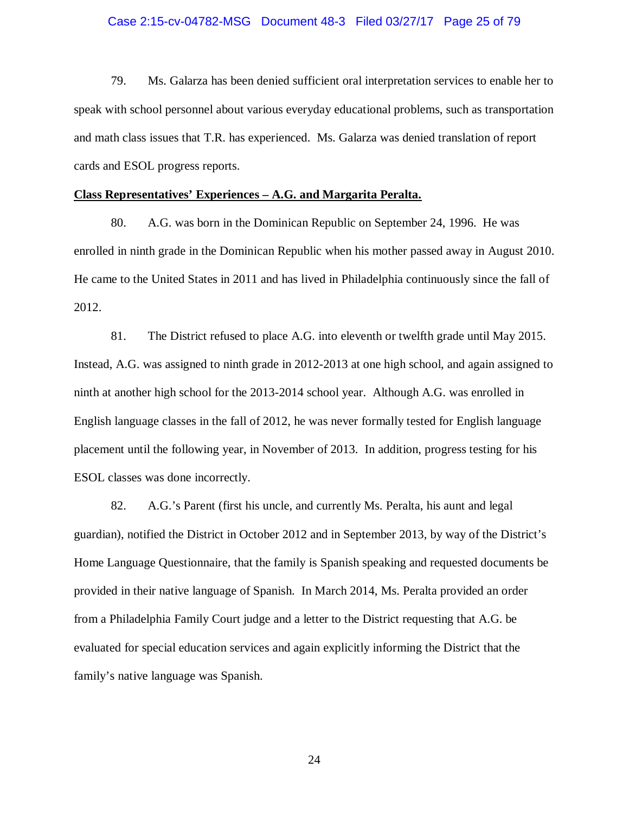#### Case 2:15-cv-04782-MSG Document 48-3 Filed 03/27/17 Page 25 of 79

79. Ms. Galarza has been denied sufficient oral interpretation services to enable her to speak with school personnel about various everyday educational problems, such as transportation and math class issues that T.R. has experienced. Ms. Galarza was denied translation of report cards and ESOL progress reports.

# **Class Representatives' Experiences – A.G. and Margarita Peralta.**

80. A.G. was born in the Dominican Republic on September 24, 1996. He was enrolled in ninth grade in the Dominican Republic when his mother passed away in August 2010. He came to the United States in 2011 and has lived in Philadelphia continuously since the fall of 2012.

81. The District refused to place A.G. into eleventh or twelfth grade until May 2015. Instead, A.G. was assigned to ninth grade in 2012-2013 at one high school, and again assigned to ninth at another high school for the 2013-2014 school year. Although A.G. was enrolled in English language classes in the fall of 2012, he was never formally tested for English language placement until the following year, in November of 2013. In addition, progress testing for his ESOL classes was done incorrectly.

82. A.G.'s Parent (first his uncle, and currently Ms. Peralta, his aunt and legal guardian), notified the District in October 2012 and in September 2013, by way of the District's Home Language Questionnaire, that the family is Spanish speaking and requested documents be provided in their native language of Spanish. In March 2014, Ms. Peralta provided an order from a Philadelphia Family Court judge and a letter to the District requesting that A.G. be evaluated for special education services and again explicitly informing the District that the family's native language was Spanish.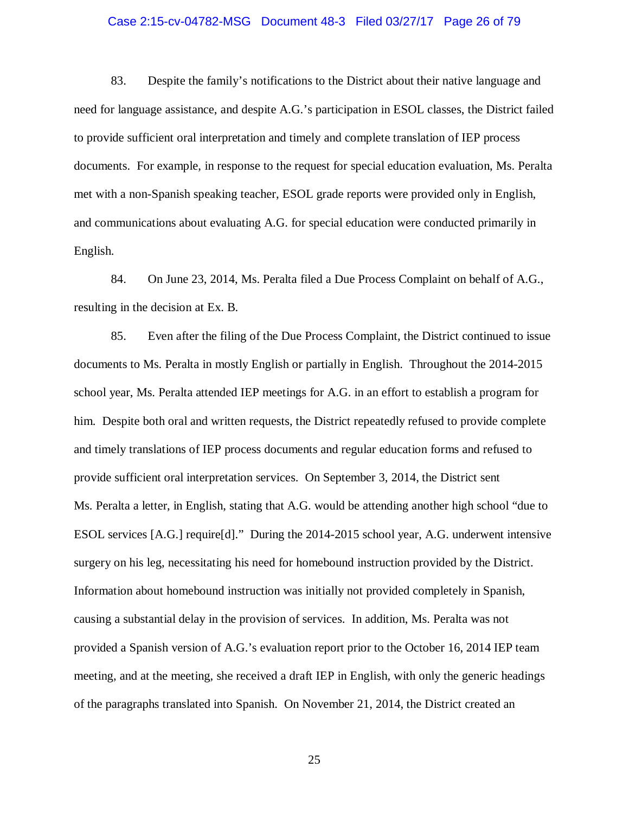#### Case 2:15-cv-04782-MSG Document 48-3 Filed 03/27/17 Page 26 of 79

83. Despite the family's notifications to the District about their native language and need for language assistance, and despite A.G.'s participation in ESOL classes, the District failed to provide sufficient oral interpretation and timely and complete translation of IEP process documents. For example, in response to the request for special education evaluation, Ms. Peralta met with a non-Spanish speaking teacher, ESOL grade reports were provided only in English, and communications about evaluating A.G. for special education were conducted primarily in English.

84. On June 23, 2014, Ms. Peralta filed a Due Process Complaint on behalf of A.G., resulting in the decision at Ex. B.

85. Even after the filing of the Due Process Complaint, the District continued to issue documents to Ms. Peralta in mostly English or partially in English. Throughout the 2014-2015 school year, Ms. Peralta attended IEP meetings for A.G. in an effort to establish a program for him. Despite both oral and written requests, the District repeatedly refused to provide complete and timely translations of IEP process documents and regular education forms and refused to provide sufficient oral interpretation services. On September 3, 2014, the District sent Ms. Peralta a letter, in English, stating that A.G. would be attending another high school "due to ESOL services [A.G.] require[d]."During the 2014-2015 school year, A.G. underwent intensive surgery on his leg, necessitating his need for homebound instruction provided by the District. Information about homebound instruction was initially not provided completely in Spanish, causing a substantial delay in the provision of services. In addition, Ms. Peralta was not provided a Spanish version of A.G.'s evaluation report prior to the October 16, 2014 IEP team meeting, and at the meeting, she received a draft IEP in English, with only the generic headings of the paragraphs translated into Spanish. On November 21, 2014, the District created an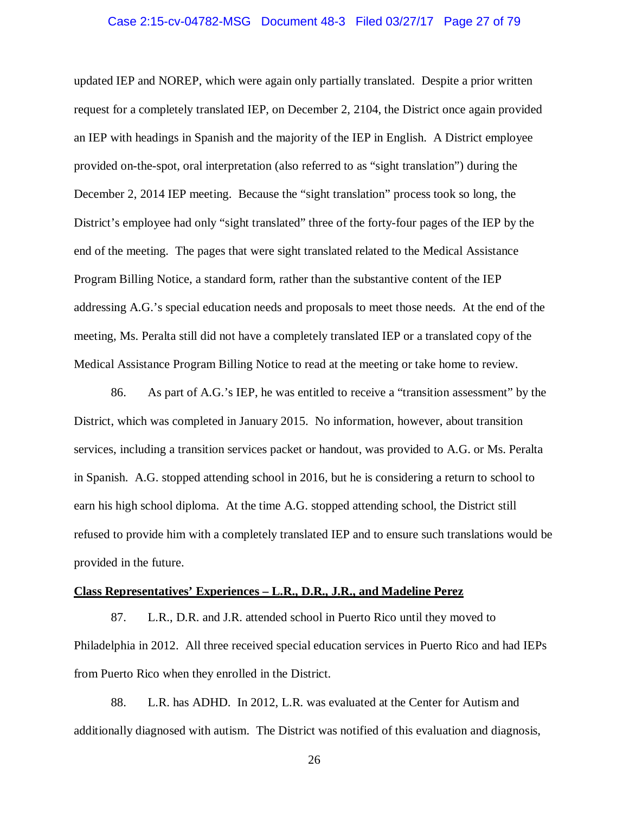#### Case 2:15-cv-04782-MSG Document 48-3 Filed 03/27/17 Page 27 of 79

updated IEP and NOREP, which were again only partially translated. Despite a prior written request for a completely translated IEP, on December 2, 2104, the District once again provided an IEP with headings in Spanish and the majority of the IEP in English. A District employee provided on-the-spot, oral interpretation (also referred to as "sight translation") during the December 2, 2014 IEP meeting. Because the "sight translation" process took so long, the District's employee had only "sight translated" three of the forty-four pages of the IEP by the end of the meeting. The pages that were sight translated related to the Medical Assistance Program Billing Notice, a standard form, rather than the substantive content of the IEP addressing A.G.'s special education needs and proposals to meet those needs. At the end of the meeting, Ms. Peralta still did not have a completely translated IEP or a translated copy of the Medical Assistance Program Billing Notice to read at the meeting or take home to review.

86. As part of A.G.'s IEP, he was entitled to receive a "transition assessment" by the District, which was completed in January 2015. No information, however, about transition services, including a transition services packet or handout, was provided to A.G. or Ms. Peralta in Spanish. A.G. stopped attending school in 2016, but he is considering a return to school to earn his high school diploma. At the time A.G. stopped attending school, the District still refused to provide him with a completely translated IEP and to ensure such translations would be provided in the future.

#### **Class Representatives' Experiences – L.R., D.R., J.R., and Madeline Perez**

87. L.R., D.R. and J.R. attended school in Puerto Rico until they moved to Philadelphia in 2012. All three received special education services in Puerto Rico and had IEPs from Puerto Rico when they enrolled in the District.

88. L.R. has ADHD. In 2012, L.R. was evaluated at the Center for Autism and additionally diagnosed with autism. The District was notified of this evaluation and diagnosis,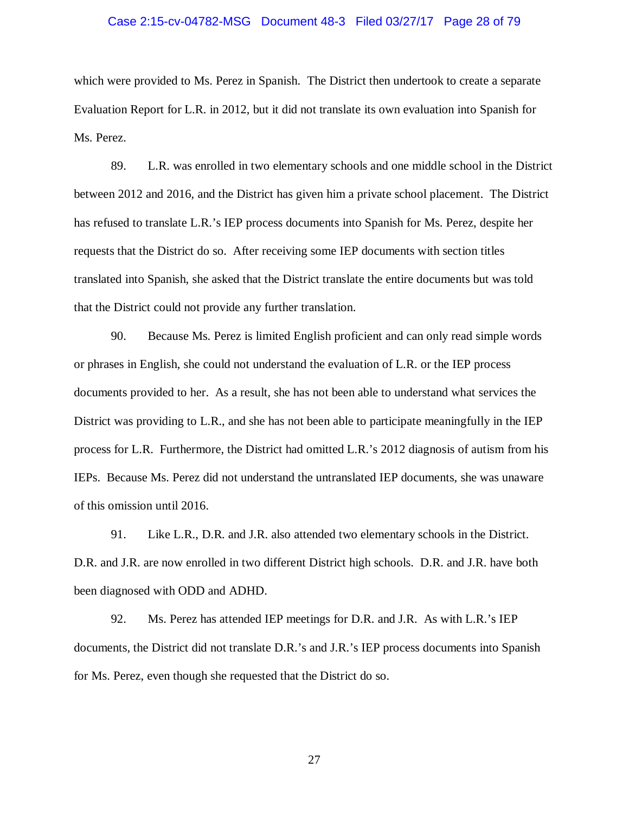#### Case 2:15-cv-04782-MSG Document 48-3 Filed 03/27/17 Page 28 of 79

which were provided to Ms. Perez in Spanish. The District then undertook to create a separate Evaluation Report for L.R. in 2012, but it did not translate its own evaluation into Spanish for Ms. Perez.

89. L.R. was enrolled in two elementary schools and one middle school in the District between 2012 and 2016, and the District has given him a private school placement. The District has refused to translate L.R.'s IEP process documents into Spanish for Ms. Perez, despite her requests that the District do so. After receiving some IEP documents with section titles translated into Spanish, she asked that the District translate the entire documents but was told that the District could not provide any further translation.

90. Because Ms. Perez is limited English proficient and can only read simple words or phrases in English, she could not understand the evaluation of L.R. or the IEP process documents provided to her. As a result, she has not been able to understand what services the District was providing to L.R., and she has not been able to participate meaningfully in the IEP process for L.R. Furthermore, the District had omitted L.R.'s 2012 diagnosis of autism from his IEPs. Because Ms. Perez did not understand the untranslated IEP documents, she was unaware of this omission until 2016.

91. Like L.R., D.R. and J.R. also attended two elementary schools in the District. D.R. and J.R. are now enrolled in two different District high schools. D.R. and J.R. have both been diagnosed with ODD and ADHD.

92. Ms. Perez has attended IEP meetings for D.R. and J.R. As with L.R.'s IEP documents, the District did not translate D.R.'s and J.R.'s IEP process documents into Spanish for Ms. Perez, even though she requested that the District do so.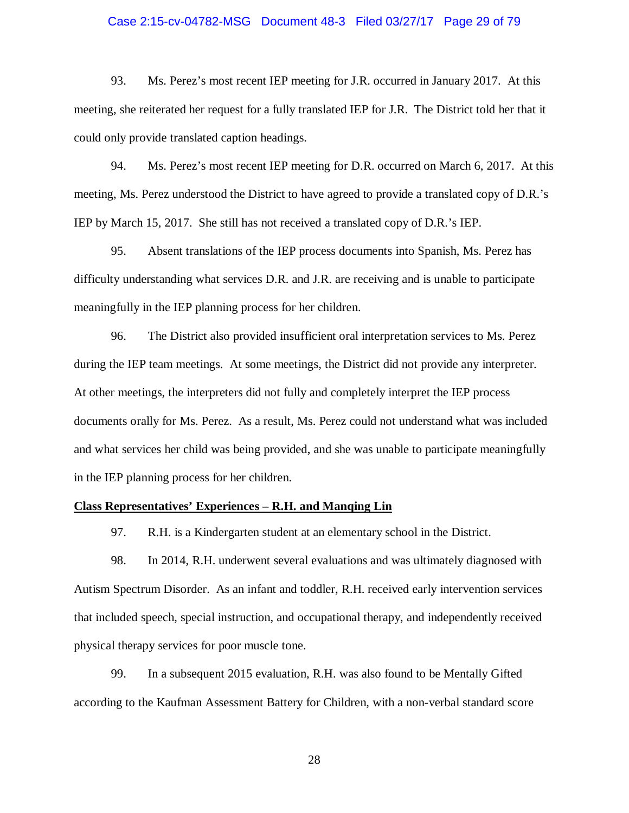#### Case 2:15-cv-04782-MSG Document 48-3 Filed 03/27/17 Page 29 of 79

93. Ms. Perez's most recent IEP meeting for J.R. occurred in January 2017. At this meeting, she reiterated her request for a fully translated IEP for J.R. The District told her that it could only provide translated caption headings.

94. Ms. Perez's most recent IEP meeting for D.R. occurred on March 6, 2017. At this meeting, Ms. Perez understood the District to have agreed to provide a translated copy of D.R.'s IEP by March 15, 2017. She still has not received a translated copy of D.R.'s IEP.

95. Absent translations of the IEP process documents into Spanish, Ms. Perez has difficulty understanding what services D.R. and J.R. are receiving and is unable to participate meaningfully in the IEP planning process for her children.

96. The District also provided insufficient oral interpretation services to Ms. Perez during the IEP team meetings. At some meetings, the District did not provide any interpreter. At other meetings, the interpreters did not fully and completely interpret the IEP process documents orally for Ms. Perez. As a result, Ms. Perez could not understand what was included and what services her child was being provided, and she was unable to participate meaningfully in the IEP planning process for her children.

#### **Class Representatives' Experiences – R.H. and Manqing Lin**

97. R.H. is a Kindergarten student at an elementary school in the District.

98. In 2014, R.H. underwent several evaluations and was ultimately diagnosed with Autism Spectrum Disorder. As an infant and toddler, R.H. received early intervention services that included speech, special instruction, and occupational therapy, and independently received physical therapy services for poor muscle tone.

99. In a subsequent 2015 evaluation, R.H. was also found to be Mentally Gifted according to the Kaufman Assessment Battery for Children, with a non-verbal standard score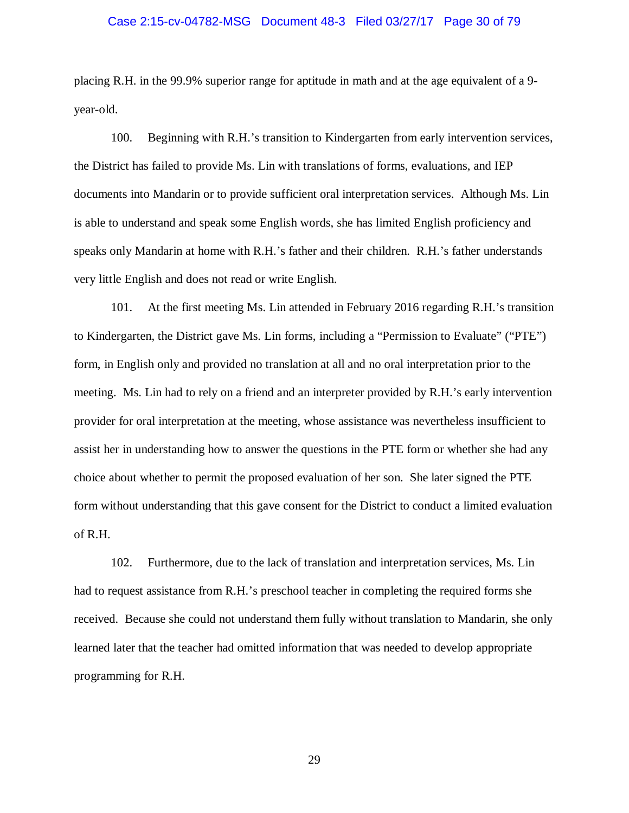#### Case 2:15-cv-04782-MSG Document 48-3 Filed 03/27/17 Page 30 of 79

placing R.H. in the 99.9% superior range for aptitude in math and at the age equivalent of a 9 year-old.

100. Beginning with R.H.'s transition to Kindergarten from early intervention services, the District has failed to provide Ms. Lin with translations of forms, evaluations, and IEP documents into Mandarin or to provide sufficient oral interpretation services. Although Ms. Lin is able to understand and speak some English words, she has limited English proficiency and speaks only Mandarin at home with R.H.'s father and their children. R.H.'s father understands very little English and does not read or write English.

101. At the first meeting Ms. Lin attended in February 2016 regarding R.H.'s transition to Kindergarten, the District gave Ms. Lin forms, including a "Permission to Evaluate" ("PTE") form, in English only and provided no translation at all and no oral interpretation prior to the meeting. Ms. Lin had to rely on a friend and an interpreter provided by R.H.'s early intervention provider for oral interpretation at the meeting, whose assistance was nevertheless insufficient to assist her in understanding how to answer the questions in the PTE form or whether she had any choice about whether to permit the proposed evaluation of her son. She later signed the PTE form without understanding that this gave consent for the District to conduct a limited evaluation of R.H.

102. Furthermore, due to the lack of translation and interpretation services, Ms. Lin had to request assistance from R.H.'s preschool teacher in completing the required forms she received. Because she could not understand them fully without translation to Mandarin, she only learned later that the teacher had omitted information that was needed to develop appropriate programming for R.H.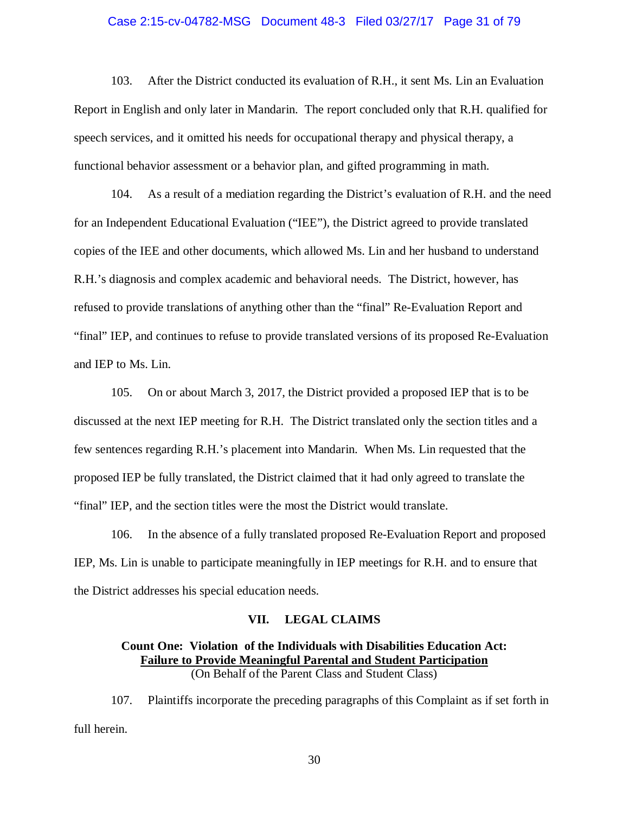#### Case 2:15-cv-04782-MSG Document 48-3 Filed 03/27/17 Page 31 of 79

103. After the District conducted its evaluation of R.H., it sent Ms. Lin an Evaluation Report in English and only later in Mandarin. The report concluded only that R.H. qualified for speech services, and it omitted his needs for occupational therapy and physical therapy, a functional behavior assessment or a behavior plan, and gifted programming in math.

104. As a result of a mediation regarding the District's evaluation of R.H. and the need for an Independent Educational Evaluation ("IEE"), the District agreed to provide translated copies of the IEE and other documents, which allowed Ms. Lin and her husband to understand R.H.'s diagnosis and complex academic and behavioral needs. The District, however, has refused to provide translations of anything other than the "final" Re-Evaluation Report and "final" IEP, and continues to refuse to provide translated versions of its proposed Re-Evaluation and IEP to Ms. Lin.

105. On or about March 3, 2017, the District provided a proposed IEP that is to be discussed at the next IEP meeting for R.H. The District translated only the section titles and a few sentences regarding R.H.'s placement into Mandarin. When Ms. Lin requested that the proposed IEP be fully translated, the District claimed that it had only agreed to translate the "final" IEP, and the section titles were the most the District would translate.

106. In the absence of a fully translated proposed Re-Evaluation Report and proposed IEP, Ms. Lin is unable to participate meaningfully in IEP meetings for R.H. and to ensure that the District addresses his special education needs.

#### **VII. LEGAL CLAIMS**

#### **Count One: Violation of the Individuals with Disabilities Education Act: Failure to Provide Meaningful Parental and Student Participation**  (On Behalf of the Parent Class and Student Class)

107. Plaintiffs incorporate the preceding paragraphs of this Complaint as if set forth in full herein.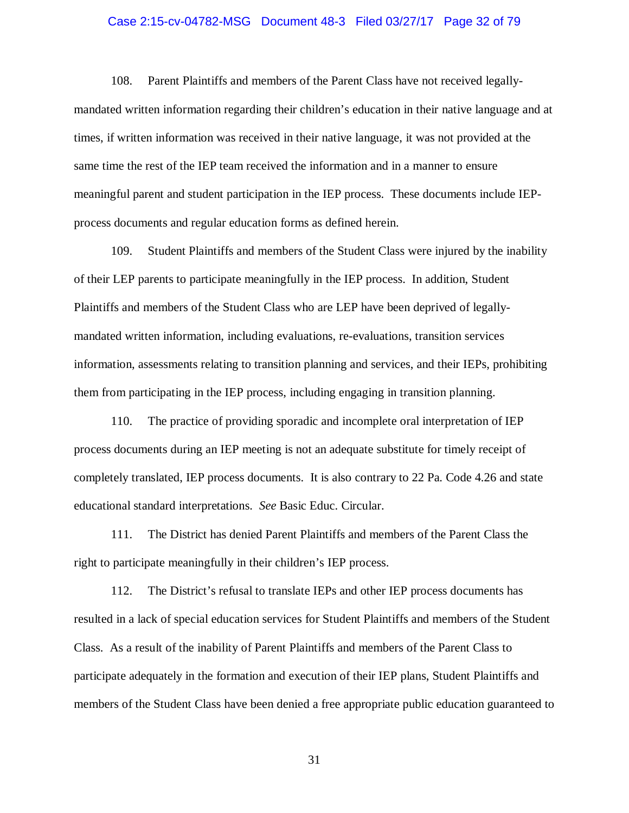#### Case 2:15-cv-04782-MSG Document 48-3 Filed 03/27/17 Page 32 of 79

108. Parent Plaintiffs and members of the Parent Class have not received legallymandated written information regarding their children's education in their native language and at times, if written information was received in their native language, it was not provided at the same time the rest of the IEP team received the information and in a manner to ensure meaningful parent and student participation in the IEP process. These documents include IEPprocess documents and regular education forms as defined herein.

109. Student Plaintiffs and members of the Student Class were injured by the inability of their LEP parents to participate meaningfully in the IEP process. In addition, Student Plaintiffs and members of the Student Class who are LEP have been deprived of legallymandated written information, including evaluations, re-evaluations, transition services information, assessments relating to transition planning and services, and their IEPs, prohibiting them from participating in the IEP process, including engaging in transition planning.

110. The practice of providing sporadic and incomplete oral interpretation of IEP process documents during an IEP meeting is not an adequate substitute for timely receipt of completely translated, IEP process documents. It is also contrary to 22 Pa. Code 4.26 and state educational standard interpretations. *See* Basic Educ. Circular.

111. The District has denied Parent Plaintiffs and members of the Parent Class the right to participate meaningfully in their children's IEP process.

112. The District's refusal to translate IEPs and other IEP process documents has resulted in a lack of special education services for Student Plaintiffs and members of the Student Class. As a result of the inability of Parent Plaintiffs and members of the Parent Class to participate adequately in the formation and execution of their IEP plans, Student Plaintiffs and members of the Student Class have been denied a free appropriate public education guaranteed to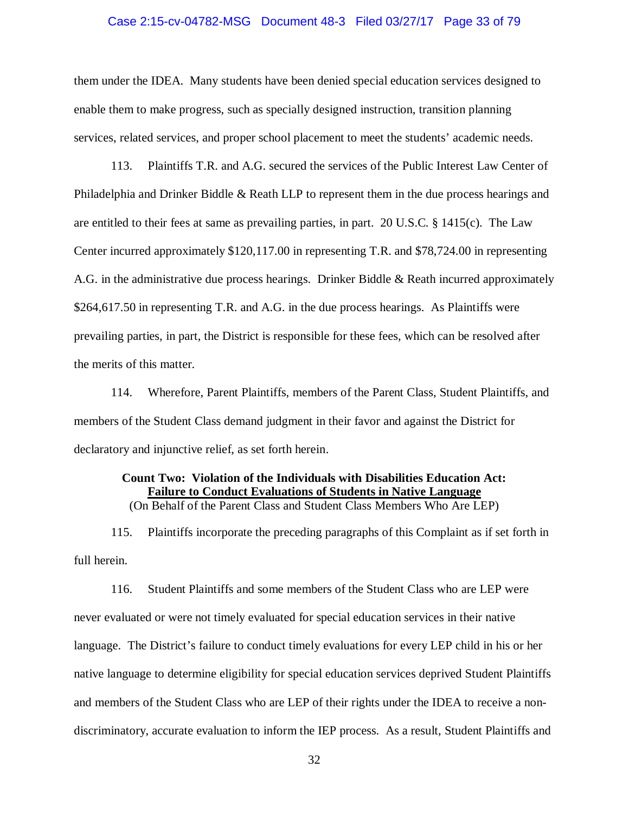#### Case 2:15-cv-04782-MSG Document 48-3 Filed 03/27/17 Page 33 of 79

them under the IDEA. Many students have been denied special education services designed to enable them to make progress, such as specially designed instruction, transition planning services, related services, and proper school placement to meet the students' academic needs.

113. Plaintiffs T.R. and A.G. secured the services of the Public Interest Law Center of Philadelphia and Drinker Biddle & Reath LLP to represent them in the due process hearings and are entitled to their fees at same as prevailing parties, in part. 20 U.S.C. § 1415(c). The Law Center incurred approximately \$120,117.00 in representing T.R. and \$78,724.00 in representing A.G. in the administrative due process hearings. Drinker Biddle & Reath incurred approximately \$264,617.50 in representing T.R. and A.G. in the due process hearings. As Plaintiffs were prevailing parties, in part, the District is responsible for these fees, which can be resolved after the merits of this matter.

114. Wherefore, Parent Plaintiffs, members of the Parent Class, Student Plaintiffs, and members of the Student Class demand judgment in their favor and against the District for declaratory and injunctive relief, as set forth herein.

#### **Count Two: Violation of the Individuals with Disabilities Education Act: Failure to Conduct Evaluations of Students in Native Language**

(On Behalf of the Parent Class and Student Class Members Who Are LEP)

115. Plaintiffs incorporate the preceding paragraphs of this Complaint as if set forth in full herein.

116. Student Plaintiffs and some members of the Student Class who are LEP were never evaluated or were not timely evaluated for special education services in their native language. The District's failure to conduct timely evaluations for every LEP child in his or her native language to determine eligibility for special education services deprived Student Plaintiffs and members of the Student Class who are LEP of their rights under the IDEA to receive a nondiscriminatory, accurate evaluation to inform the IEP process. As a result, Student Plaintiffs and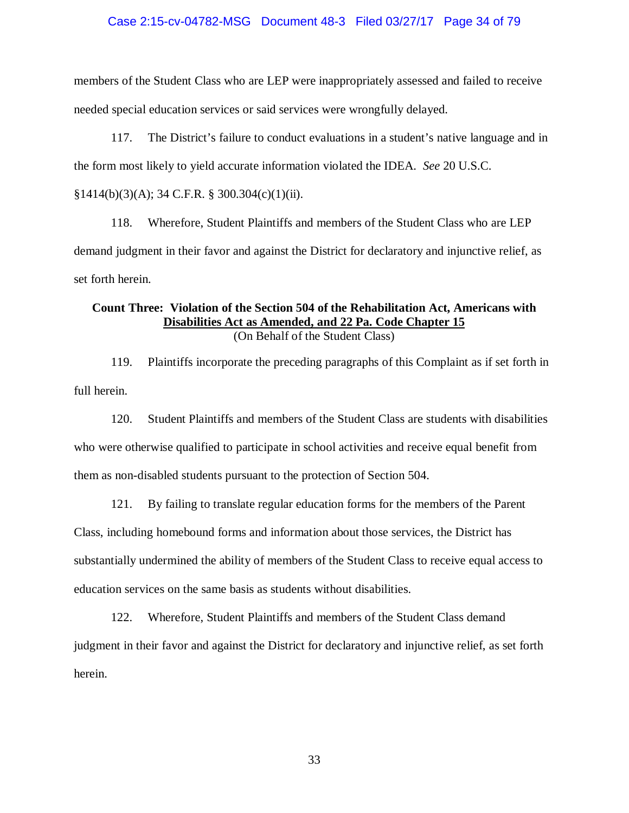#### Case 2:15-cv-04782-MSG Document 48-3 Filed 03/27/17 Page 34 of 79

members of the Student Class who are LEP were inappropriately assessed and failed to receive needed special education services or said services were wrongfully delayed.

117. The District's failure to conduct evaluations in a student's native language and in the form most likely to yield accurate information violated the IDEA. *See* 20 U.S.C.  $§1414(b)(3)(A); 34 C.F.R. § 300.304(c)(1)(ii).$ 

118. Wherefore, Student Plaintiffs and members of the Student Class who are LEP demand judgment in their favor and against the District for declaratory and injunctive relief, as set forth herein.

### **Count Three: Violation of the Section 504 of the Rehabilitation Act, Americans with Disabilities Act as Amended, and 22 Pa. Code Chapter 15**

(On Behalf of the Student Class)

119. Plaintiffs incorporate the preceding paragraphs of this Complaint as if set forth in full herein.

120. Student Plaintiffs and members of the Student Class are students with disabilities who were otherwise qualified to participate in school activities and receive equal benefit from them as non-disabled students pursuant to the protection of Section 504.

121. By failing to translate regular education forms for the members of the Parent Class, including homebound forms and information about those services, the District has substantially undermined the ability of members of the Student Class to receive equal access to education services on the same basis as students without disabilities.

122. Wherefore, Student Plaintiffs and members of the Student Class demand judgment in their favor and against the District for declaratory and injunctive relief, as set forth herein.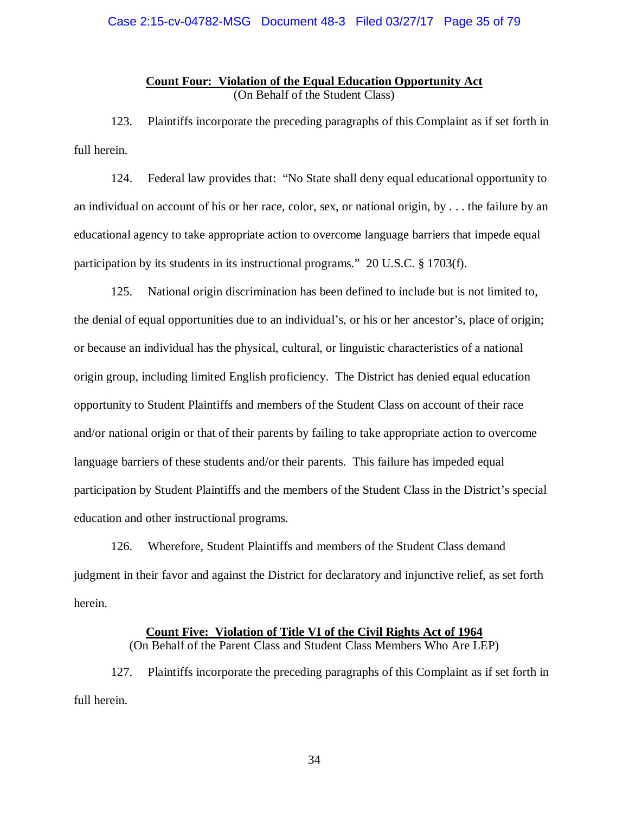#### **Count Four: Violation of the Equal Education Opportunity Act**  (On Behalf of the Student Class)

123. Plaintiffs incorporate the preceding paragraphs of this Complaint as if set forth in full herein.

124. Federal law provides that: "No State shall deny equal educational opportunity to an individual on account of his or her race, color, sex, or national origin, by . . . the failure by an educational agency to take appropriate action to overcome language barriers that impede equal participation by its students in its instructional programs." 20 U.S.C. § 1703(f).

125. National origin discrimination has been defined to include but is not limited to, the denial of equal opportunities due to an individual's, or his or her ancestor's, place of origin; or because an individual has the physical, cultural, or linguistic characteristics of a national origin group, including limited English proficiency. The District has denied equal education opportunity to Student Plaintiffs and members of the Student Class on account of their race and/or national origin or that of their parents by failing to take appropriate action to overcome language barriers of these students and/or their parents. This failure has impeded equal participation by Student Plaintiffs and the members of the Student Class in the District's special education and other instructional programs.

126. Wherefore, Student Plaintiffs and members of the Student Class demand judgment in their favor and against the District for declaratory and injunctive relief, as set forth herein.

#### **Count Five: Violation of Title VI of the Civil Rights Act of 1964**

(On Behalf of the Parent Class and Student Class Members Who Are LEP)

127. Plaintiffs incorporate the preceding paragraphs of this Complaint as if set forth in full herein.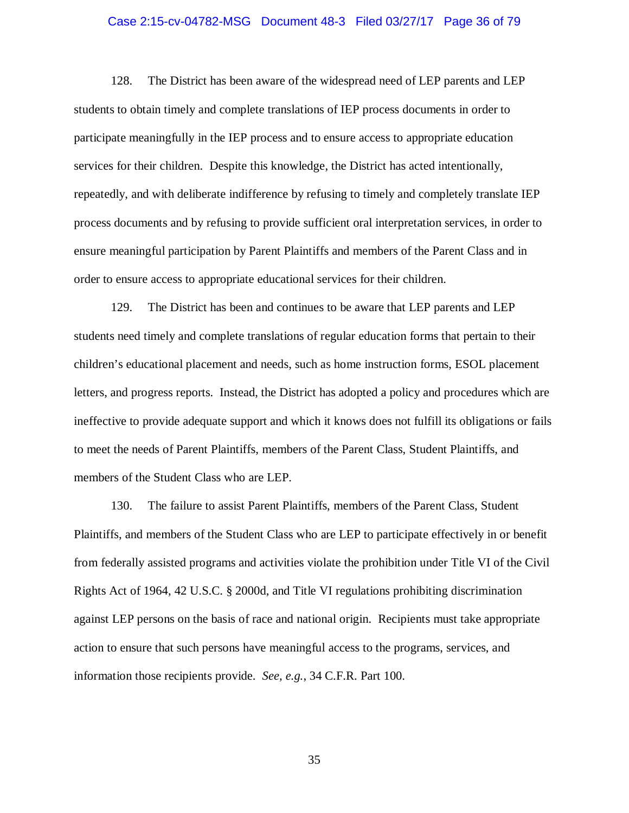#### Case 2:15-cv-04782-MSG Document 48-3 Filed 03/27/17 Page 36 of 79

128. The District has been aware of the widespread need of LEP parents and LEP students to obtain timely and complete translations of IEP process documents in order to participate meaningfully in the IEP process and to ensure access to appropriate education services for their children. Despite this knowledge, the District has acted intentionally, repeatedly, and with deliberate indifference by refusing to timely and completely translate IEP process documents and by refusing to provide sufficient oral interpretation services, in order to ensure meaningful participation by Parent Plaintiffs and members of the Parent Class and in order to ensure access to appropriate educational services for their children.

129. The District has been and continues to be aware that LEP parents and LEP students need timely and complete translations of regular education forms that pertain to their children's educational placement and needs, such as home instruction forms, ESOL placement letters, and progress reports. Instead, the District has adopted a policy and procedures which are ineffective to provide adequate support and which it knows does not fulfill its obligations or fails to meet the needs of Parent Plaintiffs, members of the Parent Class, Student Plaintiffs, and members of the Student Class who are LEP.

130. The failure to assist Parent Plaintiffs, members of the Parent Class, Student Plaintiffs, and members of the Student Class who are LEP to participate effectively in or benefit from federally assisted programs and activities violate the prohibition under Title VI of the Civil Rights Act of 1964, 42 U.S.C. § 2000d, and Title VI regulations prohibiting discrimination against LEP persons on the basis of race and national origin. Recipients must take appropriate action to ensure that such persons have meaningful access to the programs, services, and information those recipients provide. *See, e.g.*, 34 C.F.R. Part 100.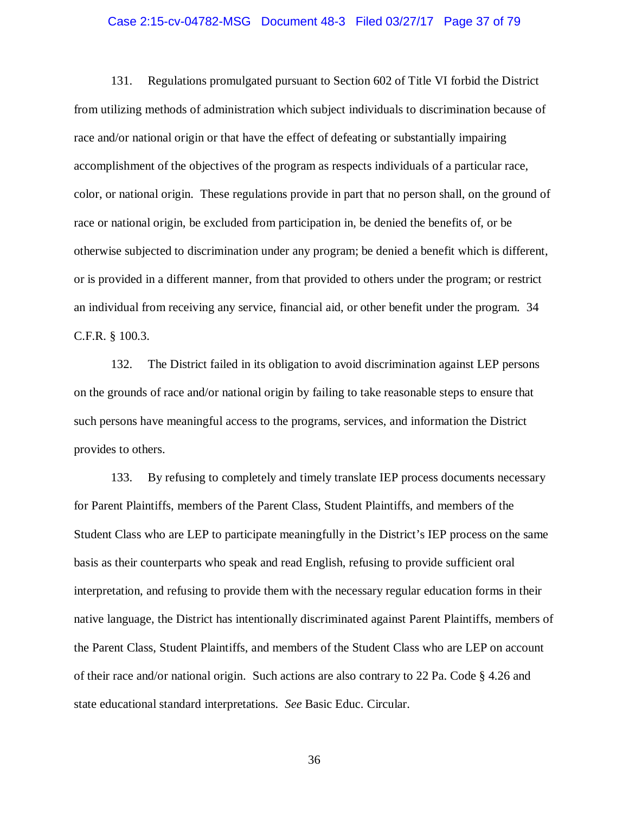#### Case 2:15-cv-04782-MSG Document 48-3 Filed 03/27/17 Page 37 of 79

131. Regulations promulgated pursuant to Section 602 of Title VI forbid the District from utilizing methods of administration which subject individuals to discrimination because of race and/or national origin or that have the effect of defeating or substantially impairing accomplishment of the objectives of the program as respects individuals of a particular race, color, or national origin. These regulations provide in part that no person shall, on the ground of race or national origin, be excluded from participation in, be denied the benefits of, or be otherwise subjected to discrimination under any program; be denied a benefit which is different, or is provided in a different manner, from that provided to others under the program; or restrict an individual from receiving any service, financial aid, or other benefit under the program. 34 C.F.R. § 100.3.

132. The District failed in its obligation to avoid discrimination against LEP persons on the grounds of race and/or national origin by failing to take reasonable steps to ensure that such persons have meaningful access to the programs, services, and information the District provides to others.

133. By refusing to completely and timely translate IEP process documents necessary for Parent Plaintiffs, members of the Parent Class, Student Plaintiffs, and members of the Student Class who are LEP to participate meaningfully in the District's IEP process on the same basis as their counterparts who speak and read English, refusing to provide sufficient oral interpretation, and refusing to provide them with the necessary regular education forms in their native language, the District has intentionally discriminated against Parent Plaintiffs, members of the Parent Class, Student Plaintiffs, and members of the Student Class who are LEP on account of their race and/or national origin. Such actions are also contrary to 22 Pa. Code § 4.26 and state educational standard interpretations. *See* Basic Educ. Circular.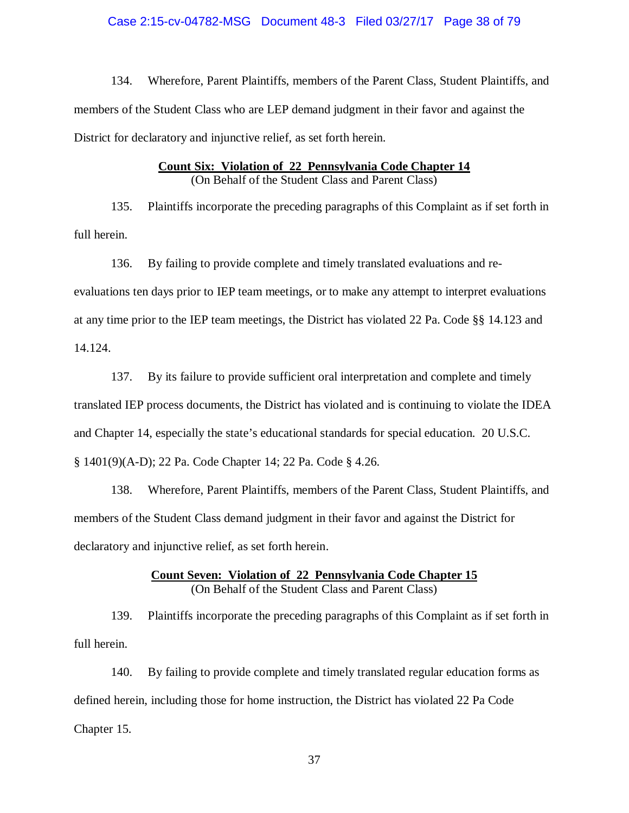#### Case 2:15-cv-04782-MSG Document 48-3 Filed 03/27/17 Page 38 of 79

134. Wherefore, Parent Plaintiffs, members of the Parent Class, Student Plaintiffs, and members of the Student Class who are LEP demand judgment in their favor and against the District for declaratory and injunctive relief, as set forth herein.

#### **Count Six: Violation of 22 Pennsylvania Code Chapter 14**  (On Behalf of the Student Class and Parent Class)

135. Plaintiffs incorporate the preceding paragraphs of this Complaint as if set forth in full herein.

136. By failing to provide complete and timely translated evaluations and reevaluations ten days prior to IEP team meetings, or to make any attempt to interpret evaluations at any time prior to the IEP team meetings, the District has violated 22 Pa. Code §§ 14.123 and 14.124.

137. By its failure to provide sufficient oral interpretation and complete and timely translated IEP process documents, the District has violated and is continuing to violate the IDEA and Chapter 14, especially the state's educational standards for special education. 20 U.S.C. § 1401(9)(A-D); 22 Pa. Code Chapter 14; 22 Pa. Code § 4.26.

138. Wherefore, Parent Plaintiffs, members of the Parent Class, Student Plaintiffs, and members of the Student Class demand judgment in their favor and against the District for declaratory and injunctive relief, as set forth herein.

#### **Count Seven: Violation of 22 Pennsylvania Code Chapter 15**  (On Behalf of the Student Class and Parent Class)

139. Plaintiffs incorporate the preceding paragraphs of this Complaint as if set forth in full herein.

140. By failing to provide complete and timely translated regular education forms as defined herein, including those for home instruction, the District has violated 22 Pa Code Chapter 15.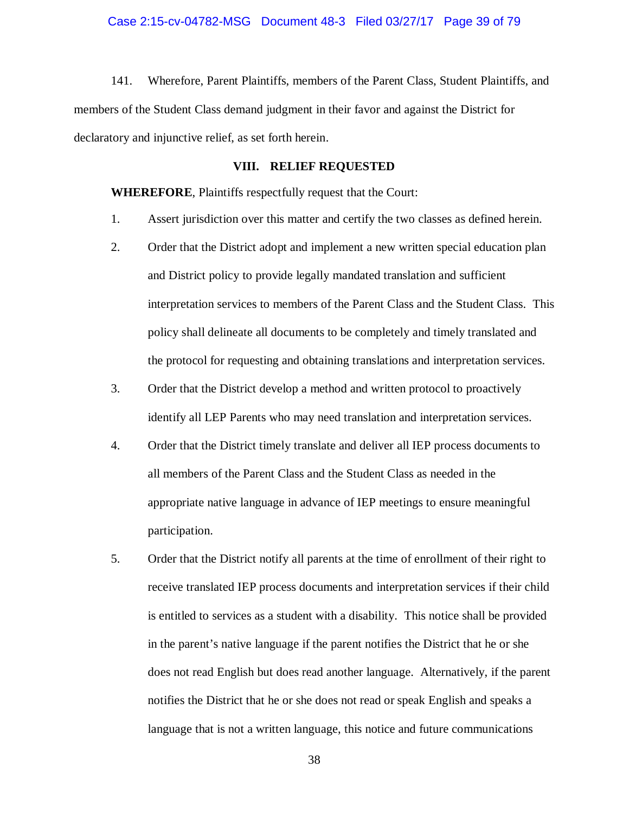#### Case 2:15-cv-04782-MSG Document 48-3 Filed 03/27/17 Page 39 of 79

141. Wherefore, Parent Plaintiffs, members of the Parent Class, Student Plaintiffs, and members of the Student Class demand judgment in their favor and against the District for declaratory and injunctive relief, as set forth herein.

#### **VIII. RELIEF REQUESTED**

**WHEREFORE**, Plaintiffs respectfully request that the Court:

- 1. Assert jurisdiction over this matter and certify the two classes as defined herein.
- 2. Order that the District adopt and implement a new written special education plan and District policy to provide legally mandated translation and sufficient interpretation services to members of the Parent Class and the Student Class. This policy shall delineate all documents to be completely and timely translated and the protocol for requesting and obtaining translations and interpretation services.
- 3. Order that the District develop a method and written protocol to proactively identify all LEP Parents who may need translation and interpretation services.
- 4. Order that the District timely translate and deliver all IEP process documents to all members of the Parent Class and the Student Class as needed in the appropriate native language in advance of IEP meetings to ensure meaningful participation.
- 5. Order that the District notify all parents at the time of enrollment of their right to receive translated IEP process documents and interpretation services if their child is entitled to services as a student with a disability. This notice shall be provided in the parent's native language if the parent notifies the District that he or she does not read English but does read another language. Alternatively, if the parent notifies the District that he or she does not read or speak English and speaks a language that is not a written language, this notice and future communications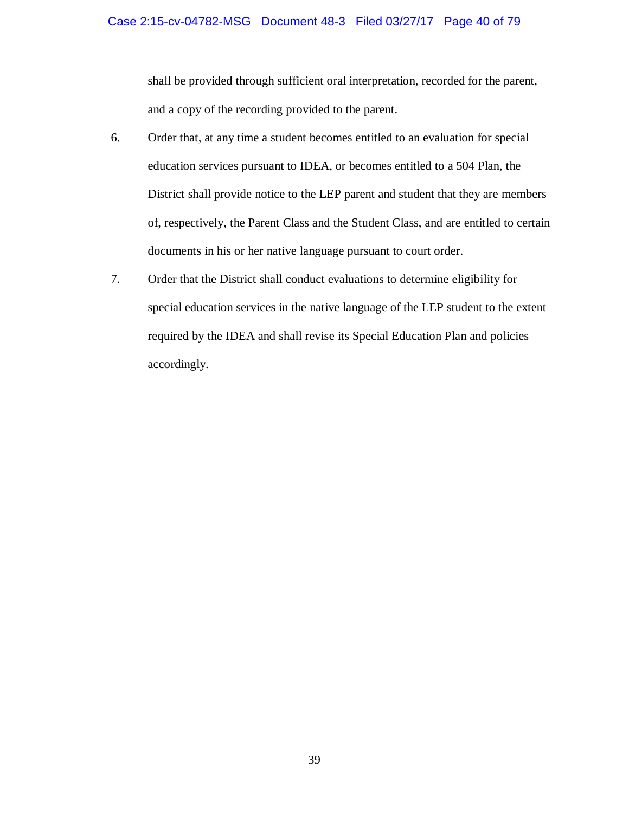shall be provided through sufficient oral interpretation, recorded for the parent, and a copy of the recording provided to the parent.

- 6. Order that, at any time a student becomes entitled to an evaluation for special education services pursuant to IDEA, or becomes entitled to a 504 Plan, the District shall provide notice to the LEP parent and student that they are members of, respectively, the Parent Class and the Student Class, and are entitled to certain documents in his or her native language pursuant to court order.
- 7. Order that the District shall conduct evaluations to determine eligibility for special education services in the native language of the LEP student to the extent required by the IDEA and shall revise its Special Education Plan and policies accordingly.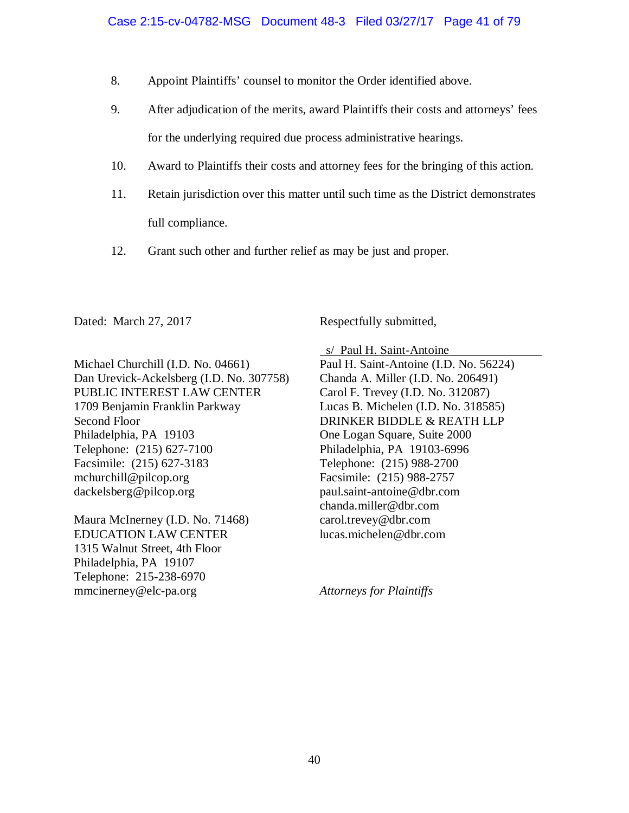- 8. Appoint Plaintiffs' counsel to monitor the Order identified above.
- 9. After adjudication of the merits, award Plaintiffs their costs and attorneys' fees for the underlying required due process administrative hearings.
- 10. Award to Plaintiffs their costs and attorney fees for the bringing of this action.
- 11. Retain jurisdiction over this matter until such time as the District demonstrates full compliance.
- 12. Grant such other and further relief as may be just and proper.

Dated: March 27, 2017 Respectfully submitted,

Michael Churchill (I.D. No. 04661) Dan Urevick-Ackelsberg (I.D. No. 307758) PUBLIC INTEREST LAW CENTER 1709 Benjamin Franklin Parkway Second Floor Philadelphia, PA 19103 Telephone: (215) 627-7100 Facsimile: (215) 627-3183 mchurchill@pilcop.org dackelsberg@pilcop.org

Maura McInerney (I.D. No. 71468) EDUCATION LAW CENTER 1315 Walnut Street, 4th Floor Philadelphia, PA 19107 Telephone: 215-238-6970 mmcinerney@elc-pa.org

 s/ Paul H. Saint-Antoine Paul H. Saint-Antoine (I.D. No. 56224) Chanda A. Miller (I.D. No. 206491) Carol F. Trevey (I.D. No. 312087) Lucas B. Michelen (I.D. No. 318585) DRINKER BIDDLE & REATH LLP One Logan Square, Suite 2000 Philadelphia, PA 19103-6996 Telephone: (215) 988-2700 Facsimile: (215) 988-2757 paul.saint-antoine@dbr.com chanda.miller@dbr.com carol.trevey@dbr.com lucas.michelen@dbr.com

*Attorneys for Plaintiffs*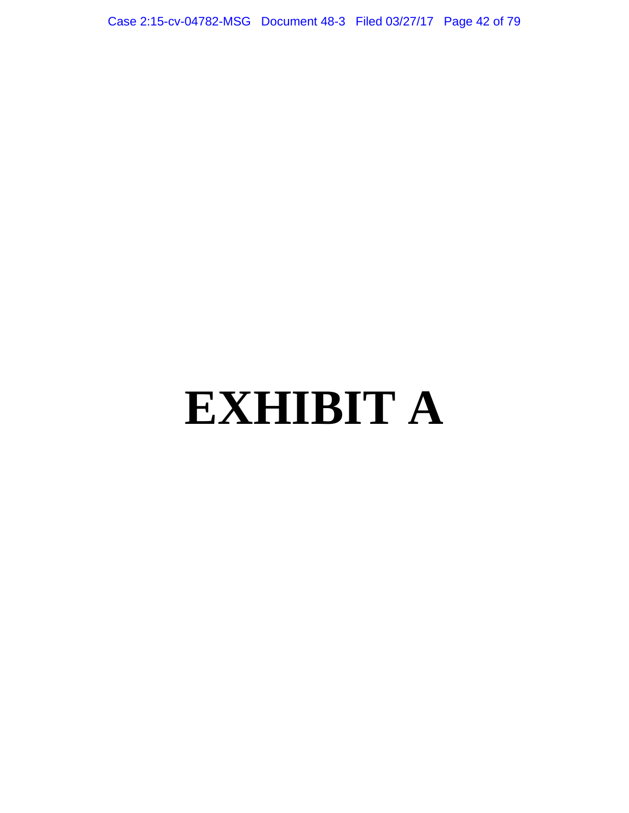Case 2:15-cv-04782-MSG Document 48-3 Filed 03/27/17 Page 42 of 79

# **EXHIBIT A**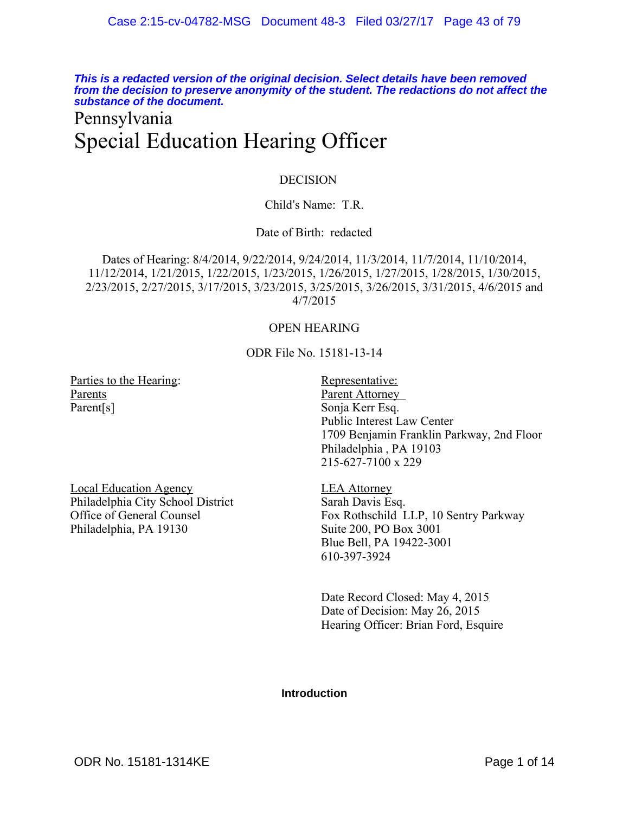**This is a redacted version of the original decision. Select details have been removed from the decision to preserve anonymity of the student. The redactions do not affect the substance of the document.**

### Pennsylvania Special Education Hearing Officer

#### DECISION

#### Child's Name: T.R.

#### Date of Birth: redacted

Dates of Hearing: 8/4/2014, 9/22/2014, 9/24/2014, 11/3/2014, 11/7/2014, 11/10/2014, 11/12/2014, 1/21/2015, 1/22/2015, 1/23/2015, 1/26/2015, 1/27/2015, 1/28/2015, 1/30/2015, 2/23/2015, 2/27/2015, 3/17/2015, 3/23/2015, 3/25/2015, 3/26/2015, 3/31/2015, 4/6/2015 and 4/7/2015

#### OPEN HEARING

ODR File No. 15181-13-14

Parties to the Hearing: Representative: Parents Parent[s]

Parent Attorney Sonja Kerr Esq. Public Interest Law Center 1709 Benjamin Franklin Parkway, 2nd Floor Philadelphia , PA 19103 215-627-7100 x 229

Local Education Agency Philadelphia City School District Office of General Counsel Philadelphia, PA 19130

LEA Attorney Sarah Davis Esq. Fox Rothschild LLP, 10 Sentry Parkway Suite 200, PO Box 3001 Blue Bell, PA 19422-3001 610-397-3924

Date Record Closed: May 4, 2015 Date of Decision: May 26, 2015 Hearing Officer: Brian Ford, Esquire

#### **Introduction**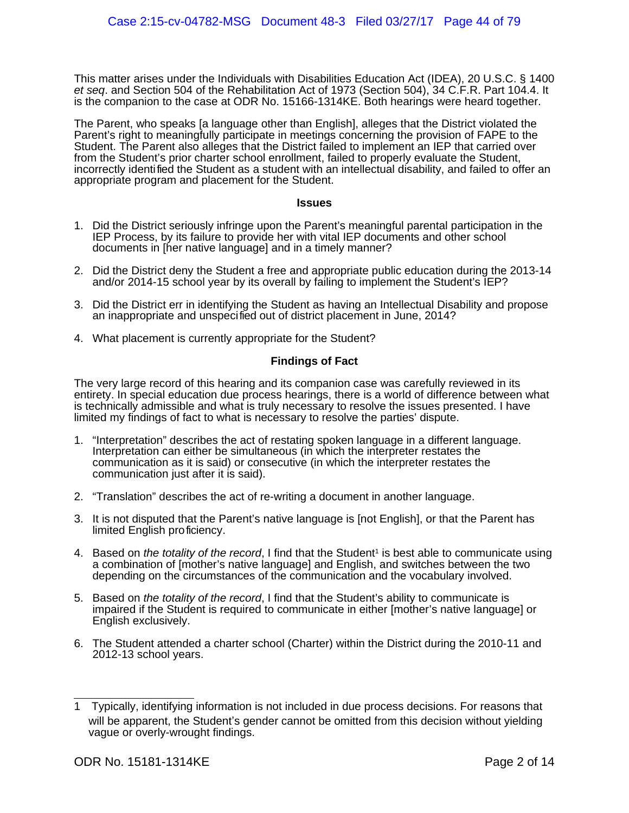This matter arises under the Individuals with Disabilities Education Act (IDEA), 20 U.S.C. § 1400 et seq. and Section 504 of the Rehabilitation Act of 1973 (Section 504), 34 C.F.R. Part 104.4. It is the companion to the case at ODR No. 15166-1314KE. Both hearings were heard together.

The Parent, who speaks [a language other than English], alleges that the District violated the Parent's right to meaningfully participate in meetings concerning the provision of FAPE to the Student. The Parent also alleges that the District failed to implement an IEP that carried over from the Student's prior charter school enrollment, failed to properly evaluate the Student, incorrectly identified the Student as a student with an intellectual disability, and failed to offer an appropriate program and placement for the Student.

#### **Issues**

- 1. Did the District seriously infringe upon the Parent's meaningful parental participation in the IEP Process, by its failure to provide her with vital IEP documents and other school documents in [her native language] and in a timely manner?
- 2. Did the District deny the Student a free and appropriate public education during the 2013-14 and/or 2014-15 school year by its overall by failing to implement the Student's IEP?
- 3. Did the District err in identifying the Student as having an Intellectual Disability and propose an inappropriate and unspecified out of district placement in June, 2014?
- 4. What placement is currently appropriate for the Student?

#### **Findings of Fact**

The very large record of this hearing and its companion case was carefully reviewed in its entirety. In special education due process hearings, there is a world of difference between what is technically admissible and what is truly necessary to resolve the issues presented. I have limited my findings of fact to what is necessary to resolve the parties' dispute.

- 1. "Interpretation" describes the act of restating spoken language in a different language. Interpretation can either be simultaneous (in which the interpreter restates the communication as it is said) or consecutive (in which the interpreter restates the communication just after it is said).
- 2. "Translation" describes the act of re-writing a document in another language.
- 3. It is not disputed that the Parent's native language is [not English], or that the Parent has limited English proficiency.
- 4. Based on the totality of the record, I find that the Student<sup>[1](#page-54-0)</sup> is best able to communicate using a combination of [mother's native language] and English, and switches between the two depending on the circumstances of the communication and the vocabulary involved.
- 5. Based on the totality of the record, I find that the Student's ability to communicate is impaired if the Student is required to communicate in either [mother's native language] or English exclusively.
- 6. The Student attended a charter school (Charter) within the District during the 2010-11 and 2012-13 school years.

<span id="page-54-0"></span><sup>1</sup> Typically, identifying information is not included in due process decisions. For reasons that will be apparent, the Student's gender cannot be omitted from this decision without yielding vague or overly-wrought findings.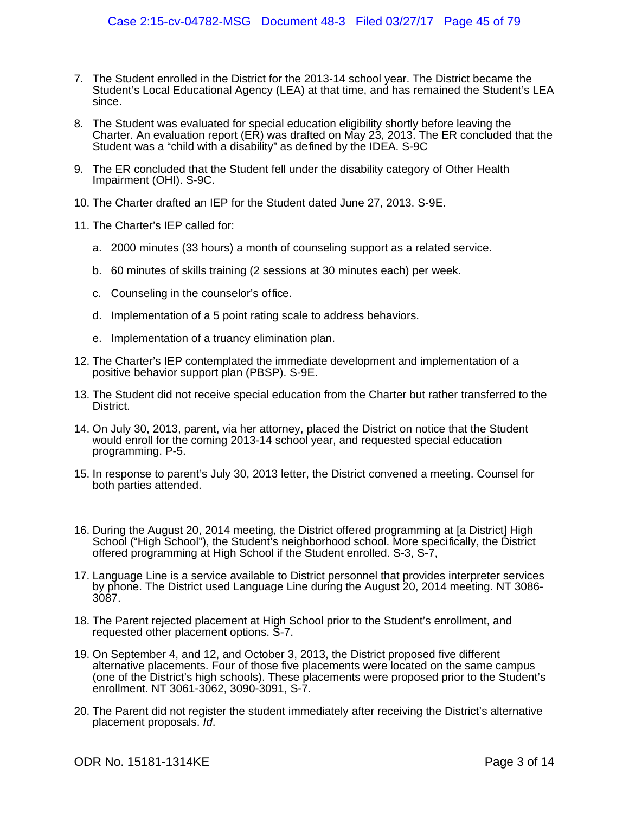- 7. The Student enrolled in the District for the 2013-14 school year. The District became the Student's Local Educational Agency (LEA) at that time, and has remained the Student's LEA since.
- 8. The Student was evaluated for special education eligibility shortly before leaving the Charter. An evaluation report (ER) was drafted on May 23, 2013. The ER concluded that the Student was a "child with a disability" as defined by the IDEA. S-9C
- 9. The ER concluded that the Student fell under the disability category of Other Health Impairment (OHI). S-9C.
- 10. The Charter drafted an IEP for the Student dated June 27, 2013. S-9E.
- 11. The Charter's IEP called for:
	- a. 2000 minutes (33 hours) a month of counseling support as a related service.
	- b. 60 minutes of skills training (2 sessions at 30 minutes each) per week.
	- c. Counseling in the counselor's office.
	- d. Implementation of a 5 point rating scale to address behaviors.
	- e. Implementation of a truancy elimination plan.
- 12. The Charter's IEP contemplated the immediate development and implementation of a positive behavior support plan (PBSP). S-9E.
- 13. The Student did not receive special education from the Charter but rather transferred to the District.
- 14. On July 30, 2013, parent, via her attorney, placed the District on notice that the Student would enroll for the coming 2013-14 school year, and requested special education programming. P-5.
- 15. In response to parent's July 30, 2013 letter, the District convened a meeting. Counsel for both parties attended.
- 16. During the August 20, 2014 meeting, the District offered programming at [a District] High School ("High School"), the Student's neighborhood school. More specifically, the District offered programming at High School if the Student enrolled. S-3, S-7,
- 17. Language Line is a service available to District personnel that provides interpreter services by phone. The District used Language Line during the August 20, 2014 meeting. NT 3086- 3087.
- 18. The Parent rejected placement at High School prior to the Student's enrollment, and requested other placement options. S-7.
- 19. On September 4, and 12, and October 3, 2013, the District proposed five different alternative placements. Four of those five placements were located on the same campus (one of the District's high schools). These placements were proposed prior to the Student's enrollment. NT 3061-3062, 3090-3091, S-7.
- 20. The Parent did not register the student immediately after receiving the District's alternative placement proposals. Id.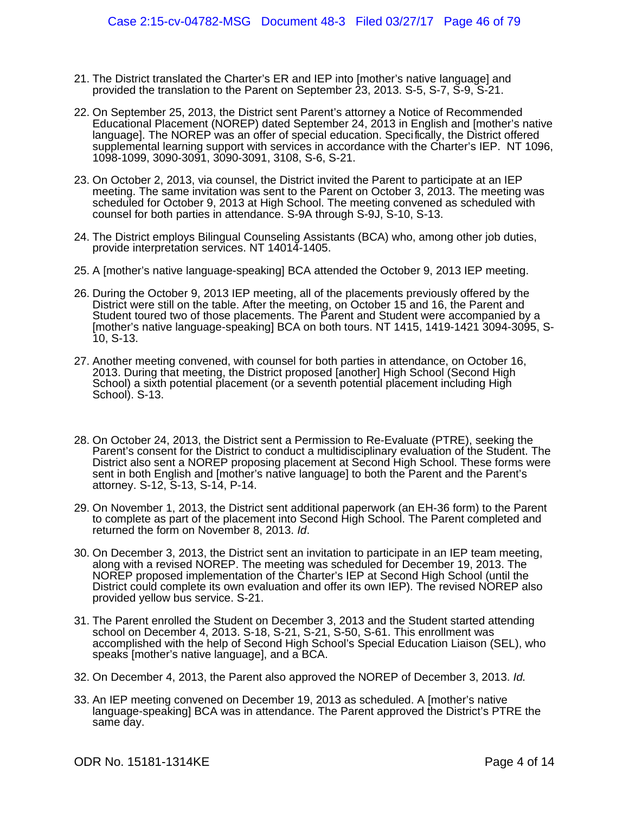- 21. The District translated the Charter's ER and IEP into [mother's native language] and provided the translation to the Parent on September 23, 2013. S-5, S-7, S-9, S-21.
- 22. On September 25, 2013, the District sent Parent's attorney a Notice of Recommended Educational Placement (NOREP) dated September 24, 2013 in English and [mother's native language]. The NOREP was an offer of special education. Specifically, the District offered supplemental learning support with services in accordance with the Charter's IEP. NT 1096, 1098-1099, 3090-3091, 3090-3091, 3108, S-6, S-21.
- 23. On October 2, 2013, via counsel, the District invited the Parent to participate at an IEP meeting. The same invitation was sent to the Parent on October 3, 2013. The meeting was scheduled for October 9, 2013 at High School. The meeting convened as scheduled with counsel for both parties in attendance. S-9A through S-9J, S-10, S-13.
- 24. The District employs Bilingual Counseling Assistants (BCA) who, among other job duties, provide interpretation services. NT 14014-1405.
- 25. A [mother's native language-speaking] BCA attended the October 9, 2013 IEP meeting.
- 26. During the October 9, 2013 IEP meeting, all of the placements previously offered by the District were still on the table. After the meeting, on October 15 and 16, the Parent and Student toured two of those placements. The Parent and Student were accompanied by a [mother's native language-speaking] BCA on both tours. NT 1415, 1419-1421 3094-3095, S-10, S-13.
- 27. Another meeting convened, with counsel for both parties in attendance, on October 16, 2013. During that meeting, the District proposed [another] High School (Second High School) a sixth potential placement (or a seventh potential placement including High School). S-13.
- 28. On October 24, 2013, the District sent a Permission to Re-Evaluate (PTRE), seeking the Parent's consent for the District to conduct a multidisciplinary evaluation of the Student. The District also sent a NOREP proposing placement at Second High School. These forms were sent in both English and [mother's native language] to both the Parent and the Parent's attorney. S-12, S-13, S-14, P-14.
- 29. On November 1, 2013, the District sent additional paperwork (an EH-36 form) to the Parent to complete as part of the placement into Second High School. The Parent completed and returned the form on November 8, 2013. Id.
- 30. On December 3, 2013, the District sent an invitation to participate in an IEP team meeting, along with a revised NOREP. The meeting was scheduled for December 19, 2013. The NOREP proposed implementation of the Charter's IEP at Second High School (until the District could complete its own evaluation and offer its own IEP). The revised NOREP also provided yellow bus service. S-21.
- 31. The Parent enrolled the Student on December 3, 2013 and the Student started attending school on December 4, 2013. S-18, S-21, S-21, S-50, S-61. This enrollment was accomplished with the help of Second High School's Special Education Liaison (SEL), who speaks [mother's native language], and a BCA.
- 32. On December 4, 2013, the Parent also approved the NOREP of December 3, 2013. Id.
- 33. An IEP meeting convened on December 19, 2013 as scheduled. A [mother's native language-speaking] BCA was in attendance. The Parent approved the District's PTRE the same day.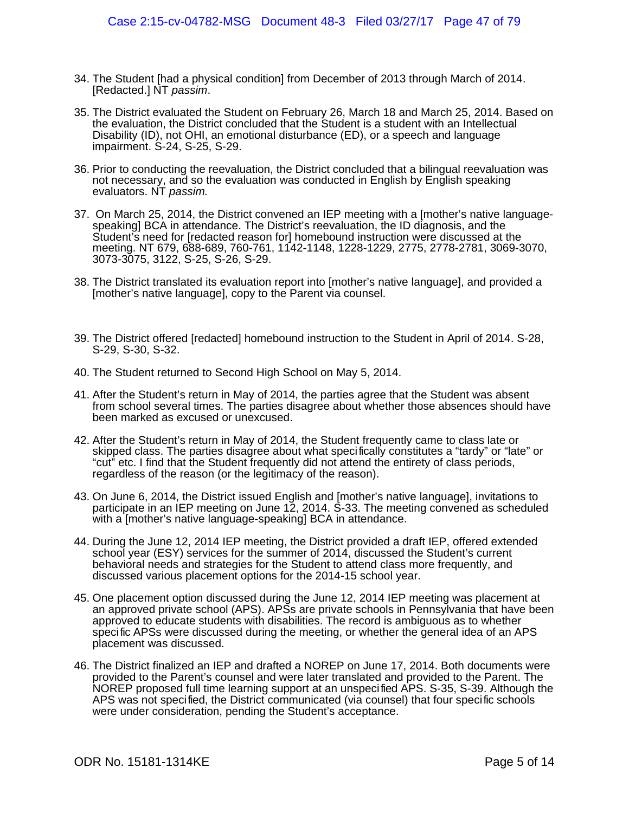- 34. The Student [had a physical condition] from December of 2013 through March of 2014. [Redacted.] NT passim.
- 35. The District evaluated the Student on February 26, March 18 and March 25, 2014. Based on the evaluation, the District concluded that the Student is a student with an Intellectual Disability (ID), not OHI, an emotional disturbance (ED), or a speech and language impairment. S-24, S-25, S-29.
- 36. Prior to conducting the reevaluation, the District concluded that a bilingual reevaluation was not necessary, and so the evaluation was conducted in English by English speaking evaluators. NT passim.
- 37. On March 25, 2014, the District convened an IEP meeting with a [mother's native languagespeaking] BCA in attendance. The District's reevaluation, the ID diagnosis, and the Student's need for [redacted reason for] homebound instruction were discussed at the meeting. NT 679, 688-689, 760-761, 1142-1148, 1228-1229, 2775, 2778-2781, 3069-3070, 3073-3075, 3122, S-25, S-26, S-29.
- 38. The District translated its evaluation report into [mother's native language], and provided a [mother's native language], copy to the Parent via counsel.
- 39. The District offered [redacted] homebound instruction to the Student in April of 2014. S-28, S-29, S-30, S-32.
- 40. The Student returned to Second High School on May 5, 2014.
- 41. After the Student's return in May of 2014, the parties agree that the Student was absent from school several times. The parties disagree about whether those absences should have been marked as excused or unexcused.
- 42. After the Student's return in May of 2014, the Student frequently came to class late or skipped class. The parties disagree about what specifically constitutes a "tardy" or "late" or "cut" etc. I find that the Student frequently did not attend the entirety of class periods, regardless of the reason (or the legitimacy of the reason).
- 43. On June 6, 2014, the District issued English and [mother's native language], invitations to participate in an IEP meeting on June 12, 2014. S-33. The meeting convened as scheduled with a [mother's native language-speaking] BCA in attendance.
- 44. During the June 12, 2014 IEP meeting, the District provided a draft IEP, offered extended school year (ESY) services for the summer of 2014, discussed the Student's current behavioral needs and strategies for the Student to attend class more frequently, and discussed various placement options for the 2014-15 school year.
- 45. One placement option discussed during the June 12, 2014 IEP meeting was placement at an approved private school (APS). APSs are private schools in Pennsylvania that have been approved to educate students with disabilities. The record is ambiguous as to whether specific APSs were discussed during the meeting, or whether the general idea of an APS placement was discussed.
- 46. The District finalized an IEP and drafted a NOREP on June 17, 2014. Both documents were provided to the Parent's counsel and were later translated and provided to the Parent. The NOREP proposed full time learning support at an unspecified APS. S-35, S-39. Although the APS was not specified, the District communicated (via counsel) that four specific schools were under consideration, pending the Student's acceptance.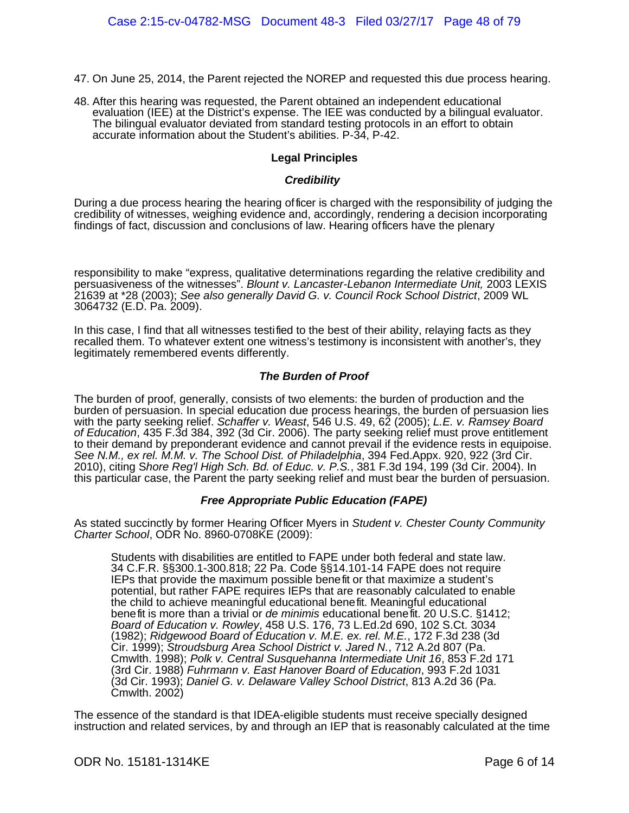- 47. On June 25, 2014, the Parent rejected the NOREP and requested this due process hearing.
- 48. After this hearing was requested, the Parent obtained an independent educational evaluation (IEE) at the District's expense. The IEE was conducted by a bilingual evaluator. The bilingual evaluator deviated from standard testing protocols in an effort to obtain accurate information about the Student's abilities. P-34, P-42.

#### **Legal Principles**

#### **Credibility**

During a due process hearing the hearing officer is charged with the responsibility of judging the credibility of witnesses, weighing evidence and, accordingly, rendering a decision incorporating findings of fact, discussion and conclusions of law. Hearing officers have the plenary

responsibility to make "express, qualitative determinations regarding the relative credibility and persuasiveness of the witnesses". Blount v. Lancaster-Lebanon Intermediate Unit, 2003 LEXIS 21639 at \*28 (2003); See also generally David G. v. Council Rock School District, 2009 WL 3064732 (E.D. Pa. 2009).

In this case, I find that all witnesses testified to the best of their ability, relaying facts as they recalled them. To whatever extent one witness's testimony is inconsistent with another's, they legitimately remembered events differently.

#### **The Burden of Proof**

The burden of proof, generally, consists of two elements: the burden of production and the burden of persuasion. In special education due process hearings, the burden of persuasion lies with the party seeking relief. Schaffer v. Weast, 546 U.S. 49, 62 (2005); L.E. v. Ramsey Board of Education, 435 F.3d 384, 392 (3d Cir. 2006). The party seeking relief must prove entitlement to their demand by preponderant evidence and cannot prevail if the evidence rests in equipoise. See N.M., ex rel. M.M. v. The School Dist. of Philadelphia, 394 Fed.Appx. 920, 922 (3rd Cir. 2010), citing Shore Reg'l High Sch. Bd. of Educ. v. P.S., 381 F.3d 194, 199 (3d Cir. 2004). In this particular case, the Parent the party seeking relief and must bear the burden of persuasion.

#### **Free Appropriate Public Education (FAPE)**

As stated succinctly by former Hearing Officer Myers in Student v. Chester County Community Charter School, ODR No. 8960-0708KE (2009):

Students with disabilities are entitled to FAPE under both federal and state law. 34 C.F.R. §§300.1-300.818; 22 Pa. Code §§14.101-14 FAPE does not require IEPs that provide the maximum possible benefit or that maximize a student's potential, but rather FAPE requires IEPs that are reasonably calculated to enable the child to achieve meaningful educational benefit. Meaningful educational benefit is more than a trivial or *de minimis* educational benefit. 20 U.S.C. §1412; Board of Education v. Rowley, 458 U.S. 176, 73 L.Ed.2d 690, 102 S.Ct. 3034 (1982); Ridgewood Board of Education v. M.E. ex. rel. M.E., 172 F.3d 238 (3d Cir. 1999); Stroudsburg Area School District v. Jared N., 712 A.2d 807 (Pa. Cmwlth. 1998); Polk v. Central Susquehanna Intermediate Unit 16, 853 F.2d 171 (3rd Cir. 1988) Fuhrmann v. East Hanover Board of Education, 993 F.2d 1031 (3d Cir. 1993); Daniel G. v. Delaware Valley School District, 813 A.2d 36 (Pa. Cmwlth. 2002)

The essence of the standard is that IDEA-eligible students must receive specially designed instruction and related services, by and through an IEP that is reasonably calculated at the time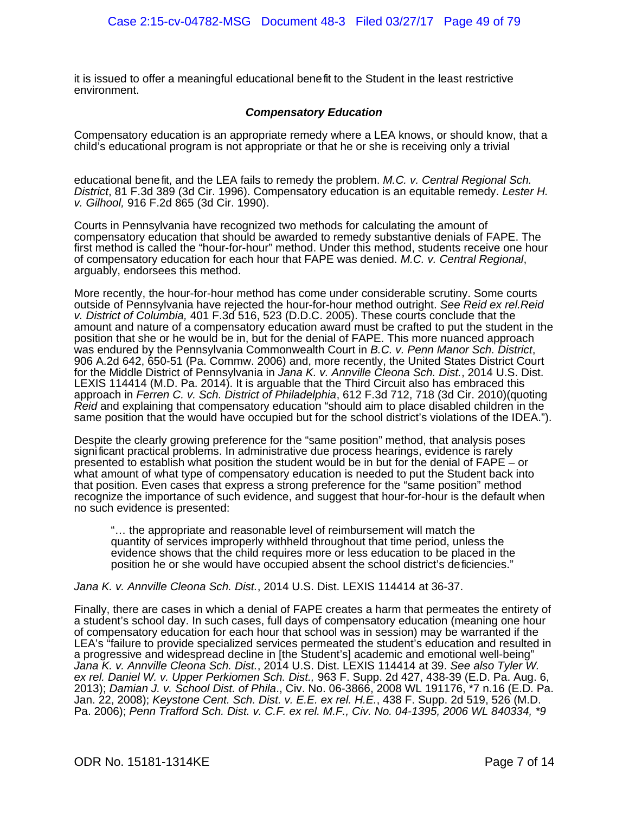it is issued to offer a meaningful educational benefit to the Student in the least restrictive environment.

#### **Compensatory Education**

Compensatory education is an appropriate remedy where a LEA knows, or should know, that a child's educational program is not appropriate or that he or she is receiving only a trivial

educational benefit, and the LEA fails to remedy the problem. M.C. v. Central Regional Sch. District, 81 F.3d 389 (3d Cir. 1996). Compensatory education is an equitable remedy. Lester H. v. Gilhool, 916 F.2d 865 (3d Cir. 1990).

Courts in Pennsylvania have recognized two methods for calculating the amount of compensatory education that should be awarded to remedy substantive denials of FAPE. The first method is called the "hour-for-hour" method. Under this method, students receive one hour of compensatory education for each hour that FAPE was denied. M.C. v. Central Regional, arguably, endorsees this method.

More recently, the hour-for-hour method has come under considerable scrutiny. Some courts outside of Pennsylvania have rejected the hour-for-hour method outright. See Reid ex rel.Reid v. District of Columbia, 401 F.3d 516, 523 (D.D.C. 2005). These courts conclude that the amount and nature of a compensatory education award must be crafted to put the student in the position that she or he would be in, but for the denial of FAPE. This more nuanced approach was endured by the Pennsylvania Commonwealth Court in B.C. v. Penn Manor Sch. District, 906 A.2d 642, 650-51 (Pa. Commw. 2006) and, more recently, the United States District Court for the Middle District of Pennsylvania in Jana K. v. Annville Cleona Sch. Dist., 2014 U.S. Dist. LEXIS 114414 (M.D. Pa. 2014). It is arguable that the Third Circuit also has embraced this approach in Ferren C. v. Sch. District of Philadelphia, 612 F.3d 712, 718 (3d Cir. 2010)(quoting Reid and explaining that compensatory education "should aim to place disabled children in the same position that the would have occupied but for the school district's violations of the IDEA.").

Despite the clearly growing preference for the "same position" method, that analysis poses significant practical problems. In administrative due process hearings, evidence is rarely presented to establish what position the student would be in but for the denial of FAPE – or what amount of what type of compensatory education is needed to put the Student back into that position. Even cases that express a strong preference for the "same position" method recognize the importance of such evidence, and suggest that hour-for-hour is the default when no such evidence is presented:

"… the appropriate and reasonable level of reimbursement will match the quantity of services improperly withheld throughout that time period, unless the evidence shows that the child requires more or less education to be placed in the position he or she would have occupied absent the school district's deficiencies."

Jana K. v. Annville Cleona Sch. Dist., 2014 U.S. Dist. LEXIS 114414 at 36-37.

Finally, there are cases in which a denial of FAPE creates a harm that permeates the entirety of a student's school day. In such cases, full days of compensatory education (meaning one hour of compensatory education for each hour that school was in session) may be warranted if the LEA's "failure to provide specialized services permeated the student's education and resulted in a progressive and widespread decline in [the Student's] academic and emotional well-being" Jana K. v. Annville Cleona Sch. Dist., 2014 U.S. Dist. LEXIS 114414 at 39. See also Tyler W. ex rel. Daniel W. v. Upper Perkiomen Sch. Dist., 963 F. Supp. 2d 427, 438-39 (E.D. Pa. Aug. 6, 2013); Damian J. v. School Dist. of Phila., Civ. No. 06-3866, 2008 WL 191176, \*7 n.16 (E.D. Pa. Jan. 22, 2008); Keystone Cent. Sch. Dist. v. E.E. ex rel. H.E., 438 F. Supp. 2d 519, 526 (M.D. Pa. 2006); Penn Trafford Sch. Dist. v. C.F. ex rel. M.F., Civ. No. 04-1395, 2006 WL 840334, \*9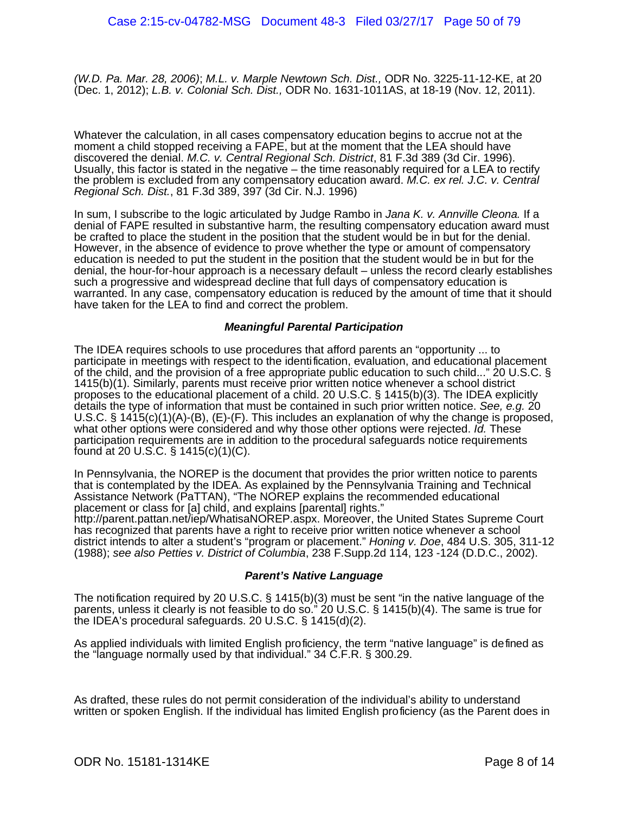(W.D. Pa. Mar. 28, 2006); M.L. v. Marple Newtown Sch. Dist., ODR No. 3225-11-12-KE, at 20 (Dec. 1, 2012); L.B. v. Colonial Sch. Dist., ODR No. 1631-1011AS, at 18-19 (Nov. 12, 2011).

Whatever the calculation, in all cases compensatory education begins to accrue not at the moment a child stopped receiving a FAPE, but at the moment that the LEA should have discovered the denial. M.C. v. Central Regional Sch. District, 81 F.3d 389 (3d Cir. 1996). Usually, this factor is stated in the negative – the time reasonably required for a LEA to rectify the problem is excluded from any compensatory education award. M.C. ex rel. J.C. v. Central Regional Sch. Dist., 81 F.3d 389, 397 (3d Cir. N.J. 1996)

In sum, I subscribe to the logic articulated by Judge Rambo in Jana K. v. Annville Cleona. If a denial of FAPE resulted in substantive harm, the resulting compensatory education award must be crafted to place the student in the position that the student would be in but for the denial. However, in the absence of evidence to prove whether the type or amount of compensatory education is needed to put the student in the position that the student would be in but for the denial, the hour-for-hour approach is a necessary default – unless the record clearly establishes such a progressive and widespread decline that full days of compensatory education is warranted. In any case, compensatory education is reduced by the amount of time that it should have taken for the LEA to find and correct the problem.

#### **Meaningful Parental Participation**

The IDEA requires schools to use procedures that afford parents an "opportunity ... to participate in meetings with respect to the identification, evaluation, and educational placement of the child, and the provision of a free appropriate public education to such child..." 20 U.S.C. § 1415(b)(1). Similarly, parents must receive prior written notice whenever a school district proposes to the educational placement of a child. 20 U.S.C. § 1415(b)(3). The IDEA explicitly details the type of information that must be contained in such prior written notice. See, e.g. 20 U.S.C. § 1415(c)(1)(A)-(B), (E)-(F). This includes an explanation of why the change is proposed, what other options were considered and why those other options were rejected. Id. These participation requirements are in addition to the procedural safeguards notice requirements found at 20 U.S.C. § 1415(c)(1)(C).

In Pennsylvania, the NOREP is the document that provides the prior written notice to parents that is contemplated by the IDEA. As explained by the Pennsylvania Training and Technical Assistance Network (PaTTAN), "The NOREP explains the recommended educational placement or class for [a] child, and explains [parental] rights."

http://parent.pattan.net/iep/WhatisaNOREP.aspx. Moreover, the United States Supreme Court has recognized that parents have a right to receive prior written notice whenever a school district intends to alter a student's "program or placement." Honing v. Doe, 484 U.S. 305, 311-12 (1988); see also Petties v. District of Columbia, 238 F.Supp.2d 114, 123 -124 (D.D.C., 2002).

#### **Parent's Native Language**

The notification required by 20 U.S.C. § 1415(b)(3) must be sent "in the native language of the parents, unless it clearly is not feasible to do so." 20 U.S.C. § 1415(b)(4). The same is true for the IDEA's procedural safeguards. 20 U.S.C. § 1415(d)(2).

As applied individuals with limited English proficiency, the term "native language" is defined as the "language normally used by that individual." 34 C.F.R. § 300.29.

As drafted, these rules do not permit consideration of the individual's ability to understand written or spoken English. If the individual has limited English proficiency (as the Parent does in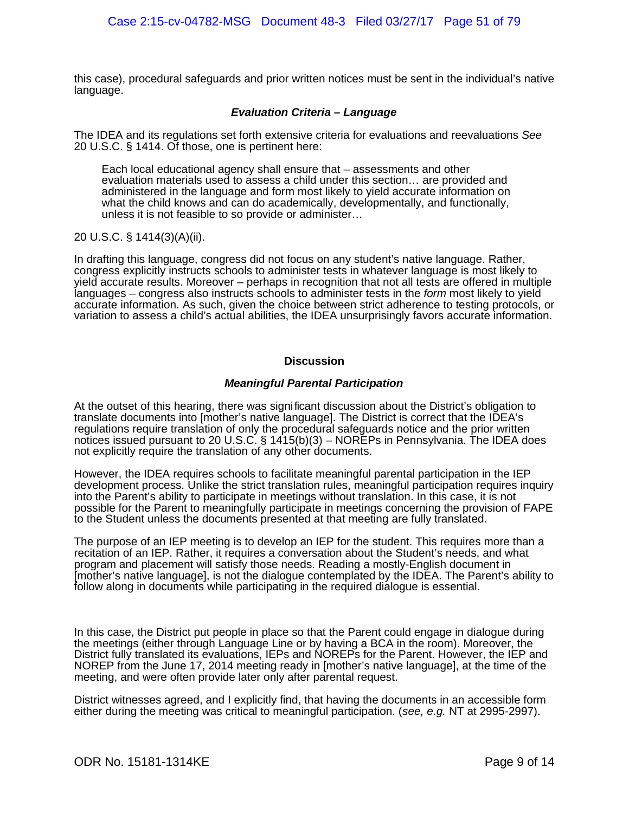this case), procedural safeguards and prior written notices must be sent in the individual's native language.

#### **Evaluation Criteria – Language**

The IDEA and its regulations set forth extensive criteria for evaluations and reevaluations See 20 U.S.C. § 1414. Of those, one is pertinent here:

Each local educational agency shall ensure that – assessments and other evaluation materials used to assess a child under this section… are provided and administered in the language and form most likely to yield accurate information on what the child knows and can do academically, developmentally, and functionally, unless it is not feasible to so provide or administer…

20 U.S.C. § 1414(3)(A)(ii).

In drafting this language, congress did not focus on any student's native language. Rather, congress explicitly instructs schools to administer tests in whatever language is most likely to yield accurate results. Moreover – perhaps in recognition that not all tests are offered in multiple languages – congress also instructs schools to administer tests in the form most likely to yield accurate information. As such, given the choice between strict adherence to testing protocols, or variation to assess a child's actual abilities, the IDEA unsurprisingly favors accurate information.

#### **Discussion**

#### **Meaningful Parental Participation**

At the outset of this hearing, there was significant discussion about the District's obligation to translate documents into [mother's native language]. The District is correct that the IDEA's regulations require translation of only the procedural safeguards notice and the prior written notices issued pursuant to 20 U.S.C. § 1415(b)(3) – NOREPs in Pennsylvania. The IDEA does not explicitly require the translation of any other documents.

However, the IDEA requires schools to facilitate meaningful parental participation in the IEP development process. Unlike the strict translation rules, meaningful participation requires inquiry into the Parent's ability to participate in meetings without translation. In this case, it is not possible for the Parent to meaningfully participate in meetings concerning the provision of FAPE to the Student unless the documents presented at that meeting are fully translated.

The purpose of an IEP meeting is to develop an IEP for the student. This requires more than a recitation of an IEP. Rather, it requires a conversation about the Student's needs, and what program and placement will satisfy those needs. Reading a mostly-English document in [mother's native language], is not the dialogue contemplated by the IDEA. The Parent's ability to follow along in documents while participating in the required dialogue is essential.

In this case, the District put people in place so that the Parent could engage in dialogue during the meetings (either through Language Line or by having a BCA in the room). Moreover, the District fully translated its evaluations, IEPs and NOREPs for the Parent. However, the IEP and NOREP from the June 17, 2014 meeting ready in [mother's native language], at the time of the meeting, and were often provide later only after parental request.

District witnesses agreed, and I explicitly find, that having the documents in an accessible form either during the meeting was critical to meaningful participation. (see, e.g. NT at 2995-2997).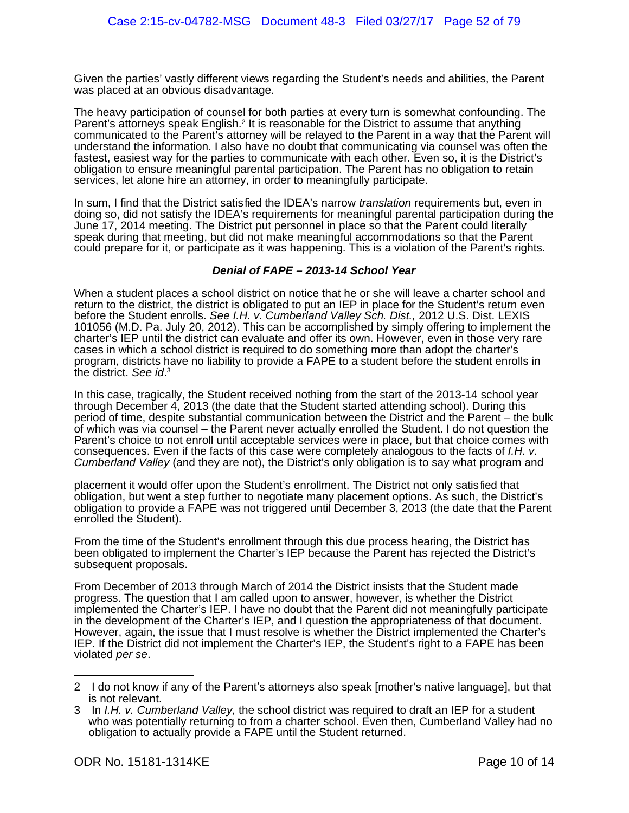Given the parties' vastly different views regarding the Student's needs and abilities, the Parent was placed at an obvious disadvantage.

The heavy participation of counsel for both parties at every turn is somewhat confounding. The Parent's attorneys speak English.<sup>[2](#page-62-0)</sup> It is reasonable for the District to assume that anything communicated to the Parent's attorney will be relayed to the Parent in a way that the Parent will understand the information. I also have no doubt that communicating via counsel was often the fastest, easiest way for the parties to communicate with each other. Even so, it is the District's obligation to ensure meaningful parental participation. The Parent has no obligation to retain services, let alone hire an attorney, in order to meaningfully participate.

In sum, I find that the District satisfied the IDEA's narrow *translation* requirements but, even in doing so, did not satisfy the IDEA's requirements for meaningful parental participation during the June 17, 2014 meeting. The District put personnel in place so that the Parent could literally speak during that meeting, but did not make meaningful accommodations so that the Parent could prepare for it, or participate as it was happening. This is a violation of the Parent's rights.

#### **Denial of FAPE – 2013-14 School Year**

When a student places a school district on notice that he or she will leave a charter school and return to the district, the district is obligated to put an IEP in place for the Student's return even before the Student enrolls. See I.H. v. Cumberland Valley Sch. Dist., 2012 U.S. Dist. LEXIS 101056 (M.D. Pa. July 20, 2012). This can be accomplished by simply offering to implement the charter's IEP until the district can evaluate and offer its own. However, even in those very rare cases in which a school district is required to do something more than adopt the charter's program, districts have no liability to provide a FAPE to a student before the student enrolls in the district. See id.<sup>[3](#page-62-1)</sup>

In this case, tragically, the Student received nothing from the start of the 2013-14 school year through December 4, 2013 (the date that the Student started attending school). During this period of time, despite substantial communication between the District and the Parent – the bulk of which was via counsel – the Parent never actually enrolled the Student. I do not question the Parent's choice to not enroll until acceptable services were in place, but that choice comes with consequences. Even if the facts of this case were completely analogous to the facts of I.H. v. Cumberland Valley (and they are not), the District's only obligation is to say what program and

placement it would offer upon the Student's enrollment. The District not only satisfied that obligation, but went a step further to negotiate many placement options. As such, the District's obligation to provide a FAPE was not triggered until December 3, 2013 (the date that the Parent enrolled the Student).

From the time of the Student's enrollment through this due process hearing, the District has been obligated to implement the Charter's IEP because the Parent has rejected the District's subsequent proposals.

From December of 2013 through March of 2014 the District insists that the Student made progress. The question that I am called upon to answer, however, is whether the District implemented the Charter's IEP. I have no doubt that the Parent did not meaningfully participate in the development of the Charter's IEP, and I question the appropriateness of that document. However, again, the issue that I must resolve is whether the District implemented the Charter's IEP. If the District did not implement the Charter's IEP, the Student's right to a FAPE has been violated per se.

<span id="page-62-0"></span><sup>2</sup> I do not know if any of the Parent's attorneys also speak [mother's native language], but that is not relevant.

<span id="page-62-1"></span>In I.H. v. Cumberland Valley, the school district was required to draft an IEP for a student who was potentially returning to from a charter school. Even then, Cumberland Valley had no obligation to actually provide a FAPE until the Student returned.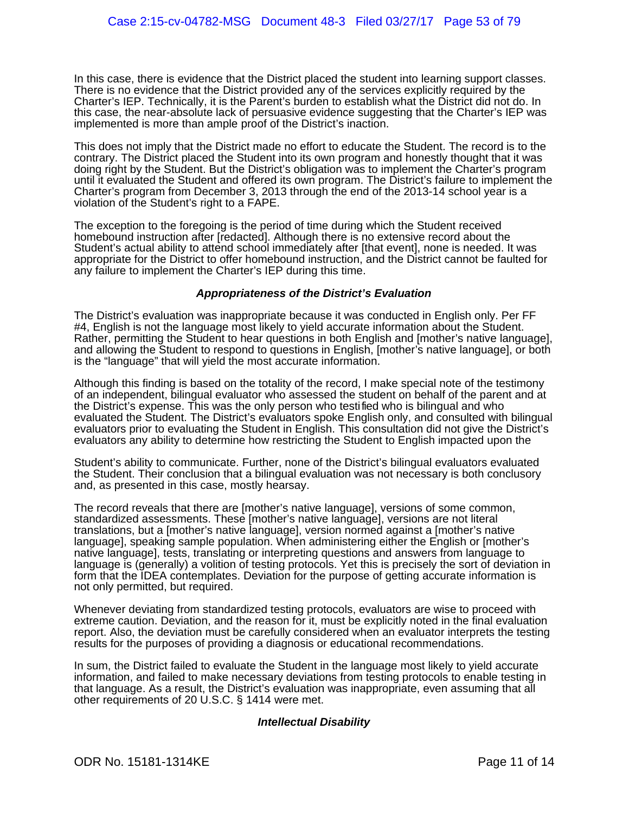In this case, there is evidence that the District placed the student into learning support classes. There is no evidence that the District provided any of the services explicitly required by the Charter's IEP. Technically, it is the Parent's burden to establish what the District did not do. In this case, the near-absolute lack of persuasive evidence suggesting that the Charter's IEP was implemented is more than ample proof of the District's inaction.

This does not imply that the District made no effort to educate the Student. The record is to the contrary. The District placed the Student into its own program and honestly thought that it was doing right by the Student. But the District's obligation was to implement the Charter's program until it evaluated the Student and offered its own program. The District's failure to implement the Charter's program from December 3, 2013 through the end of the 2013-14 school year is a violation of the Student's right to a FAPE.

The exception to the foregoing is the period of time during which the Student received homebound instruction after [redacted]. Although there is no extensive record about the Student's actual ability to attend school immediately after [that event], none is needed. It was appropriate for the District to offer homebound instruction, and the District cannot be faulted for any failure to implement the Charter's IEP during this time.

#### **Appropriateness of the District's Evaluation**

The District's evaluation was inappropriate because it was conducted in English only. Per FF #4, English is not the language most likely to yield accurate information about the Student. Rather, permitting the Student to hear questions in both English and [mother's native language], and allowing the Student to respond to questions in English, [mother's native language], or both is the "language" that will yield the most accurate information.

Although this finding is based on the totality of the record, I make special note of the testimony of an independent, bilingual evaluator who assessed the student on behalf of the parent and at the District's expense. This was the only person who testified who is bilingual and who evaluated the Student. The District's evaluators spoke English only, and consulted with bilingual evaluators prior to evaluating the Student in English. This consultation did not give the District's evaluators any ability to determine how restricting the Student to English impacted upon the

Student's ability to communicate. Further, none of the District's bilingual evaluators evaluated the Student. Their conclusion that a bilingual evaluation was not necessary is both conclusory and, as presented in this case, mostly hearsay.

The record reveals that there are [mother's native language], versions of some common, standardized assessments. These [mother's native language], versions are not literal translations, but a [mother's native language], version normed against a [mother's native language], speaking sample population. When administering either the English or [mother's native language], tests, translating or interpreting questions and answers from language to language is (generally) a volition of testing protocols. Yet this is precisely the sort of deviation in form that the IDEA contemplates. Deviation for the purpose of getting accurate information is not only permitted, but required.

Whenever deviating from standardized testing protocols, evaluators are wise to proceed with extreme caution. Deviation, and the reason for it, must be explicitly noted in the final evaluation report. Also, the deviation must be carefully considered when an evaluator interprets the testing results for the purposes of providing a diagnosis or educational recommendations.

In sum, the District failed to evaluate the Student in the language most likely to yield accurate information, and failed to make necessary deviations from testing protocols to enable testing in that language. As a result, the District's evaluation was inappropriate, even assuming that all other requirements of 20 U.S.C. § 1414 were met.

#### **Intellectual Disability**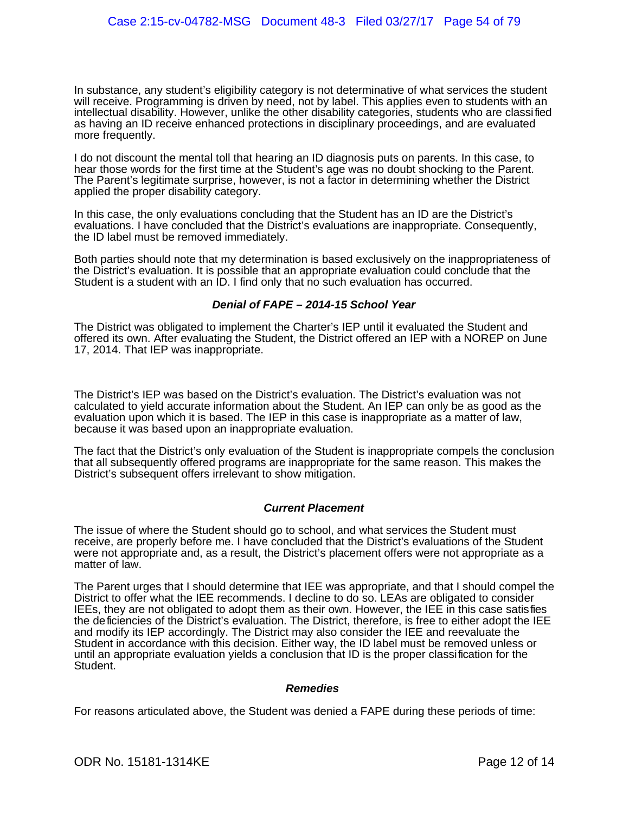In substance, any student's eligibility category is not determinative of what services the student will receive. Programming is driven by need, not by label. This applies even to students with an intellectual disability. However, unlike the other disability categories, students who are classified as having an ID receive enhanced protections in disciplinary proceedings, and are evaluated more frequently.

I do not discount the mental toll that hearing an ID diagnosis puts on parents. In this case, to hear those words for the first time at the Student's age was no doubt shocking to the Parent. The Parent's legitimate surprise, however, is not a factor in determining whether the District applied the proper disability category.

In this case, the only evaluations concluding that the Student has an ID are the District's evaluations. I have concluded that the District's evaluations are inappropriate. Consequently, the ID label must be removed immediately.

Both parties should note that my determination is based exclusively on the inappropriateness of the District's evaluation. It is possible that an appropriate evaluation could conclude that the Student is a student with an ID. I find only that no such evaluation has occurred.

#### **Denial of FAPE – 2014-15 School Year**

The District was obligated to implement the Charter's IEP until it evaluated the Student and offered its own. After evaluating the Student, the District offered an IEP with a NOREP on June 17, 2014. That IEP was inappropriate.

The District's IEP was based on the District's evaluation. The District's evaluation was not calculated to yield accurate information about the Student. An IEP can only be as good as the evaluation upon which it is based. The IEP in this case is inappropriate as a matter of law, because it was based upon an inappropriate evaluation.

The fact that the District's only evaluation of the Student is inappropriate compels the conclusion that all subsequently offered programs are inappropriate for the same reason. This makes the District's subsequent offers irrelevant to show mitigation.

#### **Current Placement**

The issue of where the Student should go to school, and what services the Student must receive, are properly before me. I have concluded that the District's evaluations of the Student were not appropriate and, as a result, the District's placement offers were not appropriate as a matter of law.

The Parent urges that I should determine that IEE was appropriate, and that I should compel the District to offer what the IEE recommends. I decline to do so. LEAs are obligated to consider IEEs, they are not obligated to adopt them as their own. However, the IEE in this case satisfies the deficiencies of the District's evaluation. The District, therefore, is free to either adopt the IEE and modify its IEP accordingly. The District may also consider the IEE and reevaluate the Student in accordance with this decision. Either way, the ID label must be removed unless or until an appropriate evaluation yields a conclusion that ID is the proper classification for the Student.

#### **Remedies**

For reasons articulated above, the Student was denied a FAPE during these periods of time: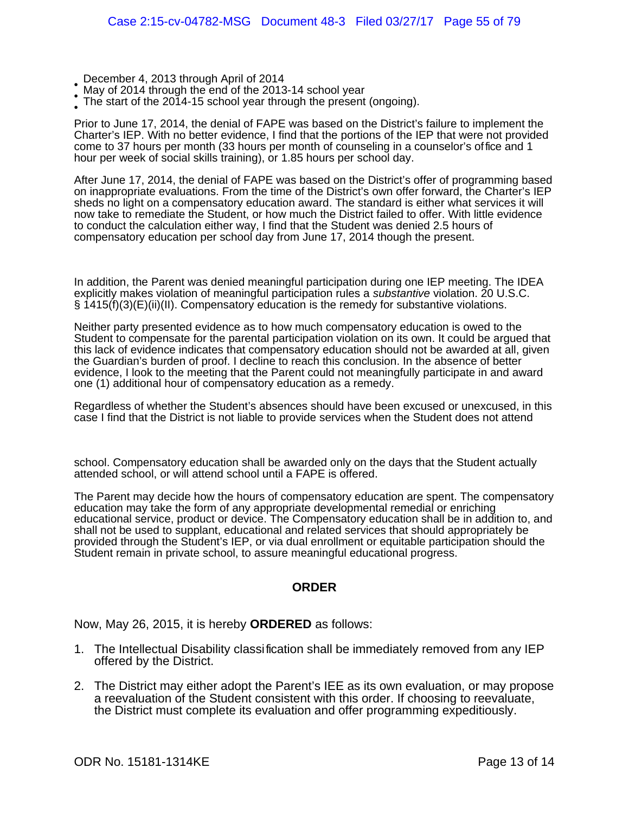- December 4, 2013 through April of 2014
- May of 2014 through the end of the 2013-14 school year
- • The start of the 2014-15 school year through the present (ongoing).

Prior to June 17, 2014, the denial of FAPE was based on the District's failure to implement the Charter's IEP. With no better evidence, I find that the portions of the IEP that were not provided come to 37 hours per month (33 hours per month of counseling in a counselor's office and 1 hour per week of social skills training), or 1.85 hours per school day.

After June 17, 2014, the denial of FAPE was based on the District's offer of programming based on inappropriate evaluations. From the time of the District's own offer forward, the Charter's IEP sheds no light on a compensatory education award. The standard is either what services it will now take to remediate the Student, or how much the District failed to offer. With little evidence to conduct the calculation either way, I find that the Student was denied 2.5 hours of compensatory education per school day from June 17, 2014 though the present.

In addition, the Parent was denied meaningful participation during one IEP meeting. The IDEA explicitly makes violation of meaningful participation rules a *substantive* violation. 20 U.S.C. § 1415(f)(3)(E)(ii)(II). Compensatory education is the remedy for substantive violations.

Neither party presented evidence as to how much compensatory education is owed to the Student to compensate for the parental participation violation on its own. It could be argued that this lack of evidence indicates that compensatory education should not be awarded at all, given the Guardian's burden of proof. I decline to reach this conclusion. In the absence of better evidence, I look to the meeting that the Parent could not meaningfully participate in and award one (1) additional hour of compensatory education as a remedy.

Regardless of whether the Student's absences should have been excused or unexcused, in this case I find that the District is not liable to provide services when the Student does not attend

school. Compensatory education shall be awarded only on the days that the Student actually attended school, or will attend school until a FAPE is offered.

The Parent may decide how the hours of compensatory education are spent. The compensatory education may take the form of any appropriate developmental remedial or enriching educational service, product or device. The Compensatory education shall be in addition to, and shall not be used to supplant, educational and related services that should appropriately be provided through the Student's IEP, or via dual enrollment or equitable participation should the Student remain in private school, to assure meaningful educational progress.

#### **ORDER**

Now, May 26, 2015, it is hereby **ORDERED** as follows:

- 1. The Intellectual Disability classification shall be immediately removed from any IEP offered by the District.
- 2. The District may either adopt the Parent's IEE as its own evaluation, or may propose a reevaluation of the Student consistent with this order. If choosing to reevaluate, the District must complete its evaluation and offer programming expeditiously.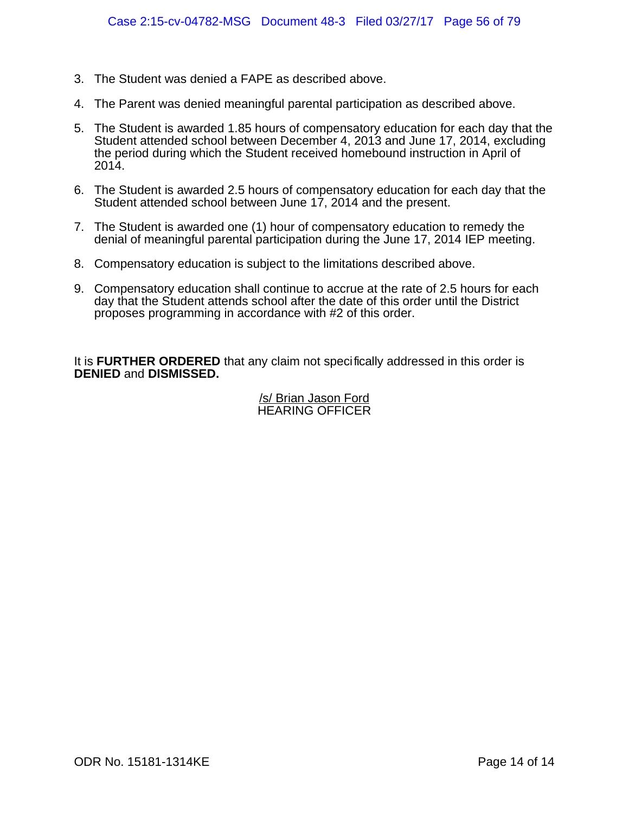- 3. The Student was denied a FAPE as described above.
- 4. The Parent was denied meaningful parental participation as described above.
- 5. The Student is awarded 1.85 hours of compensatory education for each day that the Student attended school between December 4, 2013 and June 17, 2014, excluding the period during which the Student received homebound instruction in April of 2014.
- 6. The Student is awarded 2.5 hours of compensatory education for each day that the Student attended school between June 17, 2014 and the present.
- 7. The Student is awarded one (1) hour of compensatory education to remedy the denial of meaningful parental participation during the June 17, 2014 IEP meeting.
- 8. Compensatory education is subject to the limitations described above.
- 9. Compensatory education shall continue to accrue at the rate of 2.5 hours for each day that the Student attends school after the date of this order until the District proposes programming in accordance with #2 of this order.

It is **FURTHER ORDERED** that any claim not specifically addressed in this order is **DENIED** and **DISMISSED.**

#### /s/ Brian Jason Ford HEARING OFFICER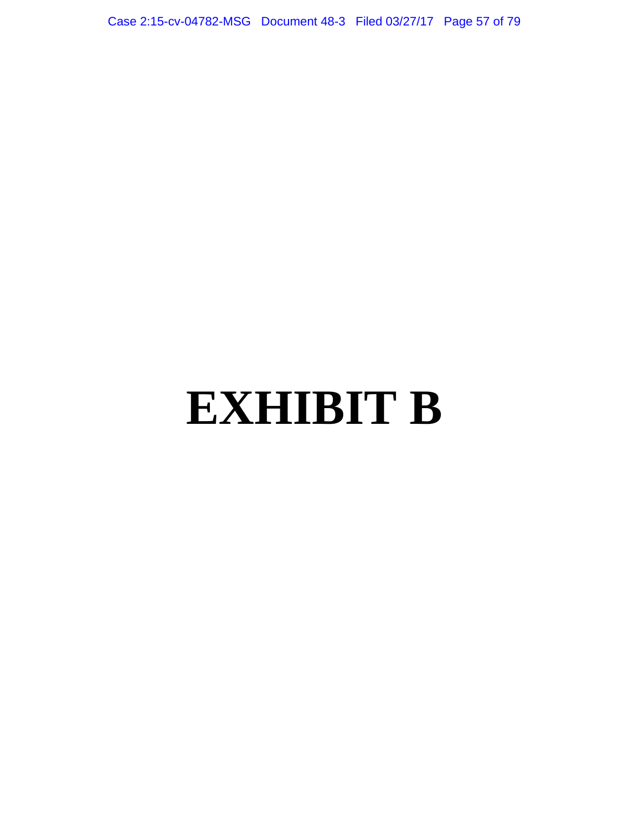Case 2:15-cv-04782-MSG Document 48-3 Filed 03/27/17 Page 57 of 79

## **EXHIBIT B**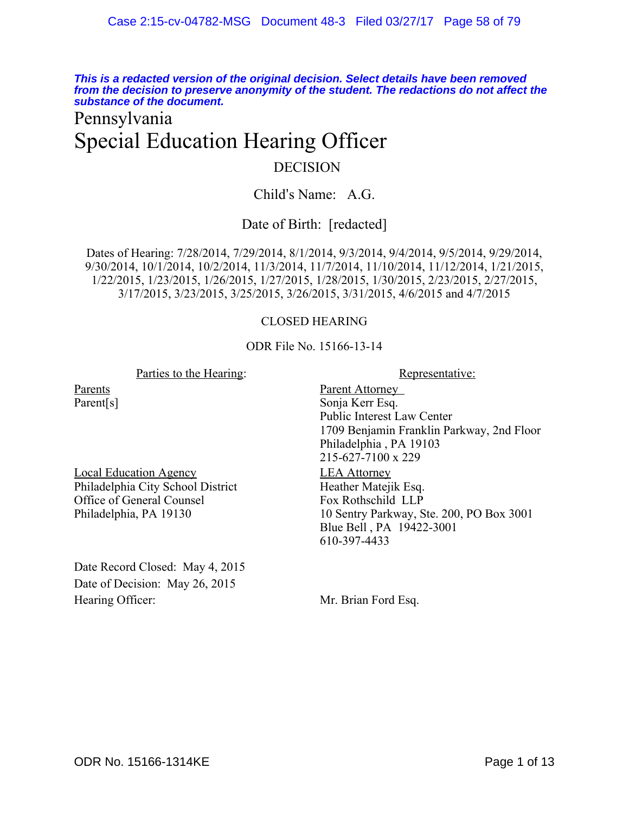**This is a redacted version of the original decision. Select details have been removed from the decision to preserve anonymity of the student. The redactions do not affect the substance of the document.**

## Pennsylvania Special Education Hearing Officer

#### DECISION

Child's Name: A.G.

#### Date of Birth: [redacted]

Dates of Hearing: 7/28/2014, 7/29/2014, 8/1/2014, 9/3/2014, 9/4/2014, 9/5/2014, 9/29/2014, 9/30/2014, 10/1/2014, 10/2/2014, 11/3/2014, 11/7/2014, 11/10/2014, 11/12/2014, 1/21/2015, 1/22/2015, 1/23/2015, 1/26/2015, 1/27/2015, 1/28/2015, 1/30/2015, 2/23/2015, 2/27/2015, 3/17/2015, 3/23/2015, 3/25/2015, 3/26/2015, 3/31/2015, 4/6/2015 and 4/7/2015

#### CLOSED HEARING

#### ODR File No. 15166-13-14

#### Parties to the Hearing: Representative:

Parents Parent[s]

Local Education Agency Philadelphia City School District Office of General Counsel Philadelphia, PA 19130

Date Record Closed: May 4, 2015 Date of Decision: May 26, 2015 Hearing Officer: Mr. Brian Ford Esq.

Parent Attorney Sonja Kerr Esq. Public Interest Law Center 1709 Benjamin Franklin Parkway, 2nd Floor Philadelphia , PA 19103 215-627-7100 x 229 LEA Attorney Heather Matejik Esq. Fox Rothschild LLP 10 Sentry Parkway, Ste. 200, PO Box 3001 Blue Bell , PA 19422-3001 610-397-4433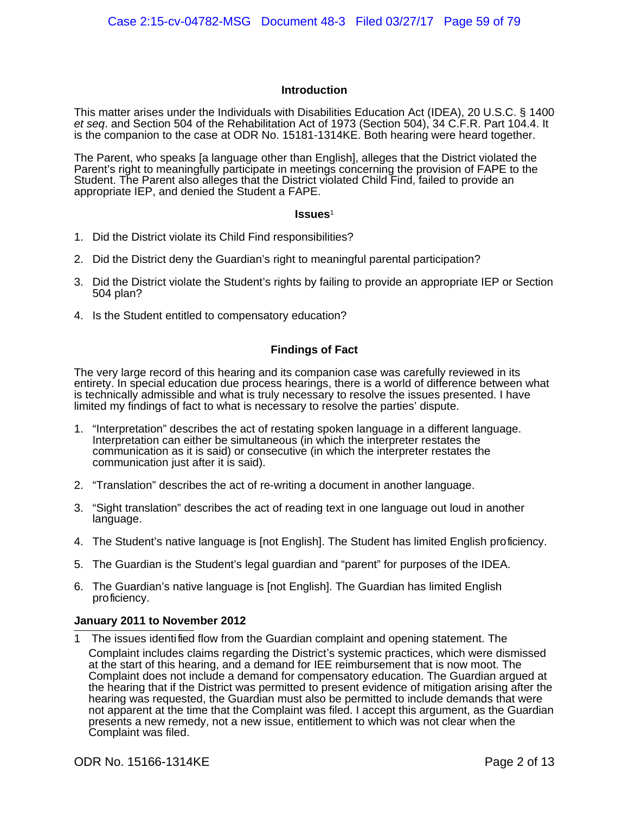#### **Introduction**

This matter arises under the Individuals with Disabilities Education Act (IDEA), 20 U.S.C. § 1400 et seq. and Section 504 of the Rehabilitation Act of 1973 (Section 504), 34 C.F.R. Part 104.4. It is the companion to the case at ODR No. 15181-1314KE. Both hearing were heard together.

The Parent, who speaks [a language other than English], alleges that the District violated the Parent's right to meaningfully participate in meetings concerning the provision of FAPE to the Student. The Parent also alleges that the District violated Child Find, failed to provide an appropriate IEP, and denied the Student a FAPE.

#### **Issues**[1](#page-69-0)

- 1. Did the District violate its Child Find responsibilities?
- 2. Did the District deny the Guardian's right to meaningful parental participation?
- 3. Did the District violate the Student's rights by failing to provide an appropriate IEP or Section 504 plan?
- 4. Is the Student entitled to compensatory education?

#### **Findings of Fact**

The very large record of this hearing and its companion case was carefully reviewed in its entirety. In special education due process hearings, there is a world of difference between what is technically admissible and what is truly necessary to resolve the issues presented. I have limited my findings of fact to what is necessary to resolve the parties' dispute.

- 1. "Interpretation" describes the act of restating spoken language in a different language. Interpretation can either be simultaneous (in which the interpreter restates the communication as it is said) or consecutive (in which the interpreter restates the communication just after it is said).
- 2. "Translation" describes the act of re-writing a document in another language.
- 3. "Sight translation" describes the act of reading text in one language out loud in another language.
- 4. The Student's native language is [not English]. The Student has limited English proficiency.
- 5. The Guardian is the Student's legal guardian and "parent" for purposes of the IDEA.
- 6. The Guardian's native language is [not English]. The Guardian has limited English proficiency.

#### **January 2011 to November 2012**

<span id="page-69-0"></span>1 The issues identified flow from the Guardian complaint and opening statement. The Complaint includes claims regarding the District's systemic practices, which were dismissed at the start of this hearing, and a demand for IEE reimbursement that is now moot. The Complaint does not include a demand for compensatory education. The Guardian argued at the hearing that if the District was permitted to present evidence of mitigation arising after the hearing was requested, the Guardian must also be permitted to include demands that were not apparent at the time that the Complaint was filed. I accept this argument, as the Guardian presents a new remedy, not a new issue, entitlement to which was not clear when the Complaint was filed.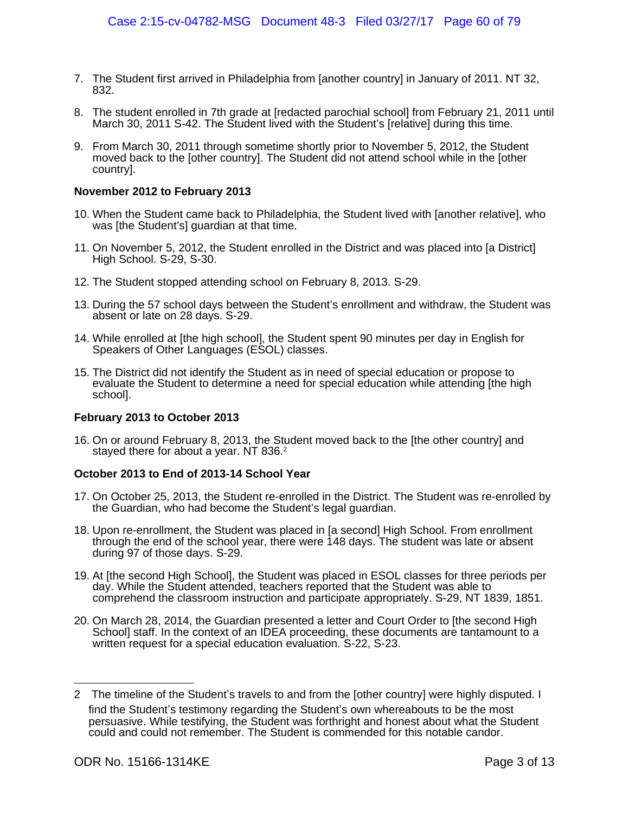- 7. The Student first arrived in Philadelphia from [another country] in January of 2011. NT 32, 832.
- 8. The student enrolled in 7th grade at [redacted parochial school] from February 21, 2011 until March 30, 2011 S-42. The Student lived with the Student's [relative] during this time.
- 9. From March 30, 2011 through sometime shortly prior to November 5, 2012, the Student moved back to the [other country]. The Student did not attend school while in the [other country].

#### **November 2012 to February 2013**

- 10. When the Student came back to Philadelphia, the Student lived with [another relative], who was [the Student's] guardian at that time.
- 11. On November 5, 2012, the Student enrolled in the District and was placed into [a District] High School. S-29, S-30.
- 12. The Student stopped attending school on February 8, 2013. S-29.
- 13. During the 57 school days between the Student's enrollment and withdraw, the Student was absent or late on 28 days. S-29.
- 14. While enrolled at [the high school], the Student spent 90 minutes per day in English for Speakers of Other Languages (ESOL) classes.
- 15. The District did not identify the Student as in need of special education or propose to evaluate the Student to determine a need for special education while attending [the high school].

#### **February 2013 to October 2013**

16. On or around February 8, 2013, the Student moved back to the [the other country] and stayed there for about a year. NT 836.<sup>[2](#page-70-0)</sup>

#### **October 2013 to End of 2013-14 School Year**

- 17. On October 25, 2013, the Student re-enrolled in the District. The Student was re-enrolled by the Guardian, who had become the Student's legal guardian.
- 18. Upon re-enrollment, the Student was placed in [a second] High School. From enrollment through the end of the school year, there were 148 days. The student was late or absent during 97 of those days. S-29.
- 19. At [the second High School], the Student was placed in ESOL classes for three periods per day. While the Student attended, teachers reported that the Student was able to comprehend the classroom instruction and participate appropriately. S-29, NT 1839, 1851.
- 20. On March 28, 2014, the Guardian presented a letter and Court Order to [the second High School] staff. In the context of an IDEA proceeding, these documents are tantamount to a written request for a special education evaluation. S-22, S-23.

<span id="page-70-0"></span><sup>2</sup> The timeline of the Student's travels to and from the [other country] were highly disputed. I find the Student's testimony regarding the Student's own whereabouts to be the most persuasive. While testifying, the Student was forthright and honest about what the Student could and could not remember. The Student is commended for this notable candor.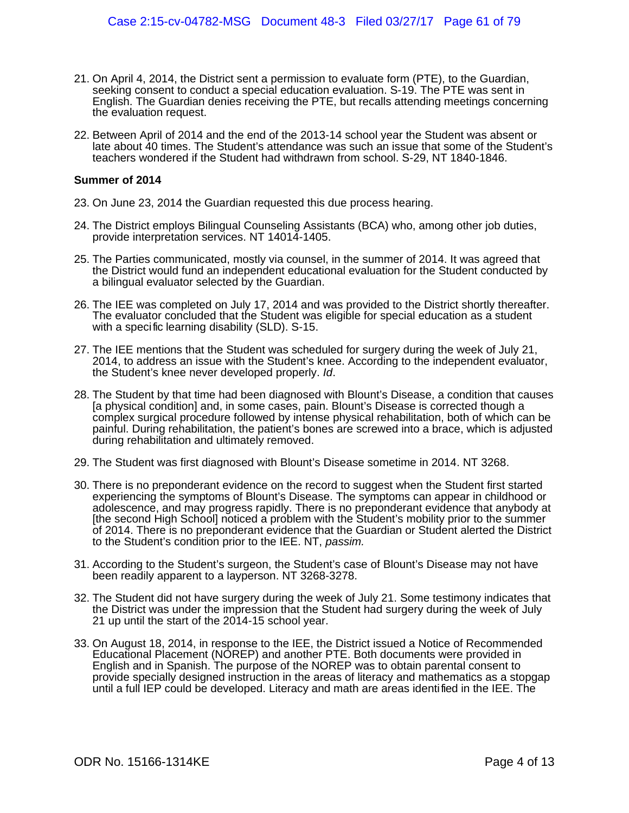- 21. On April 4, 2014, the District sent a permission to evaluate form (PTE), to the Guardian, seeking consent to conduct a special education evaluation. S-19. The PTE was sent in English. The Guardian denies receiving the PTE, but recalls attending meetings concerning the evaluation request.
- 22. Between April of 2014 and the end of the 2013-14 school year the Student was absent or late about 40 times. The Student's attendance was such an issue that some of the Student's teachers wondered if the Student had withdrawn from school. S-29, NT 1840-1846.

#### **Summer of 2014**

- 23. On June 23, 2014 the Guardian requested this due process hearing.
- 24. The District employs Bilingual Counseling Assistants (BCA) who, among other job duties, provide interpretation services. NT 14014-1405.
- 25. The Parties communicated, mostly via counsel, in the summer of 2014. It was agreed that the District would fund an independent educational evaluation for the Student conducted by a bilingual evaluator selected by the Guardian.
- 26. The IEE was completed on July 17, 2014 and was provided to the District shortly thereafter. The evaluator concluded that the Student was eligible for special education as a student with a specific learning disability (SLD). S-15.
- 27. The IEE mentions that the Student was scheduled for surgery during the week of July 21, 2014, to address an issue with the Student's knee. According to the independent evaluator, the Student's knee never developed properly. Id.
- 28. The Student by that time had been diagnosed with Blount's Disease, a condition that causes [a physical condition] and, in some cases, pain. Blount's Disease is corrected though a complex surgical procedure followed by intense physical rehabilitation, both of which can be painful. During rehabilitation, the patient's bones are screwed into a brace, which is adjusted during rehabilitation and ultimately removed.
- 29. The Student was first diagnosed with Blount's Disease sometime in 2014. NT 3268.
- 30. There is no preponderant evidence on the record to suggest when the Student first started experiencing the symptoms of Blount's Disease. The symptoms can appear in childhood or adolescence, and may progress rapidly. There is no preponderant evidence that anybody at [the second High School] noticed a problem with the Student's mobility prior to the summer of 2014. There is no preponderant evidence that the Guardian or Student alerted the District to the Student's condition prior to the IEE. NT, passim.
- 31. According to the Student's surgeon, the Student's case of Blount's Disease may not have been readily apparent to a layperson. NT 3268-3278.
- 32. The Student did not have surgery during the week of July 21. Some testimony indicates that the District was under the impression that the Student had surgery during the week of July 21 up until the start of the 2014-15 school year.
- 33. On August 18, 2014, in response to the IEE, the District issued a Notice of Recommended Educational Placement (NOREP) and another PTE. Both documents were provided in English and in Spanish. The purpose of the NOREP was to obtain parental consent to provide specially designed instruction in the areas of literacy and mathematics as a stopgap until a full IEP could be developed. Literacy and math are areas identified in the IEE. The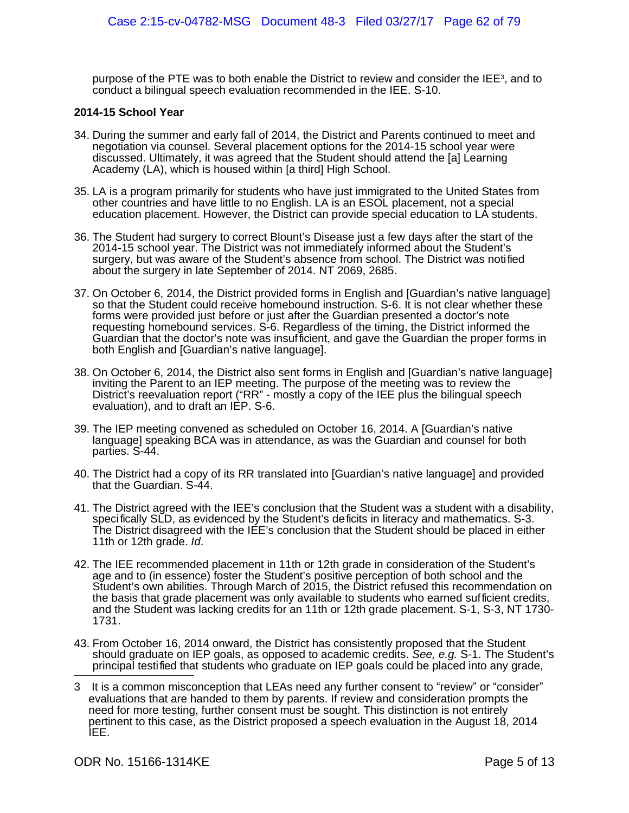purpose of the PTE was to both enable the District to review and consider the IEE<sup>[3](#page-72-0)</sup>, and to conduct a bilingual speech evaluation recommended in the IEE. S-10.

### **2014-15 School Year**

- 34. During the summer and early fall of 2014, the District and Parents continued to meet and negotiation via counsel. Several placement options for the 2014-15 school year were discussed. Ultimately, it was agreed that the Student should attend the [a] Learning Academy (LA), which is housed within [a third] High School.
- 35. LA is a program primarily for students who have just immigrated to the United States from other countries and have little to no English. LA is an ESOL placement, not a special education placement. However, the District can provide special education to LA students.
- 36. The Student had surgery to correct Blount's Disease just a few days after the start of the 2014-15 school year. The District was not immediately informed about the Student's surgery, but was aware of the Student's absence from school. The District was notified about the surgery in late September of 2014. NT 2069, 2685.
- 37. On October 6, 2014, the District provided forms in English and [Guardian's native language] so that the Student could receive homebound instruction. S-6. It is not clear whether these forms were provided just before or just after the Guardian presented a doctor's note requesting homebound services. S-6. Regardless of the timing, the District informed the Guardian that the doctor's note was insufficient, and gave the Guardian the proper forms in both English and [Guardian's native language].
- 38. On October 6, 2014, the District also sent forms in English and [Guardian's native language] inviting the Parent to an IEP meeting. The purpose of the meeting was to review the District's reevaluation report ("RR" - mostly a copy of the IEE plus the bilingual speech evaluation), and to draft an IEP. S-6.
- 39. The IEP meeting convened as scheduled on October 16, 2014. A [Guardian's native language] speaking BCA was in attendance, as was the Guardian and counsel for both parties. S-44.
- 40. The District had a copy of its RR translated into [Guardian's native language] and provided that the Guardian. S-44.
- 41. The District agreed with the IEE's conclusion that the Student was a student with a disability, specifically SLD, as evidenced by the Student's deficits in literacy and mathematics. S-3. The District disagreed with the IEE's conclusion that the Student should be placed in either 11th or 12th grade. Id.
- 42. The IEE recommended placement in 11th or 12th grade in consideration of the Student's age and to (in essence) foster the Student's positive perception of both school and the Student's own abilities. Through March of 2015, the District refused this recommendation on the basis that grade placement was only available to students who earned sufficient credits, and the Student was lacking credits for an 11th or 12th grade placement. S-1, S-3, NT 1730- 1731.
- 43. From October 16, 2014 onward, the District has consistently proposed that the Student should graduate on IEP goals, as opposed to academic credits. See, e.g. S-1. The Student's principal testified that students who graduate on IEP goals could be placed into any grade,

<span id="page-72-0"></span><sup>3</sup> It is a common misconception that LEAs need any further consent to "review" or "consider" evaluations that are handed to them by parents. If review and consideration prompts the need for more testing, further consent must be sought. This distinction is not entirely pertinent to this case, as the District proposed a speech evaluation in the August 18, 2014 IEE.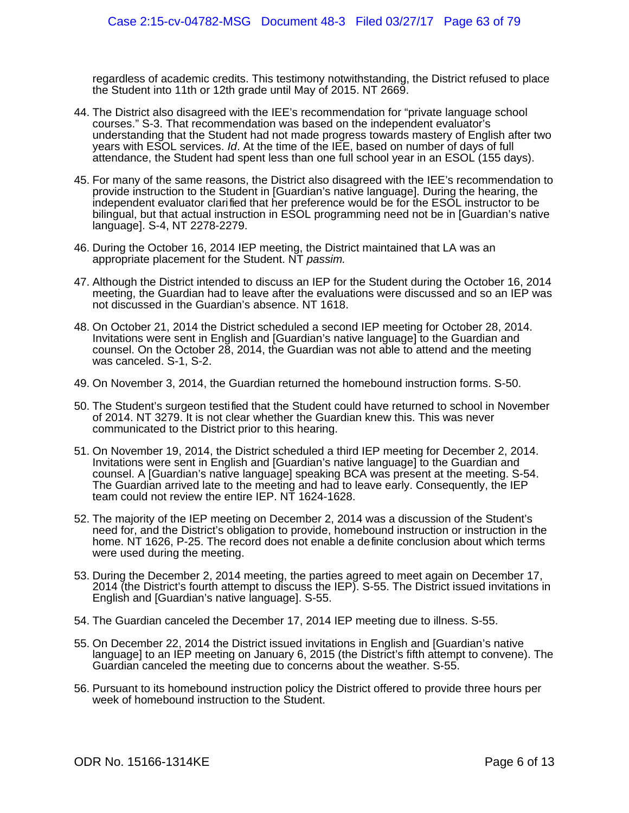regardless of academic credits. This testimony notwithstanding, the District refused to place the Student into 11th or 12th grade until May of 2015. NT 2669.

- 44. The District also disagreed with the IEE's recommendation for "private language school courses." S-3. That recommendation was based on the independent evaluator's understanding that the Student had not made progress towards mastery of English after two years with ESOL services. Id. At the time of the IEE, based on number of days of full attendance, the Student had spent less than one full school year in an ESOL (155 days).
- 45. For many of the same reasons, the District also disagreed with the IEE's recommendation to provide instruction to the Student in [Guardian's native language]. During the hearing, the independent evaluator clarified that her preference would be for the ESOL instructor to be bilingual, but that actual instruction in ESOL programming need not be in [Guardian's native language]. S-4, NT 2278-2279.
- 46. During the October 16, 2014 IEP meeting, the District maintained that LA was an appropriate placement for the Student. NT passim.
- 47. Although the District intended to discuss an IEP for the Student during the October 16, 2014 meeting, the Guardian had to leave after the evaluations were discussed and so an IEP was not discussed in the Guardian's absence. NT 1618.
- 48. On October 21, 2014 the District scheduled a second IEP meeting for October 28, 2014. Invitations were sent in English and [Guardian's native language] to the Guardian and counsel. On the October 28, 2014, the Guardian was not able to attend and the meeting was canceled. S-1, S-2.
- 49. On November 3, 2014, the Guardian returned the homebound instruction forms. S-50.
- 50. The Student's surgeon testified that the Student could have returned to school in November of 2014. NT 3279. It is not clear whether the Guardian knew this. This was never communicated to the District prior to this hearing.
- 51. On November 19, 2014, the District scheduled a third IEP meeting for December 2, 2014. Invitations were sent in English and [Guardian's native language] to the Guardian and counsel. A [Guardian's native language] speaking BCA was present at the meeting. S-54. The Guardian arrived late to the meeting and had to leave early. Consequently, the IEP team could not review the entire IEP. NT 1624-1628.
- 52. The majority of the IEP meeting on December 2, 2014 was a discussion of the Student's need for, and the District's obligation to provide, homebound instruction or instruction in the home. NT 1626, P-25. The record does not enable a definite conclusion about which terms were used during the meeting.
- 53. During the December 2, 2014 meeting, the parties agreed to meet again on December 17, 2014 (the District's fourth attempt to discuss the IEP). S-55. The District issued invitations in English and [Guardian's native language]. S-55.
- 54. The Guardian canceled the December 17, 2014 IEP meeting due to illness. S-55.
- 55. On December 22, 2014 the District issued invitations in English and [Guardian's native language] to an IEP meeting on January 6, 2015 (the District's fifth attempt to convene). The Guardian canceled the meeting due to concerns about the weather. S-55.
- 56. Pursuant to its homebound instruction policy the District offered to provide three hours per week of homebound instruction to the Student.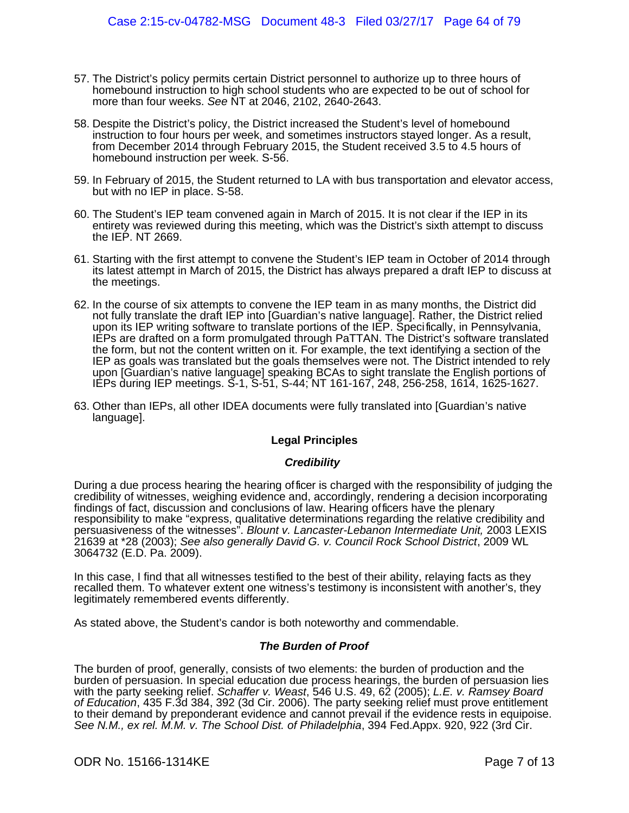- 57. The District's policy permits certain District personnel to authorize up to three hours of homebound instruction to high school students who are expected to be out of school for more than four weeks. See NT at 2046, 2102, 2640-2643.
- 58. Despite the District's policy, the District increased the Student's level of homebound instruction to four hours per week, and sometimes instructors stayed longer. As a result, from December 2014 through February 2015, the Student received 3.5 to 4.5 hours of homebound instruction per week. S-56.
- 59. In February of 2015, the Student returned to LA with bus transportation and elevator access, but with no IEP in place. S-58.
- 60. The Student's IEP team convened again in March of 2015. It is not clear if the IEP in its entirety was reviewed during this meeting, which was the District's sixth attempt to discuss the IEP. NT 2669.
- 61. Starting with the first attempt to convene the Student's IEP team in October of 2014 through its latest attempt in March of 2015, the District has always prepared a draft IEP to discuss at the meetings.
- 62. In the course of six attempts to convene the IEP team in as many months, the District did not fully translate the draft IEP into [Guardian's native language]. Rather, the District relied upon its IEP writing software to translate portions of the IEP. Specifically, in Pennsylvania, IEPs are drafted on a form promulgated through PaTTAN. The District's software translated the form, but not the content written on it. For example, the text identifying a section of the IEP as goals was translated but the goals themselves were not. The District intended to rely upon [Guardian's native language] speaking BCAs to sight translate the English portions of IEPs during IEP meetings. S-1, S-51, S-44; NT 161-167, 248, 256-258, 1614, 1625-1627.
- 63. Other than IEPs, all other IDEA documents were fully translated into [Guardian's native language].

### **Legal Principles**

### **Credibility**

During a due process hearing the hearing officer is charged with the responsibility of judging the credibility of witnesses, weighing evidence and, accordingly, rendering a decision incorporating findings of fact, discussion and conclusions of law. Hearing officers have the plenary responsibility to make "express, qualitative determinations regarding the relative credibility and persuasiveness of the witnesses". Blount v. Lancaster-Lebanon Intermediate Unit, 2003 LEXIS 21639 at \*28 (2003); See also generally David G. v. Council Rock School District, 2009 WL 3064732 (E.D. Pa. 2009).

In this case, I find that all witnesses testified to the best of their ability, relaying facts as they recalled them. To whatever extent one witness's testimony is inconsistent with another's, they legitimately remembered events differently.

As stated above, the Student's candor is both noteworthy and commendable.

### **The Burden of Proof**

The burden of proof, generally, consists of two elements: the burden of production and the burden of persuasion. In special education due process hearings, the burden of persuasion lies with the party seeking relief. Schaffer v. Weast, 546 U.S. 49, 62 (2005); L.E. v. Ramsey Board of Education, 435 F.3d 384, 392 (3d Cir. 2006). The party seeking relief must prove entitlement to their demand by preponderant evidence and cannot prevail if the evidence rests in equipoise. See N.M., ex rel. M.M. v. The School Dist. of Philadelphia, 394 Fed.Appx. 920, 922 (3rd Cir.

### ODR No. 15166-1314KE Page 7 of 13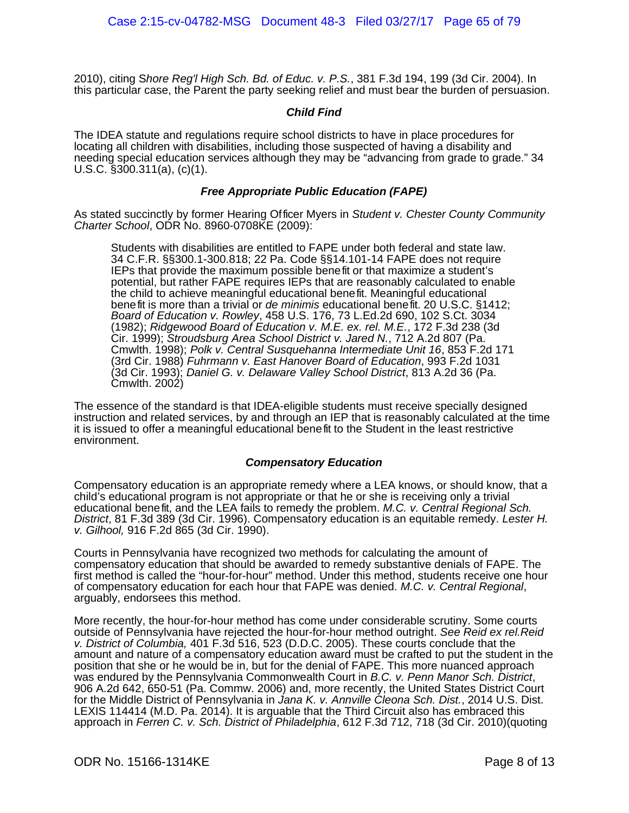2010), citing Shore Reg'l High Sch. Bd. of Educ. v. P.S., 381 F.3d 194, 199 (3d Cir. 2004). In this particular case, the Parent the party seeking relief and must bear the burden of persuasion.

### **Child Find**

The IDEA statute and regulations require school districts to have in place procedures for locating all children with disabilities, including those suspected of having a disability and needing special education services although they may be "advancing from grade to grade." 34 U.S.C. §300.311(a), (c)(1).

### **Free Appropriate Public Education (FAPE)**

As stated succinctly by former Hearing Officer Myers in Student v. Chester County Community Charter School, ODR No. 8960-0708KE (2009):

Students with disabilities are entitled to FAPE under both federal and state law. 34 C.F.R. §§300.1-300.818; 22 Pa. Code §§14.101-14 FAPE does not require IEPs that provide the maximum possible benefit or that maximize a student's potential, but rather FAPE requires IEPs that are reasonably calculated to enable the child to achieve meaningful educational benefit. Meaningful educational benefit is more than a trivial or *de minimis* educational benefit. 20 U.S.C. §1412; Board of Education v. Rowley, 458 U.S. 176, 73 L.Ed.2d 690, 102 S.Ct. 3034 (1982); Ridgewood Board of Education v. M.E. ex. rel. M.E., 172 F.3d 238 (3d Cir. 1999); Stroudsburg Area School District v. Jared N., 712 A.2d 807 (Pa. Cmwlth. 1998); Polk v. Central Susquehanna Intermediate Unit 16, 853 F.2d 171 (3rd Cir. 1988) Fuhrmann v. East Hanover Board of Education, 993 F.2d 1031 (3d Cir. 1993); Daniel G. v. Delaware Valley School District, 813 A.2d 36 (Pa. Cmwlth. 2002)

The essence of the standard is that IDEA-eligible students must receive specially designed instruction and related services, by and through an IEP that is reasonably calculated at the time it is issued to offer a meaningful educational benefit to the Student in the least restrictive environment.

### **Compensatory Education**

Compensatory education is an appropriate remedy where a LEA knows, or should know, that a child's educational program is not appropriate or that he or she is receiving only a trivial educational benefit, and the LEA fails to remedy the problem. M.C. v. Central Regional Sch. District, 81 F.3d 389 (3d Cir. 1996). Compensatory education is an equitable remedy. Lester H. v. Gilhool, 916 F.2d 865 (3d Cir. 1990).

Courts in Pennsylvania have recognized two methods for calculating the amount of compensatory education that should be awarded to remedy substantive denials of FAPE. The first method is called the "hour-for-hour" method. Under this method, students receive one hour of compensatory education for each hour that FAPE was denied. M.C. v. Central Regional, arguably, endorsees this method.

More recently, the hour-for-hour method has come under considerable scrutiny. Some courts outside of Pennsylvania have rejected the hour-for-hour method outright. See Reid ex rel. Reid v. District of Columbia, 401 F.3d 516, 523 (D.D.C. 2005). These courts conclude that the amount and nature of a compensatory education award must be crafted to put the student in the position that she or he would be in, but for the denial of FAPE. This more nuanced approach was endured by the Pennsylvania Commonwealth Court in B.C. v. Penn Manor Sch. District, 906 A.2d 642, 650-51 (Pa. Commw. 2006) and, more recently, the United States District Court for the Middle District of Pennsylvania in Jana K. v. Annville Cleona Sch. Dist., 2014 U.S. Dist. LEXIS 114414 (M.D. Pa. 2014). It is arguable that the Third Circuit also has embraced this approach in Ferren C. v. Sch. District of Philadelphia, 612 F.3d 712, 718 (3d Cir. 2010)(quoting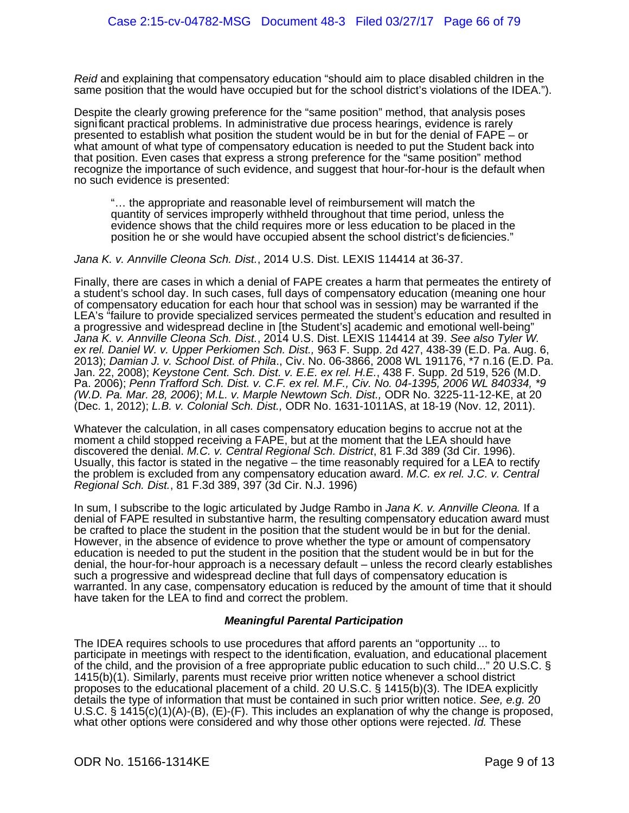Reid and explaining that compensatory education "should aim to place disabled children in the same position that the would have occupied but for the school district's violations of the IDEA.").

Despite the clearly growing preference for the "same position" method, that analysis poses significant practical problems. In administrative due process hearings, evidence is rarely presented to establish what position the student would be in but for the denial of FAPE – or what amount of what type of compensatory education is needed to put the Student back into that position. Even cases that express a strong preference for the "same position" method recognize the importance of such evidence, and suggest that hour-for-hour is the default when no such evidence is presented:

"… the appropriate and reasonable level of reimbursement will match the quantity of services improperly withheld throughout that time period, unless the evidence shows that the child requires more or less education to be placed in the position he or she would have occupied absent the school district's deficiencies."

Jana K. v. Annville Cleona Sch. Dist., 2014 U.S. Dist. LEXIS 114414 at 36-37.

Finally, there are cases in which a denial of FAPE creates a harm that permeates the entirety of a student's school day. In such cases, full days of compensatory education (meaning one hour of compensatory education for each hour that school was in session) may be warranted if the LEA's "failure to provide specialized services permeated the student's education and resulted in a progressive and widespread decline in [the Student's] academic and emotional well-being" Jana K. v. Annville Cleona Sch. Dist., 2014 U.S. Dist. LEXIS 114414 at 39. See also Tyler W. ex rel. Daniel W. v. Upper Perkiomen Sch. Dist., 963 F. Supp. 2d 427, 438-39 (E.D. Pa. Aug. 6, 2013); Damian J. v. School Dist. of Phila., Civ. No. 06-3866, 2008 WL 191176, \*7 n.16 (E.D. Pa. Jan. 22, 2008); Keystone Cent. Sch. Dist. v. E.E. ex rel. H.E., 438 F. Supp. 2d 519, 526 (M.D. Pa. 2006); Penn Trafford Sch. Dist. v. C.F. ex rel. M.F., Civ. No. 04-1395, 2006 WL 840334, \*9 (W.D. Pa. Mar. 28, 2006); M.L. v. Marple Newtown Sch. Dist., ODR No. 3225-11-12-KE, at 20 (Dec. 1, 2012); L.B. v. Colonial Sch. Dist., ODR No. 1631-1011AS, at 18-19 (Nov. 12, 2011).

Whatever the calculation, in all cases compensatory education begins to accrue not at the moment a child stopped receiving a FAPE, but at the moment that the LEA should have discovered the denial. M.C. v. Central Regional Sch. District, 81 F.3d 389 (3d Cir. 1996). Usually, this factor is stated in the negative – the time reasonably required for a LEA to rectify the problem is excluded from any compensatory education award. M.C. ex rel. J.C. v. Central Regional Sch. Dist., 81 F.3d 389, 397 (3d Cir. N.J. 1996)

In sum, I subscribe to the logic articulated by Judge Rambo in Jana K. v. Annville Cleona. If a denial of FAPE resulted in substantive harm, the resulting compensatory education award must be crafted to place the student in the position that the student would be in but for the denial. However, in the absence of evidence to prove whether the type or amount of compensatory education is needed to put the student in the position that the student would be in but for the denial, the hour-for-hour approach is a necessary default – unless the record clearly establishes such a progressive and widespread decline that full days of compensatory education is warranted. In any case, compensatory education is reduced by the amount of time that it should have taken for the LEA to find and correct the problem.

### **Meaningful Parental Participation**

The IDEA requires schools to use procedures that afford parents an "opportunity ... to participate in meetings with respect to the identification, evaluation, and educational placement of the child, and the provision of a free appropriate public education to such child..." 20 U.S.C. § 1415(b)(1). Similarly, parents must receive prior written notice whenever a school district proposes to the educational placement of a child. 20 U.S.C. § 1415(b)(3). The IDEA explicitly details the type of information that must be contained in such prior written notice. See, e.g. 20 U.S.C. § 1415(c)(1)(A)-(B), (E)-(F). This includes an explanation of why the change is proposed, what other options were considered and why those other options were rejected. Id. These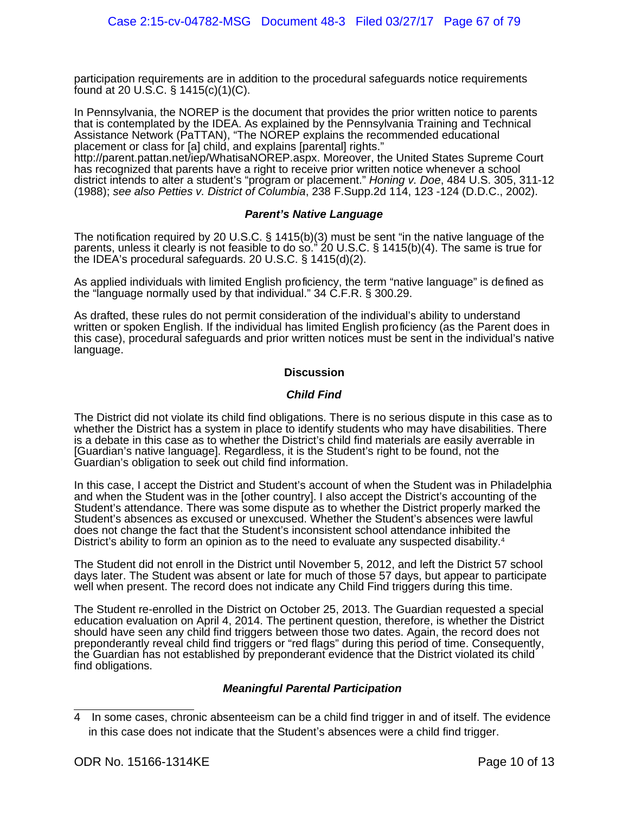participation requirements are in addition to the procedural safeguards notice requirements found at 20 U.S.C. § 1415(c)(1)(C).

In Pennsylvania, the NOREP is the document that provides the prior written notice to parents that is contemplated by the IDEA. As explained by the Pennsylvania Training and Technical Assistance Network (PaTTAN), "The NOREP explains the recommended educational placement or class for [a] child, and explains [parental] rights."

http://parent.pattan.net/iep/WhatisaNOREP.aspx. Moreover, the United States Supreme Court has recognized that parents have a right to receive prior written notice whenever a school district intends to alter a student's "program or placement." Honing v. Doe, 484 U.S. 305, 311-12 (1988); see also Petties v. District of Columbia, 238 F.Supp.2d 114, 123 -124 (D.D.C., 2002).

### **Parent's Native Language**

The notification required by 20 U.S.C. § 1415(b)(3) must be sent "in the native language of the parents, unless it clearly is not feasible to do so." 20 U.S.C. § 1415(b)(4). The same is true for the IDEA's procedural safeguards. 20 U.S.C. § 1415(d)(2).

As applied individuals with limited English proficiency, the term "native language" is defined as the "language normally used by that individual." 34 C.F.R. § 300.29.

As drafted, these rules do not permit consideration of the individual's ability to understand written or spoken English. If the individual has limited English proficiency (as the Parent does in this case), procedural safeguards and prior written notices must be sent in the individual's native language.

### **Discussion**

### **Child Find**

The District did not violate its child find obligations. There is no serious dispute in this case as to whether the District has a system in place to identify students who may have disabilities. There is a debate in this case as to whether the District's child find materials are easily averrable in [Guardian's native language]. Regardless, it is the Student's right to be found, not the Guardian's obligation to seek out child find information.

In this case, I accept the District and Student's account of when the Student was in Philadelphia and when the Student was in the [other country]. I also accept the District's accounting of the Student's attendance. There was some dispute as to whether the District properly marked the Student's absences as excused or unexcused. Whether the Student's absences were lawful does not change the fact that the Student's inconsistent school attendance inhibited the District's ability to form an opinion as to the need to evaluate any suspected disability.<sup>[4](#page-77-0)</sup>

The Student did not enroll in the District until November 5, 2012, and left the District 57 school days later. The Student was absent or late for much of those 57 days, but appear to participate well when present. The record does not indicate any Child Find triggers during this time.

The Student re-enrolled in the District on October 25, 2013. The Guardian requested a special education evaluation on April 4, 2014. The pertinent question, therefore, is whether the District should have seen any child find triggers between those two dates. Again, the record does not preponderantly reveal child find triggers or "red flags" during this period of time. Consequently, the Guardian has not established by preponderant evidence that the District violated its child find obligations.

## **Meaningful Parental Participation**

<span id="page-77-0"></span><sup>4</sup> In some cases, chronic absenteeism can be a child find trigger in and of itself. The evidence in this case does not indicate that the Student's absences were a child find trigger.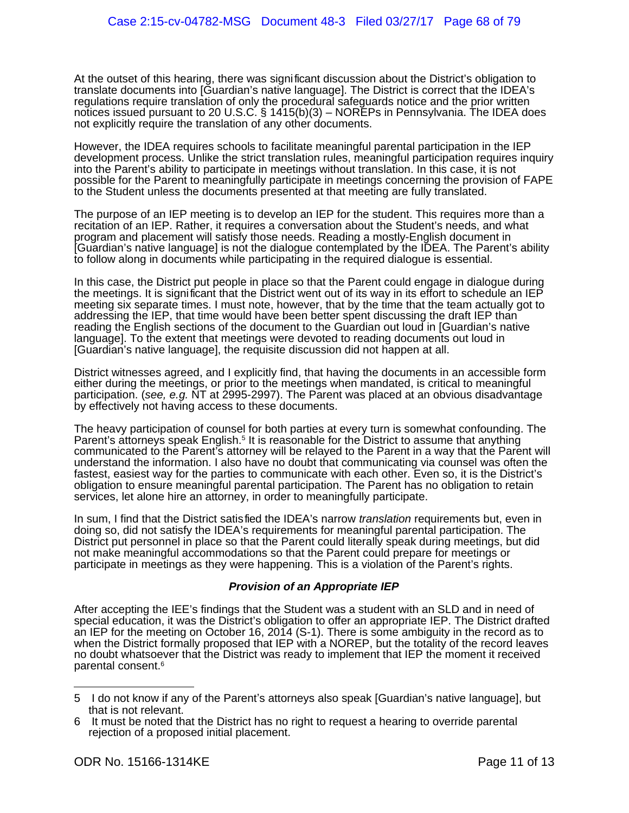At the outset of this hearing, there was significant discussion about the District's obligation to translate documents into [Guardian's native language]. The District is correct that the IDEA's regulations require translation of only the procedural safeguards notice and the prior written notices issued pursuant to 20 U.S.C. § 1415(b)(3) – NOREPs in Pennsylvania. The IDEA does not explicitly require the translation of any other documents.

However, the IDEA requires schools to facilitate meaningful parental participation in the IEP development process. Unlike the strict translation rules, meaningful participation requires inquiry into the Parent's ability to participate in meetings without translation. In this case, it is not possible for the Parent to meaningfully participate in meetings concerning the provision of FAPE to the Student unless the documents presented at that meeting are fully translated.

The purpose of an IEP meeting is to develop an IEP for the student. This requires more than a recitation of an IEP. Rather, it requires a conversation about the Student's needs, and what program and placement will satisfy those needs. Reading a mostly-English document in [Guardian's native language] is not the dialogue contemplated by the IDEA. The Parent's ability to follow along in documents while participating in the required dialogue is essential.

In this case, the District put people in place so that the Parent could engage in dialogue during the meetings. It is significant that the District went out of its way in its effort to schedule an IEP meeting six separate times. I must note, however, that by the time that the team actually got to addressing the IEP, that time would have been better spent discussing the draft IEP than reading the English sections of the document to the Guardian out loud in [Guardian's native language]. To the extent that meetings were devoted to reading documents out loud in [Guardian's native language], the requisite discussion did not happen at all.

District witnesses agreed, and I explicitly find, that having the documents in an accessible form either during the meetings, or prior to the meetings when mandated, is critical to meaningful participation. (see, e.g. NT at 2995-2997). The Parent was placed at an obvious disadvantage by effectively not having access to these documents.

The heavy participation of counsel for both parties at every turn is somewhat confounding. The Parent's attorneys speak English.<sup>[5](#page-78-0)</sup> It is reasonable for the District to assume that anything communicated to the Parent's attorney will be relayed to the Parent in a way that the Parent will understand the information. I also have no doubt that communicating via counsel was often the fastest, easiest way for the parties to communicate with each other. Even so, it is the District's obligation to ensure meaningful parental participation. The Parent has no obligation to retain services, let alone hire an attorney, in order to meaningfully participate.

In sum, I find that the District satisfied the IDEA's narrow *translation* requirements but, even in doing so, did not satisfy the IDEA's requirements for meaningful parental participation. The District put personnel in place so that the Parent could literally speak during meetings, but did not make meaningful accommodations so that the Parent could prepare for meetings or participate in meetings as they were happening. This is a violation of the Parent's rights.

## **Provision of an Appropriate IEP**

After accepting the IEE's findings that the Student was a student with an SLD and in need of special education, it was the District's obligation to offer an appropriate IEP. The District drafted an IEP for the meeting on October 16, 2014 (S-1). There is some ambiguity in the record as to when the District formally proposed that IEP with a NOREP, but the totality of the record leaves no doubt whatsoever that the District was ready to implement that IEP the moment it received parental consent.[6](#page-78-1)

<span id="page-78-0"></span><sup>5</sup> I do not know if any of the Parent's attorneys also speak [Guardian's native language], but that is not relevant.

<span id="page-78-1"></span><sup>6</sup> It must be noted that the District has no right to request a hearing to override parental rejection of a proposed initial placement.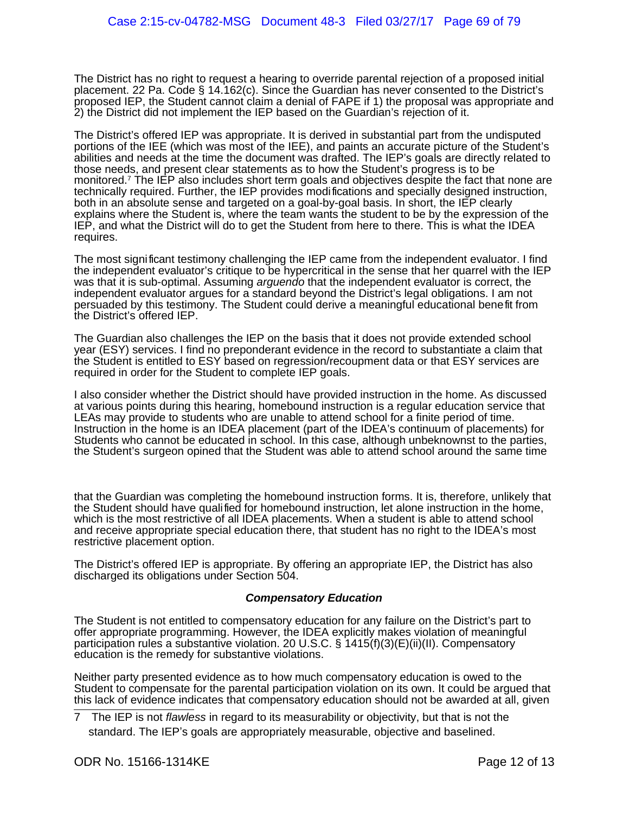The District has no right to request a hearing to override parental rejection of a proposed initial placement. 22 Pa. Code § 14.162(c). Since the Guardian has never consented to the District's proposed IEP, the Student cannot claim a denial of FAPE if 1) the proposal was appropriate and 2) the District did not implement the IEP based on the Guardian's rejection of it.

The District's offered IEP was appropriate. It is derived in substantial part from the undisputed portions of the IEE (which was most of the IEE), and paints an accurate picture of the Student's abilities and needs at the time the document was drafted. The IEP's goals are directly related to those needs, and present clear statements as to how the Student's progress is to be monitored.<sup>[7](#page-79-0)</sup> The IEP also includes short term goals and objectives despite the fact that none are technically required. Further, the IEP provides modifications and specially designed instruction, both in an absolute sense and targeted on a goal-by-goal basis. In short, the IEP clearly explains where the Student is, where the team wants the student to be by the expression of the IEP, and what the District will do to get the Student from here to there. This is what the IDEA requires.

The most significant testimony challenging the IEP came from the independent evaluator. I find the independent evaluator's critique to be hypercritical in the sense that her quarrel with the IEP was that it is sub-optimal. Assuming arguendo that the independent evaluator is correct, the independent evaluator argues for a standard beyond the District's legal obligations. I am not persuaded by this testimony. The Student could derive a meaningful educational benefit from the District's offered IEP.

The Guardian also challenges the IEP on the basis that it does not provide extended school year (ESY) services. I find no preponderant evidence in the record to substantiate a claim that the Student is entitled to ESY based on regression/recoupment data or that ESY services are required in order for the Student to complete IEP goals.

I also consider whether the District should have provided instruction in the home. As discussed at various points during this hearing, homebound instruction is a regular education service that LEAs may provide to students who are unable to attend school for a finite period of time. Instruction in the home is an IDEA placement (part of the IDEA's continuum of placements) for Students who cannot be educated in school. In this case, although unbeknownst to the parties, the Student's surgeon opined that the Student was able to attend school around the same time

that the Guardian was completing the homebound instruction forms. It is, therefore, unlikely that the Student should have qualified for homebound instruction, let alone instruction in the home, which is the most restrictive of all IDEA placements. When a student is able to attend school and receive appropriate special education there, that student has no right to the IDEA's most restrictive placement option.

The District's offered IEP is appropriate. By offering an appropriate IEP, the District has also discharged its obligations under Section 504.

### **Compensatory Education**

The Student is not entitled to compensatory education for any failure on the District's part to offer appropriate programming. However, the IDEA explicitly makes violation of meaningful participation rules a substantive violation. 20 U.S.C. § 1415(f)(3)(E)(ii)(II). Compensatory education is the remedy for substantive violations.

Neither party presented evidence as to how much compensatory education is owed to the Student to compensate for the parental participation violation on its own. It could be argued that this lack of evidence indicates that compensatory education should not be awarded at all, given

<span id="page-79-0"></span><sup>7</sup> The IEP is not flawless in regard to its measurability or objectivity, but that is not the standard. The IEP's goals are appropriately measurable, objective and baselined.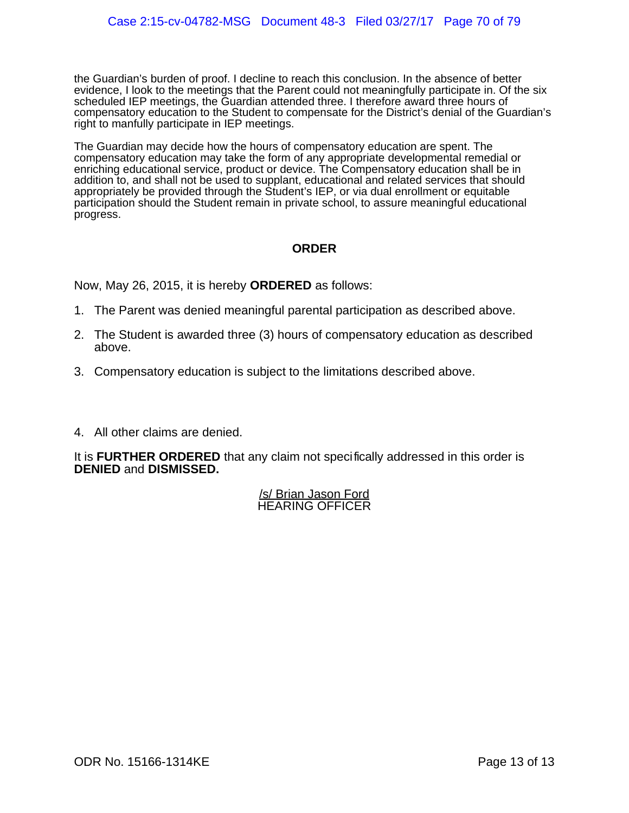the Guardian's burden of proof. I decline to reach this conclusion. In the absence of better evidence, I look to the meetings that the Parent could not meaningfully participate in. Of the six scheduled IEP meetings, the Guardian attended three. I therefore award three hours of compensatory education to the Student to compensate for the District's denial of the Guardian's right to manfully participate in IEP meetings.

The Guardian may decide how the hours of compensatory education are spent. The compensatory education may take the form of any appropriate developmental remedial or enriching educational service, product or device. The Compensatory education shall be in addition to, and shall not be used to supplant, educational and related services that should appropriately be provided through the Student's IEP, or via dual enrollment or equitable participation should the Student remain in private school, to assure meaningful educational progress.

## **ORDER**

Now, May 26, 2015, it is hereby **ORDERED** as follows:

- 1. The Parent was denied meaningful parental participation as described above.
- 2. The Student is awarded three (3) hours of compensatory education as described above.
- 3. Compensatory education is subject to the limitations described above.
- 4. All other claims are denied.

It is **FURTHER ORDERED** that any claim not specifically addressed in this order is **DENIED** and **DISMISSED.**

> /s/ Brian Jason Ford HEARING OFFICER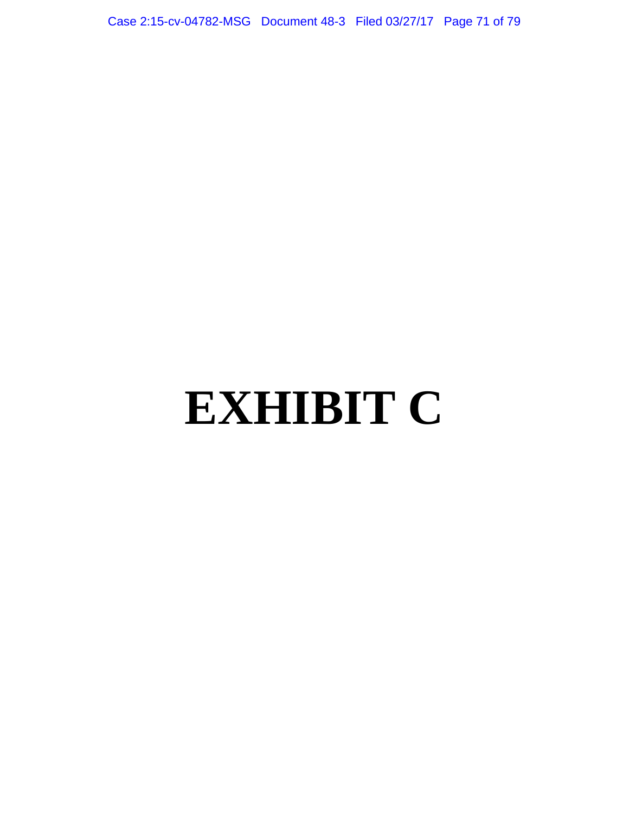Case 2:15-cv-04782-MSG Document 48-3 Filed 03/27/17 Page 71 of 79

# **EXHIBIT C**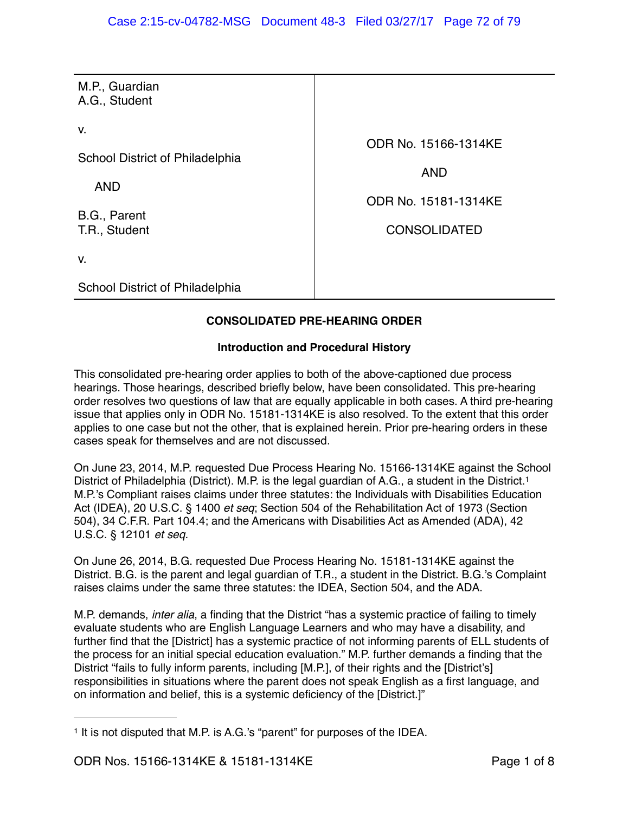| M.P., Guardian<br>A.G., Student<br>V.<br>ODR No. 15166-1314KE<br>School District of Philadelphia<br><b>AND</b><br><b>AND</b><br>ODR No. 15181-1314KE<br>B.G., Parent<br>T.R., Student<br><b>CONSOLIDATED</b><br>V.<br>School District of Philadelphia |  |
|-------------------------------------------------------------------------------------------------------------------------------------------------------------------------------------------------------------------------------------------------------|--|
|                                                                                                                                                                                                                                                       |  |
|                                                                                                                                                                                                                                                       |  |
|                                                                                                                                                                                                                                                       |  |
|                                                                                                                                                                                                                                                       |  |

## **CONSOLIDATED PRE-HEARING ORDER**

## **Introduction and Procedural History**

This consolidated pre-hearing order applies to both of the above-captioned due process hearings. Those hearings, described briefly below, have been consolidated. This pre-hearing order resolves two questions of law that are equally applicable in both cases. A third pre-hearing issue that applies only in ODR No. 15181-1314KE is also resolved. To the extent that this order applies to one case but not the other, that is explained herein. Prior pre-hearing orders in these cases speak for themselves and are not discussed.

On June 23, 2014, M.P. requested Due Process Hearing No. 15166-1314KE against the School District of Philadelphia (District). M.P. is the legal guardian of A.G., a student in the District.<sup>1</sup> M.P.'s Compliant raises claims under three statutes: the Individuals with Disabilities Education Act (IDEA), 20 U.S.C. § 1400 *et seq*; Section 504 of the Rehabilitation Act of 1973 (Section 504), 34 C.F.R. Part 104.4; and the Americans with Disabilities Act as Amended (ADA), 42 U.S.C. § 12101 *et seq.* 

On June 26, 2014, B.G. requested Due Process Hearing No. 15181-1314KE against the District. B.G. is the parent and legal guardian of T.R., a student in the District. B.G.'s Complaint raises claims under the same three statutes: the IDEA, Section 504, and the ADA.

M.P. demands, *inter alia*, a finding that the District "has a systemic practice of failing to timely evaluate students who are English Language Learners and who may have a disability, and further find that the [District] has a systemic practice of not informing parents of ELL students of the process for an initial special education evaluation." M.P. further demands a finding that the District "fails to fully inform parents, including [M.P.], of their rights and the [District's] responsibilities in situations where the parent does not speak English as a first language, and on information and belief, this is a systemic deficiency of the [District.]"

<sup>&</sup>lt;sup>1</sup> It is not disputed that M.P. is A.G.'s "parent" for purposes of the IDEA.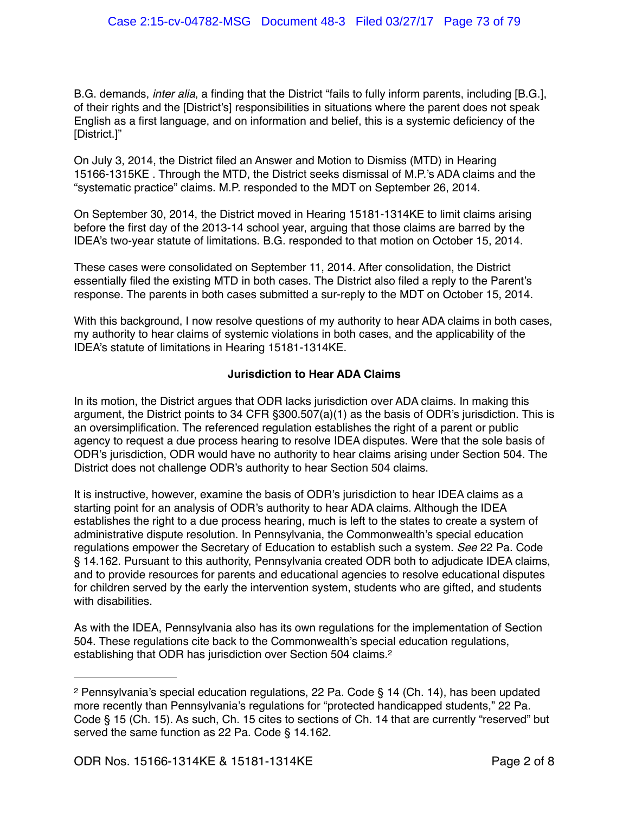B.G. demands, *inter alia*, a finding that the District "fails to fully inform parents, including [B.G.], of their rights and the [District's] responsibilities in situations where the parent does not speak English as a first language, and on information and belief, this is a systemic deficiency of the [District.]"

On July 3, 2014, the District filed an Answer and Motion to Dismiss (MTD) in Hearing 15166-1315KE . Through the MTD, the District seeks dismissal of M.P.'s ADA claims and the "systematic practice" claims. M.P. responded to the MDT on September 26, 2014.

On September 30, 2014, the District moved in Hearing 15181-1314KE to limit claims arising before the first day of the 2013-14 school year, arguing that those claims are barred by the IDEA's two-year statute of limitations. B.G. responded to that motion on October 15, 2014.

These cases were consolidated on September 11, 2014. After consolidation, the District essentially filed the existing MTD in both cases. The District also filed a reply to the Parent's response. The parents in both cases submitted a sur-reply to the MDT on October 15, 2014.

With this background, I now resolve questions of my authority to hear ADA claims in both cases, my authority to hear claims of systemic violations in both cases, and the applicability of the IDEA's statute of limitations in Hearing 15181-1314KE.

## **Jurisdiction to Hear ADA Claims**

In its motion, the District argues that ODR lacks jurisdiction over ADA claims. In making this argument, the District points to 34 CFR §300.507(a)(1) as the basis of ODR's jurisdiction. This is an oversimplification. The referenced regulation establishes the right of a parent or public agency to request a due process hearing to resolve IDEA disputes. Were that the sole basis of ODR's jurisdiction, ODR would have no authority to hear claims arising under Section 504. The District does not challenge ODR's authority to hear Section 504 claims.

It is instructive, however, examine the basis of ODR's jurisdiction to hear IDEA claims as a starting point for an analysis of ODR's authority to hear ADA claims. Although the IDEA establishes the right to a due process hearing, much is left to the states to create a system of administrative dispute resolution. In Pennsylvania, the Commonwealth's special education regulations empower the Secretary of Education to establish such a system. *See* 22 Pa. Code § 14.162. Pursuant to this authority, Pennsylvania created ODR both to adjudicate IDEA claims, and to provide resources for parents and educational agencies to resolve educational disputes for children served by the early the intervention system, students who are gifted, and students with disabilities.

As with the IDEA, Pennsylvania also has its own regulations for the implementation of Section 504. These regulations cite back to the Commonwealth's special education regulations, establishing that ODR has jurisdiction over Section 504 claims.<sup>2</sup>

<sup>&</sup>lt;sup>2</sup> Pennsylvania's special education regulations, 22 Pa. Code § 14 (Ch. 14), has been updated more recently than Pennsylvania's regulations for "protected handicapped students," 22 Pa. Code § 15 (Ch. 15). As such, Ch. 15 cites to sections of Ch. 14 that are currently "reserved" but served the same function as 22 Pa. Code § 14.162.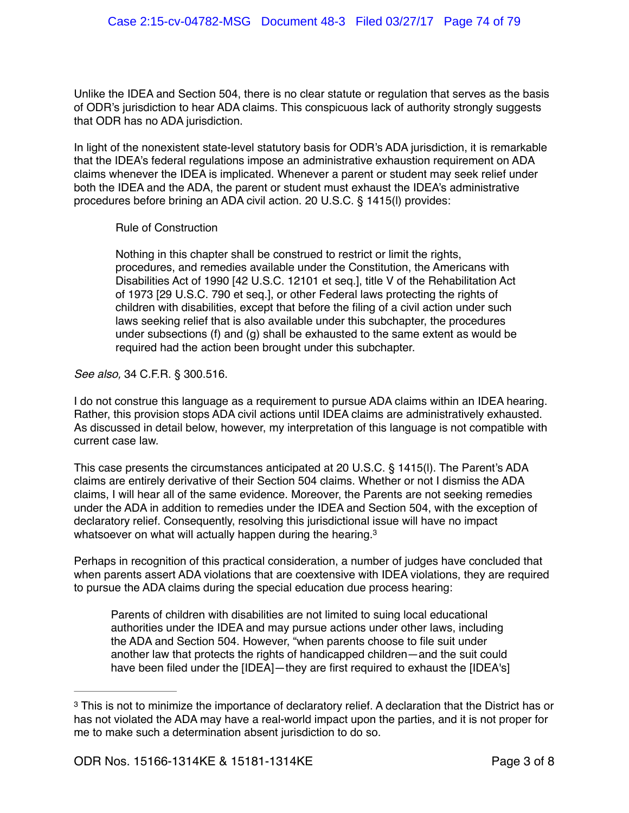Unlike the IDEA and Section 504, there is no clear statute or regulation that serves as the basis of ODR's jurisdiction to hear ADA claims. This conspicuous lack of authority strongly suggests that ODR has no ADA jurisdiction.

In light of the nonexistent state-level statutory basis for ODR's ADA jurisdiction, it is remarkable that the IDEA's federal regulations impose an administrative exhaustion requirement on ADA claims whenever the IDEA is implicated. Whenever a parent or student may seek relief under both the IDEA and the ADA, the parent or student must exhaust the IDEA's administrative procedures before brining an ADA civil action. 20 U.S.C. § 1415(l) provides:

Rule of Construction

Nothing in this chapter shall be construed to restrict or limit the rights, procedures, and remedies available under the Constitution, the Americans with Disabilities Act of 1990 [42 U.S.C. 12101 et seq.], title V of the Rehabilitation Act of 1973 [29 U.S.C. 790 et seq.], or other Federal laws protecting the rights of children with disabilities, except that before the filing of a civil action under such laws seeking relief that is also available under this subchapter, the procedures under subsections (f) and (g) shall be exhausted to the same extent as would be required had the action been brought under this subchapter.

*See also,* 34 C.F.R. § 300.516.

I do not construe this language as a requirement to pursue ADA claims within an IDEA hearing. Rather, this provision stops ADA civil actions until IDEA claims are administratively exhausted. As discussed in detail below, however, my interpretation of this language is not compatible with current case law.

This case presents the circumstances anticipated at 20 U.S.C. § 1415(l). The Parent's ADA claims are entirely derivative of their Section 504 claims. Whether or not I dismiss the ADA claims, I will hear all of the same evidence. Moreover, the Parents are not seeking remedies under the ADA in addition to remedies under the IDEA and Section 504, with the exception of declaratory relief. Consequently, resolving this jurisdictional issue will have no impact whatsoever on what will actually happen during the hearing.<sup>3</sup>

Perhaps in recognition of this practical consideration, a number of judges have concluded that when parents assert ADA violations that are coextensive with IDEA violations, they are required to pursue the ADA claims during the special education due process hearing:

Parents of children with disabilities are not limited to suing local educational authorities under the IDEA and may pursue actions under other laws, including the ADA and Section 504. However, "when parents choose to file suit under another law that protects the rights of handicapped children—and the suit could have been filed under the [IDEA]—they are first required to exhaust the [IDEA's]

<sup>&</sup>lt;sup>3</sup> This is not to minimize the importance of declaratory relief. A declaration that the District has or has not violated the ADA may have a real-world impact upon the parties, and it is not proper for me to make such a determination absent jurisdiction to do so.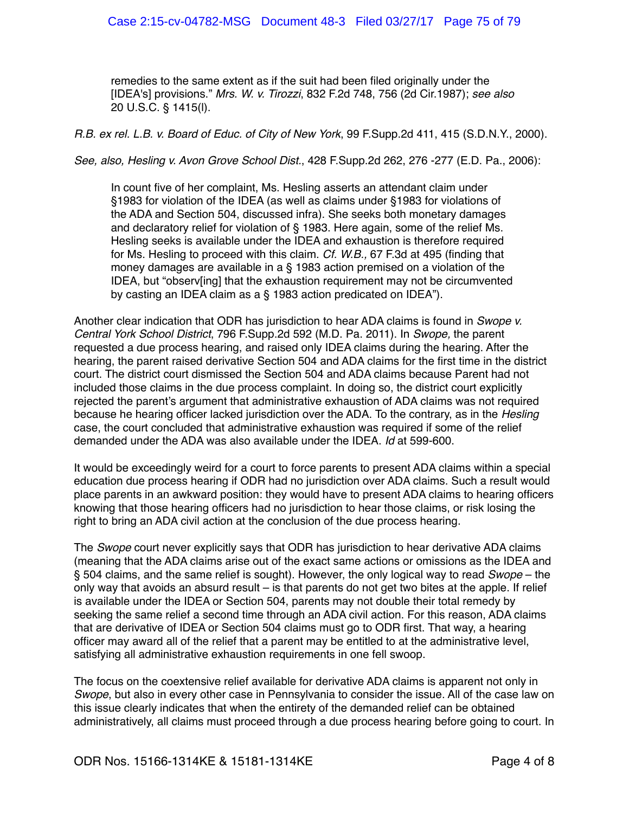remedies to the same extent as if the suit had been filed originally under the [IDEA's] provisions." *Mrs. W. v. Tirozzi*, 832 F.2d 748, 756 (2d Cir.1987); *see also*  20 U.S.C. § 1415(l).

*R.B. ex rel. L.B. v. Board of Educ. of City of New York*, 99 F.Supp.2d 411, 415 (S.D.N.Y., 2000).

*See, also, Hesling v. Avon Grove School Dist.*, 428 F.Supp.2d 262, 276 -277 (E.D. Pa., 2006):

In count five of her complaint, Ms. Hesling asserts an attendant claim under §1983 for violation of the IDEA (as well as claims under §1983 for violations of the ADA and Section 504, discussed infra). She seeks both monetary damages and declaratory relief for violation of § 1983. Here again, some of the relief Ms. Hesling seeks is available under the IDEA and exhaustion is therefore required for Ms. Hesling to proceed with this claim. *Cf. W.B.,* 67 F.3d at 495 (finding that money damages are available in a § 1983 action premised on a violation of the IDEA, but "observ[ing] that the exhaustion requirement may not be circumvented by casting an IDEA claim as a § 1983 action predicated on IDEA").

Another clear indication that ODR has jurisdiction to hear ADA claims is found in *Swope v. Central York School District*, 796 F.Supp.2d 592 (M.D. Pa. 2011). In *Swope,* the parent requested a due process hearing, and raised only IDEA claims during the hearing. After the hearing, the parent raised derivative Section 504 and ADA claims for the first time in the district court. The district court dismissed the Section 504 and ADA claims because Parent had not included those claims in the due process complaint. In doing so, the district court explicitly rejected the parent's argument that administrative exhaustion of ADA claims was not required because he hearing officer lacked jurisdiction over the ADA. To the contrary, as in the *Hesling* case, the court concluded that administrative exhaustion was required if some of the relief demanded under the ADA was also available under the IDEA. *Id* at 599-600.

It would be exceedingly weird for a court to force parents to present ADA claims within a special education due process hearing if ODR had no jurisdiction over ADA claims. Such a result would place parents in an awkward position: they would have to present ADA claims to hearing officers knowing that those hearing officers had no jurisdiction to hear those claims, or risk losing the right to bring an ADA civil action at the conclusion of the due process hearing.

The *Swope* court never explicitly says that ODR has jurisdiction to hear derivative ADA claims (meaning that the ADA claims arise out of the exact same actions or omissions as the IDEA and § 504 claims, and the same relief is sought). However, the only logical way to read *Swope* – the only way that avoids an absurd result – is that parents do not get two bites at the apple. If relief is available under the IDEA or Section 504, parents may not double their total remedy by seeking the same relief a second time through an ADA civil action. For this reason, ADA claims that are derivative of IDEA or Section 504 claims must go to ODR first. That way, a hearing officer may award all of the relief that a parent may be entitled to at the administrative level, satisfying all administrative exhaustion requirements in one fell swoop.

The focus on the coextensive relief available for derivative ADA claims is apparent not only in *Swope*, but also in every other case in Pennsylvania to consider the issue. All of the case law on this issue clearly indicates that when the entirety of the demanded relief can be obtained administratively, all claims must proceed through a due process hearing before going to court. In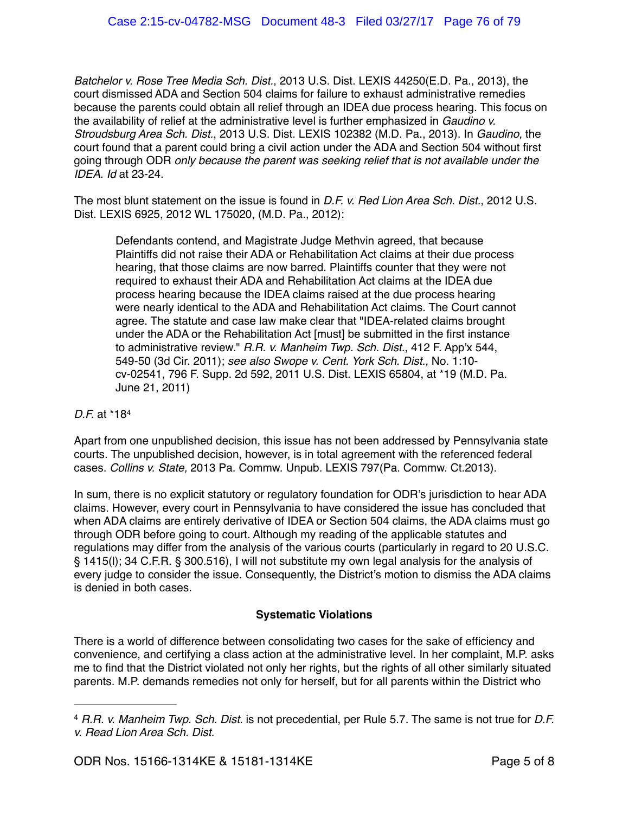*Batchelor v. Rose Tree Media Sch. Dist.*, 2013 U.S. Dist. LEXIS 44250(E.D. Pa., 2013), the court dismissed ADA and Section 504 claims for failure to exhaust administrative remedies because the parents could obtain all relief through an IDEA due process hearing. This focus on the availability of relief at the administrative level is further emphasized in *Gaudino v. Stroudsburg Area Sch. Dist.*, 2013 U.S. Dist. LEXIS 102382 (M.D. Pa., 2013). In *Gaudino,* the court found that a parent could bring a civil action under the ADA and Section 504 without first going through ODR *only because the parent was seeking relief that is not available under the IDEA. Id* at 23-24.

The most blunt statement on the issue is found in *D.F. v. Red Lion Area Sch. Dist.*, 2012 U.S. Dist. LEXIS 6925, 2012 WL 175020, (M.D. Pa., 2012):

Defendants contend, and Magistrate Judge Methvin agreed, that because Plaintiffs did not raise their ADA or Rehabilitation Act claims at their due process hearing, that those claims are now barred. Plaintiffs counter that they were not required to exhaust their ADA and Rehabilitation Act claims at the IDEA due process hearing because the IDEA claims raised at the due process hearing were nearly identical to the ADA and Rehabilitation Act claims. The Court cannot agree. The statute and case law make clear that "IDEA-related claims brought under the ADA or the Rehabilitation Act [must] be submitted in the first instance to administrative review." *R.R. v. Manheim Twp. Sch. Dist.*, 412 F. App'x 544, 549-50 (3d Cir. 2011); *see also Swope v. Cent. York Sch. Dist.,* No. 1:10 cv-02541, 796 F. Supp. 2d 592, 2011 U.S. Dist. LEXIS 65804, at \*19 (M.D. Pa. June 21, 2011)

## *D.F.* at \*184

Apart from one unpublished decision, this issue has not been addressed by Pennsylvania state courts. The unpublished decision, however, is in total agreement with the referenced federal cases. *Collins v. State,* 2013 Pa. Commw. Unpub. LEXIS 797(Pa. Commw. Ct.2013).

In sum, there is no explicit statutory or regulatory foundation for ODR's jurisdiction to hear ADA claims. However, every court in Pennsylvania to have considered the issue has concluded that when ADA claims are entirely derivative of IDEA or Section 504 claims, the ADA claims must go through ODR before going to court. Although my reading of the applicable statutes and regulations may differ from the analysis of the various courts (particularly in regard to 20 U.S.C. § 1415(l); 34 C.F.R. § 300.516), I will not substitute my own legal analysis for the analysis of every judge to consider the issue. Consequently, the District's motion to dismiss the ADA claims is denied in both cases.

## **Systematic Violations**

There is a world of difference between consolidating two cases for the sake of efficiency and convenience, and certifying a class action at the administrative level. In her complaint, M.P. asks me to find that the District violated not only her rights, but the rights of all other similarly situated parents. M.P. demands remedies not only for herself, but for all parents within the District who

*R.R. v. Manheim Twp. Sch. Dist.* is not precedential, per Rule 5.7. The same is not true for *D.F.* <sup>4</sup> *v. Read Lion Area Sch. Dist.*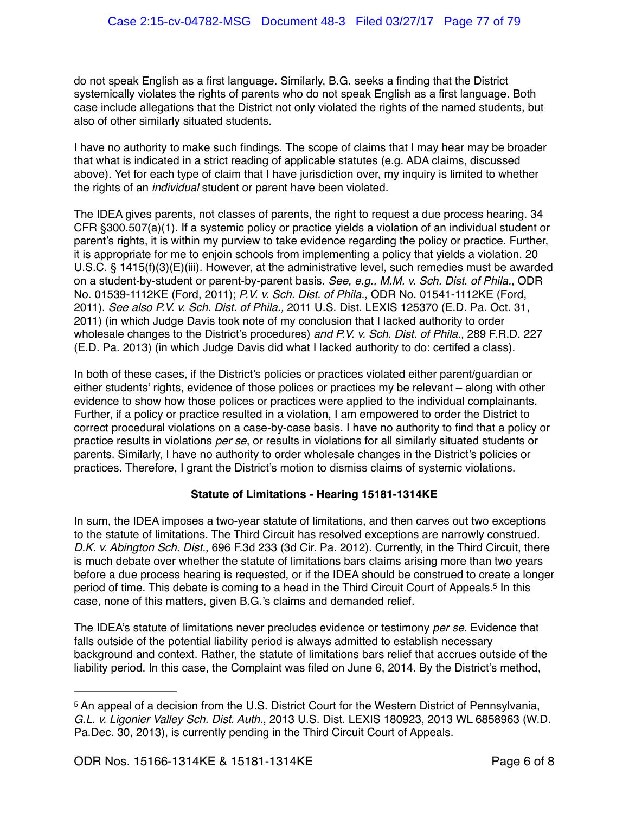do not speak English as a first language. Similarly, B.G. seeks a finding that the District systemically violates the rights of parents who do not speak English as a first language. Both case include allegations that the District not only violated the rights of the named students, but also of other similarly situated students.

I have no authority to make such findings. The scope of claims that I may hear may be broader that what is indicated in a strict reading of applicable statutes (e.g. ADA claims, discussed above). Yet for each type of claim that I have jurisdiction over, my inquiry is limited to whether the rights of an *individual* student or parent have been violated.

The IDEA gives parents, not classes of parents, the right to request a due process hearing. 34 CFR §300.507(a)(1). If a systemic policy or practice yields a violation of an individual student or parent's rights, it is within my purview to take evidence regarding the policy or practice. Further, it is appropriate for me to enjoin schools from implementing a policy that yields a violation. 20 U.S.C. § 1415(f)(3)(E)(iii). However, at the administrative level, such remedies must be awarded on a student-by-student or parent-by-parent basis. *See, e.g., M.M. v. Sch. Dist. of Phila.*, ODR No. 01539-1112KE (Ford, 2011); *P.V. v. Sch. Dist. of Phila.*, ODR No. 01541-1112KE (Ford, 2011). *See also P.V. v. Sch. Dist. of Phila.,* 2011 U.S. Dist. LEXIS 125370 (E.D. Pa. Oct. 31, 2011) (in which Judge Davis took note of my conclusion that I lacked authority to order wholesale changes to the District's procedures) *and P.V. v. Sch. Dist. of Phila.,* 289 F.R.D. 227 (E.D. Pa. 2013) (in which Judge Davis did what I lacked authority to do: certifed a class).

In both of these cases, if the District's policies or practices violated either parent/guardian or either students' rights, evidence of those polices or practices my be relevant – along with other evidence to show how those polices or practices were applied to the individual complainants. Further, if a policy or practice resulted in a violation, I am empowered to order the District to correct procedural violations on a case-by-case basis. I have no authority to find that a policy or practice results in violations *per se*, or results in violations for all similarly situated students or parents. Similarly, I have no authority to order wholesale changes in the District's policies or practices. Therefore, I grant the District's motion to dismiss claims of systemic violations.

## **Statute of Limitations - Hearing 15181-1314KE**

In sum, the IDEA imposes a two-year statute of limitations, and then carves out two exceptions to the statute of limitations. The Third Circuit has resolved exceptions are narrowly construed. *D.K. v. Abington Sch. Dist.*, 696 F.3d 233 (3d Cir. Pa. 2012). Currently, in the Third Circuit, there is much debate over whether the statute of limitations bars claims arising more than two years before a due process hearing is requested, or if the IDEA should be construed to create a longer period of time. This debate is coming to a head in the Third Circuit Court of Appeals.<sup>5</sup> In this case, none of this matters, given B.G.'s claims and demanded relief.

The IDEA's statute of limitations never precludes evidence or testimony *per se*. Evidence that falls outside of the potential liability period is always admitted to establish necessary background and context. Rather, the statute of limitations bars relief that accrues outside of the liability period. In this case, the Complaint was filed on June 6, 2014. By the District's method,

<sup>&</sup>lt;sup>5</sup> An appeal of a decision from the U.S. District Court for the Western District of Pennsylvania, *G.L. v. Ligonier Valley Sch. Dist. Auth.*, 2013 U.S. Dist. LEXIS 180923, 2013 WL 6858963 (W.D. Pa.Dec. 30, 2013), is currently pending in the Third Circuit Court of Appeals.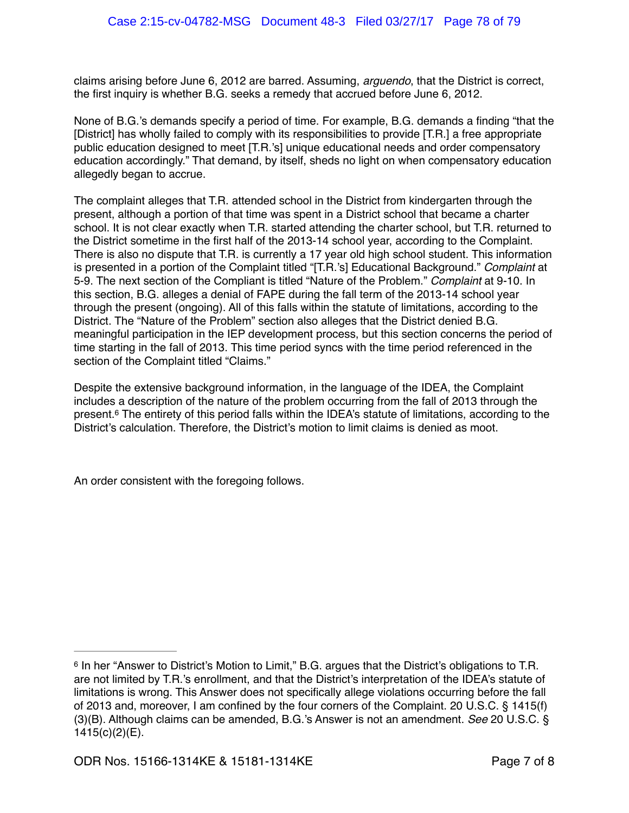claims arising before June 6, 2012 are barred. Assuming, *arguendo*, that the District is correct, the first inquiry is whether B.G. seeks a remedy that accrued before June 6, 2012.

None of B.G.'s demands specify a period of time. For example, B.G. demands a finding "that the [District] has wholly failed to comply with its responsibilities to provide [T.R.] a free appropriate public education designed to meet [T.R.'s] unique educational needs and order compensatory education accordingly." That demand, by itself, sheds no light on when compensatory education allegedly began to accrue.

The complaint alleges that T.R. attended school in the District from kindergarten through the present, although a portion of that time was spent in a District school that became a charter school. It is not clear exactly when T.R. started attending the charter school, but T.R. returned to the District sometime in the first half of the 2013-14 school year, according to the Complaint. There is also no dispute that T.R. is currently a 17 year old high school student. This information is presented in a portion of the Complaint titled "[T.R.'s] Educational Background." *Complaint* at 5-9. The next section of the Compliant is titled "Nature of the Problem." *Complaint* at 9-10. In this section, B.G. alleges a denial of FAPE during the fall term of the 2013-14 school year through the present (ongoing). All of this falls within the statute of limitations, according to the District. The "Nature of the Problem" section also alleges that the District denied B.G. meaningful participation in the IEP development process, but this section concerns the period of time starting in the fall of 2013. This time period syncs with the time period referenced in the section of the Complaint titled "Claims."

Despite the extensive background information, in the language of the IDEA, the Complaint includes a description of the nature of the problem occurring from the fall of 2013 through the present.<sup>6</sup> The entirety of this period falls within the IDEA's statute of limitations, according to the District's calculation. Therefore, the District's motion to limit claims is denied as moot.

An order consistent with the foregoing follows.

<sup>&</sup>lt;sup>6</sup> In her "Answer to District's Motion to Limit," B.G. argues that the District's obligations to T.R. are not limited by T.R.'s enrollment, and that the District's interpretation of the IDEA's statute of limitations is wrong. This Answer does not specifically allege violations occurring before the fall of 2013 and, moreover, I am confined by the four corners of the Complaint. 20 U.S.C. § 1415(f) (3)(B). Although claims can be amended, B.G.'s Answer is not an amendment. *See* 20 U.S.C. § 1415(c)(2)(E).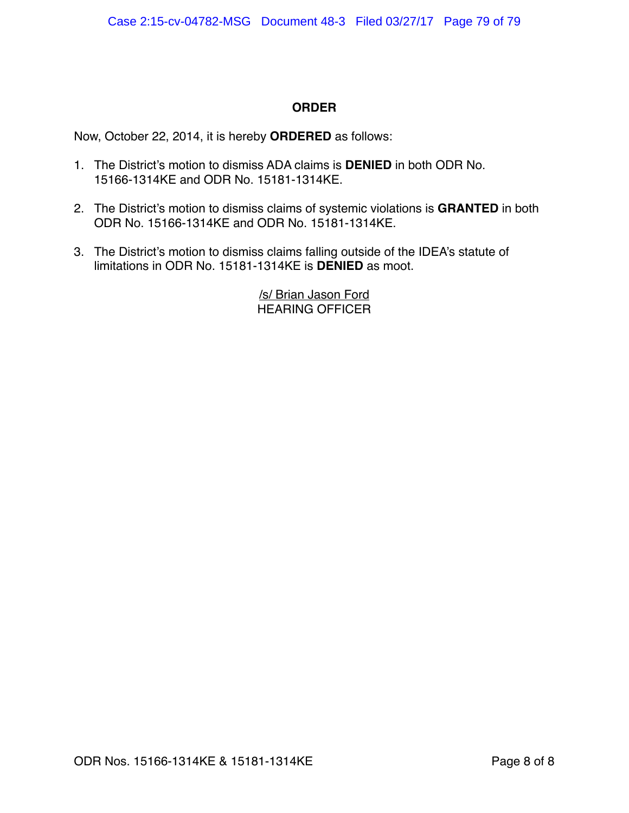## **ORDER**

Now, October 22, 2014, it is hereby **ORDERED** as follows:

- 1. The District's motion to dismiss ADA claims is **DENIED** in both ODR No. 15166-1314KE and ODR No. 15181-1314KE.
- 2. The District's motion to dismiss claims of systemic violations is **GRANTED** in both ODR No. 15166-1314KE and ODR No. 15181-1314KE.
- 3. The District's motion to dismiss claims falling outside of the IDEA's statute of limitations in ODR No. 15181-1314KE is **DENIED** as moot.

/s/ Brian Jason Ford HEARING OFFICER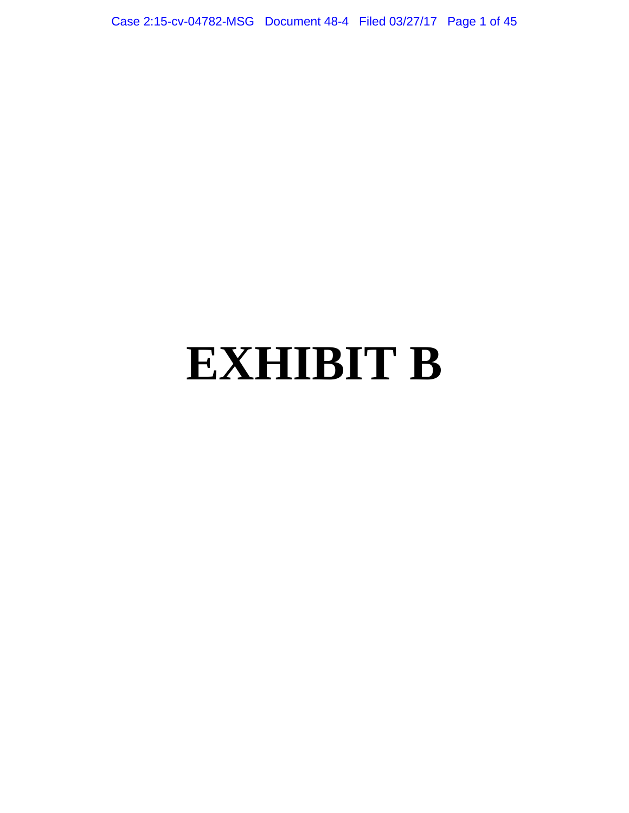Case 2:15-cv-04782-MSG Document 48-4 Filed 03/27/17 Page 1 of 45

## **EXHIBIT B**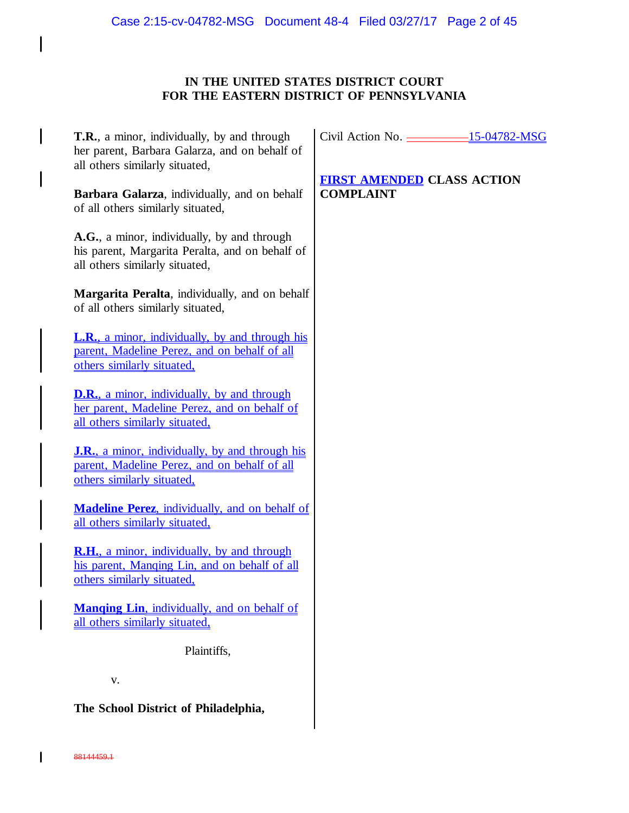## **IN THE UNITED STATES DISTRICT COURT FOR THE EASTERN DISTRICT OF PENNSYLVANIA**

| <b>T.R.</b> , a minor, individually, by and through<br>her parent, Barbara Galarza, and on behalf of<br>all others similarly situated, | Civil Action No. 2003-15-04782-1                      |  |
|----------------------------------------------------------------------------------------------------------------------------------------|-------------------------------------------------------|--|
| Barbara Galarza, individually, and on behalf<br>of all others similarly situated,                                                      | <b>FIRST AMENDED CLASS ACTION</b><br><b>COMPLAINT</b> |  |
| A.G., a minor, individually, by and through<br>his parent, Margarita Peralta, and on behalf of<br>all others similarly situated,       |                                                       |  |
| Margarita Peralta, individually, and on behalf<br>of all others similarly situated,                                                    |                                                       |  |
| <b>L.R.</b> , a minor, individually, by and through his<br>parent, Madeline Perez, and on behalf of all<br>others similarly situated,  |                                                       |  |
| <b>D.R.</b> , a minor, individually, by and through<br>her parent, Madeline Perez, and on behalf of<br>all others similarly situated,  |                                                       |  |
| <b>J.R.,</b> a minor, individually, by and through his<br>parent, Madeline Perez, and on behalf of all<br>others similarly situated,   |                                                       |  |
| <b>Madeline Perez, individually, and on behalf of</b><br>all others similarly situated,                                                |                                                       |  |
| <b>R.H.</b> , a minor, individually, by and through<br>his parent, Manging Lin, and on behalf of all<br>others similarly situated,     |                                                       |  |
| <b>Manging Lin, individually, and on behalf of</b><br>all others similarly situated,                                                   |                                                       |  |
| Plaintiffs,                                                                                                                            |                                                       |  |
| V.                                                                                                                                     |                                                       |  |
| The School District of Philadelphia,                                                                                                   |                                                       |  |

<u>-15-04782-MSG</u>

 $\mathbf{I}$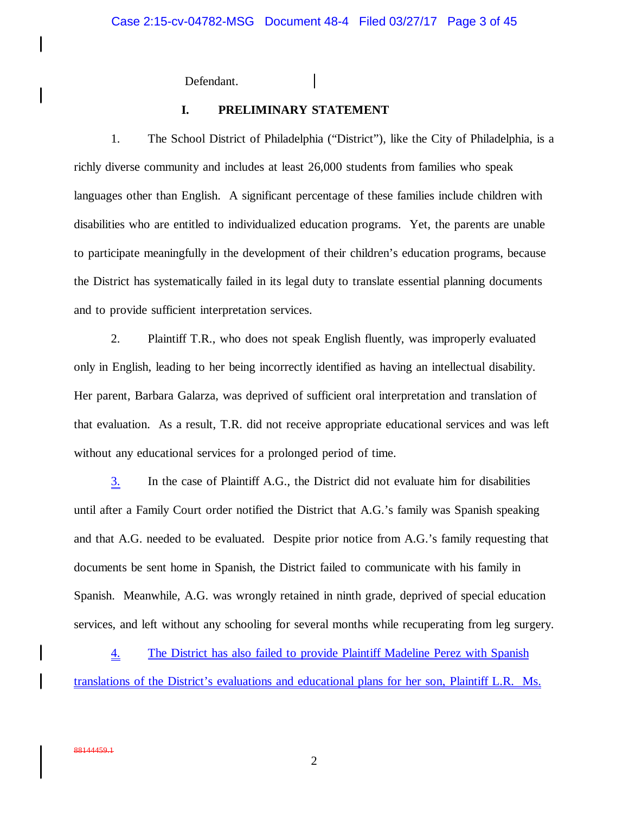Defendant.

I

### **I. PRELIMINARY STATEMENT**

1. The School District of Philadelphia ("District"), like the City of Philadelphia, is a richly diverse community and includes at least 26,000 students from families who speak languages other than English. A significant percentage of these families include children with disabilities who are entitled to individualized education programs. Yet, the parents are unable to participate meaningfully in the development of their children's education programs, because the District has systematically failed in its legal duty to translate essential planning documents and to provide sufficient interpretation services.

2. Plaintiff T.R., who does not speak English fluently, was improperly evaluated only in English, leading to her being incorrectly identified as having an intellectual disability. Her parent, Barbara Galarza, was deprived of sufficient oral interpretation and translation of that evaluation. As a result, T.R. did not receive appropriate educational services and was left without any educational services for a prolonged period of time.

3. In the case of Plaintiff A.G., the District did not evaluate him for disabilities until after a Family Court order notified the District that A.G.'s family was Spanish speaking and that A.G. needed to be evaluated. Despite prior notice from A.G.'s family requesting that documents be sent home in Spanish, the District failed to communicate with his family in Spanish. Meanwhile, A.G. was wrongly retained in ninth grade, deprived of special education services, and left without any schooling for several months while recuperating from leg surgery.

4. The District has also failed to provide Plaintiff Madeline Perez with Spanish translations of the District's evaluations and educational plans for her son, Plaintiff L.R. Ms.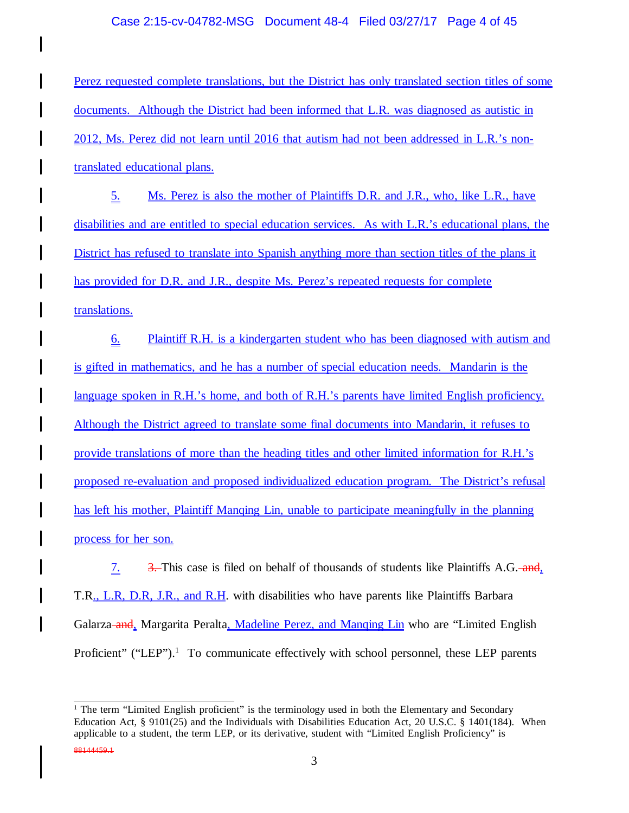### Case 2:15-cv-04782-MSG Document 48-4 Filed 03/27/17 Page 4 of 45

Perez requested complete translations, but the District has only translated section titles of some documents. Although the District had been informed that L.R. was diagnosed as autistic in 2012, Ms. Perez did not learn until 2016 that autism had not been addressed in L.R.'s nontranslated educational plans.

5. Ms. Perez is also the mother of Plaintiffs D.R. and J.R., who, like L.R., have disabilities and are entitled to special education services. As with L.R.'s educational plans, the District has refused to translate into Spanish anything more than section titles of the plans it has provided for D.R. and J.R., despite Ms. Perez's repeated requests for complete translations.

6. Plaintiff R.H. is a kindergarten student who has been diagnosed with autism and is gifted in mathematics, and he has a number of special education needs. Mandarin is the language spoken in R.H.'s home, and both of R.H.'s parents have limited English proficiency. Although the District agreed to translate some final documents into Mandarin, it refuses to provide translations of more than the heading titles and other limited information for R.H.'s proposed re-evaluation and proposed individualized education program. The District's refusal has left his mother, Plaintiff Manqing Lin, unable to participate meaningfully in the planning process for her son.

7.  $\frac{3}{2}$  3. This case is filed on behalf of thousands of students like Plaintiffs A.G. and, T.R., L.R, D.R, J.R., and R.H. with disabilities who have parents like Plaintiffs Barbara Galarza-and, Margarita Peralta, Madeline Perez, and Manging Lin who are "Limited English Proficient" ("LEP").<sup>1</sup> To communicate effectively with school personnel, these LEP parents

88144459.1

<sup>&</sup>lt;sup>1</sup> The term "Limited English proficient" is the terminology used in both the Elementary and Secondary Education Act, § 9101(25) and the Individuals with Disabilities Education Act, 20 U.S.C. § 1401(184). When applicable to a student, the term LEP, or its derivative, student with "Limited English Proficiency" is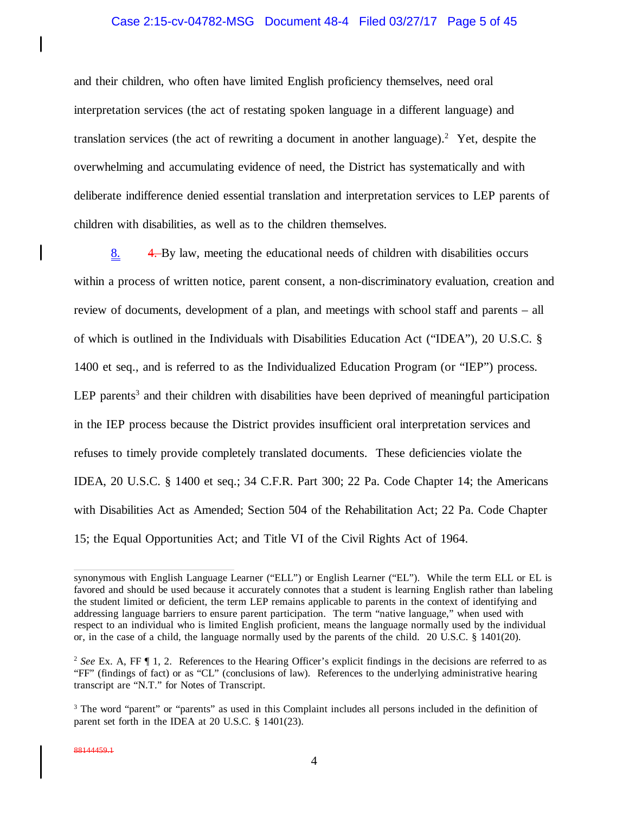### Case 2:15-cv-04782-MSG Document 48-4 Filed 03/27/17 Page 5 of 45

and their children, who often have limited English proficiency themselves, need oral interpretation services (the act of restating spoken language in a different language) and translation services (the act of rewriting a document in another language).<sup>2</sup> Yet, despite the overwhelming and accumulating evidence of need, the District has systematically and with deliberate indifference denied essential translation and interpretation services to LEP parents of children with disabilities, as well as to the children themselves.

8. 4. By law, meeting the educational needs of children with disabilities occurs within a process of written notice, parent consent, a non-discriminatory evaluation, creation and review of documents, development of a plan, and meetings with school staff and parents – all of which is outlined in the Individuals with Disabilities Education Act ("IDEA"), 20 U.S.C. § 1400 et seq., and is referred to as the Individualized Education Program (or "IEP") process. LEP parents<sup>3</sup> and their children with disabilities have been deprived of meaningful participation in the IEP process because the District provides insufficient oral interpretation services and refuses to timely provide completely translated documents. These deficiencies violate the IDEA, 20 U.S.C. § 1400 et seq.; 34 C.F.R. Part 300; 22 Pa. Code Chapter 14; the Americans with Disabilities Act as Amended; Section 504 of the Rehabilitation Act; 22 Pa. Code Chapter 15; the Equal Opportunities Act; and Title VI of the Civil Rights Act of 1964.

synonymous with English Language Learner ("ELL") or English Learner ("EL"). While the term ELL or EL is favored and should be used because it accurately connotes that a student is learning English rather than labeling the student limited or deficient, the term LEP remains applicable to parents in the context of identifying and addressing language barriers to ensure parent participation. The term "native language," when used with respect to an individual who is limited English proficient, means the language normally used by the individual or, in the case of a child, the language normally used by the parents of the child. 20 U.S.C. § 1401(20).

<sup>&</sup>lt;sup>2</sup> See Ex. A, FF ¶ 1, 2. References to the Hearing Officer's explicit findings in the decisions are referred to as "FF" (findings of fact) or as "CL" (conclusions of law). References to the underlying administrative hearing transcript are "N.T." for Notes of Transcript.

<sup>&</sup>lt;sup>3</sup> The word "parent" or "parents" as used in this Complaint includes all persons included in the definition of parent set forth in the IDEA at 20 U.S.C. § 1401(23).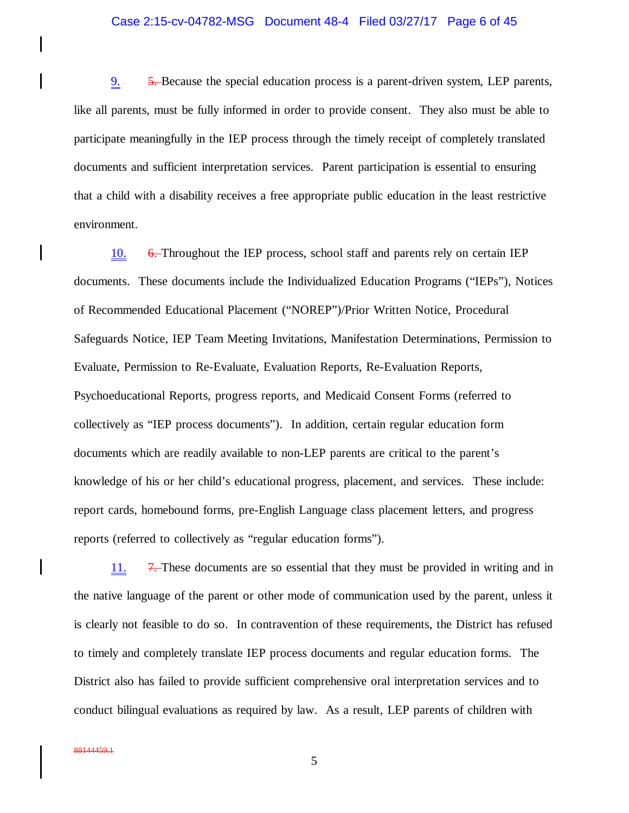### Case 2:15-cv-04782-MSG Document 48-4 Filed 03/27/17 Page 6 of 45

9. 5. Because the special education process is a parent-driven system, LEP parents, like all parents, must be fully informed in order to provide consent. They also must be able to participate meaningfully in the IEP process through the timely receipt of completely translated documents and sufficient interpretation services. Parent participation is essential to ensuring that a child with a disability receives a free appropriate public education in the least restrictive environment.

10. 6. Throughout the IEP process, school staff and parents rely on certain IEP documents. These documents include the Individualized Education Programs ("IEPs"), Notices of Recommended Educational Placement ("NOREP")/Prior Written Notice, Procedural Safeguards Notice, IEP Team Meeting Invitations, Manifestation Determinations, Permission to Evaluate, Permission to Re-Evaluate, Evaluation Reports, Re-Evaluation Reports, Psychoeducational Reports, progress reports, and Medicaid Consent Forms (referred to collectively as "IEP process documents"). In addition, certain regular education form documents which are readily available to non-LEP parents are critical to the parent's knowledge of his or her child's educational progress, placement, and services. These include: report cards, homebound forms, pre-English Language class placement letters, and progress reports (referred to collectively as "regular education forms").

11. 7. These documents are so essential that they must be provided in writing and in the native language of the parent or other mode of communication used by the parent, unless it is clearly not feasible to do so. In contravention of these requirements, the District has refused to timely and completely translate IEP process documents and regular education forms. The District also has failed to provide sufficient comprehensive oral interpretation services and to conduct bilingual evaluations as required by law. As a result, LEP parents of children with

I

I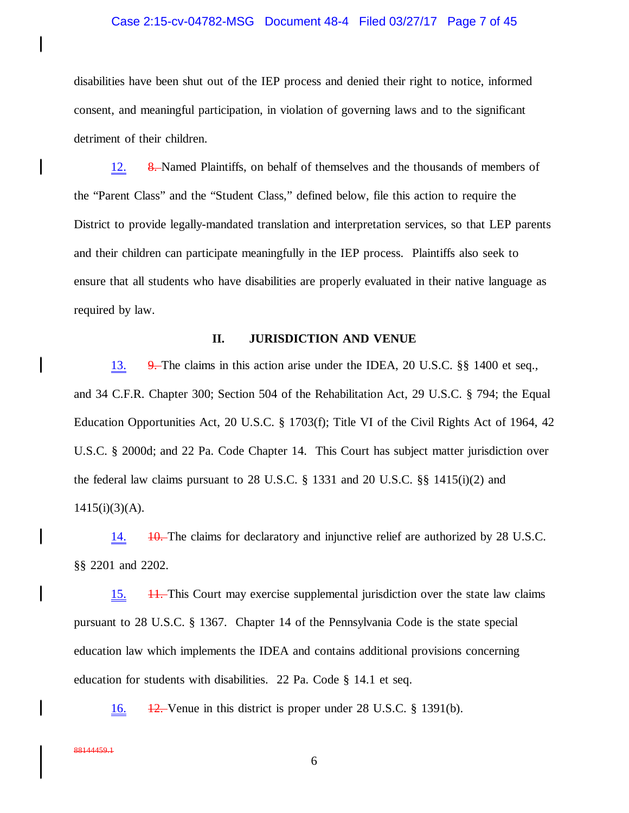### Case 2:15-cv-04782-MSG Document 48-4 Filed 03/27/17 Page 7 of 45

disabilities have been shut out of the IEP process and denied their right to notice, informed consent, and meaningful participation, in violation of governing laws and to the significant detriment of their children.

12. 8. Named Plaintiffs, on behalf of themselves and the thousands of members of the "Parent Class" and the "Student Class," defined below, file this action to require the District to provide legally-mandated translation and interpretation services, so that LEP parents and their children can participate meaningfully in the IEP process. Plaintiffs also seek to ensure that all students who have disabilities are properly evaluated in their native language as required by law.

### **II. JURISDICTION AND VENUE**

13. 9. The claims in this action arise under the IDEA, 20 U.S.C. §§ 1400 et seq., and 34 C.F.R. Chapter 300; Section 504 of the Rehabilitation Act, 29 U.S.C. § 794; the Equal Education Opportunities Act, 20 U.S.C. § 1703(f); Title VI of the Civil Rights Act of 1964, 42 U.S.C. § 2000d; and 22 Pa. Code Chapter 14. This Court has subject matter jurisdiction over the federal law claims pursuant to 28 U.S.C. § 1331 and 20 U.S.C. §§ 1415(i)(2) and 1415(i)(3)(A).

14.  $\frac{10}{10}$ . The claims for declaratory and injunctive relief are authorized by 28 U.S.C. §§ 2201 and 2202.

15. 11. This Court may exercise supplemental jurisdiction over the state law claims pursuant to 28 U.S.C. § 1367. Chapter 14 of the Pennsylvania Code is the state special education law which implements the IDEA and contains additional provisions concerning education for students with disabilities. 22 Pa. Code § 14.1 et seq.

16. 12. Venue in this district is proper under 28 U.S.C. § 1391(b).

 $\overline{\phantom{a}}$ 

 $\mathbf l$ 

 $\mathbf l$ 

I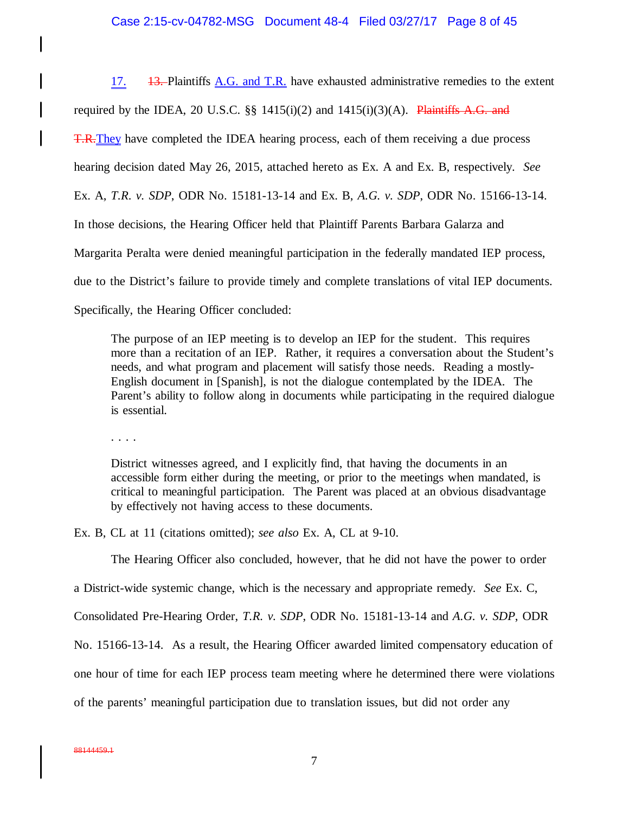### Case 2:15-cv-04782-MSG Document 48-4 Filed 03/27/17 Page 8 of 45

17.  $\frac{13}{13}$ -Plaintiffs A.G. and T.R. have exhausted administrative remedies to the extent required by the IDEA, 20 U.S.C.  $\S$  1415(i)(2) and 1415(i)(3)(A). Plaintiffs A.G. and T.R.They have completed the IDEA hearing process, each of them receiving a due process hearing decision dated May 26, 2015, attached hereto as Ex. A and Ex. B, respectively. *See* Ex. A, *T.R. v. SDP*, ODR No. 15181-13-14 and Ex. B, *A.G. v. SDP*, ODR No. 15166-13-14. In those decisions, the Hearing Officer held that Plaintiff Parents Barbara Galarza and Margarita Peralta were denied meaningful participation in the federally mandated IEP process, due to the District's failure to provide timely and complete translations of vital IEP documents. Specifically, the Hearing Officer concluded:

The purpose of an IEP meeting is to develop an IEP for the student. This requires more than a recitation of an IEP. Rather, it requires a conversation about the Student's needs, and what program and placement will satisfy those needs. Reading a mostly-English document in [Spanish], is not the dialogue contemplated by the IDEA. The Parent's ability to follow along in documents while participating in the required dialogue is essential.

. . . .

 $\mathbf{I}$ 

District witnesses agreed, and I explicitly find, that having the documents in an accessible form either during the meeting, or prior to the meetings when mandated, is critical to meaningful participation. The Parent was placed at an obvious disadvantage by effectively not having access to these documents.

Ex. B, CL at 11 (citations omitted); *see also* Ex. A, CL at 9-10.

The Hearing Officer also concluded, however, that he did not have the power to order

a District-wide systemic change, which is the necessary and appropriate remedy. *See* Ex. C,

Consolidated Pre-Hearing Order, *T.R. v. SDP*, ODR No. 15181-13-14 and *A.G. v. SDP*, ODR

No. 15166-13-14. As a result, the Hearing Officer awarded limited compensatory education of

one hour of time for each IEP process team meeting where he determined there were violations

of the parents' meaningful participation due to translation issues, but did not order any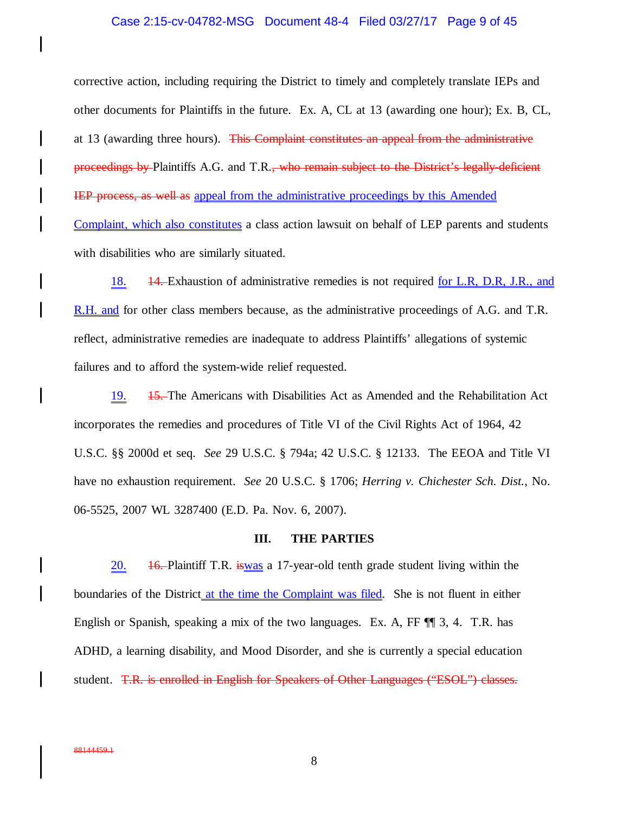### Case 2:15-cv-04782-MSG Document 48-4 Filed 03/27/17 Page 9 of 45

corrective action, including requiring the District to timely and completely translate IEPs and other documents for Plaintiffs in the future. Ex. A, CL at 13 (awarding one hour); Ex. B, CL, at 13 (awarding three hours). This Complaint constitutes an appeal from the administrative proceedings by Plaintiffs A.G. and T.R., who remain subject to the District's legally-deficient IEP process, as well as appeal from the administrative proceedings by this Amended Complaint, which also constitutes a class action lawsuit on behalf of LEP parents and students with disabilities who are similarly situated.

18. 14. Exhaustion of administrative remedies is not required <u>for L.R, D.R, J.R., and</u> R.H. and for other class members because, as the administrative proceedings of A.G. and T.R. reflect, administrative remedies are inadequate to address Plaintiffs' allegations of systemic failures and to afford the system-wide relief requested.

19. 15. The Americans with Disabilities Act as Amended and the Rehabilitation Act incorporates the remedies and procedures of Title VI of the Civil Rights Act of 1964, 42 U.S.C. §§ 2000d et seq. *See* 29 U.S.C. § 794a; 42 U.S.C. § 12133. The EEOA and Title VI have no exhaustion requirement. *See* 20 U.S.C. § 1706; *Herring v. Chichester Sch. Dist.*, No. 06-5525, 2007 WL 3287400 (E.D. Pa. Nov. 6, 2007).

### **III. THE PARTIES**

20.  $\frac{16}{16}$ -Plaintiff T.R. iswas a 17-year-old tenth grade student living within the boundaries of the District at the time the Complaint was filed. She is not fluent in either English or Spanish, speaking a mix of the two languages. Ex. A, FF ¶¶ 3, 4. T.R. has ADHD, a learning disability, and Mood Disorder, and she is currently a special education student. T.R. is enrolled in English for Speakers of Other Languages ("ESOL") classes.

 $\mathbf l$ 

I

I

I

 $\mathsf{l}$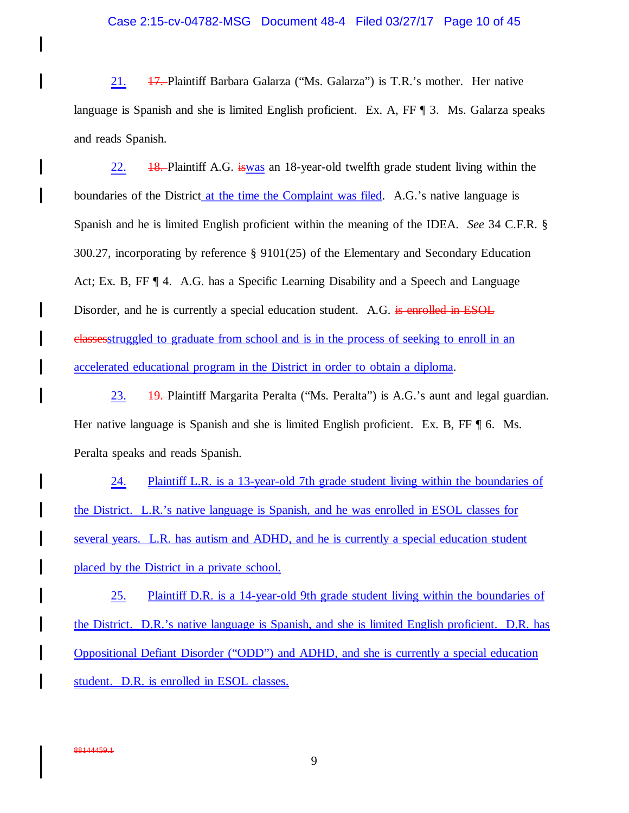### Case 2:15-cv-04782-MSG Document 48-4 Filed 03/27/17 Page 10 of 45

21. <del>17.</del> Plaintiff Barbara Galarza ("Ms. Galarza") is T.R.'s mother. Her native language is Spanish and she is limited English proficient. Ex. A, FF ¶ 3. Ms. Galarza speaks and reads Spanish.

 $\frac{22.}{48.}$  Plaintiff A.G. is was an 18-year-old twelfth grade student living within the boundaries of the District at the time the Complaint was filed. A.G.'s native language is Spanish and he is limited English proficient within the meaning of the IDEA. *See* 34 C.F.R. § 300.27, incorporating by reference § 9101(25) of the Elementary and Secondary Education Act; Ex. B, FF ¶ 4. A.G. has a Specific Learning Disability and a Speech and Language Disorder, and he is currently a special education student. A.G. is enrolled in ESOL classesstruggled to graduate from school and is in the process of seeking to enroll in an accelerated educational program in the District in order to obtain a diploma.

23. 19. Plaintiff Margarita Peralta ("Ms. Peralta") is A.G.'s aunt and legal guardian. Her native language is Spanish and she is limited English proficient. Ex. B, FF ¶ 6. Ms. Peralta speaks and reads Spanish.

24. Plaintiff L.R. is a 13-year-old 7th grade student living within the boundaries of the District. L.R.'s native language is Spanish, and he was enrolled in ESOL classes for several years. L.R. has autism and ADHD, and he is currently a special education student placed by the District in a private school.

25. Plaintiff D.R. is a 14-year-old 9th grade student living within the boundaries of the District. D.R.'s native language is Spanish, and she is limited English proficient. D.R. has Oppositional Defiant Disorder ("ODD") and ADHD, and she is currently a special education student. D.R. is enrolled in ESOL classes.

 $\mathbf l$ 

I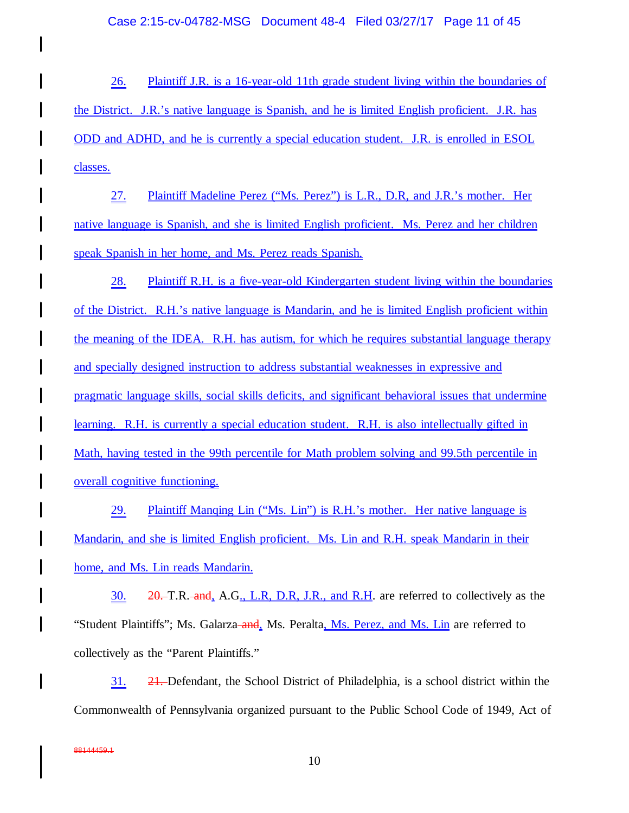26. Plaintiff J.R. is a 16-year-old 11th grade student living within the boundaries of the District. J.R.'s native language is Spanish, and he is limited English proficient. J.R. has ODD and ADHD, and he is currently a special education student. J.R. is enrolled in ESOL classes.

27. Plaintiff Madeline Perez ("Ms. Perez") is L.R., D.R, and J.R.'s mother. Her native language is Spanish, and she is limited English proficient. Ms. Perez and her children speak Spanish in her home, and Ms. Perez reads Spanish.

28. Plaintiff R.H. is a five-year-old Kindergarten student living within the boundaries of the District. R.H.'s native language is Mandarin, and he is limited English proficient within the meaning of the IDEA. R.H. has autism, for which he requires substantial language therapy and specially designed instruction to address substantial weaknesses in expressive and pragmatic language skills, social skills deficits, and significant behavioral issues that undermine learning. R.H. is currently a special education student. R.H. is also intellectually gifted in Math, having tested in the 99th percentile for Math problem solving and 99.5th percentile in overall cognitive functioning.

29. Plaintiff Manqing Lin ("Ms. Lin") is R.H.'s mother. Her native language is Mandarin, and she is limited English proficient. Ms. Lin and R.H. speak Mandarin in their home, and Ms. Lin reads Mandarin.

30.  $20 - T.R.$  and, A.G., L.R, D.R, J.R., and R.H. are referred to collectively as the "Student Plaintiffs"; Ms. Galarza–and, Ms. Peralta, Ms. Perez, and Ms. Lin are referred to collectively as the "Parent Plaintiffs."

31. 21. Defendant, the School District of Philadelphia, is a school district within the Commonwealth of Pennsylvania organized pursuant to the Public School Code of 1949, Act of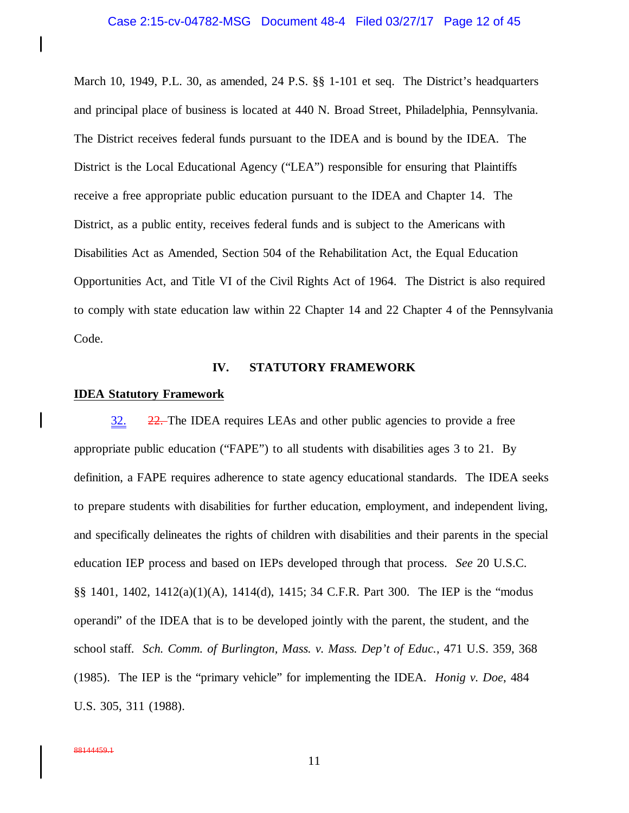March 10, 1949, P.L. 30, as amended, 24 P.S. §§ 1-101 et seq. The District's headquarters and principal place of business is located at 440 N. Broad Street, Philadelphia, Pennsylvania. The District receives federal funds pursuant to the IDEA and is bound by the IDEA. The District is the Local Educational Agency ("LEA") responsible for ensuring that Plaintiffs receive a free appropriate public education pursuant to the IDEA and Chapter 14. The District, as a public entity, receives federal funds and is subject to the Americans with Disabilities Act as Amended, Section 504 of the Rehabilitation Act, the Equal Education Opportunities Act, and Title VI of the Civil Rights Act of 1964. The District is also required to comply with state education law within 22 Chapter 14 and 22 Chapter 4 of the Pennsylvania Code.

### **IV. STATUTORY FRAMEWORK**

### **IDEA Statutory Framework**

 $\mathsf{l}$ 

 $\mathbf l$ 

32. 22. The IDEA requires LEAs and other public agencies to provide a free appropriate public education ("FAPE") to all students with disabilities ages 3 to 21. By definition, a FAPE requires adherence to state agency educational standards. The IDEA seeks to prepare students with disabilities for further education, employment, and independent living, and specifically delineates the rights of children with disabilities and their parents in the special education IEP process and based on IEPs developed through that process. *See* 20 U.S.C. §§ 1401, 1402, 1412(a)(1)(A), 1414(d), 1415; 34 C.F.R. Part 300. The IEP is the "modus operandi" of the IDEA that is to be developed jointly with the parent, the student, and the school staff. *Sch. Comm. of Burlington, Mass. v. Mass. Dep't of Educ.*, 471 U.S. 359, 368 (1985). The IEP is the "primary vehicle" for implementing the IDEA. *Honig v. Doe*, 484 U.S. 305, 311 (1988).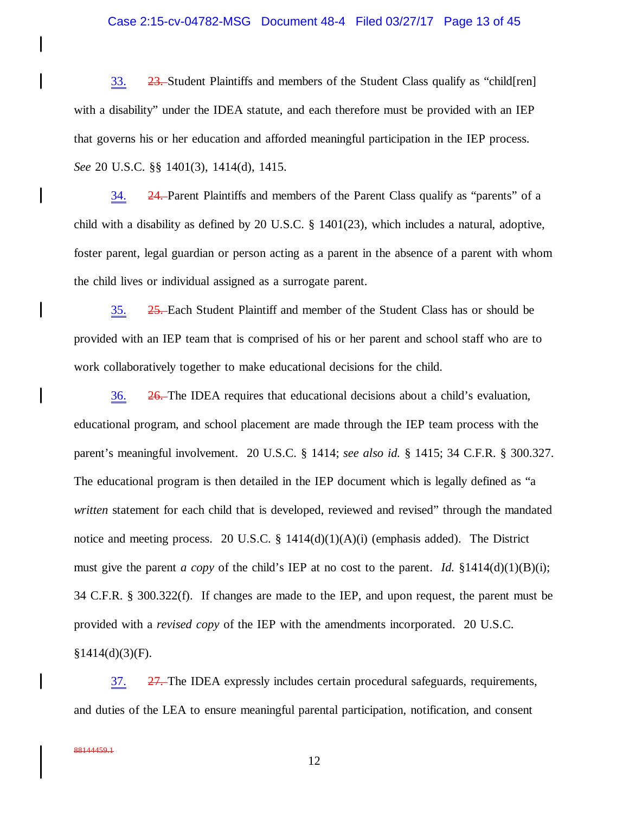### Case 2:15-cv-04782-MSG Document 48-4 Filed 03/27/17 Page 13 of 45

33. 23. Student Plaintiffs and members of the Student Class qualify as "child[ren] with a disability" under the IDEA statute, and each therefore must be provided with an IEP that governs his or her education and afforded meaningful participation in the IEP process. *See* 20 U.S.C. §§ 1401(3), 1414(d), 1415.

34. 24. Parent Plaintiffs and members of the Parent Class qualify as "parents" of a child with a disability as defined by 20 U.S.C. § 1401(23), which includes a natural, adoptive, foster parent, legal guardian or person acting as a parent in the absence of a parent with whom the child lives or individual assigned as a surrogate parent.

35. 25. Each Student Plaintiff and member of the Student Class has or should be provided with an IEP team that is comprised of his or her parent and school staff who are to work collaboratively together to make educational decisions for the child.

36. 26. The IDEA requires that educational decisions about a child's evaluation, educational program, and school placement are made through the IEP team process with the parent's meaningful involvement. 20 U.S.C. § 1414; *see also id.* § 1415; 34 C.F.R. § 300.327. The educational program is then detailed in the IEP document which is legally defined as "a *written* statement for each child that is developed, reviewed and revised" through the mandated notice and meeting process. 20 U.S.C. §  $1414(d)(1)(A)(i)$  (emphasis added). The District must give the parent *a copy* of the child's IEP at no cost to the parent. *Id.*  $\S 1414(d)(1)(B)(i)$ ; 34 C.F.R. § 300.322(f). If changes are made to the IEP, and upon request, the parent must be provided with a *revised copy* of the IEP with the amendments incorporated. 20 U.S.C.  $§1414(d)(3)(F).$ 

37. 27. The IDEA expressly includes certain procedural safeguards, requirements, and duties of the LEA to ensure meaningful parental participation, notification, and consent

 $\mathsf{l}$ 

I

 $\overline{\phantom{a}}$ 

 $\mathbf l$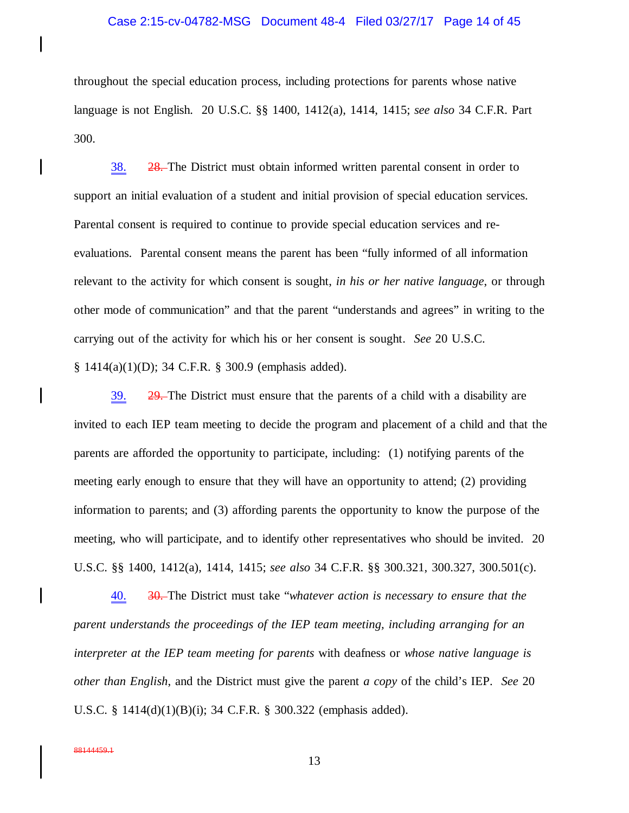### Case 2:15-cv-04782-MSG Document 48-4 Filed 03/27/17 Page 14 of 45

throughout the special education process, including protections for parents whose native language is not English. 20 U.S.C. §§ 1400, 1412(a), 1414, 1415; *see also* 34 C.F.R. Part 300.

38. 28. The District must obtain informed written parental consent in order to support an initial evaluation of a student and initial provision of special education services. Parental consent is required to continue to provide special education services and reevaluations. Parental consent means the parent has been "fully informed of all information relevant to the activity for which consent is sought, *in his or her native language*, or through other mode of communication" and that the parent "understands and agrees" in writing to the carrying out of the activity for which his or her consent is sought. *See* 20 U.S.C. § 1414(a)(1)(D); 34 C.F.R. § 300.9 (emphasis added).

39. 29. The District must ensure that the parents of a child with a disability are invited to each IEP team meeting to decide the program and placement of a child and that the parents are afforded the opportunity to participate, including: (1) notifying parents of the meeting early enough to ensure that they will have an opportunity to attend; (2) providing information to parents; and (3) affording parents the opportunity to know the purpose of the meeting, who will participate, and to identify other representatives who should be invited. 20 U.S.C. §§ 1400, 1412(a), 1414, 1415; *see also* 34 C.F.R. §§ 300.321, 300.327, 300.501(c).

40. 30. The District must take "*whatever action is necessary to ensure that the parent understands the proceedings of the IEP team meeting, including arranging for an interpreter at the IEP team meeting for parents* with deafness or *whose native language is other than English*, and the District must give the parent *a copy* of the child's IEP. *See* 20 U.S.C. § 1414(d)(1)(B)(i); 34 C.F.R. § 300.322 (emphasis added).

88144459.1

I

 $\mathbf l$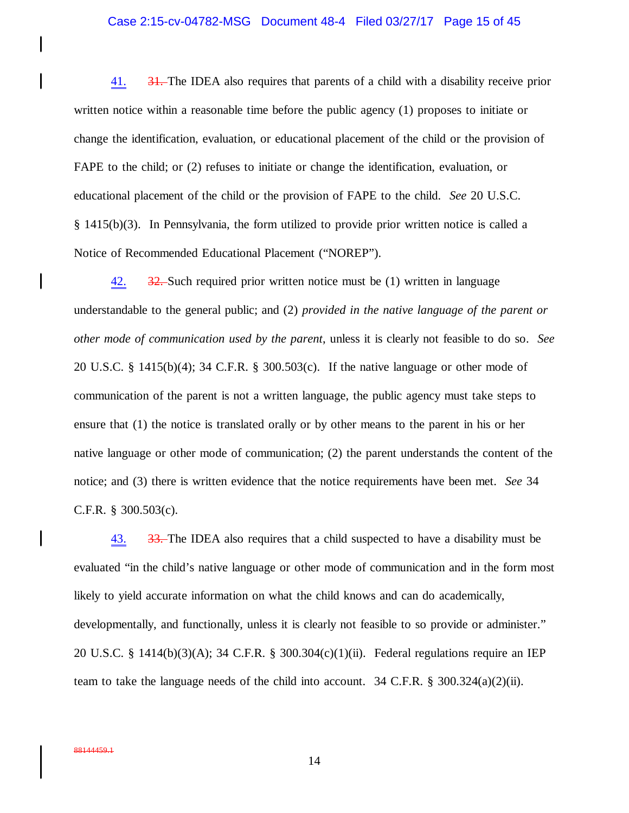### Case 2:15-cv-04782-MSG Document 48-4 Filed 03/27/17 Page 15 of 45

41.  $\frac{31}{10}$  The IDEA also requires that parents of a child with a disability receive prior written notice within a reasonable time before the public agency (1) proposes to initiate or change the identification, evaluation, or educational placement of the child or the provision of FAPE to the child; or (2) refuses to initiate or change the identification, evaluation, or educational placement of the child or the provision of FAPE to the child. *See* 20 U.S.C. § 1415(b)(3). In Pennsylvania, the form utilized to provide prior written notice is called a Notice of Recommended Educational Placement ("NOREP").

 $\frac{42.}{22.}$  Such required prior written notice must be (1) written in language understandable to the general public; and (2) *provided in the native language of the parent or other mode of communication used by the parent*, unless it is clearly not feasible to do so. *See* 20 U.S.C. § 1415(b)(4); 34 C.F.R. § 300.503(c). If the native language or other mode of communication of the parent is not a written language, the public agency must take steps to ensure that (1) the notice is translated orally or by other means to the parent in his or her native language or other mode of communication; (2) the parent understands the content of the notice; and (3) there is written evidence that the notice requirements have been met. *See* 34 C.F.R. § 300.503(c).

43.  $\frac{33}{100}$  33. The IDEA also requires that a child suspected to have a disability must be evaluated "in the child's native language or other mode of communication and in the form most likely to yield accurate information on what the child knows and can do academically, developmentally, and functionally, unless it is clearly not feasible to so provide or administer." 20 U.S.C. § 1414(b)(3)(A); 34 C.F.R. § 300.304(c)(1)(ii). Federal regulations require an IEP team to take the language needs of the child into account. 34 C.F.R. § 300.324(a)(2)(ii).

 $\mathbf l$ 

 $\mathbf l$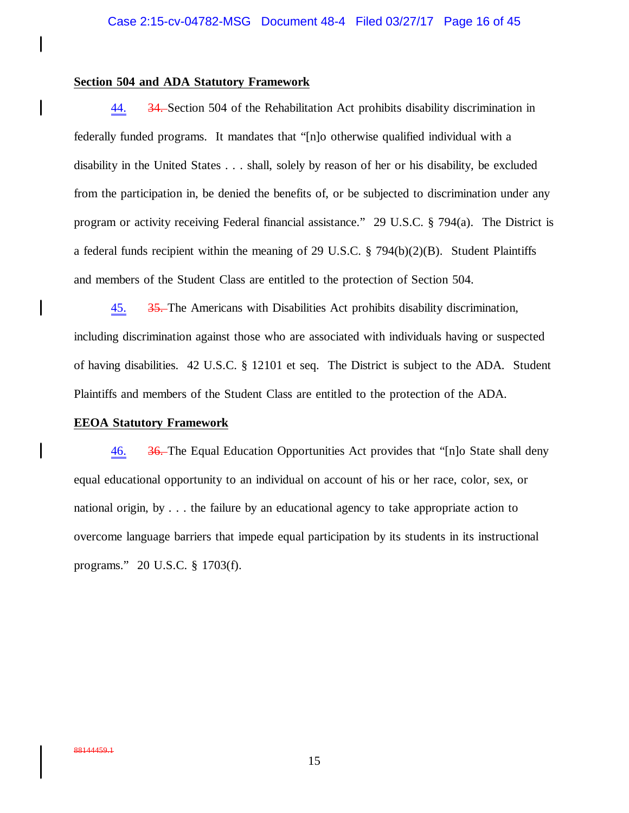### **Section 504 and ADA Statutory Framework**

 $\mathsf{l}$ 

 $\mathsf{l}$ 

 $\mathbf l$ 

 $\mathsf{l}$ 

44. 34. Section 504 of the Rehabilitation Act prohibits disability discrimination in federally funded programs. It mandates that "[n]o otherwise qualified individual with a disability in the United States . . . shall, solely by reason of her or his disability, be excluded from the participation in, be denied the benefits of, or be subjected to discrimination under any program or activity receiving Federal financial assistance." 29 U.S.C. § 794(a). The District is a federal funds recipient within the meaning of 29 U.S.C. § 794(b)(2)(B). Student Plaintiffs and members of the Student Class are entitled to the protection of Section 504.

45. 35. The Americans with Disabilities Act prohibits disability discrimination, including discrimination against those who are associated with individuals having or suspected of having disabilities. 42 U.S.C. § 12101 et seq. The District is subject to the ADA. Student Plaintiffs and members of the Student Class are entitled to the protection of the ADA.

### **EEOA Statutory Framework**

46. 36. The Equal Education Opportunities Act provides that "[n]o State shall deny equal educational opportunity to an individual on account of his or her race, color, sex, or national origin, by . . . the failure by an educational agency to take appropriate action to overcome language barriers that impede equal participation by its students in its instructional programs." 20 U.S.C. § 1703(f).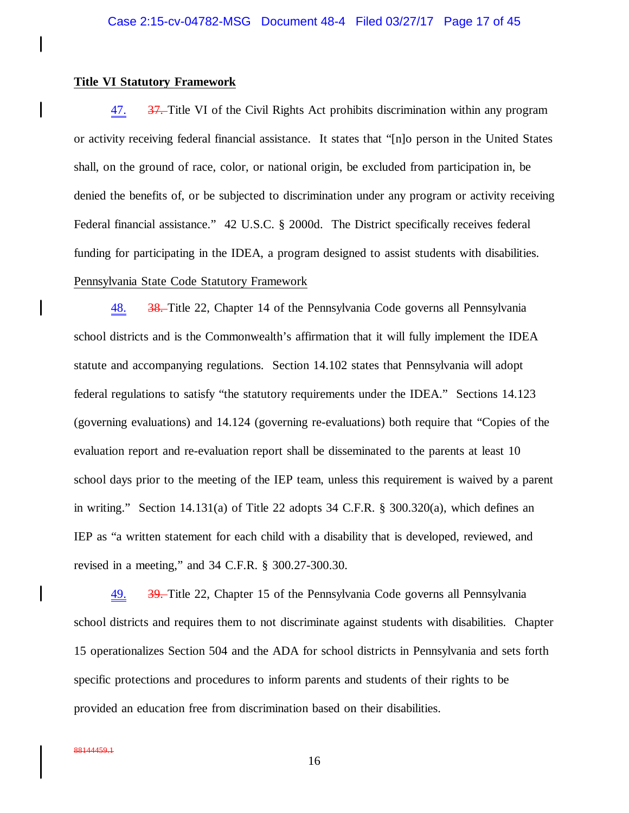### **Title VI Statutory Framework**

 $\mathbf l$ 

 $\mathbf l$ 

I

47. 37. Title VI of the Civil Rights Act prohibits discrimination within any program or activity receiving federal financial assistance. It states that "[n]o person in the United States shall, on the ground of race, color, or national origin, be excluded from participation in, be denied the benefits of, or be subjected to discrimination under any program or activity receiving Federal financial assistance." 42 U.S.C. § 2000d. The District specifically receives federal funding for participating in the IDEA, a program designed to assist students with disabilities. Pennsylvania State Code Statutory Framework

48. 38. Title 22, Chapter 14 of the Pennsylvania Code governs all Pennsylvania school districts and is the Commonwealth's affirmation that it will fully implement the IDEA statute and accompanying regulations. Section 14.102 states that Pennsylvania will adopt federal regulations to satisfy "the statutory requirements under the IDEA." Sections 14.123 (governing evaluations) and 14.124 (governing re-evaluations) both require that "Copies of the evaluation report and re-evaluation report shall be disseminated to the parents at least 10 school days prior to the meeting of the IEP team, unless this requirement is waived by a parent in writing." Section 14.131(a) of Title 22 adopts 34 C.F.R. § 300.320(a), which defines an IEP as "a written statement for each child with a disability that is developed, reviewed, and revised in a meeting," and 34 C.F.R. § 300.27-300.30.

49. 39. Title 22, Chapter 15 of the Pennsylvania Code governs all Pennsylvania school districts and requires them to not discriminate against students with disabilities. Chapter 15 operationalizes Section 504 and the ADA for school districts in Pennsylvania and sets forth specific protections and procedures to inform parents and students of their rights to be provided an education free from discrimination based on their disabilities.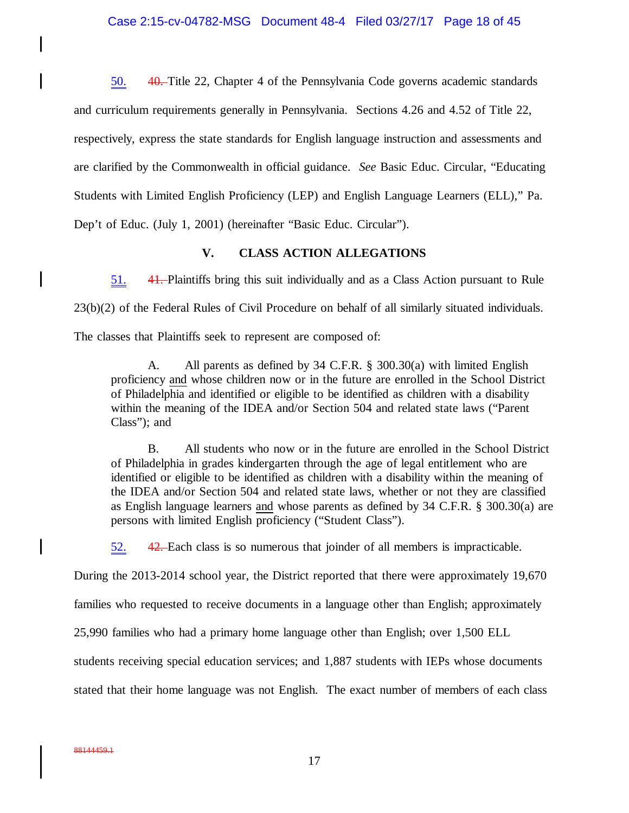50. 40. Title 22, Chapter 4 of the Pennsylvania Code governs academic standards and curriculum requirements generally in Pennsylvania. Sections 4.26 and 4.52 of Title 22, respectively, express the state standards for English language instruction and assessments and are clarified by the Commonwealth in official guidance. *See* Basic Educ. Circular, "Educating Students with Limited English Proficiency (LEP) and English Language Learners (ELL)," Pa. Dep't of Educ. (July 1, 2001) (hereinafter "Basic Educ. Circular").

## **V. CLASS ACTION ALLEGATIONS**

51. 41. Plaintiffs bring this suit individually and as a Class Action pursuant to Rule 23(b)(2) of the Federal Rules of Civil Procedure on behalf of all similarly situated individuals.

The classes that Plaintiffs seek to represent are composed of:

A. All parents as defined by 34 C.F.R. § 300.30(a) with limited English proficiency and whose children now or in the future are enrolled in the School District of Philadelphia and identified or eligible to be identified as children with a disability within the meaning of the IDEA and/or Section 504 and related state laws ("Parent Class"); and

B. All students who now or in the future are enrolled in the School District of Philadelphia in grades kindergarten through the age of legal entitlement who are identified or eligible to be identified as children with a disability within the meaning of the IDEA and/or Section 504 and related state laws, whether or not they are classified as English language learners and whose parents as defined by 34 C.F.R. § 300.30(a) are persons with limited English proficiency ("Student Class").

52. 42. Each class is so numerous that joinder of all members is impracticable.

During the 2013-2014 school year, the District reported that there were approximately 19,670

families who requested to receive documents in a language other than English; approximately

25,990 families who had a primary home language other than English; over 1,500 ELL

students receiving special education services; and 1,887 students with IEPs whose documents

stated that their home language was not English. The exact number of members of each class

88144459.1

 $\mathbf l$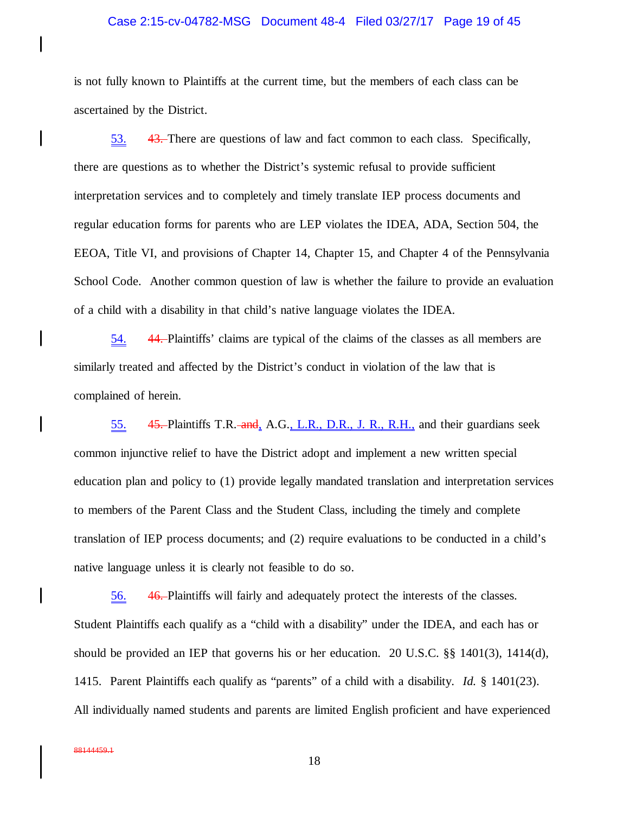## Case 2:15-cv-04782-MSG Document 48-4 Filed 03/27/17 Page 19 of 45

is not fully known to Plaintiffs at the current time, but the members of each class can be ascertained by the District.

53. 43. There are questions of law and fact common to each class. Specifically, there are questions as to whether the District's systemic refusal to provide sufficient interpretation services and to completely and timely translate IEP process documents and regular education forms for parents who are LEP violates the IDEA, ADA, Section 504, the EEOA, Title VI, and provisions of Chapter 14, Chapter 15, and Chapter 4 of the Pennsylvania School Code. Another common question of law is whether the failure to provide an evaluation of a child with a disability in that child's native language violates the IDEA.

54. 44. Plaintiffs' claims are typical of the claims of the classes as all members are similarly treated and affected by the District's conduct in violation of the law that is complained of herein.

55. **45.** Plaintiffs T.R. and, A.G., L.R., D.R., J. R., R.H., and their guardians seek common injunctive relief to have the District adopt and implement a new written special education plan and policy to (1) provide legally mandated translation and interpretation services to members of the Parent Class and the Student Class, including the timely and complete translation of IEP process documents; and (2) require evaluations to be conducted in a child's native language unless it is clearly not feasible to do so.

56. 46. Plaintiffs will fairly and adequately protect the interests of the classes. Student Plaintiffs each qualify as a "child with a disability" under the IDEA, and each has or should be provided an IEP that governs his or her education. 20 U.S.C. §§ 1401(3), 1414(d), 1415. Parent Plaintiffs each qualify as "parents" of a child with a disability. *Id.* § 1401(23). All individually named students and parents are limited English proficient and have experienced

I

 $\mathbf l$ 

I

 $\mathbf l$ 

 $\mathbf l$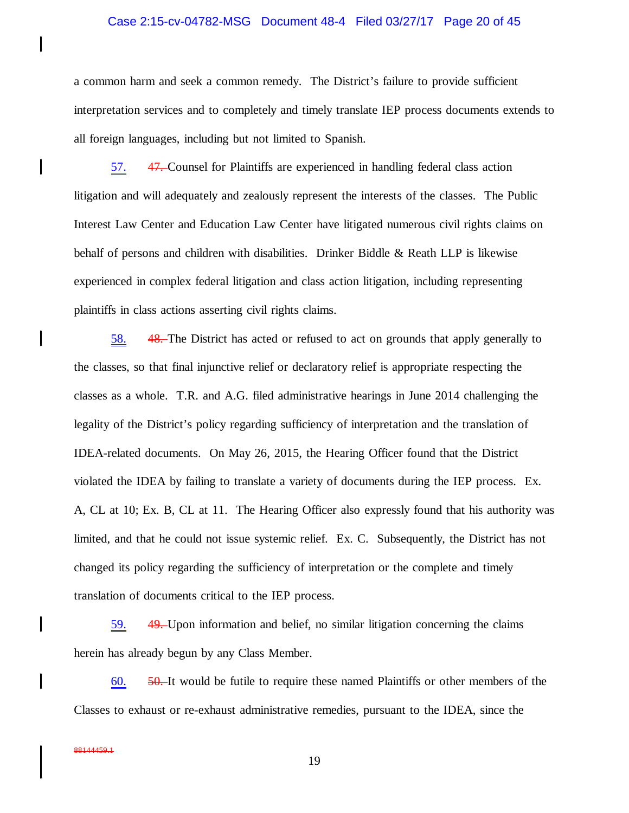### Case 2:15-cv-04782-MSG Document 48-4 Filed 03/27/17 Page 20 of 45

a common harm and seek a common remedy. The District's failure to provide sufficient interpretation services and to completely and timely translate IEP process documents extends to all foreign languages, including but not limited to Spanish.

57. 47. Counsel for Plaintiffs are experienced in handling federal class action litigation and will adequately and zealously represent the interests of the classes. The Public Interest Law Center and Education Law Center have litigated numerous civil rights claims on behalf of persons and children with disabilities. Drinker Biddle & Reath LLP is likewise experienced in complex federal litigation and class action litigation, including representing plaintiffs in class actions asserting civil rights claims.

58. 48. The District has acted or refused to act on grounds that apply generally to the classes, so that final injunctive relief or declaratory relief is appropriate respecting the classes as a whole. T.R. and A.G. filed administrative hearings in June 2014 challenging the legality of the District's policy regarding sufficiency of interpretation and the translation of IDEA-related documents. On May 26, 2015, the Hearing Officer found that the District violated the IDEA by failing to translate a variety of documents during the IEP process. Ex. A, CL at 10; Ex. B, CL at 11. The Hearing Officer also expressly found that his authority was limited, and that he could not issue systemic relief. Ex. C. Subsequently, the District has not changed its policy regarding the sufficiency of interpretation or the complete and timely translation of documents critical to the IEP process.

59. 49. Upon information and belief, no similar litigation concerning the claims herein has already begun by any Class Member.

 $60.$   $50.$  It would be futile to require these named Plaintiffs or other members of the Classes to exhaust or re-exhaust administrative remedies, pursuant to the IDEA, since the

 $\mathbf l$ 

 $\mathbf l$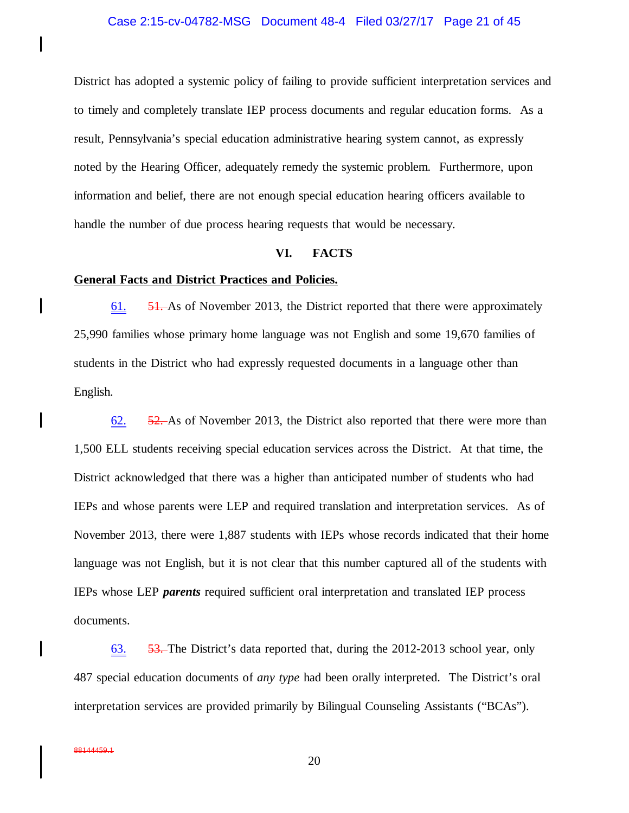## Case 2:15-cv-04782-MSG Document 48-4 Filed 03/27/17 Page 21 of 45

District has adopted a systemic policy of failing to provide sufficient interpretation services and to timely and completely translate IEP process documents and regular education forms. As a result, Pennsylvania's special education administrative hearing system cannot, as expressly noted by the Hearing Officer, adequately remedy the systemic problem. Furthermore, upon information and belief, there are not enough special education hearing officers available to handle the number of due process hearing requests that would be necessary.

## **VI. FACTS**

## **General Facts and District Practices and Policies.**

61. 51. As of November 2013, the District reported that there were approximately 25,990 families whose primary home language was not English and some 19,670 families of students in the District who had expressly requested documents in a language other than English.

62. 52. As of November 2013, the District also reported that there were more than 1,500 ELL students receiving special education services across the District. At that time, the District acknowledged that there was a higher than anticipated number of students who had IEPs and whose parents were LEP and required translation and interpretation services. As of November 2013, there were 1,887 students with IEPs whose records indicated that their home language was not English, but it is not clear that this number captured all of the students with IEPs whose LEP *parents* required sufficient oral interpretation and translated IEP process documents.

63. 53. The District's data reported that, during the 2012-2013 school year, only 487 special education documents of *any type* had been orally interpreted. The District's oral interpretation services are provided primarily by Bilingual Counseling Assistants ("BCAs").

 $\mathbf l$ 

 $\mathbf l$ 

I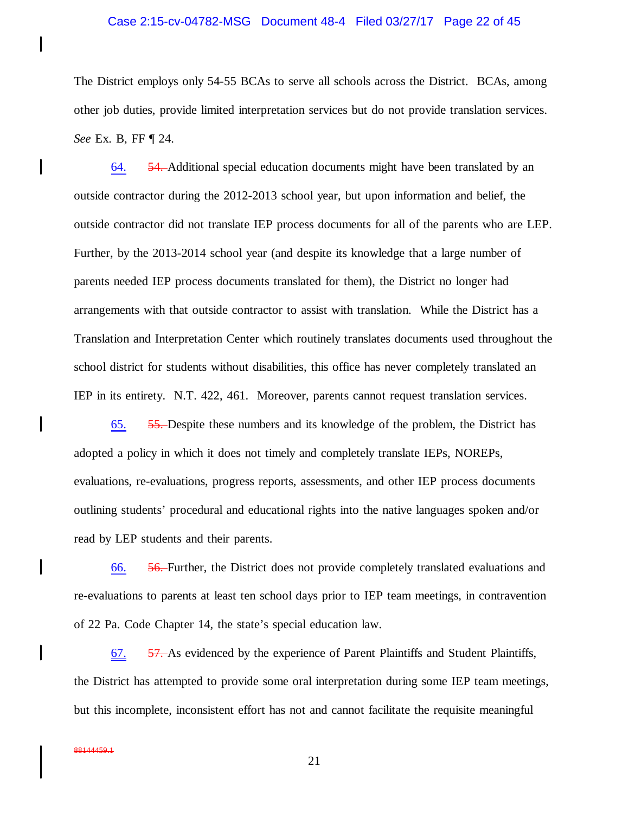## Case 2:15-cv-04782-MSG Document 48-4 Filed 03/27/17 Page 22 of 45

The District employs only 54-55 BCAs to serve all schools across the District. BCAs, among other job duties, provide limited interpretation services but do not provide translation services. *See* Ex. B, FF ¶ 24.

64. 54. Additional special education documents might have been translated by an outside contractor during the 2012-2013 school year, but upon information and belief, the outside contractor did not translate IEP process documents for all of the parents who are LEP. Further, by the 2013-2014 school year (and despite its knowledge that a large number of parents needed IEP process documents translated for them), the District no longer had arrangements with that outside contractor to assist with translation. While the District has a Translation and Interpretation Center which routinely translates documents used throughout the school district for students without disabilities, this office has never completely translated an IEP in its entirety. N.T. 422, 461. Moreover, parents cannot request translation services.

65. 55. Despite these numbers and its knowledge of the problem, the District has adopted a policy in which it does not timely and completely translate IEPs, NOREPs, evaluations, re-evaluations, progress reports, assessments, and other IEP process documents outlining students' procedural and educational rights into the native languages spoken and/or read by LEP students and their parents.

66. 56. Further, the District does not provide completely translated evaluations and re-evaluations to parents at least ten school days prior to IEP team meetings, in contravention of 22 Pa. Code Chapter 14, the state's special education law.

67. 57. As evidenced by the experience of Parent Plaintiffs and Student Plaintiffs, the District has attempted to provide some oral interpretation during some IEP team meetings, but this incomplete, inconsistent effort has not and cannot facilitate the requisite meaningful

 $\mathbf l$ 

I

 $\mathsf{l}$ 

 $\mathbf l$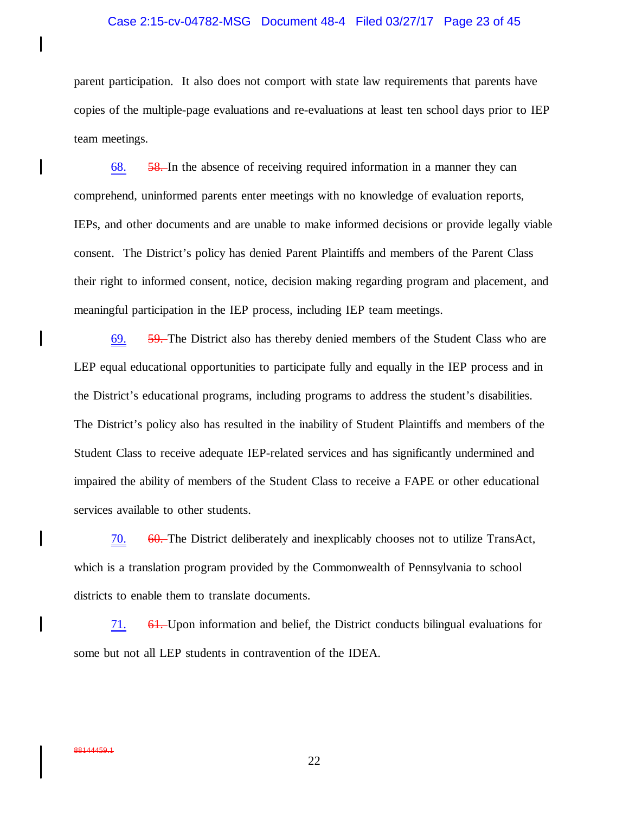### Case 2:15-cv-04782-MSG Document 48-4 Filed 03/27/17 Page 23 of 45

parent participation. It also does not comport with state law requirements that parents have copies of the multiple-page evaluations and re-evaluations at least ten school days prior to IEP team meetings.

68. 58. In the absence of receiving required information in a manner they can comprehend, uninformed parents enter meetings with no knowledge of evaluation reports, IEPs, and other documents and are unable to make informed decisions or provide legally viable consent. The District's policy has denied Parent Plaintiffs and members of the Parent Class their right to informed consent, notice, decision making regarding program and placement, and meaningful participation in the IEP process, including IEP team meetings.

69. 59. The District also has thereby denied members of the Student Class who are LEP equal educational opportunities to participate fully and equally in the IEP process and in the District's educational programs, including programs to address the student's disabilities. The District's policy also has resulted in the inability of Student Plaintiffs and members of the Student Class to receive adequate IEP-related services and has significantly undermined and impaired the ability of members of the Student Class to receive a FAPE or other educational services available to other students.

70. 60. The District deliberately and inexplicably chooses not to utilize TransAct, which is a translation program provided by the Commonwealth of Pennsylvania to school districts to enable them to translate documents.

71. 61. Upon information and belief, the District conducts bilingual evaluations for some but not all LEP students in contravention of the IDEA.

I

 $\mathbf l$ 

 $\mathbf l$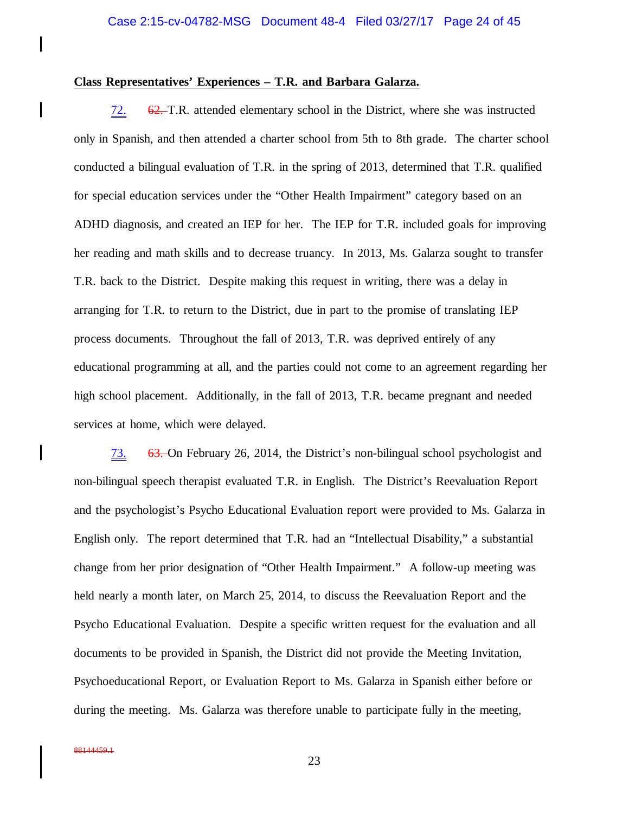## **Class Representatives' Experiences – T.R. and Barbara Galarza.**

72. 62. T.R. attended elementary school in the District, where she was instructed only in Spanish, and then attended a charter school from 5th to 8th grade. The charter school conducted a bilingual evaluation of T.R. in the spring of 2013, determined that T.R. qualified for special education services under the "Other Health Impairment" category based on an ADHD diagnosis, and created an IEP for her. The IEP for T.R. included goals for improving her reading and math skills and to decrease truancy. In 2013, Ms. Galarza sought to transfer T.R. back to the District. Despite making this request in writing, there was a delay in arranging for T.R. to return to the District, due in part to the promise of translating IEP process documents. Throughout the fall of 2013, T.R. was deprived entirely of any educational programming at all, and the parties could not come to an agreement regarding her high school placement. Additionally, in the fall of 2013, T.R. became pregnant and needed services at home, which were delayed.

73. 63. On February 26, 2014, the District's non-bilingual school psychologist and non-bilingual speech therapist evaluated T.R. in English. The District's Reevaluation Report and the psychologist's Psycho Educational Evaluation report were provided to Ms. Galarza in English only. The report determined that T.R. had an "Intellectual Disability," a substantial change from her prior designation of "Other Health Impairment." A follow-up meeting was held nearly a month later, on March 25, 2014, to discuss the Reevaluation Report and the Psycho Educational Evaluation. Despite a specific written request for the evaluation and all documents to be provided in Spanish, the District did not provide the Meeting Invitation, Psychoeducational Report, or Evaluation Report to Ms. Galarza in Spanish either before or during the meeting. Ms. Galarza was therefore unable to participate fully in the meeting,

 $\mathbf l$ 

 $\mathbf l$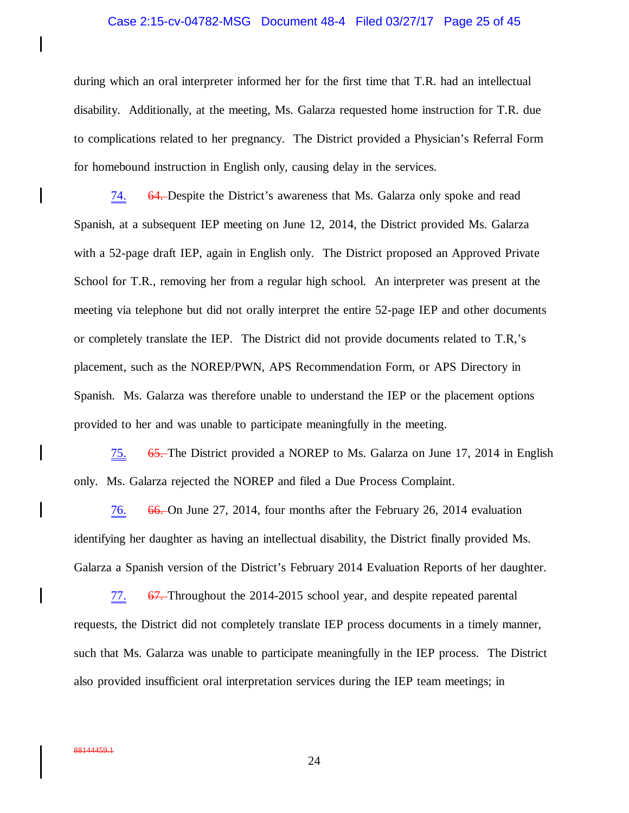#### Case 2:15-cv-04782-MSG Document 48-4 Filed 03/27/17 Page 25 of 45

during which an oral interpreter informed her for the first time that T.R. had an intellectual disability. Additionally, at the meeting, Ms. Galarza requested home instruction for T.R. due to complications related to her pregnancy. The District provided a Physician's Referral Form for homebound instruction in English only, causing delay in the services.

74. 64. Despite the District's awareness that Ms. Galarza only spoke and read Spanish, at a subsequent IEP meeting on June 12, 2014, the District provided Ms. Galarza with a 52-page draft IEP, again in English only. The District proposed an Approved Private School for T.R., removing her from a regular high school. An interpreter was present at the meeting via telephone but did not orally interpret the entire 52-page IEP and other documents or completely translate the IEP. The District did not provide documents related to T.R,'s placement, such as the NOREP/PWN, APS Recommendation Form, or APS Directory in Spanish. Ms. Galarza was therefore unable to understand the IEP or the placement options provided to her and was unable to participate meaningfully in the meeting.

75. 65. The District provided a NOREP to Ms. Galarza on June 17, 2014 in English only. Ms. Galarza rejected the NOREP and filed a Due Process Complaint.

76. 66. On June 27, 2014, four months after the February 26, 2014 evaluation identifying her daughter as having an intellectual disability, the District finally provided Ms. Galarza a Spanish version of the District's February 2014 Evaluation Reports of her daughter.

77. 67. Throughout the 2014-2015 school year, and despite repeated parental requests, the District did not completely translate IEP process documents in a timely manner, such that Ms. Galarza was unable to participate meaningfully in the IEP process. The District also provided insufficient oral interpretation services during the IEP team meetings; in

 $\mathsf{l}$ 

I

 $\mathsf{l}$ 

 $\mathbf l$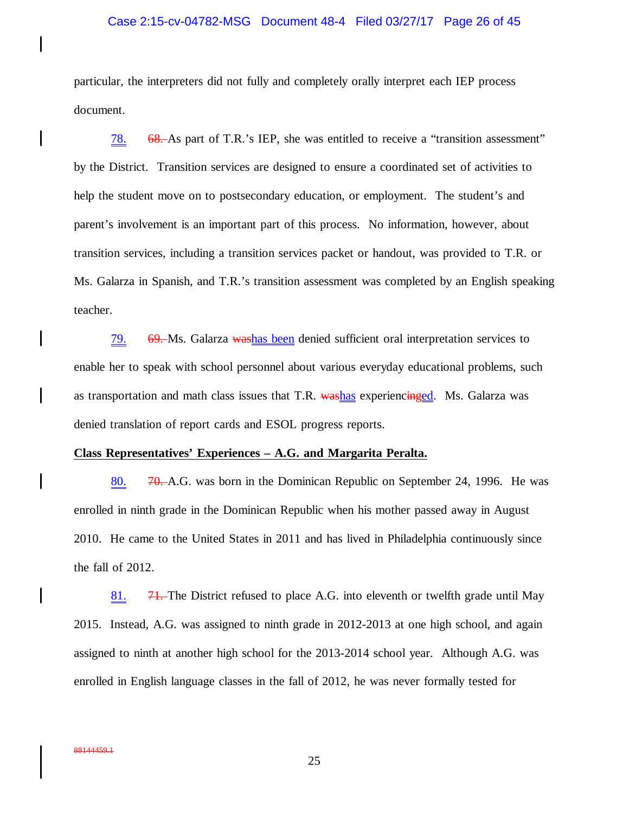#### Case 2:15-cv-04782-MSG Document 48-4 Filed 03/27/17 Page 26 of 45

particular, the interpreters did not fully and completely orally interpret each IEP process document.

78. 68. As part of T.R.'s IEP, she was entitled to receive a "transition assessment" by the District. Transition services are designed to ensure a coordinated set of activities to help the student move on to postsecondary education, or employment. The student's and parent's involvement is an important part of this process. No information, however, about transition services, including a transition services packet or handout, was provided to T.R. or Ms. Galarza in Spanish, and T.R.'s transition assessment was completed by an English speaking teacher.

79. 69. Ms. Galarza washas been denied sufficient oral interpretation services to enable her to speak with school personnel about various everyday educational problems, such as transportation and math class issues that T.R. washas experiencinged. Ms. Galarza was denied translation of report cards and ESOL progress reports.

## **Class Representatives' Experiences – A.G. and Margarita Peralta.**

80. **70.** A.G. was born in the Dominican Republic on September 24, 1996. He was enrolled in ninth grade in the Dominican Republic when his mother passed away in August 2010. He came to the United States in 2011 and has lived in Philadelphia continuously since the fall of 2012.

81.  $\frac{71}{1}$ . The District refused to place A.G. into eleventh or twelfth grade until May 2015. Instead, A.G. was assigned to ninth grade in 2012-2013 at one high school, and again assigned to ninth at another high school for the 2013-2014 school year. Although A.G. was enrolled in English language classes in the fall of 2012, he was never formally tested for

88144459.1

I

 $\mathsf{l}$ 

 $\mathbf l$ 

 $\mathbf l$ 

 $\mathbf l$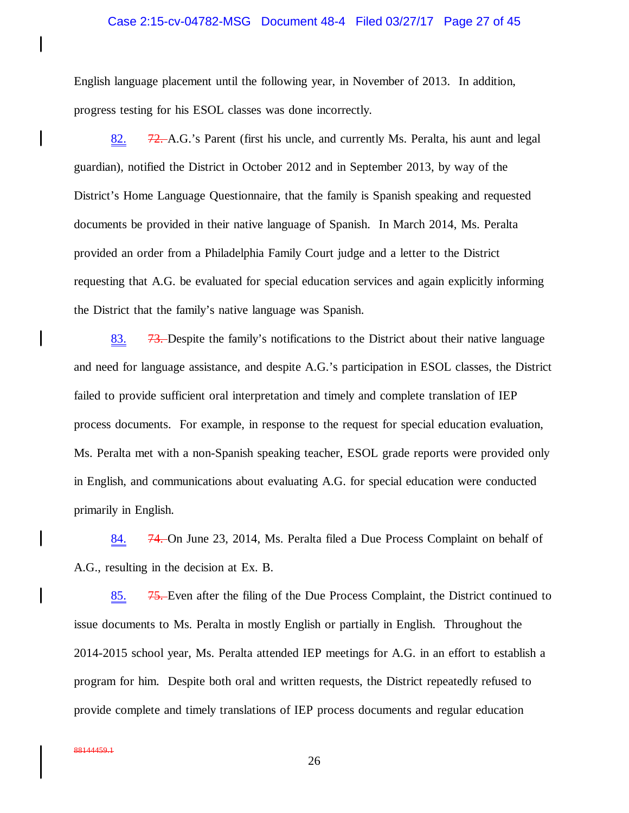### Case 2:15-cv-04782-MSG Document 48-4 Filed 03/27/17 Page 27 of 45

English language placement until the following year, in November of 2013. In addition, progress testing for his ESOL classes was done incorrectly.

82. 72. A.G.'s Parent (first his uncle, and currently Ms. Peralta, his aunt and legal guardian), notified the District in October 2012 and in September 2013, by way of the District's Home Language Questionnaire, that the family is Spanish speaking and requested documents be provided in their native language of Spanish. In March 2014, Ms. Peralta provided an order from a Philadelphia Family Court judge and a letter to the District requesting that A.G. be evaluated for special education services and again explicitly informing the District that the family's native language was Spanish.

83. 73. Despite the family's notifications to the District about their native language and need for language assistance, and despite A.G.'s participation in ESOL classes, the District failed to provide sufficient oral interpretation and timely and complete translation of IEP process documents. For example, in response to the request for special education evaluation, Ms. Peralta met with a non-Spanish speaking teacher, ESOL grade reports were provided only in English, and communications about evaluating A.G. for special education were conducted primarily in English.

84. 74. On June 23, 2014, Ms. Peralta filed a Due Process Complaint on behalf of A.G., resulting in the decision at Ex. B.

85. 75. Even after the filing of the Due Process Complaint, the District continued to issue documents to Ms. Peralta in mostly English or partially in English. Throughout the 2014-2015 school year, Ms. Peralta attended IEP meetings for A.G. in an effort to establish a program for him. Despite both oral and written requests, the District repeatedly refused to provide complete and timely translations of IEP process documents and regular education

I

 $\mathbf l$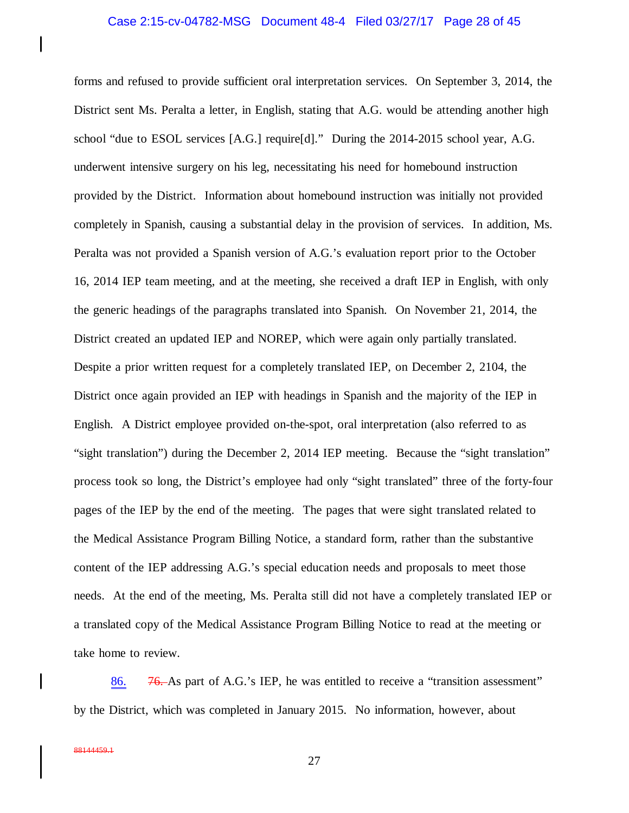#### Case 2:15-cv-04782-MSG Document 48-4 Filed 03/27/17 Page 28 of 45

forms and refused to provide sufficient oral interpretation services. On September 3, 2014, the District sent Ms. Peralta a letter, in English, stating that A.G. would be attending another high school "due to ESOL services [A.G.] require[d]."During the 2014-2015 school year, A.G. underwent intensive surgery on his leg, necessitating his need for homebound instruction provided by the District. Information about homebound instruction was initially not provided completely in Spanish, causing a substantial delay in the provision of services. In addition, Ms. Peralta was not provided a Spanish version of A.G.'s evaluation report prior to the October 16, 2014 IEP team meeting, and at the meeting, she received a draft IEP in English, with only the generic headings of the paragraphs translated into Spanish. On November 21, 2014, the District created an updated IEP and NOREP, which were again only partially translated. Despite a prior written request for a completely translated IEP, on December 2, 2104, the District once again provided an IEP with headings in Spanish and the majority of the IEP in English. A District employee provided on-the-spot, oral interpretation (also referred to as "sight translation") during the December 2, 2014 IEP meeting. Because the "sight translation" process took so long, the District's employee had only "sight translated" three of the forty-four pages of the IEP by the end of the meeting. The pages that were sight translated related to the Medical Assistance Program Billing Notice, a standard form, rather than the substantive content of the IEP addressing A.G.'s special education needs and proposals to meet those needs. At the end of the meeting, Ms. Peralta still did not have a completely translated IEP or a translated copy of the Medical Assistance Program Billing Notice to read at the meeting or take home to review.

86. 76. As part of A.G.'s IEP, he was entitled to receive a "transition assessment" by the District, which was completed in January 2015. No information, however, about

 $\mathbf l$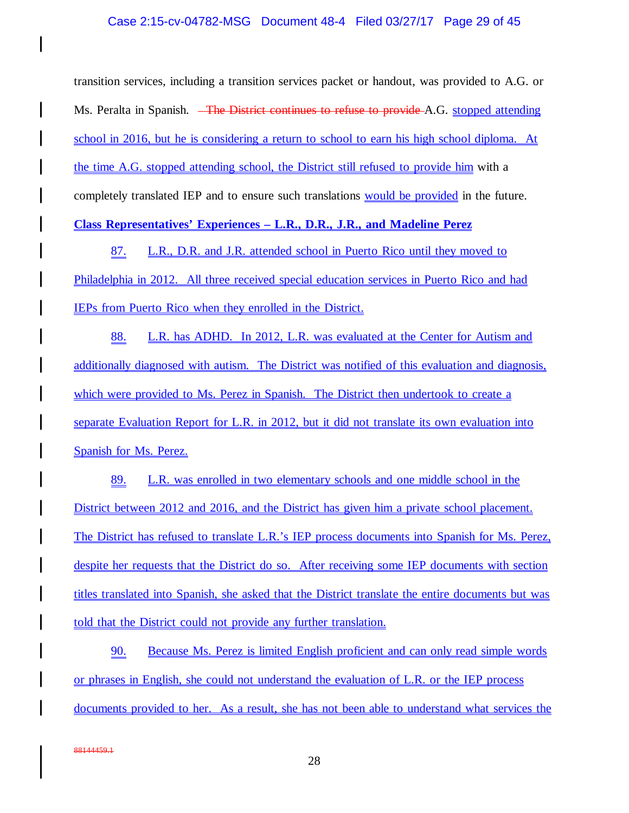transition services, including a transition services packet or handout, was provided to A.G. or Ms. Peralta in Spanish. <del>The District continues to refuse to provide</del> A.G. stopped attending school in 2016, but he is considering a return to school to earn his high school diploma. At the time A.G. stopped attending school, the District still refused to provide him with a completely translated IEP and to ensure such translations would be provided in the future.

**Class Representatives' Experiences – L.R., D.R., J.R., and Madeline Perez**

87. L.R., D.R. and J.R. attended school in Puerto Rico until they moved to Philadelphia in 2012. All three received special education services in Puerto Rico and had IEPs from Puerto Rico when they enrolled in the District.

88. L.R. has ADHD. In 2012, L.R. was evaluated at the Center for Autism and additionally diagnosed with autism. The District was notified of this evaluation and diagnosis, which were provided to Ms. Perez in Spanish. The District then undertook to create a separate Evaluation Report for L.R. in 2012, but it did not translate its own evaluation into Spanish for Ms. Perez.

89. L.R. was enrolled in two elementary schools and one middle school in the District between 2012 and 2016, and the District has given him a private school placement. The District has refused to translate L.R.'s IEP process documents into Spanish for Ms. Perez, despite her requests that the District do so. After receiving some IEP documents with section titles translated into Spanish, she asked that the District translate the entire documents but was told that the District could not provide any further translation.

90. Because Ms. Perez is limited English proficient and can only read simple words or phrases in English, she could not understand the evaluation of L.R. or the IEP process documents provided to her. As a result, she has not been able to understand what services the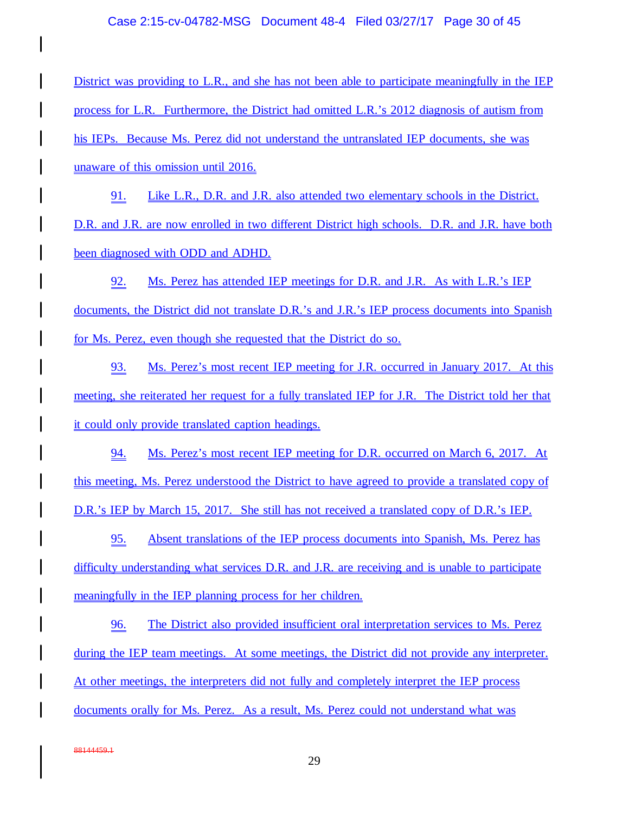## Case 2:15-cv-04782-MSG Document 48-4 Filed 03/27/17 Page 30 of 45

District was providing to L.R., and she has not been able to participate meaningfully in the IEP process for L.R. Furthermore, the District had omitted L.R.'s 2012 diagnosis of autism from his IEPs. Because Ms. Perez did not understand the untranslated IEP documents, she was unaware of this omission until 2016.

91. Like L.R., D.R. and J.R. also attended two elementary schools in the District. D.R. and J.R. are now enrolled in two different District high schools. D.R. and J.R. have both been diagnosed with ODD and ADHD.

92. Ms. Perez has attended IEP meetings for D.R. and J.R. As with L.R.'s IEP documents, the District did not translate D.R.'s and J.R.'s IEP process documents into Spanish for Ms. Perez, even though she requested that the District do so.

93. Ms. Perez's most recent IEP meeting for J.R. occurred in January 2017. At this meeting, she reiterated her request for a fully translated IEP for J.R. The District told her that it could only provide translated caption headings.

94. Ms. Perez's most recent IEP meeting for D.R. occurred on March 6, 2017. At this meeting, Ms. Perez understood the District to have agreed to provide a translated copy of D.R.'s IEP by March 15, 2017. She still has not received a translated copy of D.R.'s IEP.

95. Absent translations of the IEP process documents into Spanish, Ms. Perez has difficulty understanding what services D.R. and J.R. are receiving and is unable to participate meaningfully in the IEP planning process for her children.

96. The District also provided insufficient oral interpretation services to Ms. Perez during the IEP team meetings. At some meetings, the District did not provide any interpreter. At other meetings, the interpreters did not fully and completely interpret the IEP process documents orally for Ms. Perez. As a result, Ms. Perez could not understand what was

88144459.1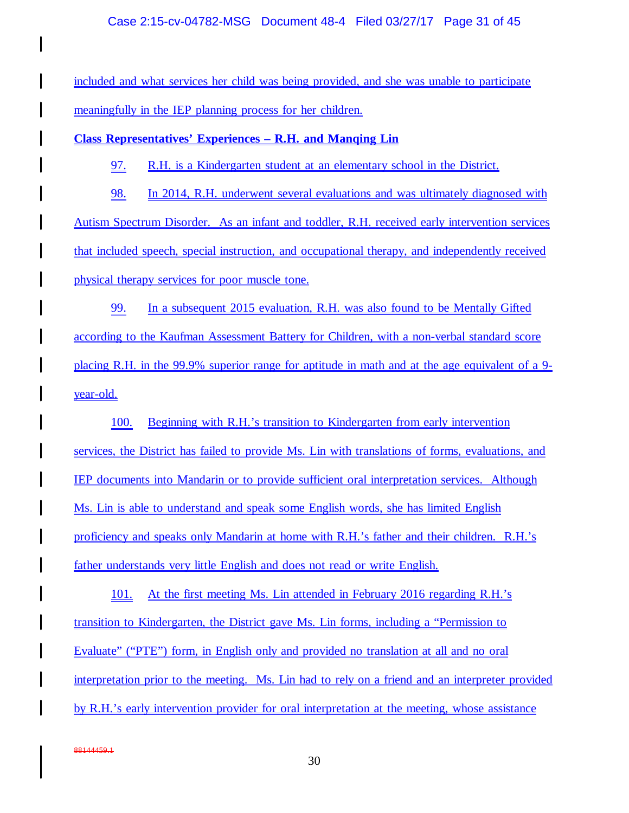## Case 2:15-cv-04782-MSG Document 48-4 Filed 03/27/17 Page 31 of 45

included and what services her child was being provided, and she was unable to participate meaningfully in the IEP planning process for her children.

**Class Representatives' Experiences – R.H. and Manqing Lin**

97. R.H. is a Kindergarten student at an elementary school in the District.

98. In 2014, R.H. underwent several evaluations and was ultimately diagnosed with Autism Spectrum Disorder. As an infant and toddler, R.H. received early intervention services that included speech, special instruction, and occupational therapy, and independently received physical therapy services for poor muscle tone.

99. In a subsequent 2015 evaluation, R.H. was also found to be Mentally Gifted according to the Kaufman Assessment Battery for Children, with a non-verbal standard score placing R.H. in the 99.9% superior range for aptitude in math and at the age equivalent of a 9 year-old.

100. Beginning with R.H.'s transition to Kindergarten from early intervention services, the District has failed to provide Ms. Lin with translations of forms, evaluations, and IEP documents into Mandarin or to provide sufficient oral interpretation services. Although Ms. Lin is able to understand and speak some English words, she has limited English proficiency and speaks only Mandarin at home with R.H.'s father and their children. R.H.'s father understands very little English and does not read or write English.

101. At the first meeting Ms. Lin attended in February 2016 regarding R.H.'s transition to Kindergarten, the District gave Ms. Lin forms, including a "Permission to Evaluate" ("PTE") form, in English only and provided no translation at all and no oral interpretation prior to the meeting. Ms. Lin had to rely on a friend and an interpreter provided by R.H.'s early intervention provider for oral interpretation at the meeting, whose assistance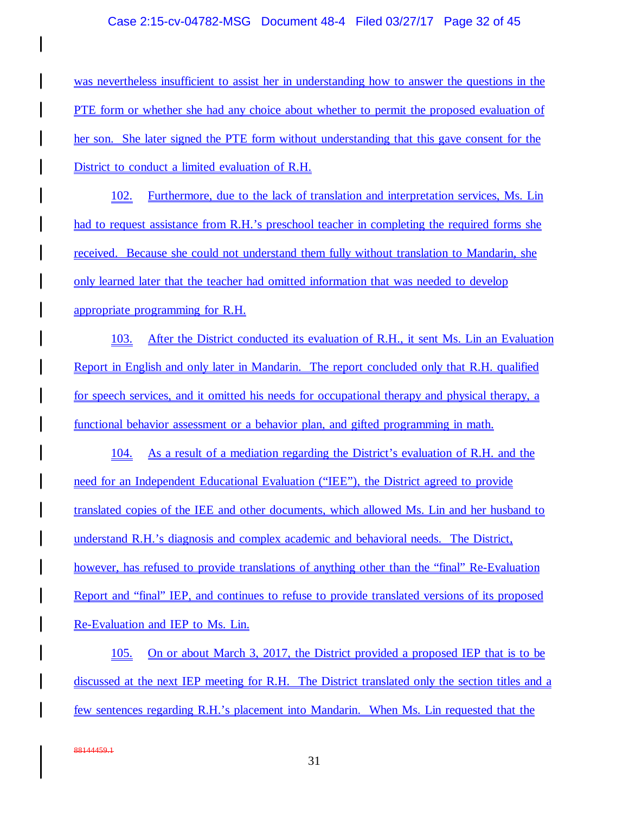## Case 2:15-cv-04782-MSG Document 48-4 Filed 03/27/17 Page 32 of 45

was nevertheless insufficient to assist her in understanding how to answer the questions in the PTE form or whether she had any choice about whether to permit the proposed evaluation of her son. She later signed the PTE form without understanding that this gave consent for the District to conduct a limited evaluation of R.H.

102. Furthermore, due to the lack of translation and interpretation services, Ms. Lin had to request assistance from R.H.'s preschool teacher in completing the required forms she received. Because she could not understand them fully without translation to Mandarin, she only learned later that the teacher had omitted information that was needed to develop appropriate programming for R.H.

103. After the District conducted its evaluation of R.H., it sent Ms. Lin an Evaluation Report in English and only later in Mandarin. The report concluded only that R.H. qualified for speech services, and it omitted his needs for occupational therapy and physical therapy, a functional behavior assessment or a behavior plan, and gifted programming in math.

104. As a result of a mediation regarding the District's evaluation of R.H. and the need for an Independent Educational Evaluation ("IEE"), the District agreed to provide translated copies of the IEE and other documents, which allowed Ms. Lin and her husband to understand R.H.'s diagnosis and complex academic and behavioral needs. The District, however, has refused to provide translations of anything other than the "final" Re-Evaluation Report and "final" IEP, and continues to refuse to provide translated versions of its proposed Re-Evaluation and IEP to Ms. Lin.

105. On or about March 3, 2017, the District provided a proposed IEP that is to be discussed at the next IEP meeting for R.H. The District translated only the section titles and a few sentences regarding R.H.'s placement into Mandarin. When Ms. Lin requested that the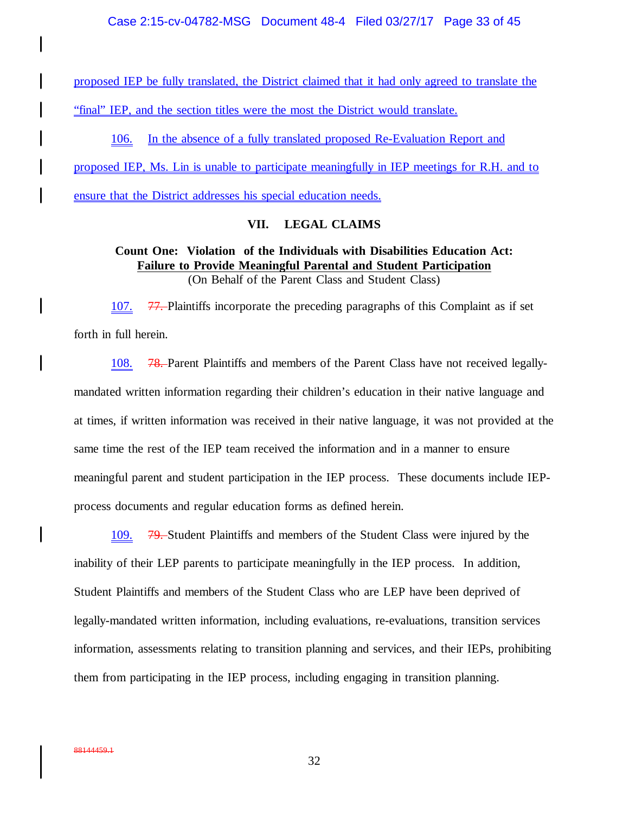proposed IEP be fully translated, the District claimed that it had only agreed to translate the "final" IEP, and the section titles were the most the District would translate.

106. In the absence of a fully translated proposed Re-Evaluation Report and proposed IEP, Ms. Lin is unable to participate meaningfully in IEP meetings for R.H. and to ensure that the District addresses his special education needs.

## **VII. LEGAL CLAIMS**

## **Count One: Violation of the Individuals with Disabilities Education Act: Failure to Provide Meaningful Parental and Student Participation** (On Behalf of the Parent Class and Student Class)

107. 77. Plaintiffs incorporate the preceding paragraphs of this Complaint as if set forth in full herein.

108. 78. Parent Plaintiffs and members of the Parent Class have not received legallymandated written information regarding their children's education in their native language and at times, if written information was received in their native language, it was not provided at the same time the rest of the IEP team received the information and in a manner to ensure meaningful parent and student participation in the IEP process. These documents include IEPprocess documents and regular education forms as defined herein.

109. 79. Student Plaintiffs and members of the Student Class were injured by the inability of their LEP parents to participate meaningfully in the IEP process. In addition, Student Plaintiffs and members of the Student Class who are LEP have been deprived of legally-mandated written information, including evaluations, re-evaluations, transition services information, assessments relating to transition planning and services, and their IEPs, prohibiting them from participating in the IEP process, including engaging in transition planning.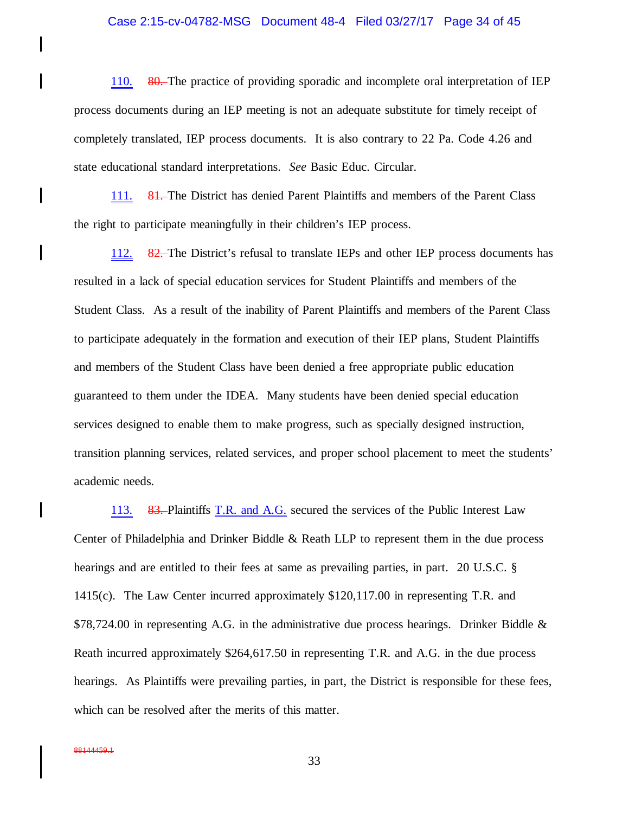#### Case 2:15-cv-04782-MSG Document 48-4 Filed 03/27/17 Page 34 of 45

110. 80. The practice of providing sporadic and incomplete oral interpretation of IEP process documents during an IEP meeting is not an adequate substitute for timely receipt of completely translated, IEP process documents. It is also contrary to 22 Pa. Code 4.26 and state educational standard interpretations. *See* Basic Educ. Circular.

111. 81. The District has denied Parent Plaintiffs and members of the Parent Class the right to participate meaningfully in their children's IEP process.

112. 82. The District's refusal to translate IEPs and other IEP process documents has resulted in a lack of special education services for Student Plaintiffs and members of the Student Class. As a result of the inability of Parent Plaintiffs and members of the Parent Class to participate adequately in the formation and execution of their IEP plans, Student Plaintiffs and members of the Student Class have been denied a free appropriate public education guaranteed to them under the IDEA. Many students have been denied special education services designed to enable them to make progress, such as specially designed instruction, transition planning services, related services, and proper school placement to meet the students' academic needs.

113. 83. Plaintiffs T.R. and A.G. secured the services of the Public Interest Law Center of Philadelphia and Drinker Biddle & Reath LLP to represent them in the due process hearings and are entitled to their fees at same as prevailing parties, in part. 20 U.S.C. § 1415(c). The Law Center incurred approximately \$120,117.00 in representing T.R. and  $$78,724.00$  in representing A.G. in the administrative due process hearings. Drinker Biddle  $\&$ Reath incurred approximately \$264,617.50 in representing T.R. and A.G. in the due process hearings. As Plaintiffs were prevailing parties, in part, the District is responsible for these fees, which can be resolved after the merits of this matter.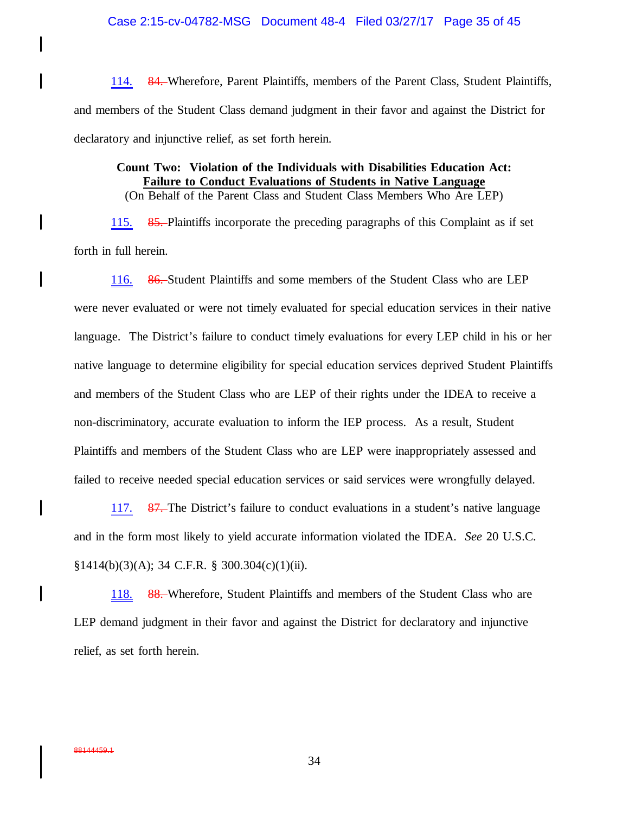114. 84. Wherefore, Parent Plaintiffs, members of the Parent Class, Student Plaintiffs, and members of the Student Class demand judgment in their favor and against the District for declaratory and injunctive relief, as set forth herein.

# **Count Two: Violation of the Individuals with Disabilities Education Act: Failure to Conduct Evaluations of Students in Native Language**

(On Behalf of the Parent Class and Student Class Members Who Are LEP)

115. 85. Plaintiffs incorporate the preceding paragraphs of this Complaint as if set forth in full herein.

116. 86. Student Plaintiffs and some members of the Student Class who are LEP were never evaluated or were not timely evaluated for special education services in their native language. The District's failure to conduct timely evaluations for every LEP child in his or her native language to determine eligibility for special education services deprived Student Plaintiffs and members of the Student Class who are LEP of their rights under the IDEA to receive a non-discriminatory, accurate evaluation to inform the IEP process. As a result, Student Plaintiffs and members of the Student Class who are LEP were inappropriately assessed and failed to receive needed special education services or said services were wrongfully delayed.

117. 87. The District's failure to conduct evaluations in a student's native language and in the form most likely to yield accurate information violated the IDEA. *See* 20 U.S.C.  $§1414(b)(3)(A); 34 C.F.R. § 300.304(c)(1)(ii).$ 

118. 88. Wherefore, Student Plaintiffs and members of the Student Class who are LEP demand judgment in their favor and against the District for declaratory and injunctive relief, as set forth herein.

 $\mathbf l$ 

 $\mathbf l$ 

 $\mathbf l$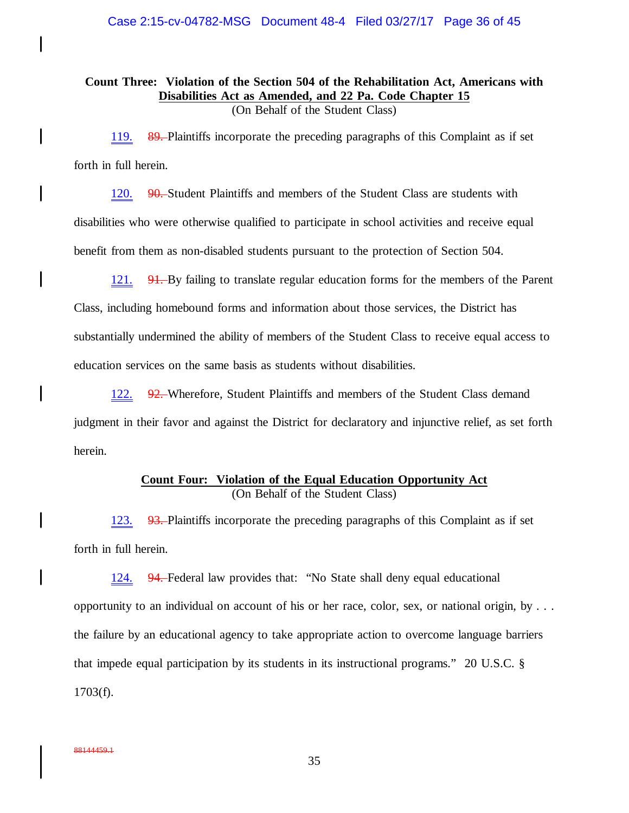**Count Three: Violation of the Section 504 of the Rehabilitation Act, Americans with Disabilities Act as Amended, and 22 Pa. Code Chapter 15** (On Behalf of the Student Class)

119. 89. Plaintiffs incorporate the preceding paragraphs of this Complaint as if set forth in full herein.

120. 90. Student Plaintiffs and members of the Student Class are students with disabilities who were otherwise qualified to participate in school activities and receive equal benefit from them as non-disabled students pursuant to the protection of Section 504.

121.  $91$ . By failing to translate regular education forms for the members of the Parent Class, including homebound forms and information about those services, the District has substantially undermined the ability of members of the Student Class to receive equal access to education services on the same basis as students without disabilities.

122. 92. Wherefore, Student Plaintiffs and members of the Student Class demand judgment in their favor and against the District for declaratory and injunctive relief, as set forth herein.

# **Count Four: Violation of the Equal Education Opportunity Act** (On Behalf of the Student Class)

123. 93. Plaintiffs incorporate the preceding paragraphs of this Complaint as if set forth in full herein.

124. 94. Federal law provides that: "No State shall deny equal educational opportunity to an individual on account of his or her race, color, sex, or national origin, by . . . the failure by an educational agency to take appropriate action to overcome language barriers that impede equal participation by its students in its instructional programs." 20 U.S.C. § 1703(f).

 $\mathsf{l}$ 

 $\mathbf l$ 

 $\mathbf l$ 

I

 $\mathbf l$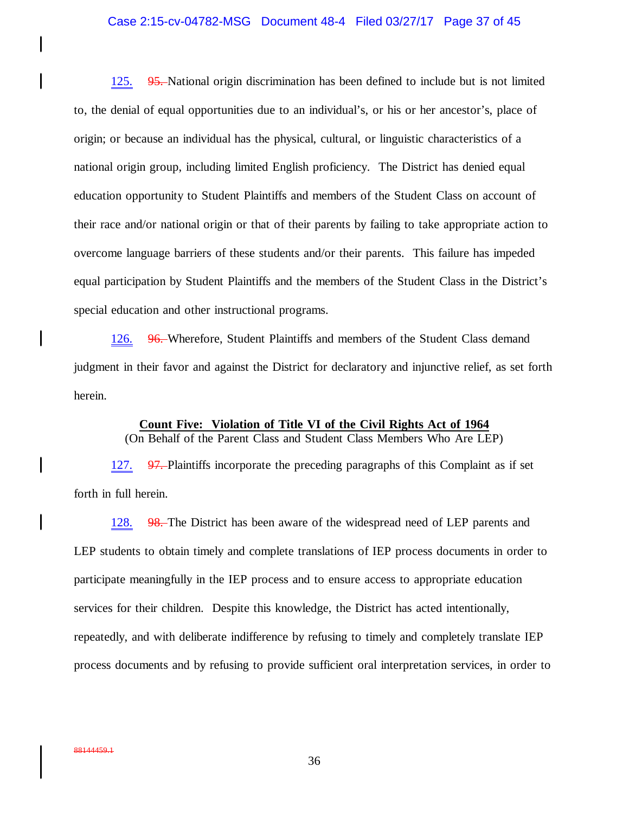## Case 2:15-cv-04782-MSG Document 48-4 Filed 03/27/17 Page 37 of 45

125. 95. National origin discrimination has been defined to include but is not limited to, the denial of equal opportunities due to an individual's, or his or her ancestor's, place of origin; or because an individual has the physical, cultural, or linguistic characteristics of a national origin group, including limited English proficiency. The District has denied equal education opportunity to Student Plaintiffs and members of the Student Class on account of their race and/or national origin or that of their parents by failing to take appropriate action to overcome language barriers of these students and/or their parents. This failure has impeded equal participation by Student Plaintiffs and the members of the Student Class in the District's special education and other instructional programs.

126. 96. Wherefore, Student Plaintiffs and members of the Student Class demand judgment in their favor and against the District for declaratory and injunctive relief, as set forth herein.

> **Count Five: Violation of Title VI of the Civil Rights Act of 1964** (On Behalf of the Parent Class and Student Class Members Who Are LEP)

127. 97. Plaintiffs incorporate the preceding paragraphs of this Complaint as if set forth in full herein.

128. 98. The District has been aware of the widespread need of LEP parents and LEP students to obtain timely and complete translations of IEP process documents in order to participate meaningfully in the IEP process and to ensure access to appropriate education services for their children. Despite this knowledge, the District has acted intentionally, repeatedly, and with deliberate indifference by refusing to timely and completely translate IEP process documents and by refusing to provide sufficient oral interpretation services, in order to

 $\mathbf l$ 

 $\mathbf l$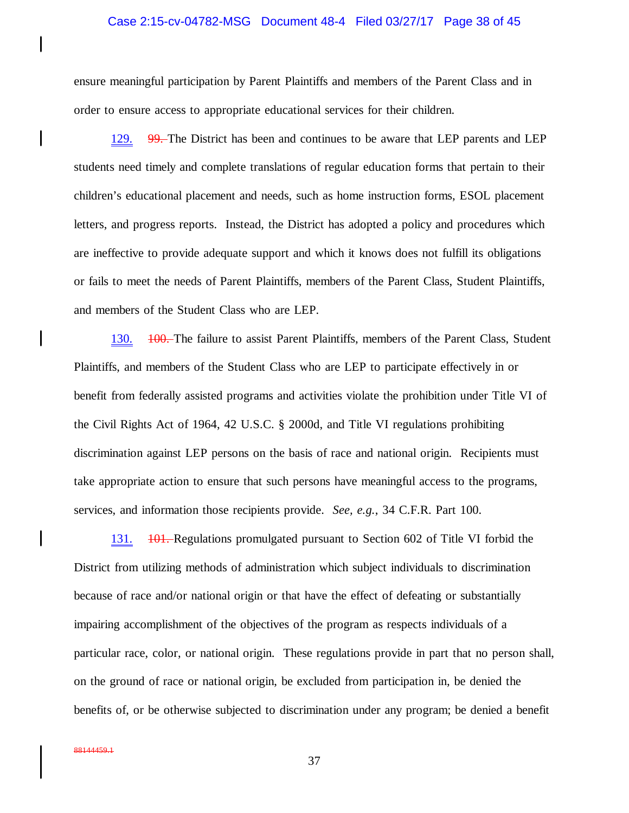#### Case 2:15-cv-04782-MSG Document 48-4 Filed 03/27/17 Page 38 of 45

ensure meaningful participation by Parent Plaintiffs and members of the Parent Class and in order to ensure access to appropriate educational services for their children.

129. 99. The District has been and continues to be aware that LEP parents and LEP students need timely and complete translations of regular education forms that pertain to their children's educational placement and needs, such as home instruction forms, ESOL placement letters, and progress reports. Instead, the District has adopted a policy and procedures which are ineffective to provide adequate support and which it knows does not fulfill its obligations or fails to meet the needs of Parent Plaintiffs, members of the Parent Class, Student Plaintiffs, and members of the Student Class who are LEP.

130. <del>100.</del> The failure to assist Parent Plaintiffs, members of the Parent Class, Student Plaintiffs, and members of the Student Class who are LEP to participate effectively in or benefit from federally assisted programs and activities violate the prohibition under Title VI of the Civil Rights Act of 1964, 42 U.S.C. § 2000d, and Title VI regulations prohibiting discrimination against LEP persons on the basis of race and national origin. Recipients must take appropriate action to ensure that such persons have meaningful access to the programs, services, and information those recipients provide. *See, e.g.*, 34 C.F.R. Part 100.

131.  $101.$  Regulations promulgated pursuant to Section 602 of Title VI forbid the District from utilizing methods of administration which subject individuals to discrimination because of race and/or national origin or that have the effect of defeating or substantially impairing accomplishment of the objectives of the program as respects individuals of a particular race, color, or national origin. These regulations provide in part that no person shall, on the ground of race or national origin, be excluded from participation in, be denied the benefits of, or be otherwise subjected to discrimination under any program; be denied a benefit

 $\mathbf l$ 

 $\mathbf l$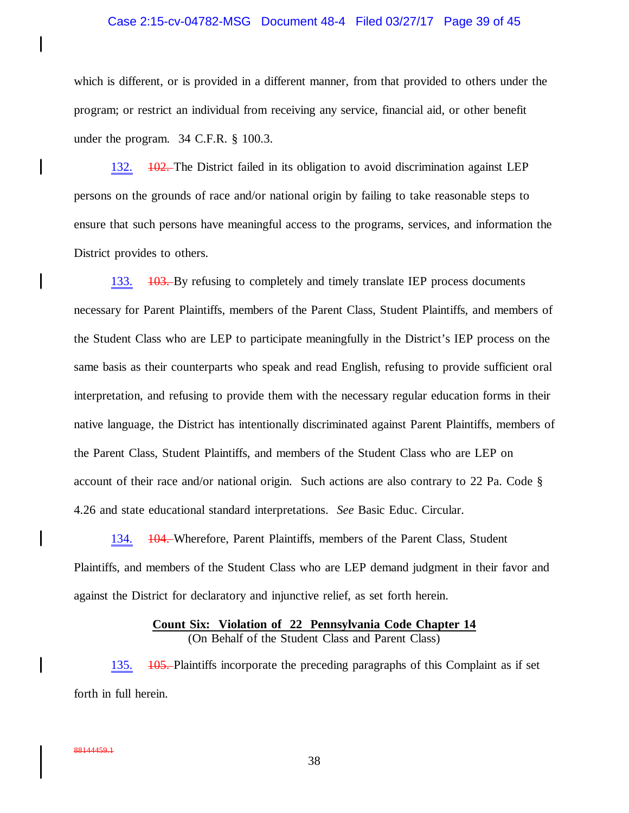## Case 2:15-cv-04782-MSG Document 48-4 Filed 03/27/17 Page 39 of 45

which is different, or is provided in a different manner, from that provided to others under the program; or restrict an individual from receiving any service, financial aid, or other benefit under the program. 34 C.F.R. § 100.3.

132.  $\sqrt{102}$ . The District failed in its obligation to avoid discrimination against LEP persons on the grounds of race and/or national origin by failing to take reasonable steps to ensure that such persons have meaningful access to the programs, services, and information the District provides to others.

133. <del>103.</del> By refusing to completely and timely translate IEP process documents necessary for Parent Plaintiffs, members of the Parent Class, Student Plaintiffs, and members of the Student Class who are LEP to participate meaningfully in the District's IEP process on the same basis as their counterparts who speak and read English, refusing to provide sufficient oral interpretation, and refusing to provide them with the necessary regular education forms in their native language, the District has intentionally discriminated against Parent Plaintiffs, members of the Parent Class, Student Plaintiffs, and members of the Student Class who are LEP on account of their race and/or national origin. Such actions are also contrary to 22 Pa. Code § 4.26 and state educational standard interpretations. *See* Basic Educ. Circular.

134. 104. Wherefore, Parent Plaintiffs, members of the Parent Class, Student Plaintiffs, and members of the Student Class who are LEP demand judgment in their favor and against the District for declaratory and injunctive relief, as set forth herein.

## **Count Six: Violation of 22 Pennsylvania Code Chapter 14** (On Behalf of the Student Class and Parent Class)

135. <del>105.</del> Plaintiffs incorporate the preceding paragraphs of this Complaint as if set forth in full herein.

 $\mathbf l$ 

I

 $\mathbf l$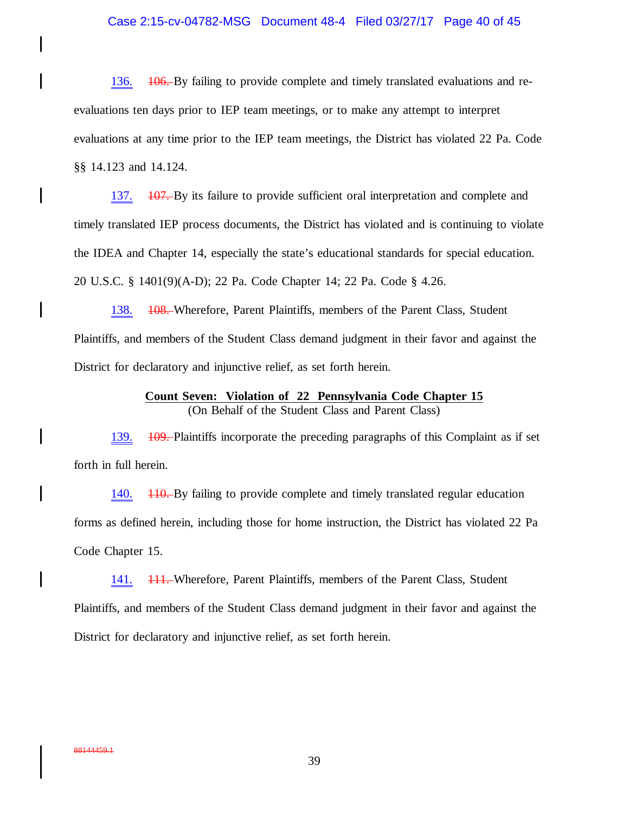## Case 2:15-cv-04782-MSG Document 48-4 Filed 03/27/17 Page 40 of 45

136.  $106.$  By failing to provide complete and timely translated evaluations and reevaluations ten days prior to IEP team meetings, or to make any attempt to interpret evaluations at any time prior to the IEP team meetings, the District has violated 22 Pa. Code §§ 14.123 and 14.124.

137. 107. By its failure to provide sufficient oral interpretation and complete and timely translated IEP process documents, the District has violated and is continuing to violate the IDEA and Chapter 14, especially the state's educational standards for special education. 20 U.S.C. § 1401(9)(A-D); 22 Pa. Code Chapter 14; 22 Pa. Code § 4.26.

138. <del>108.</del> Wherefore, Parent Plaintiffs, members of the Parent Class, Student Plaintiffs, and members of the Student Class demand judgment in their favor and against the District for declaratory and injunctive relief, as set forth herein.

## **Count Seven: Violation of 22 Pennsylvania Code Chapter 15** (On Behalf of the Student Class and Parent Class)

139.  $\overline{109}$ . Plaintiffs incorporate the preceding paragraphs of this Complaint as if set forth in full herein.

140. <del>110.</del> By failing to provide complete and timely translated regular education forms as defined herein, including those for home instruction, the District has violated 22 Pa Code Chapter 15.

141. 111. Wherefore, Parent Plaintiffs, members of the Parent Class, Student Plaintiffs, and members of the Student Class demand judgment in their favor and against the District for declaratory and injunctive relief, as set forth herein.

 $\mathsf{l}$ 

I

I

 $\mathbf l$ 

 $\mathbf l$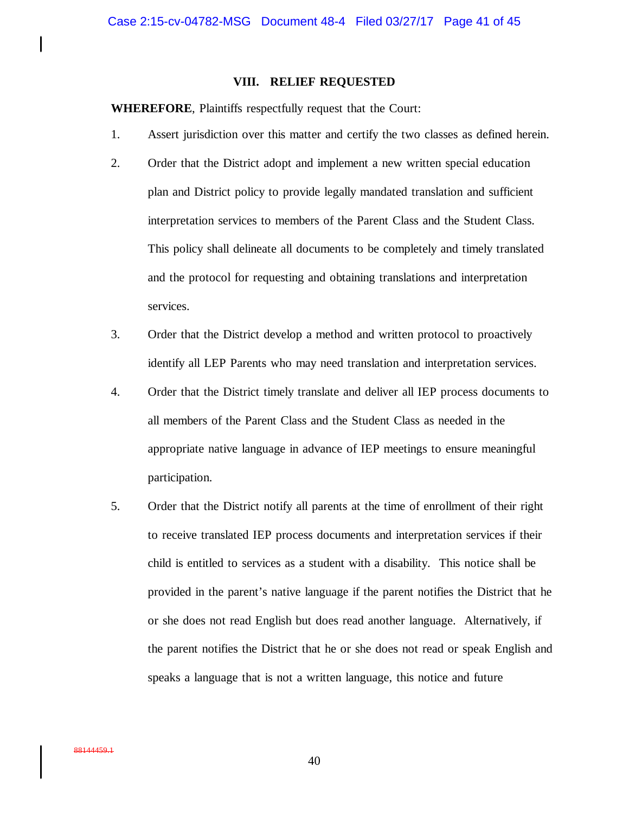## **VIII. RELIEF REQUESTED**

**WHEREFORE**, Plaintiffs respectfully request that the Court:

- 1. Assert jurisdiction over this matter and certify the two classes as defined herein.
- 2. Order that the District adopt and implement a new written special education plan and District policy to provide legally mandated translation and sufficient interpretation services to members of the Parent Class and the Student Class. This policy shall delineate all documents to be completely and timely translated and the protocol for requesting and obtaining translations and interpretation services.
- 3. Order that the District develop a method and written protocol to proactively identify all LEP Parents who may need translation and interpretation services.
- 4. Order that the District timely translate and deliver all IEP process documents to all members of the Parent Class and the Student Class as needed in the appropriate native language in advance of IEP meetings to ensure meaningful participation.
- 5. Order that the District notify all parents at the time of enrollment of their right to receive translated IEP process documents and interpretation services if their child is entitled to services as a student with a disability. This notice shall be provided in the parent's native language if the parent notifies the District that he or she does not read English but does read another language. Alternatively, if the parent notifies the District that he or she does not read or speak English and speaks a language that is not a written language, this notice and future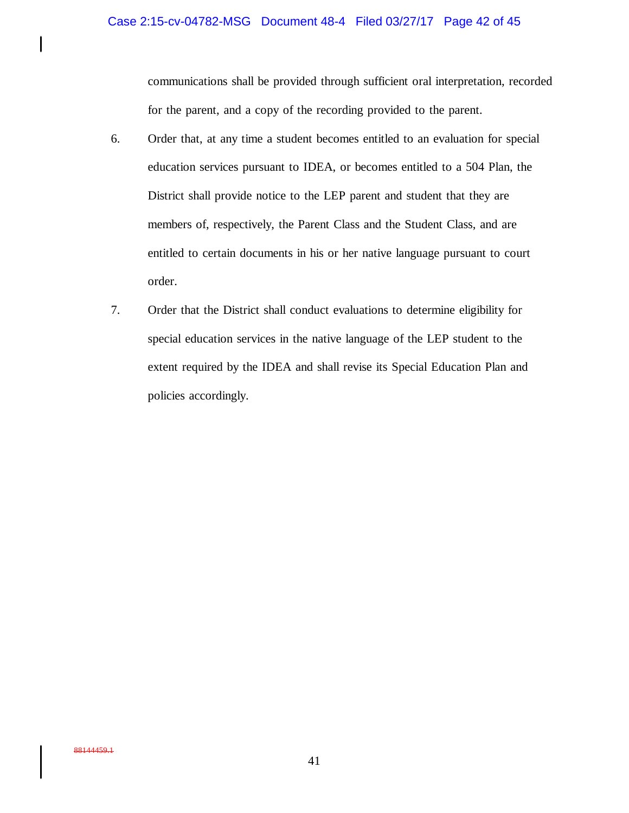## Case 2:15-cv-04782-MSG Document 48-4 Filed 03/27/17 Page 42 of 45

communications shall be provided through sufficient oral interpretation, recorded for the parent, and a copy of the recording provided to the parent.

- 6. Order that, at any time a student becomes entitled to an evaluation for special education services pursuant to IDEA, or becomes entitled to a 504 Plan, the District shall provide notice to the LEP parent and student that they are members of, respectively, the Parent Class and the Student Class, and are entitled to certain documents in his or her native language pursuant to court order.
- 7. Order that the District shall conduct evaluations to determine eligibility for special education services in the native language of the LEP student to the extent required by the IDEA and shall revise its Special Education Plan and policies accordingly.

 $\mathsf{l}$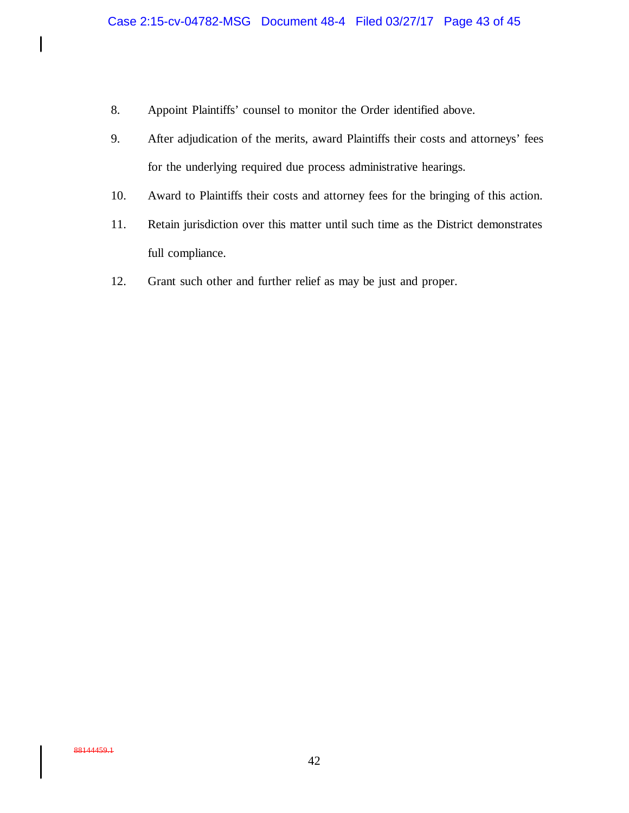- 8. Appoint Plaintiffs' counsel to monitor the Order identified above.
- 9. After adjudication of the merits, award Plaintiffs their costs and attorneys' fees for the underlying required due process administrative hearings.
- 10. Award to Plaintiffs their costs and attorney fees for the bringing of this action.
- 11. Retain jurisdiction over this matter until such time as the District demonstrates full compliance.
- 12. Grant such other and further relief as may be just and proper.

 $\begin{array}{c} \hline \end{array}$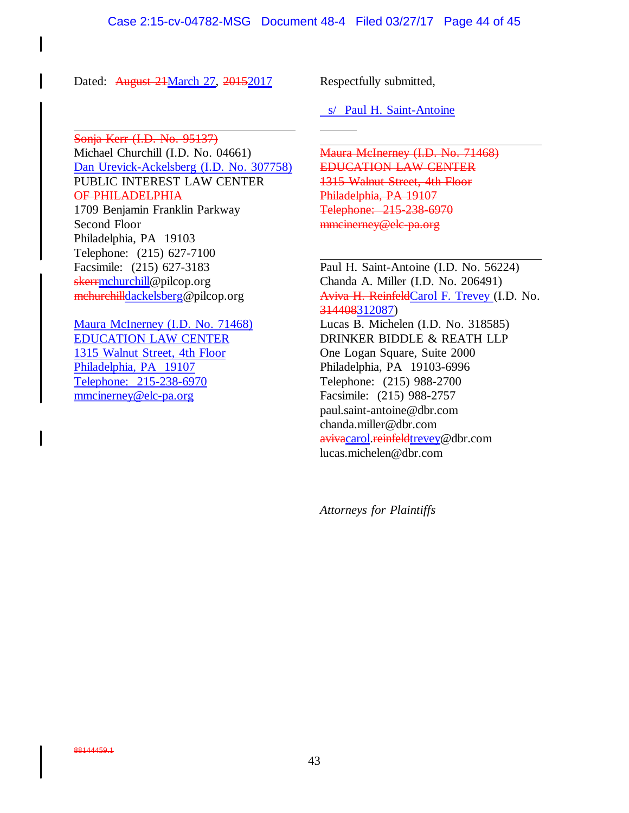Dated: August 24March 27, 2015 2017 Respectfully submitted,

Sonja Kerr (I.D. No. 95137) Michael Churchill (I.D. No. 04661) Dan Urevick-Ackelsberg (I.D. No. 307758) PUBLIC INTEREST LAW CENTER OF PHILADELPHIA

1709 Benjamin Franklin Parkway Second Floor Philadelphia, PA 19103 Telephone: (215) 627-7100 Facsimile: (215) 627-3183 skerrmchurchill@pilcop.org mchurchilldackelsberg@pilcop.org

Maura McInerney (I.D. No. 71468) EDUCATION LAW CENTER 1315 Walnut Street, 4th Floor Philadelphia, PA 19107 Telephone: 215-238-6970 mmcinerney@elc-pa.org

s/ Paul H. Saint-Antoine

Maura McInerney (I.D. No. 71468) EDUCATION LAW CENTER 1315 Walnut Street, 4th Floor Philadelphia, PA 19107 Telephone: 215-238-6970 mmcinerney@elc-pa.org

Paul H. Saint-Antoine (I.D. No. 56224) Chanda A. Miller (I.D. No. 206491) Aviva H. ReinfeldCarol F. Trevey (I.D. No. 314408312087) Lucas B. Michelen (I.D. No. 318585) DRINKER BIDDLE & REATH LLP One Logan Square, Suite 2000 Philadelphia, PA 19103-6996 Telephone: (215) 988-2700 Facsimile: (215) 988-2757 paul.saint-antoine@dbr.com chanda.miller@dbr.com avivacarol.reinfeldtrevey@dbr.com lucas.michelen@dbr.com

*Attorneys for Plaintiffs*